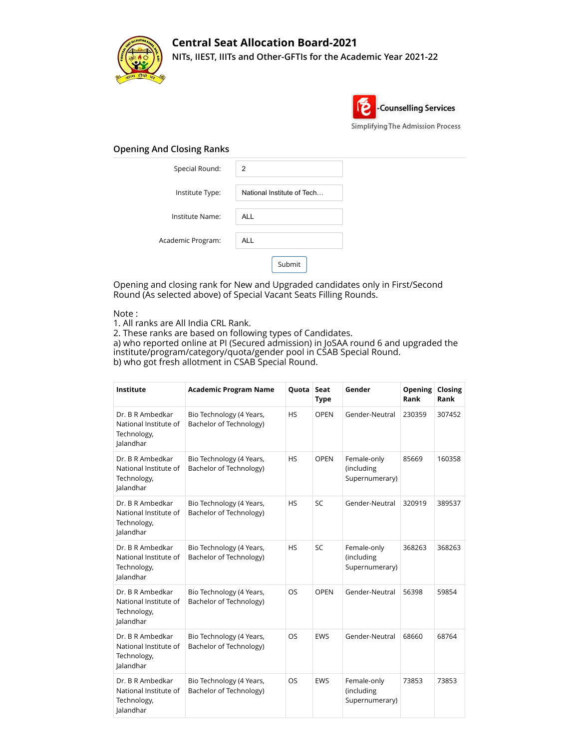

## **Central Seat Allocation Board-2021 NITs, IIEST, IIITs and Other-GFTIs for the Academic Year 2021-22**



## **Opening And Closing Ranks**

| Special Round:    | $\overline{2}$             |
|-------------------|----------------------------|
| Institute Type:   | National Institute of Tech |
| Institute Name:   | <b>ALL</b>                 |
| Academic Program: | <b>ALL</b>                 |
|                   | Submit                     |

Opening and closing rank for New and Upgraded candidates only in First/Second Round (As selected above) of Special Vacant Seats Filling Rounds.

## Note :

1. All ranks are All India CRL Rank.

2. These ranks are based on following types of Candidates.

a) who reported online at PI (Secured admission) in JoSAA round 6 and upgraded the institute/program/category/quota/gender pool in CSAB Special Round. b) who got fresh allotment in CSAB Special Round.

| Institute                                                             | <b>Academic Program Name</b>                        | Quota     | Seat<br><b>Type</b> | Gender                                      | Opening<br>Rank | Closing<br>Rank |
|-----------------------------------------------------------------------|-----------------------------------------------------|-----------|---------------------|---------------------------------------------|-----------------|-----------------|
| Dr. B R Ambedkar<br>National Institute of<br>Technology,<br>Jalandhar | Bio Technology (4 Years,<br>Bachelor of Technology) | <b>HS</b> | <b>OPEN</b>         | Gender-Neutral                              | 230359          | 307452          |
| Dr. B R Ambedkar<br>National Institute of<br>Technology,<br>Jalandhar | Bio Technology (4 Years,<br>Bachelor of Technology) | <b>HS</b> | <b>OPEN</b>         | Female-only<br>(including<br>Supernumerary) | 85669           | 160358          |
| Dr. B R Ambedkar<br>National Institute of<br>Technology,<br>Jalandhar | Bio Technology (4 Years,<br>Bachelor of Technology) | <b>HS</b> | SC                  | Gender-Neutral                              | 320919          | 389537          |
| Dr. B R Ambedkar<br>National Institute of<br>Technology,<br>Jalandhar | Bio Technology (4 Years,<br>Bachelor of Technology) | <b>HS</b> | <b>SC</b>           | Female-only<br>(including<br>Supernumerary) | 368263          | 368263          |
| Dr. B R Ambedkar<br>National Institute of<br>Technology,<br>Jalandhar | Bio Technology (4 Years,<br>Bachelor of Technology) | OS        | <b>OPEN</b>         | Gender-Neutral                              | 56398           | 59854           |
| Dr. B R Ambedkar<br>National Institute of<br>Technology,<br>Jalandhar | Bio Technology (4 Years,<br>Bachelor of Technology) | <b>OS</b> | <b>EWS</b>          | Gender-Neutral                              | 68660           | 68764           |
| Dr. B R Ambedkar<br>National Institute of<br>Technology,<br>Jalandhar | Bio Technology (4 Years,<br>Bachelor of Technology) | OS        | <b>EWS</b>          | Female-only<br>(including<br>Supernumerary) | 73853           | 73853           |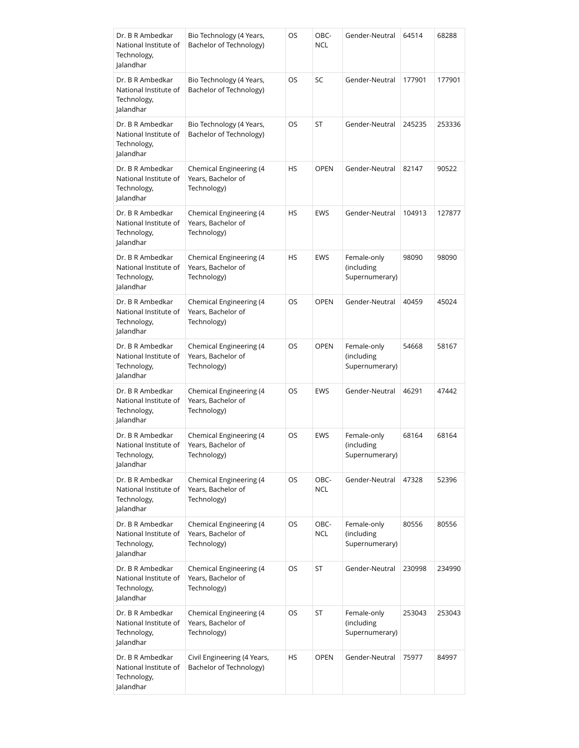| Dr. B R Ambedkar<br>National Institute of<br>Technology,<br>Jalandhar | Bio Technology (4 Years,<br>Bachelor of Technology)          | OS | OBC-<br><b>NCL</b> | Gender-Neutral                              | 64514  | 68288  |
|-----------------------------------------------------------------------|--------------------------------------------------------------|----|--------------------|---------------------------------------------|--------|--------|
| Dr. B R Ambedkar<br>National Institute of<br>Technology,<br>Jalandhar | Bio Technology (4 Years,<br>Bachelor of Technology)          | OS | SC                 | Gender-Neutral                              | 177901 | 177901 |
| Dr. B R Ambedkar<br>National Institute of<br>Technology,<br>Jalandhar | Bio Technology (4 Years,<br>Bachelor of Technology)          | OS | ST                 | Gender-Neutral                              | 245235 | 253336 |
| Dr. B R Ambedkar<br>National Institute of<br>Technology,<br>Jalandhar | Chemical Engineering (4<br>Years, Bachelor of<br>Technology) | HS | <b>OPEN</b>        | Gender-Neutral                              | 82147  | 90522  |
| Dr. B R Ambedkar<br>National Institute of<br>Technology,<br>Jalandhar | Chemical Engineering (4<br>Years, Bachelor of<br>Technology) | HS | <b>EWS</b>         | Gender-Neutral                              | 104913 | 127877 |
| Dr. B R Ambedkar<br>National Institute of<br>Technology,<br>Jalandhar | Chemical Engineering (4<br>Years, Bachelor of<br>Technology) | HS | <b>EWS</b>         | Female-only<br>(including<br>Supernumerary) | 98090  | 98090  |
| Dr. B R Ambedkar<br>National Institute of<br>Technology,<br>Jalandhar | Chemical Engineering (4<br>Years, Bachelor of<br>Technology) | OS | <b>OPEN</b>        | Gender-Neutral                              | 40459  | 45024  |
| Dr. B R Ambedkar<br>National Institute of<br>Technology,<br>Jalandhar | Chemical Engineering (4<br>Years, Bachelor of<br>Technology) | OS | <b>OPEN</b>        | Female-only<br>(including<br>Supernumerary) | 54668  | 58167  |
| Dr. B R Ambedkar<br>National Institute of<br>Technology,<br>Jalandhar | Chemical Engineering (4<br>Years, Bachelor of<br>Technology) | OS | <b>EWS</b>         | Gender-Neutral                              | 46291  | 47442  |
| Dr. B R Ambedkar<br>National Institute of<br>Technology,<br>Jalandhar | Chemical Engineering (4<br>Years, Bachelor of<br>Technology) | OS | EWS                | Female-only<br>(including<br>Supernumerary) | 68164  | 68164  |
| Dr. B R Ambedkar<br>National Institute of<br>Technology,<br>lalandhar | Chemical Engineering (4<br>Years, Bachelor of<br>Technology) | OS | OBC-<br><b>NCL</b> | Gender-Neutral                              | 47328  | 52396  |
| Dr. B R Ambedkar<br>National Institute of<br>Technology,<br>Jalandhar | Chemical Engineering (4<br>Years, Bachelor of<br>Technology) | OS | OBC-<br><b>NCL</b> | Female-only<br>(including<br>Supernumerary) | 80556  | 80556  |
| Dr. B R Ambedkar<br>National Institute of<br>Technology,<br>Jalandhar | Chemical Engineering (4<br>Years, Bachelor of<br>Technology) | OS | ST                 | Gender-Neutral                              | 230998 | 234990 |
| Dr. B R Ambedkar<br>National Institute of<br>Technology,<br>Jalandhar | Chemical Engineering (4<br>Years, Bachelor of<br>Technology) | OS | ST                 | Female-only<br>(including<br>Supernumerary) | 253043 | 253043 |
| Dr. B R Ambedkar<br>National Institute of<br>Technology,<br>Jalandhar | Civil Engineering (4 Years,<br>Bachelor of Technology)       | HS | OPEN               | Gender-Neutral                              | 75977  | 84997  |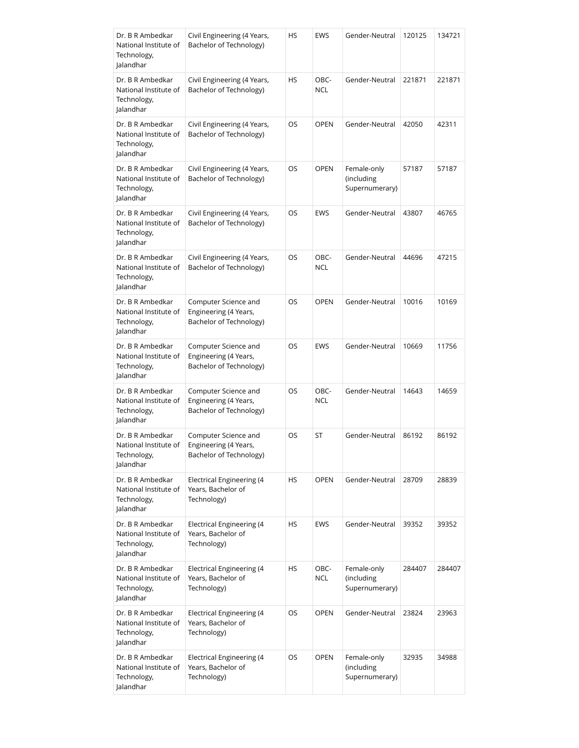| Dr. B R Ambedkar<br>National Institute of<br>Technology,<br>Jalandhar | Civil Engineering (4 Years,<br>Bachelor of Technology)                   | НS | EWS                | Gender-Neutral                              | 120125 | 134721 |
|-----------------------------------------------------------------------|--------------------------------------------------------------------------|----|--------------------|---------------------------------------------|--------|--------|
| Dr. B R Ambedkar<br>National Institute of<br>Technology,<br>Jalandhar | Civil Engineering (4 Years,<br>Bachelor of Technology)                   | HS | OBC-<br><b>NCL</b> | Gender-Neutral                              | 221871 | 221871 |
| Dr. B R Ambedkar<br>National Institute of<br>Technology,<br>Jalandhar | Civil Engineering (4 Years,<br>Bachelor of Technology)                   | OS | <b>OPEN</b>        | Gender-Neutral                              | 42050  | 42311  |
| Dr. B R Ambedkar<br>National Institute of<br>Technology,<br>Jalandhar | Civil Engineering (4 Years,<br>Bachelor of Technology)                   | OS | <b>OPEN</b>        | Female-only<br>(including<br>Supernumerary) | 57187  | 57187  |
| Dr. B R Ambedkar<br>National Institute of<br>Technology,<br>Jalandhar | Civil Engineering (4 Years,<br>Bachelor of Technology)                   | OS | EWS                | Gender-Neutral                              | 43807  | 46765  |
| Dr. B R Ambedkar<br>National Institute of<br>Technology,<br>Jalandhar | Civil Engineering (4 Years,<br>Bachelor of Technology)                   | OS | OBC-<br><b>NCL</b> | Gender-Neutral                              | 44696  | 47215  |
| Dr. B R Ambedkar<br>National Institute of<br>Technology,<br>Jalandhar | Computer Science and<br>Engineering (4 Years,<br>Bachelor of Technology) | OS | <b>OPEN</b>        | Gender-Neutral                              | 10016  | 10169  |
| Dr. B R Ambedkar<br>National Institute of<br>Technology,<br>Jalandhar | Computer Science and<br>Engineering (4 Years,<br>Bachelor of Technology) | OS | <b>EWS</b>         | Gender-Neutral                              | 10669  | 11756  |
| Dr. B R Ambedkar<br>National Institute of<br>Technology,<br>Jalandhar | Computer Science and<br>Engineering (4 Years,<br>Bachelor of Technology) | OS | OBC-<br><b>NCL</b> | Gender-Neutral                              | 14643  | 14659  |
| Dr. B R Ambedkar<br>National Institute of<br>Technology,<br>Jalandhar | Computer Science and<br>Engineering (4 Years,<br>Bachelor of Technology) | OS | ST                 | Gender-Neutral                              | 86192  | 86192  |
| Dr. B R Ambedkar<br>National Institute of<br>Technology,<br>Jalandhar | <b>Electrical Engineering (4</b><br>Years, Bachelor of<br>Technology)    | НS | <b>OPEN</b>        | Gender-Neutral                              | 28709  | 28839  |
| Dr. B R Ambedkar<br>National Institute of<br>Technology,<br>Jalandhar | Electrical Engineering (4<br>Years, Bachelor of<br>Technology)           | НS | <b>EWS</b>         | Gender-Neutral                              | 39352  | 39352  |
| Dr. B R Ambedkar<br>National Institute of<br>Technology,<br>Jalandhar | Electrical Engineering (4<br>Years, Bachelor of<br>Technology)           | НS | OBC-<br><b>NCL</b> | Female-only<br>(including<br>Supernumerary) | 284407 | 284407 |
| Dr. B R Ambedkar<br>National Institute of<br>Technology,<br>Jalandhar | Electrical Engineering (4<br>Years, Bachelor of<br>Technology)           | OS | <b>OPEN</b>        | Gender-Neutral                              | 23824  | 23963  |
| Dr. B R Ambedkar<br>National Institute of<br>Technology,<br>Jalandhar | Electrical Engineering (4<br>Years, Bachelor of<br>Technology)           | OS | OPEN               | Female-only<br>(including<br>Supernumerary) | 32935  | 34988  |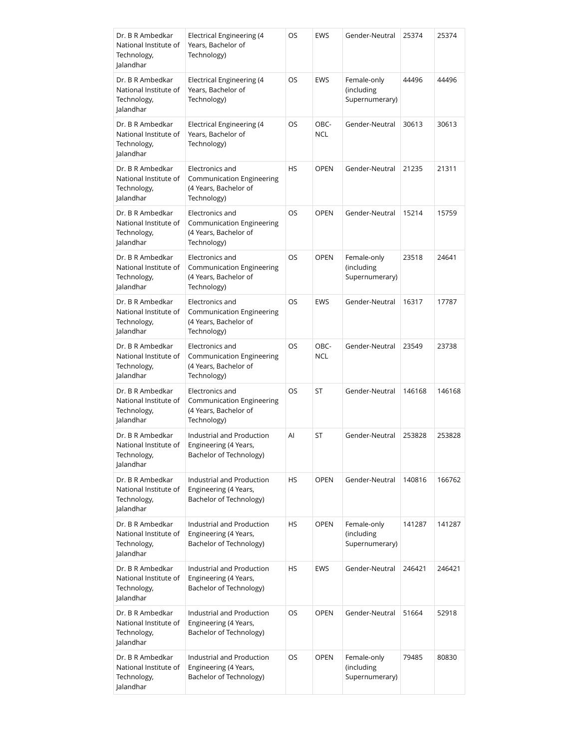| Dr. B R Ambedkar<br>National Institute of<br>Technology,<br>Jalandhar | Electrical Engineering (4<br>Years, Bachelor of<br>Technology)                              | OS  | <b>EWS</b>         | Gender-Neutral                              | 25374  | 25374  |
|-----------------------------------------------------------------------|---------------------------------------------------------------------------------------------|-----|--------------------|---------------------------------------------|--------|--------|
| Dr. B R Ambedkar<br>National Institute of<br>Technology,<br>Jalandhar | Electrical Engineering (4<br>Years, Bachelor of<br>Technology)                              | OS  | <b>EWS</b>         | Female-only<br>(including<br>Supernumerary) | 44496  | 44496  |
| Dr. B R Ambedkar<br>National Institute of<br>Technology,<br>Jalandhar | Electrical Engineering (4<br>Years, Bachelor of<br>Technology)                              | OS  | OBC-<br><b>NCL</b> | Gender-Neutral                              | 30613  | 30613  |
| Dr. B R Ambedkar<br>National Institute of<br>Technology,<br>Jalandhar | Electronics and<br>Communication Engineering<br>(4 Years, Bachelor of<br>Technology)        | HS  | <b>OPEN</b>        | Gender-Neutral                              | 21235  | 21311  |
| Dr. B R Ambedkar<br>National Institute of<br>Technology,<br>lalandhar | Electronics and<br>Communication Engineering<br>(4 Years, Bachelor of<br>Technology)        | OS  | <b>OPEN</b>        | Gender-Neutral                              | 15214  | 15759  |
| Dr. B R Ambedkar<br>National Institute of<br>Technology,<br>Jalandhar | Electronics and<br><b>Communication Engineering</b><br>(4 Years, Bachelor of<br>Technology) | OS  | <b>OPEN</b>        | Female-only<br>(including<br>Supernumerary) | 23518  | 24641  |
| Dr. B R Ambedkar<br>National Institute of<br>Technology,<br>Jalandhar | Electronics and<br>Communication Engineering<br>(4 Years, Bachelor of<br>Technology)        | OS  | <b>EWS</b>         | Gender-Neutral                              | 16317  | 17787  |
| Dr. B R Ambedkar<br>National Institute of<br>Technology,<br>Jalandhar | Electronics and<br>Communication Engineering<br>(4 Years, Bachelor of<br>Technology)        | OS  | OBC-<br><b>NCL</b> | Gender-Neutral                              | 23549  | 23738  |
| Dr. B R Ambedkar<br>National Institute of<br>Technology,<br>Jalandhar | Electronics and<br><b>Communication Engineering</b><br>(4 Years, Bachelor of<br>Technology) | OS  | ST                 | Gender-Neutral                              | 146168 | 146168 |
| Dr. B R Ambedkar<br>National Institute of<br>Technology,<br>Jalandhar | Industrial and Production<br>Engineering (4 Years,<br>Bachelor of Technology)               | Al  | ST                 | Gender-Neutral                              | 253828 | 253828 |
| Dr. B R Ambedkar<br>National Institute of<br>Technology,<br>Jalandhar | Industrial and Production<br>Engineering (4 Years,<br>Bachelor of Technology)               | HS. | <b>OPEN</b>        | Gender-Neutral                              | 140816 | 166762 |
| Dr. B R Ambedkar<br>National Institute of<br>Technology,<br>Jalandhar | Industrial and Production<br>Engineering (4 Years,<br>Bachelor of Technology)               | HS. | <b>OPEN</b>        | Female-only<br>(including<br>Supernumerary) | 141287 | 141287 |
| Dr. B R Ambedkar<br>National Institute of<br>Technology,<br>Jalandhar | Industrial and Production<br>Engineering (4 Years,<br>Bachelor of Technology)               | НS  | <b>EWS</b>         | Gender-Neutral                              | 246421 | 246421 |
| Dr. B R Ambedkar<br>National Institute of<br>Technology,<br>Jalandhar | Industrial and Production<br>Engineering (4 Years,<br>Bachelor of Technology)               | OS  | <b>OPEN</b>        | Gender-Neutral                              | 51664  | 52918  |
| Dr. B R Ambedkar<br>National Institute of<br>Technology,<br>Jalandhar | Industrial and Production<br>Engineering (4 Years,<br>Bachelor of Technology)               | OS  | <b>OPEN</b>        | Female-only<br>(including<br>Supernumerary) | 79485  | 80830  |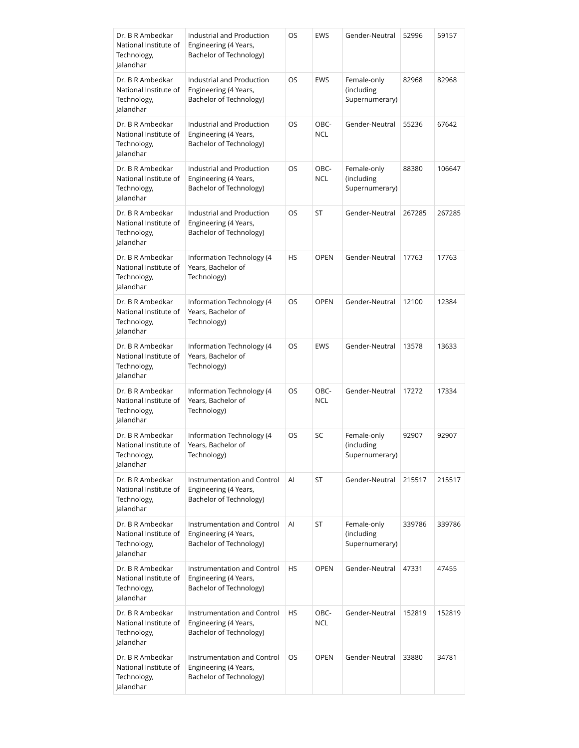| Dr. B R Ambedkar<br>National Institute of<br>Technology,<br>Jalandhar | Industrial and Production<br>Engineering (4 Years,<br>Bachelor of Technology)   | OS  | EWS                | Gender-Neutral                              | 52996  | 59157  |
|-----------------------------------------------------------------------|---------------------------------------------------------------------------------|-----|--------------------|---------------------------------------------|--------|--------|
| Dr. B R Ambedkar<br>National Institute of<br>Technology,<br>Jalandhar | Industrial and Production<br>Engineering (4 Years,<br>Bachelor of Technology)   | OS  | <b>EWS</b>         | Female-only<br>(including<br>Supernumerary) | 82968  | 82968  |
| Dr. B R Ambedkar<br>National Institute of<br>Technology,<br>Jalandhar | Industrial and Production<br>Engineering (4 Years,<br>Bachelor of Technology)   | OS  | OBC-<br><b>NCL</b> | Gender-Neutral                              | 55236  | 67642  |
| Dr. B R Ambedkar<br>National Institute of<br>Technology,<br>Jalandhar | Industrial and Production<br>Engineering (4 Years,<br>Bachelor of Technology)   | OS  | OBC-<br><b>NCL</b> | Female-only<br>(including<br>Supernumerary) | 88380  | 106647 |
| Dr. B R Ambedkar<br>National Institute of<br>Technology,<br>Jalandhar | Industrial and Production<br>Engineering (4 Years,<br>Bachelor of Technology)   | OS  | ST                 | Gender-Neutral                              | 267285 | 267285 |
| Dr. B R Ambedkar<br>National Institute of<br>Technology,<br>Jalandhar | Information Technology (4<br>Years, Bachelor of<br>Technology)                  | HS  | <b>OPEN</b>        | Gender-Neutral                              | 17763  | 17763  |
| Dr. B R Ambedkar<br>National Institute of<br>Technology,<br>Jalandhar | Information Technology (4<br>Years, Bachelor of<br>Technology)                  | OS  | <b>OPEN</b>        | Gender-Neutral                              | 12100  | 12384  |
| Dr. B R Ambedkar<br>National Institute of<br>Technology,<br>Jalandhar | Information Technology (4<br>Years, Bachelor of<br>Technology)                  | OS  | EWS                | Gender-Neutral                              | 13578  | 13633  |
| Dr. B R Ambedkar<br>National Institute of<br>Technology,<br>Jalandhar | Information Technology (4<br>Years, Bachelor of<br>Technology)                  | OS  | OBC-<br><b>NCL</b> | Gender-Neutral                              | 17272  | 17334  |
| Dr. B R Ambedkar<br>National Institute of<br>Technology,<br>Jalandhar | Information Technology (4<br>Years, Bachelor of<br>Technology)                  | OS  | SC                 | Female-only<br>(including<br>Supernumerary) | 92907  | 92907  |
| Dr. B R Ambedkar<br>National Institute of<br>Technology,<br>Jalandhar | Instrumentation and Control<br>Engineering (4 Years,<br>Bachelor of Technology) | AI  | ST                 | Gender-Neutral                              | 215517 | 215517 |
| Dr. B R Ambedkar<br>National Institute of<br>Technology,<br>Jalandhar | Instrumentation and Control<br>Engineering (4 Years,<br>Bachelor of Technology) | Al  | ST                 | Female-only<br>(including<br>Supernumerary) | 339786 | 339786 |
| Dr. B R Ambedkar<br>National Institute of<br>Technology,<br>Jalandhar | Instrumentation and Control<br>Engineering (4 Years,<br>Bachelor of Technology) | HS  | <b>OPEN</b>        | Gender-Neutral                              | 47331  | 47455  |
| Dr. B R Ambedkar<br>National Institute of<br>Technology,<br>Jalandhar | Instrumentation and Control<br>Engineering (4 Years,<br>Bachelor of Technology) | HS. | OBC-<br><b>NCL</b> | Gender-Neutral                              | 152819 | 152819 |
| Dr. B R Ambedkar<br>National Institute of<br>Technology,<br>Jalandhar | Instrumentation and Control<br>Engineering (4 Years,<br>Bachelor of Technology) | OS. | <b>OPEN</b>        | Gender-Neutral                              | 33880  | 34781  |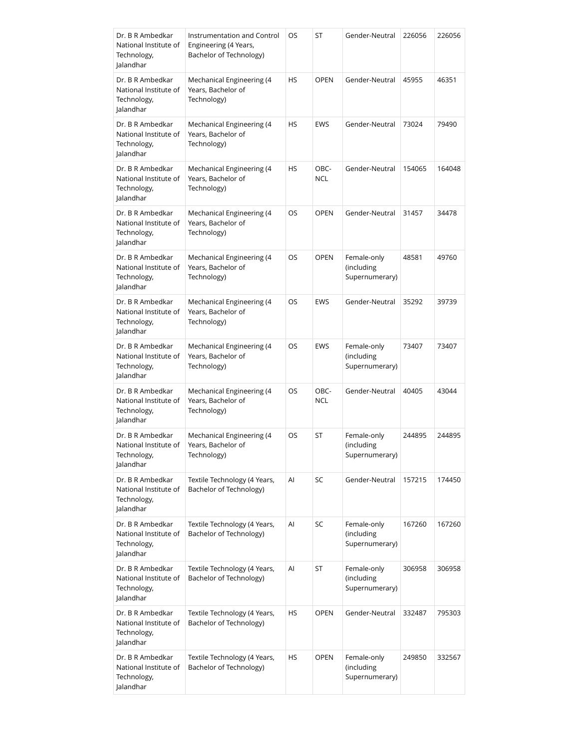| Dr. B R Ambedkar<br>National Institute of<br>Technology,<br>Jalandhar | Instrumentation and Control<br>Engineering (4 Years,<br>Bachelor of Technology) | OS  | ST                 | Gender-Neutral                              | 226056 | 226056 |
|-----------------------------------------------------------------------|---------------------------------------------------------------------------------|-----|--------------------|---------------------------------------------|--------|--------|
| Dr. B R Ambedkar<br>National Institute of<br>Technology,<br>Jalandhar | Mechanical Engineering (4<br>Years, Bachelor of<br>Technology)                  | HS. | <b>OPEN</b>        | Gender-Neutral                              | 45955  | 46351  |
| Dr. B R Ambedkar<br>National Institute of<br>Technology,<br>Jalandhar | Mechanical Engineering (4<br>Years, Bachelor of<br>Technology)                  | HS  | <b>EWS</b>         | Gender-Neutral                              | 73024  | 79490  |
| Dr. B R Ambedkar<br>National Institute of<br>Technology,<br>Jalandhar | Mechanical Engineering (4<br>Years, Bachelor of<br>Technology)                  | HS. | OBC-<br><b>NCL</b> | Gender-Neutral                              | 154065 | 164048 |
| Dr. B R Ambedkar<br>National Institute of<br>Technology,<br>Jalandhar | Mechanical Engineering (4<br>Years, Bachelor of<br>Technology)                  | OS  | <b>OPEN</b>        | Gender-Neutral                              | 31457  | 34478  |
| Dr. B R Ambedkar<br>National Institute of<br>Technology,<br>Jalandhar | Mechanical Engineering (4<br>Years, Bachelor of<br>Technology)                  | OS  | <b>OPEN</b>        | Female-only<br>(including<br>Supernumerary) | 48581  | 49760  |
| Dr. B R Ambedkar<br>National Institute of<br>Technology,<br>Jalandhar | Mechanical Engineering (4<br>Years, Bachelor of<br>Technology)                  | OS  | <b>EWS</b>         | Gender-Neutral                              | 35292  | 39739  |
| Dr. B R Ambedkar<br>National Institute of<br>Technology,<br>Jalandhar | Mechanical Engineering (4<br>Years, Bachelor of<br>Technology)                  | OS  | EWS                | Female-only<br>(including<br>Supernumerary) | 73407  | 73407  |
| Dr. B R Ambedkar<br>National Institute of<br>Technology,<br>Jalandhar | Mechanical Engineering (4<br>Years, Bachelor of<br>Technology)                  | OS  | OBC-<br><b>NCL</b> | Gender-Neutral                              | 40405  | 43044  |
| Dr. B R Ambedkar<br>National Institute of<br>Technology,<br>Jalandhar | Mechanical Engineering (4<br>Years, Bachelor of<br>Technology)                  | OS  | ST                 | Female-only<br>(including<br>Supernumerary) | 244895 | 244895 |
| Dr. B R Ambedkar<br>National Institute of<br>Technology,<br>Jalandhar | Textile Technology (4 Years,<br>Bachelor of Technology)                         | Al  | SC                 | Gender-Neutral                              | 157215 | 174450 |
| Dr. B R Ambedkar<br>National Institute of<br>Technology,<br>Jalandhar | Textile Technology (4 Years,<br>Bachelor of Technology)                         | Al  | SC                 | Female-only<br>(including<br>Supernumerary) | 167260 | 167260 |
| Dr. B R Ambedkar<br>National Institute of<br>Technology,<br>Jalandhar | Textile Technology (4 Years,<br>Bachelor of Technology)                         | Al  | ST                 | Female-only<br>(including<br>Supernumerary) | 306958 | 306958 |
| Dr. B R Ambedkar<br>National Institute of<br>Technology,<br>Jalandhar | Textile Technology (4 Years,<br>Bachelor of Technology)                         | НS  | <b>OPEN</b>        | Gender-Neutral                              | 332487 | 795303 |
| Dr. B R Ambedkar<br>National Institute of<br>Technology,<br>Jalandhar | Textile Technology (4 Years,<br>Bachelor of Technology)                         | HS  | <b>OPEN</b>        | Female-only<br>(including<br>Supernumerary) | 249850 | 332567 |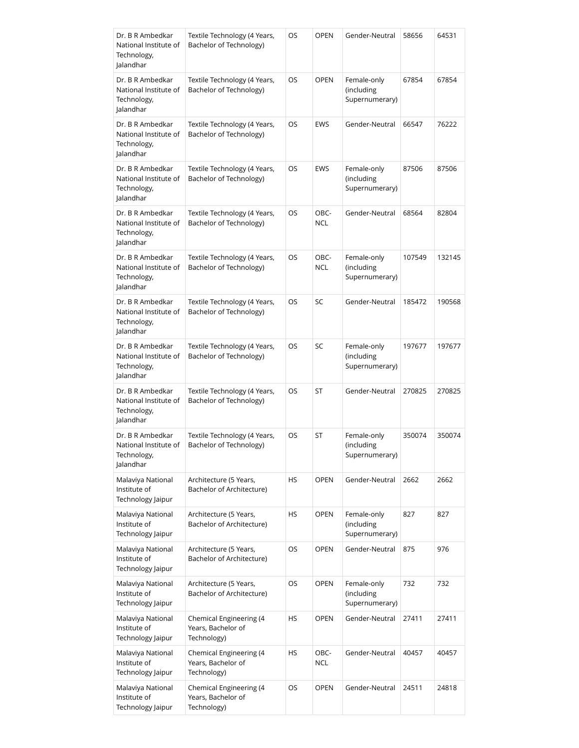| Dr. B R Ambedkar<br>National Institute of<br>Technology,<br>Jalandhar | Textile Technology (4 Years,<br>Bachelor of Technology)      | OS | <b>OPEN</b>        | Gender-Neutral                              | 58656  | 64531  |
|-----------------------------------------------------------------------|--------------------------------------------------------------|----|--------------------|---------------------------------------------|--------|--------|
| Dr. B R Ambedkar<br>National Institute of<br>Technology,<br>Jalandhar | Textile Technology (4 Years,<br>Bachelor of Technology)      | OS | <b>OPEN</b>        | Female-only<br>(including<br>Supernumerary) | 67854  | 67854  |
| Dr. B R Ambedkar<br>National Institute of<br>Technology,<br>Jalandhar | Textile Technology (4 Years,<br>Bachelor of Technology)      | OS | <b>EWS</b>         | Gender-Neutral                              | 66547  | 76222  |
| Dr. B R Ambedkar<br>National Institute of<br>Technology,<br>Jalandhar | Textile Technology (4 Years,<br>Bachelor of Technology)      | OS | EWS                | Female-only<br>(including<br>Supernumerary) | 87506  | 87506  |
| Dr. B R Ambedkar<br>National Institute of<br>Technology,<br>Jalandhar | Textile Technology (4 Years,<br>Bachelor of Technology)      | OS | OBC-<br><b>NCL</b> | Gender-Neutral                              | 68564  | 82804  |
| Dr. B R Ambedkar<br>National Institute of<br>Technology,<br>Jalandhar | Textile Technology (4 Years,<br>Bachelor of Technology)      | OS | OBC-<br><b>NCL</b> | Female-only<br>(including<br>Supernumerary) | 107549 | 132145 |
| Dr. B R Ambedkar<br>National Institute of<br>Technology,<br>Jalandhar | Textile Technology (4 Years,<br>Bachelor of Technology)      | OS | SC                 | Gender-Neutral                              | 185472 | 190568 |
| Dr. B R Ambedkar<br>National Institute of<br>Technology,<br>Jalandhar | Textile Technology (4 Years,<br>Bachelor of Technology)      | OS | SC                 | Female-only<br>(including<br>Supernumerary) | 197677 | 197677 |
| Dr. B R Ambedkar<br>National Institute of<br>Technology,<br>Jalandhar | Textile Technology (4 Years,<br>Bachelor of Technology)      | OS | ST                 | Gender-Neutral                              | 270825 | 270825 |
| Dr. B R Ambedkar<br>National Institute of<br>Technology,<br>lalandhar | Textile Technology (4 Years,<br>Bachelor of Technology)      | OS | ST                 | Female-only<br>(including<br>Supernumerary) | 350074 | 350074 |
| Malaviya National<br>Institute of<br>Technology Jaipur                | Architecture (5 Years,<br>Bachelor of Architecture)          | НS | <b>OPEN</b>        | Gender-Neutral                              | 2662   | 2662   |
| Malaviya National<br>Institute of<br>Technology Jaipur                | Architecture (5 Years,<br>Bachelor of Architecture)          | HS | <b>OPEN</b>        | Female-only<br>(including<br>Supernumerary) | 827    | 827    |
| Malaviya National<br>Institute of<br>Technology Jaipur                | Architecture (5 Years,<br>Bachelor of Architecture)          | OS | <b>OPEN</b>        | Gender-Neutral                              | 875    | 976    |
| Malaviya National<br>Institute of<br>Technology Jaipur                | Architecture (5 Years,<br>Bachelor of Architecture)          | OS | <b>OPEN</b>        | Female-only<br>(including<br>Supernumerary) | 732    | 732    |
| Malaviya National<br>Institute of<br>Technology Jaipur                | Chemical Engineering (4<br>Years, Bachelor of<br>Technology) | НS | <b>OPEN</b>        | Gender-Neutral                              | 27411  | 27411  |
| Malaviya National<br>Institute of<br>Technology Jaipur                | Chemical Engineering (4<br>Years, Bachelor of<br>Technology) | НS | OBC-<br><b>NCL</b> | Gender-Neutral                              | 40457  | 40457  |
| Malaviya National<br>Institute of<br>Technology Jaipur                | Chemical Engineering (4<br>Years, Bachelor of<br>Technology) | OS | <b>OPEN</b>        | Gender-Neutral                              | 24511  | 24818  |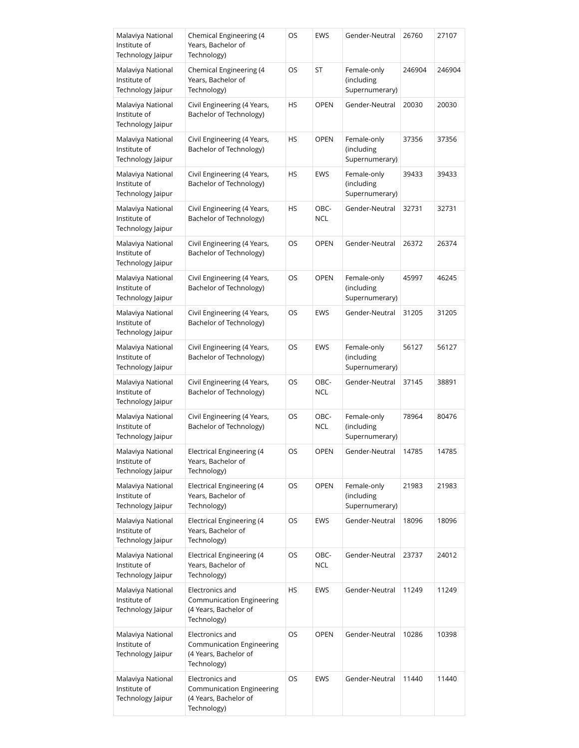| Malaviya National<br>Institute of<br>Technology Jaipur | Chemical Engineering (4<br>Years, Bachelor of<br>Technology)                         | OS | EWS                | Gender-Neutral                              | 26760  | 27107  |
|--------------------------------------------------------|--------------------------------------------------------------------------------------|----|--------------------|---------------------------------------------|--------|--------|
| Malaviya National<br>Institute of<br>Technology Jaipur | Chemical Engineering (4<br>Years, Bachelor of<br>Technology)                         | OS | ST                 | Female-only<br>(including<br>Supernumerary) | 246904 | 246904 |
| Malaviya National<br>Institute of<br>Technology Jaipur | Civil Engineering (4 Years,<br>Bachelor of Technology)                               | HS | <b>OPEN</b>        | Gender-Neutral                              | 20030  | 20030  |
| Malaviya National<br>Institute of<br>Technology Jaipur | Civil Engineering (4 Years,<br>Bachelor of Technology)                               | HS | <b>OPEN</b>        | Female-only<br>(including<br>Supernumerary) | 37356  | 37356  |
| Malaviya National<br>Institute of<br>Technology Jaipur | Civil Engineering (4 Years,<br>Bachelor of Technology)                               | HS | EWS                | Female-only<br>(including<br>Supernumerary) | 39433  | 39433  |
| Malaviya National<br>Institute of<br>Technology Jaipur | Civil Engineering (4 Years,<br>Bachelor of Technology)                               | HS | OBC-<br><b>NCL</b> | Gender-Neutral                              | 32731  | 32731  |
| Malaviya National<br>Institute of<br>Technology Jaipur | Civil Engineering (4 Years,<br>Bachelor of Technology)                               | OS | <b>OPEN</b>        | Gender-Neutral                              | 26372  | 26374  |
| Malaviya National<br>Institute of<br>Technology Jaipur | Civil Engineering (4 Years,<br>Bachelor of Technology)                               | OS | <b>OPEN</b>        | Female-only<br>(including<br>Supernumerary) | 45997  | 46245  |
| Malaviya National<br>Institute of<br>Technology Jaipur | Civil Engineering (4 Years,<br>Bachelor of Technology)                               | OS | EWS                | Gender-Neutral                              | 31205  | 31205  |
| Malaviya National<br>Institute of<br>Technology Jaipur | Civil Engineering (4 Years,<br>Bachelor of Technology)                               | OS | <b>EWS</b>         | Female-only<br>(including<br>Supernumerary) | 56127  | 56127  |
| Malaviya National<br>Institute of<br>Technology Jaipur | Civil Engineering (4 Years,<br>Bachelor of Technology)                               | OS | OBC-<br><b>NCL</b> | Gender-Neutral                              | 37145  | 38891  |
| Malaviya National<br>Institute of<br>Technology Jaipur | Civil Engineering (4 Years,<br>Bachelor of Technology)                               | OS | OBC-<br><b>NCL</b> | Female-only<br>(including<br>Supernumerary) | 78964  | 80476  |
| Malaviya National<br>Institute of<br>Technology Jaipur | <b>Electrical Engineering (4</b><br>Years, Bachelor of<br>Technology)                | OS | <b>OPEN</b>        | Gender-Neutral                              | 14785  | 14785  |
| Malaviya National<br>Institute of<br>Technology Jaipur | Electrical Engineering (4<br>Years, Bachelor of<br>Technology)                       | OS | <b>OPEN</b>        | Female-only<br>(including<br>Supernumerary) | 21983  | 21983  |
| Malaviya National<br>Institute of<br>Technology Jaipur | Electrical Engineering (4<br>Years, Bachelor of<br>Technology)                       | OS | EWS                | Gender-Neutral                              | 18096  | 18096  |
| Malaviya National<br>Institute of<br>Technology Jaipur | Electrical Engineering (4<br>Years, Bachelor of<br>Technology)                       | OS | OBC-<br><b>NCL</b> | Gender-Neutral                              | 23737  | 24012  |
| Malaviya National<br>Institute of<br>Technology Jaipur | Electronics and<br>Communication Engineering<br>(4 Years, Bachelor of<br>Technology) | HS | EWS                | Gender-Neutral                              | 11249  | 11249  |
| Malaviya National<br>Institute of<br>Technology Jaipur | Electronics and<br>Communication Engineering<br>(4 Years, Bachelor of<br>Technology) | OS | <b>OPEN</b>        | Gender-Neutral                              | 10286  | 10398  |
| Malaviya National<br>Institute of<br>Technology Jaipur | Electronics and<br>Communication Engineering<br>(4 Years, Bachelor of<br>Technology) | OS | EWS                | Gender-Neutral                              | 11440  | 11440  |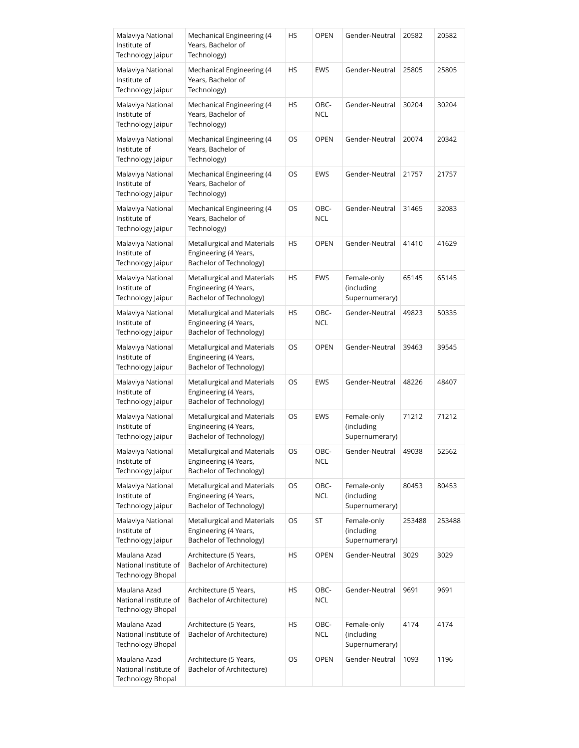| Malaviya National<br>Institute of<br>Technology Jaipur            | Mechanical Engineering (4<br>Years, Bachelor of<br>Technology)                  | НS | <b>OPEN</b>        | Gender-Neutral                              | 20582  | 20582  |
|-------------------------------------------------------------------|---------------------------------------------------------------------------------|----|--------------------|---------------------------------------------|--------|--------|
| Malaviya National<br>Institute of<br>Technology Jaipur            | Mechanical Engineering (4<br>Years, Bachelor of<br>Technology)                  | НS | EWS                | Gender-Neutral                              | 25805  | 25805  |
| Malaviya National<br>Institute of<br>Technology Jaipur            | Mechanical Engineering (4<br>Years, Bachelor of<br>Technology)                  | НS | OBC-<br><b>NCL</b> | Gender-Neutral                              | 30204  | 30204  |
| Malaviya National<br>Institute of<br>Technology Jaipur            | Mechanical Engineering (4<br>Years, Bachelor of<br>Technology)                  | OS | <b>OPEN</b>        | Gender-Neutral                              | 20074  | 20342  |
| Malaviya National<br>Institute of<br>Technology Jaipur            | Mechanical Engineering (4<br>Years, Bachelor of<br>Technology)                  | OS | EWS                | Gender-Neutral                              | 21757  | 21757  |
| Malaviya National<br>Institute of<br>Technology Jaipur            | Mechanical Engineering (4<br>Years, Bachelor of<br>Technology)                  | OS | OBC-<br><b>NCL</b> | Gender-Neutral                              | 31465  | 32083  |
| Malaviya National<br>Institute of<br>Technology Jaipur            | Metallurgical and Materials<br>Engineering (4 Years,<br>Bachelor of Technology) | НS | <b>OPEN</b>        | Gender-Neutral                              | 41410  | 41629  |
| Malaviya National<br>Institute of<br>Technology Jaipur            | Metallurgical and Materials<br>Engineering (4 Years,<br>Bachelor of Technology) | HS | EWS                | Female-only<br>(including<br>Supernumerary) | 65145  | 65145  |
| Malaviya National<br>Institute of<br>Technology Jaipur            | Metallurgical and Materials<br>Engineering (4 Years,<br>Bachelor of Technology) | HS | OBC-<br><b>NCL</b> | Gender-Neutral                              | 49823  | 50335  |
| Malaviya National<br>Institute of<br>Technology Jaipur            | Metallurgical and Materials<br>Engineering (4 Years,<br>Bachelor of Technology) | OS | <b>OPEN</b>        | Gender-Neutral                              | 39463  | 39545  |
| Malaviya National<br>Institute of<br>Technology Jaipur            | Metallurgical and Materials<br>Engineering (4 Years,<br>Bachelor of Technology) | OS | EWS                | Gender-Neutral                              | 48226  | 48407  |
| Malaviya National<br>Institute of<br>Technology Jaipur            | Metallurgical and Materials<br>Engineering (4 Years,<br>Bachelor of Technology) | OS | EWS                | Female-only<br>(including<br>Supernumerary) | 71212  | 71212  |
| Malaviya National<br>Institute of<br>Technology Jaipur            | Metallurgical and Materials<br>Engineering (4 Years,<br>Bachelor of Technology) | OS | OBC-<br>NCL        | Gender-Neutral                              | 49038  | 52562  |
| Malaviya National<br>Institute of<br>Technology Jaipur            | Metallurgical and Materials<br>Engineering (4 Years,<br>Bachelor of Technology) | OS | OBC-<br><b>NCL</b> | Female-only<br>(including<br>Supernumerary) | 80453  | 80453  |
| Malaviya National<br>Institute of<br>Technology Jaipur            | Metallurgical and Materials<br>Engineering (4 Years,<br>Bachelor of Technology) | OS | ST                 | Female-only<br>(including<br>Supernumerary) | 253488 | 253488 |
| Maulana Azad<br>National Institute of<br><b>Technology Bhopal</b> | Architecture (5 Years,<br>Bachelor of Architecture)                             | НS | <b>OPEN</b>        | Gender-Neutral                              | 3029   | 3029   |
| Maulana Azad<br>National Institute of<br><b>Technology Bhopal</b> | Architecture (5 Years,<br>Bachelor of Architecture)                             | НS | OBC-<br><b>NCL</b> | Gender-Neutral                              | 9691   | 9691   |
| Maulana Azad<br>National Institute of<br><b>Technology Bhopal</b> | Architecture (5 Years,<br>Bachelor of Architecture)                             | HS | OBC-<br><b>NCL</b> | Female-only<br>(including<br>Supernumerary) | 4174   | 4174   |
| Maulana Azad<br>National Institute of<br><b>Technology Bhopal</b> | Architecture (5 Years,<br>Bachelor of Architecture)                             | OS | <b>OPEN</b>        | Gender-Neutral                              | 1093   | 1196   |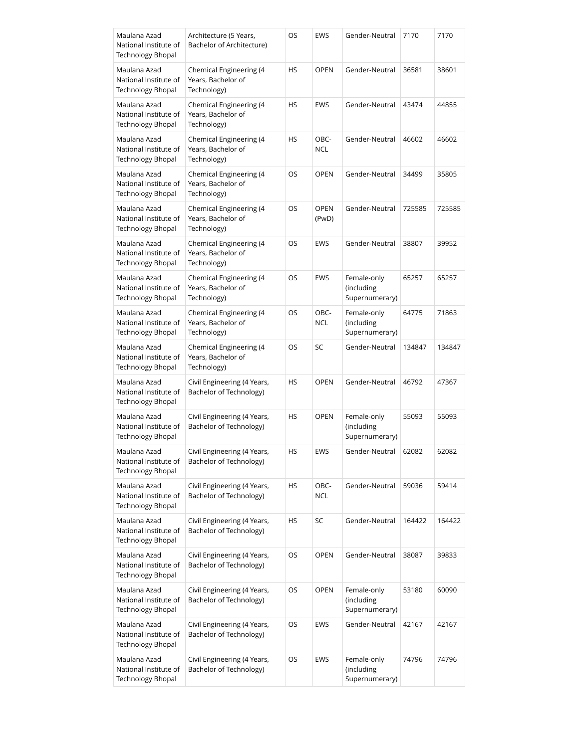| Maulana Azad<br>National Institute of<br><b>Technology Bhopal</b> | Architecture (5 Years,<br>Bachelor of Architecture)          | OS | EWS                  | Gender-Neutral                              | 7170   | 7170   |
|-------------------------------------------------------------------|--------------------------------------------------------------|----|----------------------|---------------------------------------------|--------|--------|
| Maulana Azad<br>National Institute of<br><b>Technology Bhopal</b> | Chemical Engineering (4<br>Years, Bachelor of<br>Technology) | НS | <b>OPEN</b>          | Gender-Neutral                              | 36581  | 38601  |
| Maulana Azad<br>National Institute of<br>Technology Bhopal        | Chemical Engineering (4<br>Years, Bachelor of<br>Technology) | HS | EWS                  | Gender-Neutral                              | 43474  | 44855  |
| Maulana Azad<br>National Institute of<br><b>Technology Bhopal</b> | Chemical Engineering (4<br>Years, Bachelor of<br>Technology) | НS | OBC-<br><b>NCL</b>   | Gender-Neutral                              | 46602  | 46602  |
| Maulana Azad<br>National Institute of<br>Technology Bhopal        | Chemical Engineering (4<br>Years, Bachelor of<br>Technology) | OS | <b>OPEN</b>          | Gender-Neutral                              | 34499  | 35805  |
| Maulana Azad<br>National Institute of<br><b>Technology Bhopal</b> | Chemical Engineering (4<br>Years, Bachelor of<br>Technology) | OS | <b>OPEN</b><br>(PwD) | Gender-Neutral                              | 725585 | 725585 |
| Maulana Azad<br>National Institute of<br>Technology Bhopal        | Chemical Engineering (4<br>Years, Bachelor of<br>Technology) | OS | EWS                  | Gender-Neutral                              | 38807  | 39952  |
| Maulana Azad<br>National Institute of<br>Technology Bhopal        | Chemical Engineering (4<br>Years, Bachelor of<br>Technology) | OS | EWS                  | Female-only<br>(including<br>Supernumerary) | 65257  | 65257  |
| Maulana Azad<br>National Institute of<br>Technology Bhopal        | Chemical Engineering (4<br>Years, Bachelor of<br>Technology) | OS | OBC-<br><b>NCL</b>   | Female-only<br>(including<br>Supernumerary) | 64775  | 71863  |
| Maulana Azad<br>National Institute of<br>Technology Bhopal        | Chemical Engineering (4<br>Years, Bachelor of<br>Technology) | OS | SC                   | Gender-Neutral                              | 134847 | 134847 |
| Maulana Azad<br>National Institute of<br>Technology Bhopal        | Civil Engineering (4 Years,<br>Bachelor of Technology)       | НS | <b>OPEN</b>          | Gender-Neutral                              | 46792  | 47367  |
| Maulana Azad<br>National Institute of<br>Technology Bhopal        | Civil Engineering (4 Years,<br>Bachelor of Technology)       | НS | <b>OPEN</b>          | Female-only<br>(including<br>Supernumerary) | 55093  | 55093  |
| Maulana Azad<br>National Institute of<br><b>Technology Bhopal</b> | Civil Engineering (4 Years,<br>Bachelor of Technology)       | HS | EWS                  | Gender-Neutral                              | 62082  | 62082  |
| Maulana Azad<br>National Institute of<br><b>Technology Bhopal</b> | Civil Engineering (4 Years,<br>Bachelor of Technology)       | НS | OBC-<br>NCL          | Gender-Neutral                              | 59036  | 59414  |
| Maulana Azad<br>National Institute of<br><b>Technology Bhopal</b> | Civil Engineering (4 Years,<br>Bachelor of Technology)       | НS | SC                   | Gender-Neutral                              | 164422 | 164422 |
| Maulana Azad<br>National Institute of<br><b>Technology Bhopal</b> | Civil Engineering (4 Years,<br>Bachelor of Technology)       | OS | <b>OPEN</b>          | Gender-Neutral                              | 38087  | 39833  |
| Maulana Azad<br>National Institute of<br><b>Technology Bhopal</b> | Civil Engineering (4 Years,<br>Bachelor of Technology)       | OS | <b>OPEN</b>          | Female-only<br>(including<br>Supernumerary) | 53180  | 60090  |
| Maulana Azad<br>National Institute of<br><b>Technology Bhopal</b> | Civil Engineering (4 Years,<br>Bachelor of Technology)       | OS | EWS                  | Gender-Neutral                              | 42167  | 42167  |
| Maulana Azad<br>National Institute of<br><b>Technology Bhopal</b> | Civil Engineering (4 Years,<br>Bachelor of Technology)       | OS | EWS                  | Female-only<br>(including<br>Supernumerary) | 74796  | 74796  |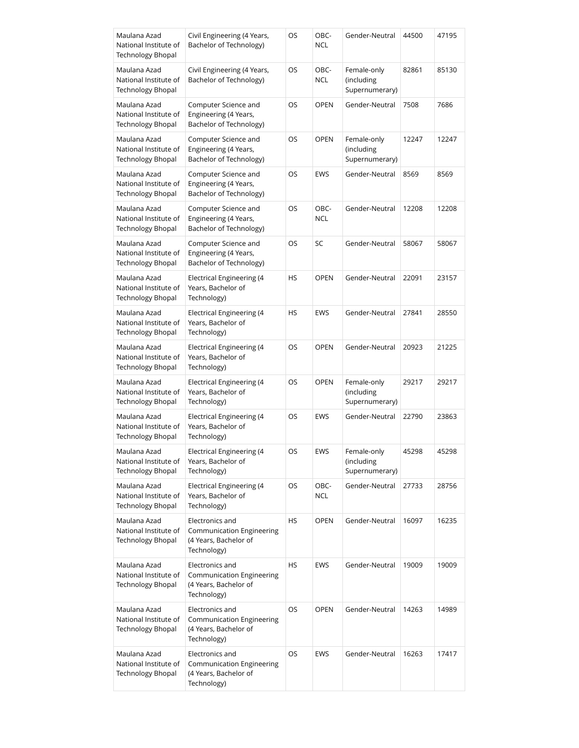| Maulana Azad<br>National Institute of<br><b>Technology Bhopal</b> | Civil Engineering (4 Years,<br>Bachelor of Technology)                                      | OS | OBC-<br><b>NCL</b> | Gender-Neutral                              | 44500 | 47195 |
|-------------------------------------------------------------------|---------------------------------------------------------------------------------------------|----|--------------------|---------------------------------------------|-------|-------|
| Maulana Azad<br>National Institute of<br>Technology Bhopal        | Civil Engineering (4 Years,<br>Bachelor of Technology)                                      | OS | OBC-<br><b>NCL</b> | Female-only<br>(including<br>Supernumerary) | 82861 | 85130 |
| Maulana Azad<br>National Institute of<br><b>Technology Bhopal</b> | Computer Science and<br>Engineering (4 Years,<br>Bachelor of Technology)                    | OS | <b>OPEN</b>        | Gender-Neutral                              | 7508  | 7686  |
| Maulana Azad<br>National Institute of<br><b>Technology Bhopal</b> | Computer Science and<br>Engineering (4 Years,<br>Bachelor of Technology)                    | OS | OPEN               | Female-only<br>(including<br>Supernumerary) | 12247 | 12247 |
| Maulana Azad<br>National Institute of<br>Technology Bhopal        | Computer Science and<br>Engineering (4 Years,<br>Bachelor of Technology)                    | OS | EWS                | Gender-Neutral                              | 8569  | 8569  |
| Maulana Azad<br>National Institute of<br>Technology Bhopal        | Computer Science and<br>Engineering (4 Years,<br>Bachelor of Technology)                    | OS | OBC-<br><b>NCL</b> | Gender-Neutral                              | 12208 | 12208 |
| Maulana Azad<br>National Institute of<br>Technology Bhopal        | Computer Science and<br>Engineering (4 Years,<br>Bachelor of Technology)                    | OS | SC                 | Gender-Neutral                              | 58067 | 58067 |
| Maulana Azad<br>National Institute of<br>Technology Bhopal        | <b>Electrical Engineering (4</b><br>Years, Bachelor of<br>Technology)                       | HS | <b>OPEN</b>        | Gender-Neutral                              | 22091 | 23157 |
| Maulana Azad<br>National Institute of<br>Technology Bhopal        | Electrical Engineering (4<br>Years, Bachelor of<br>Technology)                              | HS | EWS                | Gender-Neutral                              | 27841 | 28550 |
| Maulana Azad<br>National Institute of<br>Technology Bhopal        | <b>Electrical Engineering (4</b><br>Years, Bachelor of<br>Technology)                       | OS | <b>OPEN</b>        | Gender-Neutral                              | 20923 | 21225 |
| Maulana Azad<br>National Institute of<br><b>Technology Bhopal</b> | <b>Electrical Engineering (4</b><br>Years, Bachelor of<br>Technology)                       | OS | <b>OPEN</b>        | Female-only<br>(including<br>Supernumerary) | 29217 | 29217 |
| Maulana Azad<br>National Institute of<br>Technology Bhopal        | <b>Electrical Engineering (4</b><br>Years, Bachelor of<br>Technology)                       | OS | EWS                | Gender-Neutral                              | 22790 | 23863 |
| Maulana Azad<br>National Institute of<br><b>Technology Bhopal</b> | <b>Electrical Engineering (4</b><br>Years, Bachelor of<br>Technology)                       | OS | EWS                | Female-only<br>(including<br>Supernumerary) | 45298 | 45298 |
| Maulana Azad<br>National Institute of<br><b>Technology Bhopal</b> | Electrical Engineering (4<br>Years, Bachelor of<br>Technology)                              | OS | OBC-<br><b>NCL</b> | Gender-Neutral                              | 27733 | 28756 |
| Maulana Azad<br>National Institute of<br><b>Technology Bhopal</b> | Electronics and<br><b>Communication Engineering</b><br>(4 Years, Bachelor of<br>Technology) | HS | <b>OPEN</b>        | Gender-Neutral                              | 16097 | 16235 |
| Maulana Azad<br>National Institute of<br><b>Technology Bhopal</b> | Electronics and<br>Communication Engineering<br>(4 Years, Bachelor of<br>Technology)        | HS | EWS                | Gender-Neutral                              | 19009 | 19009 |
| Maulana Azad<br>National Institute of<br><b>Technology Bhopal</b> | Electronics and<br><b>Communication Engineering</b><br>(4 Years, Bachelor of<br>Technology) | OS | <b>OPEN</b>        | Gender-Neutral                              | 14263 | 14989 |
| Maulana Azad<br>National Institute of<br><b>Technology Bhopal</b> | Electronics and<br>Communication Engineering<br>(4 Years, Bachelor of<br>Technology)        | OS | EWS                | Gender-Neutral                              | 16263 | 17417 |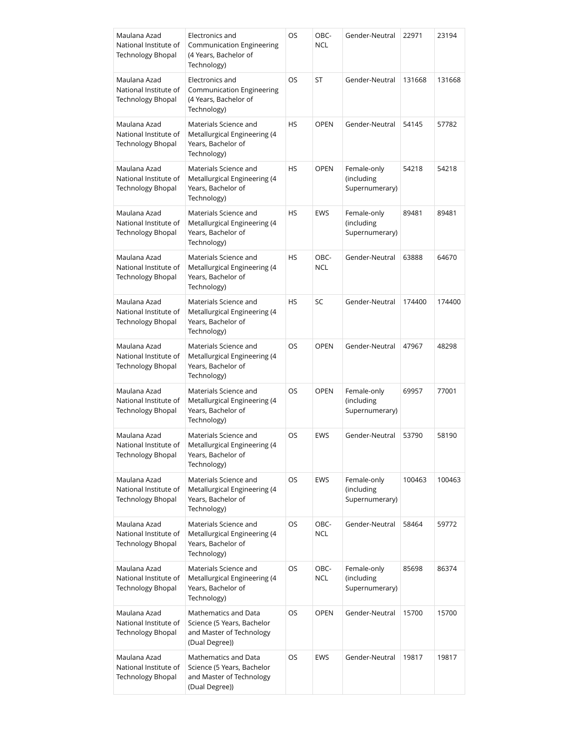| Maulana Azad<br>National Institute of<br><b>Technology Bhopal</b> | Electronics and<br>Communication Engineering<br>(4 Years, Bachelor of<br>Technology)             | OS        | OBC-<br><b>NCL</b> | Gender-Neutral                              | 22971  | 23194  |
|-------------------------------------------------------------------|--------------------------------------------------------------------------------------------------|-----------|--------------------|---------------------------------------------|--------|--------|
| Maulana Azad<br>National Institute of<br><b>Technology Bhopal</b> | Electronics and<br>Communication Engineering<br>(4 Years, Bachelor of<br>Technology)             | OS        | ST                 | Gender-Neutral                              | 131668 | 131668 |
| Maulana Azad<br>National Institute of<br><b>Technology Bhopal</b> | Materials Science and<br>Metallurgical Engineering (4<br>Years, Bachelor of<br>Technology)       | <b>HS</b> | <b>OPEN</b>        | Gender-Neutral                              | 54145  | 57782  |
| Maulana Azad<br>National Institute of<br>Technology Bhopal        | Materials Science and<br>Metallurgical Engineering (4<br>Years, Bachelor of<br>Technology)       | <b>HS</b> | <b>OPEN</b>        | Female-only<br>(including<br>Supernumerary) | 54218  | 54218  |
| Maulana Azad<br>National Institute of<br><b>Technology Bhopal</b> | Materials Science and<br>Metallurgical Engineering (4<br>Years, Bachelor of<br>Technology)       | <b>HS</b> | EWS                | Female-only<br>(including<br>Supernumerary) | 89481  | 89481  |
| Maulana Azad<br>National Institute of<br><b>Technology Bhopal</b> | Materials Science and<br>Metallurgical Engineering (4<br>Years, Bachelor of<br>Technology)       | <b>HS</b> | OBC-<br><b>NCL</b> | Gender-Neutral                              | 63888  | 64670  |
| Maulana Azad<br>National Institute of<br><b>Technology Bhopal</b> | Materials Science and<br>Metallurgical Engineering (4<br>Years, Bachelor of<br>Technology)       | <b>HS</b> | SC                 | Gender-Neutral                              | 174400 | 174400 |
| Maulana Azad<br>National Institute of<br>Technology Bhopal        | Materials Science and<br>Metallurgical Engineering (4<br>Years, Bachelor of<br>Technology)       | OS        | <b>OPEN</b>        | Gender-Neutral                              | 47967  | 48298  |
| Maulana Azad<br>National Institute of<br>Technology Bhopal        | Materials Science and<br>Metallurgical Engineering (4<br>Years, Bachelor of<br>Technology)       | OS        | <b>OPEN</b>        | Female-only<br>(including<br>Supernumerary) | 69957  | 77001  |
| Maulana Azad<br>National Institute of<br>Technology Bhopal        | Materials Science and<br>Metallurgical Engineering (4<br>Years, Bachelor of<br>Technology)       | OS        | <b>EWS</b>         | Gender-Neutral                              | 53790  | 58190  |
| Maulana Azad<br>National Institute of<br><b>Technology Bhopal</b> | Materials Science and<br>Metallurgical Engineering (4<br>Years, Bachelor of<br>Technology)       | OS        | EWS                | Female-only<br>(including<br>Supernumerary) | 100463 | 100463 |
| Maulana Azad<br>National Institute of<br><b>Technology Bhopal</b> | Materials Science and<br>Metallurgical Engineering (4<br>Years, Bachelor of<br>Technology)       | OS        | OBC-<br><b>NCL</b> | Gender-Neutral                              | 58464  | 59772  |
| Maulana Azad<br>National Institute of<br><b>Technology Bhopal</b> | Materials Science and<br>Metallurgical Engineering (4<br>Years, Bachelor of<br>Technology)       | OS        | OBC-<br><b>NCL</b> | Female-only<br>(including<br>Supernumerary) | 85698  | 86374  |
| Maulana Azad<br>National Institute of<br><b>Technology Bhopal</b> | Mathematics and Data<br>Science (5 Years, Bachelor<br>and Master of Technology<br>(Dual Degree)) | OS        | <b>OPEN</b>        | Gender-Neutral                              | 15700  | 15700  |
| Maulana Azad<br>National Institute of<br><b>Technology Bhopal</b> | Mathematics and Data<br>Science (5 Years, Bachelor<br>and Master of Technology<br>(Dual Degree)) | OS        | EWS                | Gender-Neutral                              | 19817  | 19817  |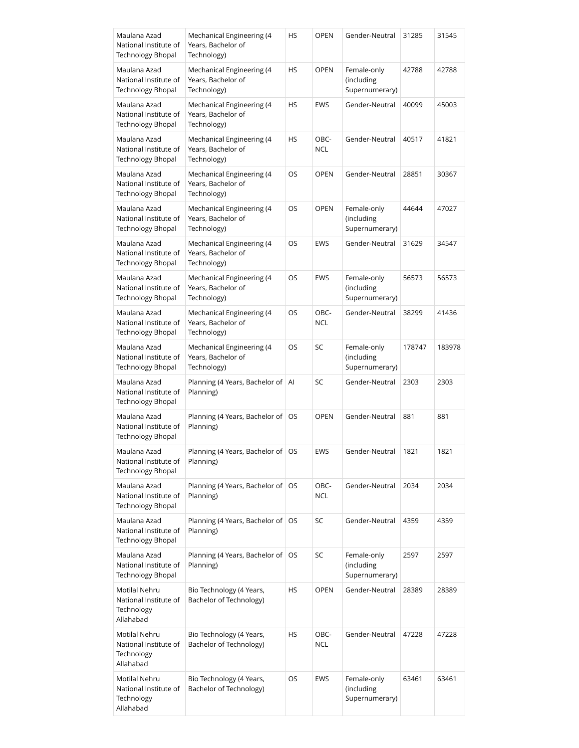| Maulana Azad<br>National Institute of<br><b>Technology Bhopal</b>        | Mechanical Engineering (4<br>Years, Bachelor of<br>Technology) | HS        | <b>OPEN</b>        | Gender-Neutral                              | 31285  | 31545  |
|--------------------------------------------------------------------------|----------------------------------------------------------------|-----------|--------------------|---------------------------------------------|--------|--------|
| Maulana Azad<br>National Institute of<br>Technology Bhopal               | Mechanical Engineering (4<br>Years, Bachelor of<br>Technology) | <b>HS</b> | <b>OPEN</b>        | Female-only<br>(including<br>Supernumerary) | 42788  | 42788  |
| Maulana Azad<br>National Institute of<br><b>Technology Bhopal</b>        | Mechanical Engineering (4<br>Years, Bachelor of<br>Technology) | <b>HS</b> | EWS                | Gender-Neutral                              | 40099  | 45003  |
| Maulana Azad<br>National Institute of<br><b>Technology Bhopal</b>        | Mechanical Engineering (4<br>Years, Bachelor of<br>Technology) | HS        | OBC-<br><b>NCL</b> | Gender-Neutral                              | 40517  | 41821  |
| Maulana Azad<br>National Institute of<br><b>Technology Bhopal</b>        | Mechanical Engineering (4<br>Years, Bachelor of<br>Technology) | OS        | <b>OPEN</b>        | Gender-Neutral                              | 28851  | 30367  |
| Maulana Azad<br>National Institute of<br><b>Technology Bhopal</b>        | Mechanical Engineering (4<br>Years, Bachelor of<br>Technology) | OS        | <b>OPEN</b>        | Female-only<br>(including<br>Supernumerary) | 44644  | 47027  |
| Maulana Azad<br>National Institute of<br><b>Technology Bhopal</b>        | Mechanical Engineering (4<br>Years, Bachelor of<br>Technology) | OS        | <b>EWS</b>         | Gender-Neutral                              | 31629  | 34547  |
| Maulana Azad<br>National Institute of<br><b>Technology Bhopal</b>        | Mechanical Engineering (4<br>Years, Bachelor of<br>Technology) | OS        | <b>EWS</b>         | Female-only<br>(including<br>Supernumerary) | 56573  | 56573  |
| Maulana Azad<br>National Institute of<br>Technology Bhopal               | Mechanical Engineering (4<br>Years, Bachelor of<br>Technology) | OS        | OBC-<br><b>NCL</b> | Gender-Neutral                              | 38299  | 41436  |
| Maulana Azad<br>National Institute of<br>Technology Bhopal               | Mechanical Engineering (4<br>Years, Bachelor of<br>Technology) | OS        | SC                 | Female-only<br>(including<br>Supernumerary) | 178747 | 183978 |
| Maulana Azad<br>National Institute of<br>Technology Bhopal               | Planning (4 Years, Bachelor of<br>Planning)                    | AI        | SC                 | Gender-Neutral                              | 2303   | 2303   |
| Maulana Azad<br>National Institute of<br>Technology Bhopal               | Planning (4 Years, Bachelor of<br>Planning)                    | OS        | <b>OPEN</b>        | Gender-Neutral                              | 881    | 881    |
| Maulana Azad<br>National Institute of<br><b>Technology Bhopal</b>        | Planning (4 Years, Bachelor of   OS<br>Planning)               |           | EWS                | Gender-Neutral                              | 1821   | 1821   |
| Maulana Azad<br>National Institute of<br><b>Technology Bhopal</b>        | Planning (4 Years, Bachelor of<br>Planning)                    | OS.       | OBC-<br><b>NCL</b> | Gender-Neutral                              | 2034   | 2034   |
| Maulana Azad<br>National Institute of<br><b>Technology Bhopal</b>        | Planning (4 Years, Bachelor of<br>Planning)                    | OS        | SC                 | Gender-Neutral                              | 4359   | 4359   |
| Maulana Azad<br>National Institute of<br><b>Technology Bhopal</b>        | Planning (4 Years, Bachelor of<br>Planning)                    | OS        | SC                 | Female-only<br>(including<br>Supernumerary) | 2597   | 2597   |
| <b>Motilal Nehru</b><br>National Institute of<br>Technology<br>Allahabad | Bio Technology (4 Years,<br>Bachelor of Technology)            | HS        | <b>OPEN</b>        | Gender-Neutral                              | 28389  | 28389  |
| Motilal Nehru<br>National Institute of<br>Technology<br>Allahabad        | Bio Technology (4 Years,<br>Bachelor of Technology)            | HS        | OBC-<br><b>NCL</b> | Gender-Neutral                              | 47228  | 47228  |
| Motilal Nehru<br>National Institute of<br>Technology<br>Allahabad        | Bio Technology (4 Years,<br>Bachelor of Technology)            | OS        | <b>EWS</b>         | Female-only<br>(including<br>Supernumerary) | 63461  | 63461  |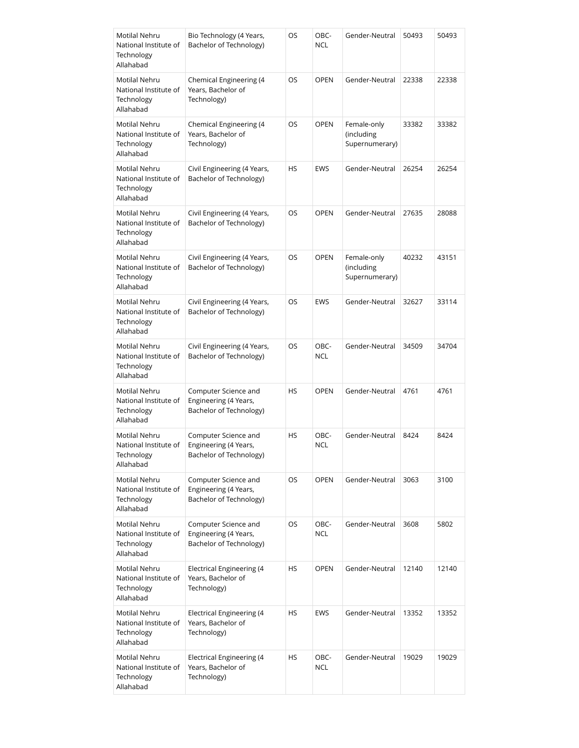| Motilal Nehru<br>National Institute of<br>Technology<br>Allahabad        | Bio Technology (4 Years,<br>Bachelor of Technology)                      | OS        | OBC-<br><b>NCL</b> | Gender-Neutral                              | 50493 | 50493 |
|--------------------------------------------------------------------------|--------------------------------------------------------------------------|-----------|--------------------|---------------------------------------------|-------|-------|
| Motilal Nehru<br>National Institute of<br>Technology<br>Allahabad        | Chemical Engineering (4<br>Years, Bachelor of<br>Technology)             | OS        | <b>OPEN</b>        | Gender-Neutral                              | 22338 | 22338 |
| Motilal Nehru<br>National Institute of<br>Technology<br>Allahabad        | Chemical Engineering (4<br>Years, Bachelor of<br>Technology)             | OS        | <b>OPEN</b>        | Female-only<br>(including<br>Supernumerary) | 33382 | 33382 |
| Motilal Nehru<br>National Institute of<br>Technology<br>Allahabad        | Civil Engineering (4 Years,<br>Bachelor of Technology)                   | <b>HS</b> | <b>EWS</b>         | Gender-Neutral                              | 26254 | 26254 |
| Motilal Nehru<br>National Institute of<br>Technology<br>Allahabad        | Civil Engineering (4 Years,<br>Bachelor of Technology)                   | OS        | <b>OPEN</b>        | Gender-Neutral                              | 27635 | 28088 |
| Motilal Nehru<br>National Institute of<br>Technology<br>Allahabad        | Civil Engineering (4 Years,<br>Bachelor of Technology)                   | OS        | <b>OPEN</b>        | Female-only<br>(including<br>Supernumerary) | 40232 | 43151 |
| Motilal Nehru<br>National Institute of<br>Technology<br>Allahabad        | Civil Engineering (4 Years,<br>Bachelor of Technology)                   | OS        | <b>EWS</b>         | Gender-Neutral                              | 32627 | 33114 |
| Motilal Nehru<br>National Institute of<br>Technology<br>Allahabad        | Civil Engineering (4 Years,<br>Bachelor of Technology)                   | OS        | OBC-<br><b>NCL</b> | Gender-Neutral                              | 34509 | 34704 |
| Motilal Nehru<br>National Institute of<br>Technology<br>Allahabad        | Computer Science and<br>Engineering (4 Years,<br>Bachelor of Technology) | <b>HS</b> | <b>OPEN</b>        | Gender-Neutral                              | 4761  | 4761  |
| Motilal Nehru<br>National Institute of<br>Technology<br>Allahabad        | Computer Science and<br>Engineering (4 Years,<br>Bachelor of Technology) | HS        | OBC-<br><b>NCL</b> | Gender-Neutral                              | 8424  | 8424  |
| Motilal Nehru<br>National Institute of<br>Technology<br>Allahabad        | Computer Science and<br>Engineering (4 Years,<br>Bachelor of Technology) | <b>OS</b> | <b>OPEN</b>        | Gender-Neutral                              | 3063  | 3100  |
| <b>Motilal Nehru</b><br>National Institute of<br>Technology<br>Allahabad | Computer Science and<br>Engineering (4 Years,<br>Bachelor of Technology) | OS        | OBC-<br><b>NCL</b> | Gender-Neutral                              | 3608  | 5802  |
| Motilal Nehru<br>National Institute of<br>Technology<br>Allahabad        | <b>Electrical Engineering (4</b><br>Years, Bachelor of<br>Technology)    | HS        | <b>OPEN</b>        | Gender-Neutral                              | 12140 | 12140 |
| Motilal Nehru<br>National Institute of<br>Technology<br>Allahabad        | Electrical Engineering (4<br>Years, Bachelor of<br>Technology)           | HS        | EWS                | Gender-Neutral                              | 13352 | 13352 |
| Motilal Nehru<br>National Institute of<br>Technology<br>Allahabad        | Electrical Engineering (4<br>Years, Bachelor of<br>Technology)           | HS        | OBC-<br><b>NCL</b> | Gender-Neutral                              | 19029 | 19029 |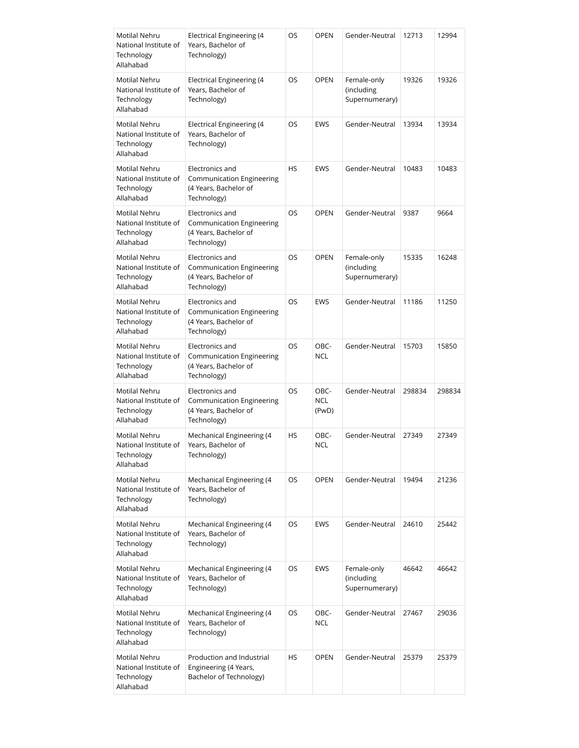| Motilal Nehru<br>National Institute of<br>Technology<br>Allahabad        | <b>Electrical Engineering (4</b><br>Years, Bachelor of<br>Technology)                | OS        | <b>OPEN</b>          | Gender-Neutral                              | 12713  | 12994  |
|--------------------------------------------------------------------------|--------------------------------------------------------------------------------------|-----------|----------------------|---------------------------------------------|--------|--------|
| Motilal Nehru<br>National Institute of<br>Technology<br>Allahabad        | Electrical Engineering (4<br>Years, Bachelor of<br>Technology)                       | OS        | <b>OPEN</b>          | Female-only<br>(including<br>Supernumerary) | 19326  | 19326  |
| Motilal Nehru<br>National Institute of<br>Technology<br>Allahabad        | Electrical Engineering (4<br>Years, Bachelor of<br>Technology)                       | OS        | <b>EWS</b>           | Gender-Neutral                              | 13934  | 13934  |
| Motilal Nehru<br>National Institute of<br>Technology<br>Allahabad        | Electronics and<br>Communication Engineering<br>(4 Years, Bachelor of<br>Technology) | <b>HS</b> | <b>EWS</b>           | Gender-Neutral                              | 10483  | 10483  |
| Motilal Nehru<br>National Institute of<br>Technology<br>Allahabad        | Electronics and<br>Communication Engineering<br>(4 Years, Bachelor of<br>Technology) | OS        | <b>OPEN</b>          | Gender-Neutral                              | 9387   | 9664   |
| Motilal Nehru<br>National Institute of<br>Technology<br>Allahabad        | Electronics and<br>Communication Engineering<br>(4 Years, Bachelor of<br>Technology) | <b>OS</b> | <b>OPEN</b>          | Female-only<br>(including<br>Supernumerary) | 15335  | 16248  |
| Motilal Nehru<br>National Institute of<br>Technology<br>Allahabad        | Electronics and<br>Communication Engineering<br>(4 Years, Bachelor of<br>Technology) | OS        | <b>EWS</b>           | Gender-Neutral                              | 11186  | 11250  |
| Motilal Nehru<br>National Institute of<br>Technology<br>Allahabad        | Electronics and<br>Communication Engineering<br>(4 Years, Bachelor of<br>Technology) | OS        | OBC-<br><b>NCL</b>   | Gender-Neutral                              | 15703  | 15850  |
| Motilal Nehru<br>National Institute of<br>Technology<br>Allahabad        | Electronics and<br>Communication Engineering<br>(4 Years, Bachelor of<br>Technology) | OS        | OBC-<br>NCL<br>(PwD) | Gender-Neutral                              | 298834 | 298834 |
| <b>Motilal Nehru</b><br>National Institute of<br>Technology<br>Allahabad | Mechanical Engineering (4<br>Years, Bachelor of<br>Technology)                       | HS        | OBC-<br><b>NCL</b>   | Gender-Neutral                              | 27349  | 27349  |
| Motilal Nehru<br>National Institute of<br>Technology<br>Allahabad        | Mechanical Engineering (4<br>Years, Bachelor of<br>Technology)                       | OS        | <b>OPEN</b>          | Gender-Neutral                              | 19494  | 21236  |
| <b>Motilal Nehru</b><br>National Institute of<br>Technology<br>Allahabad | Mechanical Engineering (4<br>Years, Bachelor of<br>Technology)                       | OS        | <b>EWS</b>           | Gender-Neutral                              | 24610  | 25442  |
| Motilal Nehru<br>National Institute of<br>Technology<br>Allahabad        | Mechanical Engineering (4<br>Years, Bachelor of<br>Technology)                       | OS        | <b>EWS</b>           | Female-only<br>(including<br>Supernumerary) | 46642  | 46642  |
| Motilal Nehru<br>National Institute of<br>Technology<br>Allahabad        | Mechanical Engineering (4<br>Years, Bachelor of<br>Technology)                       | OS        | OBC-<br>NCL          | Gender-Neutral                              | 27467  | 29036  |
| Motilal Nehru<br>National Institute of<br>Technology<br>Allahabad        | Production and Industrial<br>Engineering (4 Years,<br>Bachelor of Technology)        | HS        | <b>OPEN</b>          | Gender-Neutral                              | 25379  | 25379  |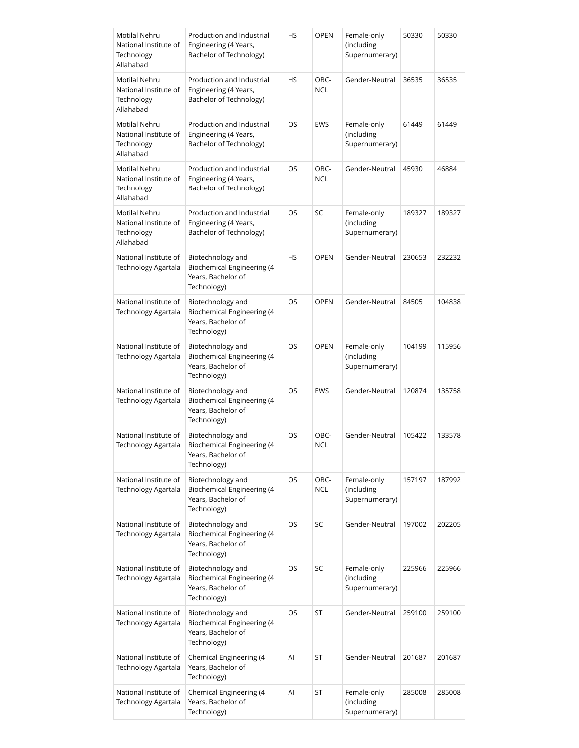| Motilal Nehru<br>National Institute of<br>Technology<br>Allahabad | Production and Industrial<br>Engineering (4 Years,<br>Bachelor of Technology)               | HS | <b>OPEN</b>        | Female-only<br>(including<br>Supernumerary) | 50330  | 50330  |
|-------------------------------------------------------------------|---------------------------------------------------------------------------------------------|----|--------------------|---------------------------------------------|--------|--------|
| Motilal Nehru<br>National Institute of<br>Technology<br>Allahabad | Production and Industrial<br>Engineering (4 Years,<br>Bachelor of Technology)               | HS | OBC-<br><b>NCL</b> | Gender-Neutral                              | 36535  | 36535  |
| Motilal Nehru<br>National Institute of<br>Technology<br>Allahabad | Production and Industrial<br>Engineering (4 Years,<br>Bachelor of Technology)               | OS | EWS                | Female-only<br>(including<br>Supernumerary) | 61449  | 61449  |
| Motilal Nehru<br>National Institute of<br>Technology<br>Allahabad | Production and Industrial<br>Engineering (4 Years,<br>Bachelor of Technology)               | OS | OBC-<br><b>NCL</b> | Gender-Neutral                              | 45930  | 46884  |
| Motilal Nehru<br>National Institute of<br>Technology<br>Allahabad | Production and Industrial<br>Engineering (4 Years,<br>Bachelor of Technology)               | OS | SC                 | Female-only<br>(including<br>Supernumerary) | 189327 | 189327 |
| National Institute of<br>Technology Agartala                      | Biotechnology and<br><b>Biochemical Engineering (4</b><br>Years, Bachelor of<br>Technology) | HS | <b>OPEN</b>        | Gender-Neutral                              | 230653 | 232232 |
| National Institute of<br>Technology Agartala                      | Biotechnology and<br><b>Biochemical Engineering (4</b><br>Years, Bachelor of<br>Technology) | OS | <b>OPEN</b>        | Gender-Neutral                              | 84505  | 104838 |
| National Institute of<br>Technology Agartala                      | Biotechnology and<br><b>Biochemical Engineering (4</b><br>Years, Bachelor of<br>Technology) | OS | <b>OPEN</b>        | Female-only<br>(including<br>Supernumerary) | 104199 | 115956 |
| National Institute of<br>Technology Agartala                      | Biotechnology and<br><b>Biochemical Engineering (4</b><br>Years, Bachelor of<br>Technology) | OS | <b>EWS</b>         | Gender-Neutral                              | 120874 | 135758 |
| National Institute of<br>Technology Agartala                      | Biotechnology and<br><b>Biochemical Engineering (4</b><br>Years, Bachelor of<br>Technology) | OS | OBC-<br><b>NCL</b> | Gender-Neutral                              | 105422 | 133578 |
| National Institute of<br>Technology Agartala                      | Biotechnology and<br><b>Biochemical Engineering (4</b><br>Years, Bachelor of<br>Technology) | OS | OBC-<br><b>NCL</b> | Female-only<br>(including<br>Supernumerary) | 157197 | 187992 |
| National Institute of<br>Technology Agartala                      | Biotechnology and<br><b>Biochemical Engineering (4</b><br>Years, Bachelor of<br>Technology) | OS | SC                 | Gender-Neutral                              | 197002 | 202205 |
| National Institute of<br>Technology Agartala                      | Biotechnology and<br><b>Biochemical Engineering (4</b><br>Years, Bachelor of<br>Technology) | OS | SC                 | Female-only<br>(including<br>Supernumerary) | 225966 | 225966 |
| National Institute of<br>Technology Agartala                      | Biotechnology and<br><b>Biochemical Engineering (4</b><br>Years, Bachelor of<br>Technology) | OS | ST                 | Gender-Neutral                              | 259100 | 259100 |
| National Institute of<br>Technology Agartala                      | Chemical Engineering (4<br>Years, Bachelor of<br>Technology)                                | AI | ST                 | Gender-Neutral                              | 201687 | 201687 |
| National Institute of<br>Technology Agartala                      | Chemical Engineering (4<br>Years, Bachelor of<br>Technology)                                | Al | ST                 | Female-only<br>(including<br>Supernumerary) | 285008 | 285008 |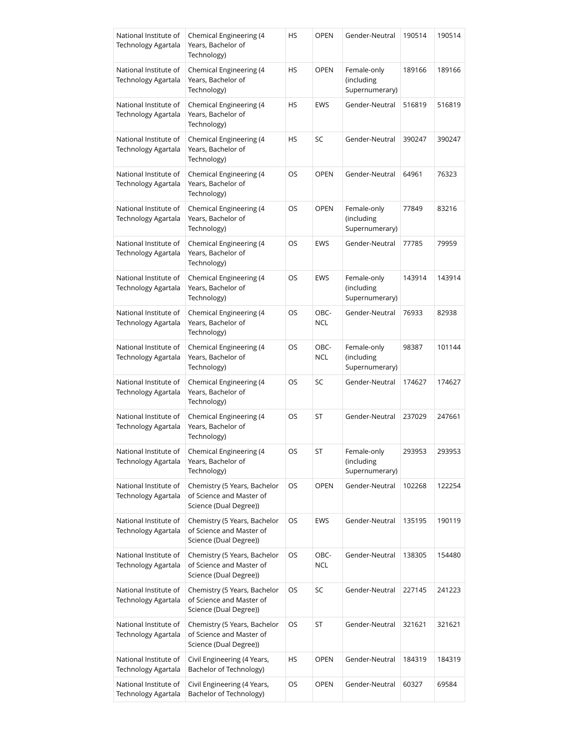| National Institute of<br><b>Technology Agartala</b> | Chemical Engineering (4<br>Years, Bachelor of<br>Technology)                       | HS        | OPEN        | Gender-Neutral                              | 190514 | 190514 |
|-----------------------------------------------------|------------------------------------------------------------------------------------|-----------|-------------|---------------------------------------------|--------|--------|
| National Institute of<br>Technology Agartala        | Chemical Engineering (4<br>Years, Bachelor of<br>Technology)                       | HS        | <b>OPEN</b> | Female-only<br>(including<br>Supernumerary) | 189166 | 189166 |
| National Institute of<br>Technology Agartala        | Chemical Engineering (4<br>Years, Bachelor of<br>Technology)                       | HS        | EWS         | Gender-Neutral                              | 516819 | 516819 |
| National Institute of<br>Technology Agartala        | Chemical Engineering (4<br>Years, Bachelor of<br>Technology)                       | <b>HS</b> | SC          | Gender-Neutral                              | 390247 | 390247 |
| National Institute of<br>Technology Agartala        | Chemical Engineering (4<br>Years, Bachelor of<br>Technology)                       | OS        | <b>OPEN</b> | Gender-Neutral                              | 64961  | 76323  |
| National Institute of<br>Technology Agartala        | Chemical Engineering (4<br>Years, Bachelor of<br>Technology)                       | OS        | <b>OPEN</b> | Female-only<br>(including<br>Supernumerary) | 77849  | 83216  |
| National Institute of<br>Technology Agartala        | Chemical Engineering (4<br>Years, Bachelor of<br>Technology)                       | OS        | EWS         | Gender-Neutral                              | 77785  | 79959  |
| National Institute of<br>Technology Agartala        | Chemical Engineering (4<br>Years, Bachelor of<br>Technology)                       | OS        | EWS         | Female-only<br>(including<br>Supernumerary) | 143914 | 143914 |
| National Institute of<br>Technology Agartala        | Chemical Engineering (4<br>Years, Bachelor of<br>Technology)                       | OS        | OBC-<br>NCL | Gender-Neutral                              | 76933  | 82938  |
| National Institute of<br>Technology Agartala        | Chemical Engineering (4<br>Years, Bachelor of<br>Technology)                       | OS        | OBC-<br>NCL | Female-only<br>(including<br>Supernumerary) | 98387  | 101144 |
| National Institute of<br>Technology Agartala        | Chemical Engineering (4<br>Years, Bachelor of<br>Technology)                       | OS        | SC          | Gender-Neutral                              | 174627 | 174627 |
| National Institute of<br>Technology Agartala        | Chemical Engineering (4<br>Years, Bachelor of<br>Technology)                       | OS        | ST          | Gender-Neutral                              | 237029 | 247661 |
| National Institute of<br>Technology Agartala        | Chemical Engineering (4<br>Years, Bachelor of<br>Technology)                       | OS        | <b>ST</b>   | Female-only<br>(including<br>Supernumerary) | 293953 | 293953 |
| National Institute of<br>Technology Agartala        | Chemistry (5 Years, Bachelor<br>of Science and Master of<br>Science (Dual Degree)) | OS        | <b>OPEN</b> | Gender-Neutral                              | 102268 | 122254 |
| National Institute of<br>Technology Agartala        | Chemistry (5 Years, Bachelor<br>of Science and Master of<br>Science (Dual Degree)) | OS        | EWS         | Gender-Neutral                              | 135195 | 190119 |
| National Institute of<br>Technology Agartala        | Chemistry (5 Years, Bachelor<br>of Science and Master of<br>Science (Dual Degree)) | OS        | OBC-<br>NCL | Gender-Neutral                              | 138305 | 154480 |
| National Institute of<br>Technology Agartala        | Chemistry (5 Years, Bachelor<br>of Science and Master of<br>Science (Dual Degree)) | OS        | SC          | Gender-Neutral                              | 227145 | 241223 |
| National Institute of<br>Technology Agartala        | Chemistry (5 Years, Bachelor<br>of Science and Master of<br>Science (Dual Degree)) | OS        | ST          | Gender-Neutral                              | 321621 | 321621 |
| National Institute of<br>Technology Agartala        | Civil Engineering (4 Years,<br>Bachelor of Technology)                             | НS        | OPEN        | Gender-Neutral                              | 184319 | 184319 |
| National Institute of<br>Technology Agartala        | Civil Engineering (4 Years,<br>Bachelor of Technology)                             | OS        | OPEN        | Gender-Neutral                              | 60327  | 69584  |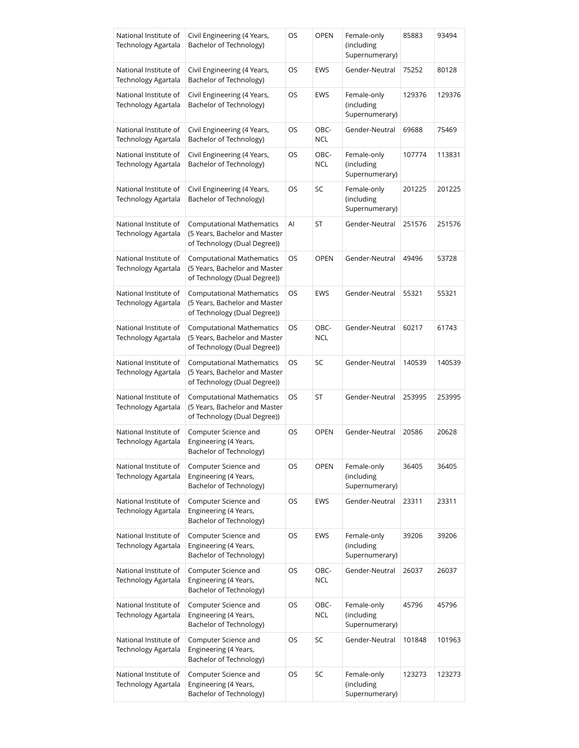| National Institute of<br>Technology Agartala        | Civil Engineering (4 Years,<br>Bachelor of Technology)                                            | OS | <b>OPEN</b>        | Female-only<br>(including<br>Supernumerary) | 85883  | 93494  |
|-----------------------------------------------------|---------------------------------------------------------------------------------------------------|----|--------------------|---------------------------------------------|--------|--------|
| National Institute of<br><b>Technology Agartala</b> | Civil Engineering (4 Years,<br>Bachelor of Technology)                                            | OS | EWS                | Gender-Neutral                              | 75252  | 80128  |
| National Institute of<br>Technology Agartala        | Civil Engineering (4 Years,<br>Bachelor of Technology)                                            | OS | EWS                | Female-only<br>(including<br>Supernumerary) | 129376 | 129376 |
| National Institute of<br>Technology Agartala        | Civil Engineering (4 Years,<br>Bachelor of Technology)                                            | OS | OBC-<br>NCL        | Gender-Neutral                              | 69688  | 75469  |
| National Institute of<br>Technology Agartala        | Civil Engineering (4 Years,<br>Bachelor of Technology)                                            | OS | OBC-<br><b>NCL</b> | Female-only<br>(including<br>Supernumerary) | 107774 | 113831 |
| National Institute of<br>Technology Agartala        | Civil Engineering (4 Years,<br>Bachelor of Technology)                                            | OS | SC                 | Female-only<br>(including<br>Supernumerary) | 201225 | 201225 |
| National Institute of<br>Technology Agartala        | <b>Computational Mathematics</b><br>(5 Years, Bachelor and Master<br>of Technology (Dual Degree)) | Al | ST                 | Gender-Neutral                              | 251576 | 251576 |
| National Institute of<br>Technology Agartala        | <b>Computational Mathematics</b><br>(5 Years, Bachelor and Master<br>of Technology (Dual Degree)) | OS | <b>OPEN</b>        | Gender-Neutral                              | 49496  | 53728  |
| National Institute of<br>Technology Agartala        | <b>Computational Mathematics</b><br>(5 Years, Bachelor and Master<br>of Technology (Dual Degree)) | OS | <b>EWS</b>         | Gender-Neutral                              | 55321  | 55321  |
| National Institute of<br>Technology Agartala        | <b>Computational Mathematics</b><br>(5 Years, Bachelor and Master<br>of Technology (Dual Degree)) | OS | OBC-<br>NCL        | Gender-Neutral                              | 60217  | 61743  |
| National Institute of<br>Technology Agartala        | <b>Computational Mathematics</b><br>(5 Years, Bachelor and Master<br>of Technology (Dual Degree)) | OS | SC                 | Gender-Neutral                              | 140539 | 140539 |
| National Institute of<br>Technology Agartala        | <b>Computational Mathematics</b><br>(5 Years, Bachelor and Master<br>of Technology (Dual Degree)) | OS | ST                 | Gender-Neutral                              | 253995 | 253995 |
| National Institute of<br>Technology Agartala        | Computer Science and<br>Engineering (4 Years,<br>Bachelor of Technology)                          | OS | <b>OPEN</b>        | Gender-Neutral                              | 20586  | 20628  |
| National Institute of<br>Technology Agartala        | Computer Science and<br>Engineering (4 Years,<br>Bachelor of Technology)                          | OS | <b>OPEN</b>        | Female-only<br>(including<br>Supernumerary) | 36405  | 36405  |
| National Institute of<br>Technology Agartala        | Computer Science and<br>Engineering (4 Years,<br>Bachelor of Technology)                          | OS | <b>EWS</b>         | Gender-Neutral                              | 23311  | 23311  |
| National Institute of<br>Technology Agartala        | Computer Science and<br>Engineering (4 Years,<br>Bachelor of Technology)                          | OS | <b>EWS</b>         | Female-only<br>(including<br>Supernumerary) | 39206  | 39206  |
| National Institute of<br>Technology Agartala        | Computer Science and<br>Engineering (4 Years,<br>Bachelor of Technology)                          | OS | OBC-<br><b>NCL</b> | Gender-Neutral                              | 26037  | 26037  |
| National Institute of<br>Technology Agartala        | Computer Science and<br>Engineering (4 Years,<br>Bachelor of Technology)                          | OS | OBC-<br>NCL        | Female-only<br>(including<br>Supernumerary) | 45796  | 45796  |
| National Institute of<br>Technology Agartala        | Computer Science and<br>Engineering (4 Years,<br>Bachelor of Technology)                          | OS | SC                 | Gender-Neutral                              | 101848 | 101963 |
| National Institute of<br>Technology Agartala        | Computer Science and<br>Engineering (4 Years,<br>Bachelor of Technology)                          | OS | SC                 | Female-only<br>(including<br>Supernumerary) | 123273 | 123273 |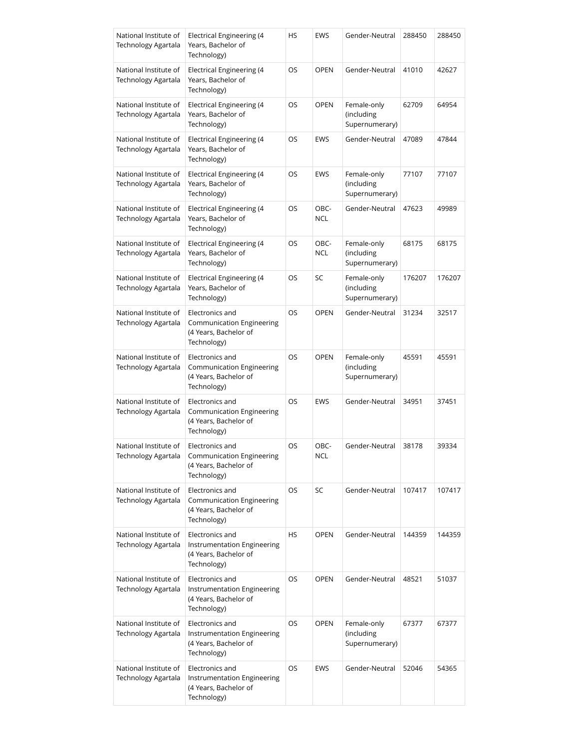| National Institute of<br>Technology Agartala | Electrical Engineering (4<br>Years, Bachelor of<br>Technology)                         | HS | <b>EWS</b>         | Gender-Neutral                              | 288450 | 288450 |
|----------------------------------------------|----------------------------------------------------------------------------------------|----|--------------------|---------------------------------------------|--------|--------|
| National Institute of<br>Technology Agartala | Electrical Engineering (4<br>Years, Bachelor of<br>Technology)                         | OS | <b>OPEN</b>        | Gender-Neutral                              | 41010  | 42627  |
| National Institute of<br>Technology Agartala | <b>Electrical Engineering (4</b><br>Years, Bachelor of<br>Technology)                  | OS | <b>OPEN</b>        | Female-only<br>(including<br>Supernumerary) | 62709  | 64954  |
| National Institute of<br>Technology Agartala | Electrical Engineering (4<br>Years, Bachelor of<br>Technology)                         | OS | <b>EWS</b>         | Gender-Neutral                              | 47089  | 47844  |
| National Institute of<br>Technology Agartala | Electrical Engineering (4<br>Years, Bachelor of<br>Technology)                         | OS | <b>EWS</b>         | Female-only<br>(including<br>Supernumerary) | 77107  | 77107  |
| National Institute of<br>Technology Agartala | Electrical Engineering (4<br>Years, Bachelor of<br>Technology)                         | OS | OBC-<br><b>NCL</b> | Gender-Neutral                              | 47623  | 49989  |
| National Institute of<br>Technology Agartala | Electrical Engineering (4<br>Years, Bachelor of<br>Technology)                         | OS | OBC-<br><b>NCL</b> | Female-only<br>(including<br>Supernumerary) | 68175  | 68175  |
| National Institute of<br>Technology Agartala | <b>Electrical Engineering (4</b><br>Years, Bachelor of<br>Technology)                  | OS | SC                 | Female-only<br>(including<br>Supernumerary) | 176207 | 176207 |
| National Institute of<br>Technology Agartala | Electronics and<br>Communication Engineering<br>(4 Years, Bachelor of<br>Technology)   | OS | <b>OPEN</b>        | Gender-Neutral                              | 31234  | 32517  |
| National Institute of<br>Technology Agartala | Electronics and<br>Communication Engineering<br>(4 Years, Bachelor of<br>Technology)   | OS | <b>OPEN</b>        | Female-only<br>(including<br>Supernumerary) | 45591  | 45591  |
| National Institute of<br>Technology Agartala | Electronics and<br>Communication Engineering<br>(4 Years, Bachelor of<br>Technology)   | OS | <b>EWS</b>         | Gender-Neutral                              | 34951  | 37451  |
| National Institute of<br>Technology Agartala | Electronics and<br>Communication Engineering<br>(4 Years, Bachelor of<br>Technology)   | OS | OBC-<br><b>NCL</b> | Gender-Neutral                              | 38178  | 39334  |
| National Institute of<br>Technology Agartala | Electronics and<br>Communication Engineering<br>(4 Years, Bachelor of<br>Technology)   | OS | <b>SC</b>          | Gender-Neutral                              | 107417 | 107417 |
| National Institute of<br>Technology Agartala | Electronics and<br>Instrumentation Engineering<br>(4 Years, Bachelor of<br>Technology) | HS | <b>OPEN</b>        | Gender-Neutral                              | 144359 | 144359 |
| National Institute of<br>Technology Agartala | Electronics and<br>Instrumentation Engineering<br>(4 Years, Bachelor of<br>Technology) | OS | <b>OPEN</b>        | Gender-Neutral                              | 48521  | 51037  |
| National Institute of<br>Technology Agartala | Electronics and<br>Instrumentation Engineering<br>(4 Years, Bachelor of<br>Technology) | OS | <b>OPEN</b>        | Female-only<br>(including<br>Supernumerary) | 67377  | 67377  |
| National Institute of<br>Technology Agartala | Electronics and<br>Instrumentation Engineering<br>(4 Years, Bachelor of<br>Technology) | OS | <b>EWS</b>         | Gender-Neutral                              | 52046  | 54365  |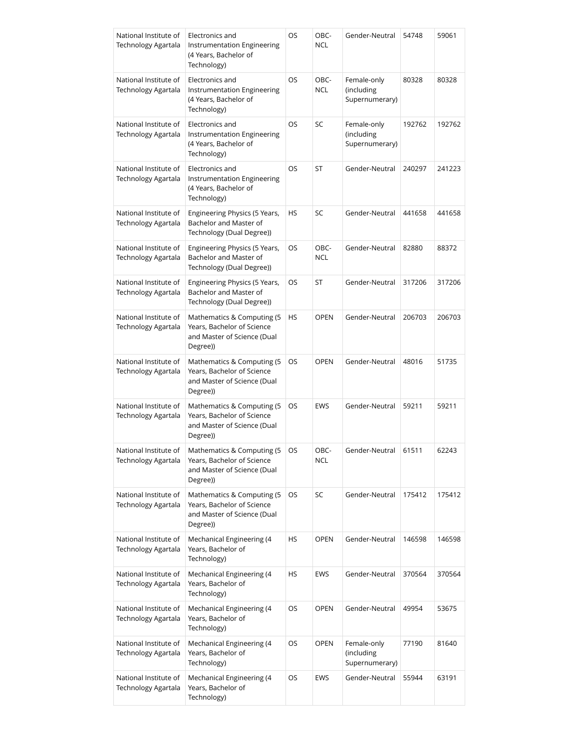| National Institute of<br>Technology Agartala        | Electronics and<br>Instrumentation Engineering<br>(4 Years, Bachelor of<br>Technology)               | OS | OBC-<br><b>NCL</b> | Gender-Neutral                              | 54748  | 59061  |
|-----------------------------------------------------|------------------------------------------------------------------------------------------------------|----|--------------------|---------------------------------------------|--------|--------|
| National Institute of<br>Technology Agartala        | Electronics and<br>Instrumentation Engineering<br>(4 Years, Bachelor of<br>Technology)               | OS | OBC-<br><b>NCL</b> | Female-only<br>(including<br>Supernumerary) | 80328  | 80328  |
| National Institute of<br>Technology Agartala        | Electronics and<br>Instrumentation Engineering<br>(4 Years, Bachelor of<br>Technology)               | OS | SC                 | Female-only<br>(including<br>Supernumerary) | 192762 | 192762 |
| National Institute of<br>Technology Agartala        | Electronics and<br>Instrumentation Engineering<br>(4 Years, Bachelor of<br>Technology)               | OS | ST                 | Gender-Neutral                              | 240297 | 241223 |
| National Institute of<br><b>Technology Agartala</b> | Engineering Physics (5 Years,<br>Bachelor and Master of<br>Technology (Dual Degree))                 | HS | SC                 | Gender-Neutral                              | 441658 | 441658 |
| National Institute of<br><b>Technology Agartala</b> | Engineering Physics (5 Years,<br>Bachelor and Master of<br>Technology (Dual Degree))                 | OS | OBC-<br><b>NCL</b> | Gender-Neutral                              | 82880  | 88372  |
| National Institute of<br>Technology Agartala        | Engineering Physics (5 Years,<br>Bachelor and Master of<br>Technology (Dual Degree))                 | OS | ST                 | Gender-Neutral                              | 317206 | 317206 |
| National Institute of<br>Technology Agartala        | Mathematics & Computing (5)<br>Years, Bachelor of Science<br>and Master of Science (Dual<br>Degree)) | HS | <b>OPEN</b>        | Gender-Neutral                              | 206703 | 206703 |
| National Institute of<br>Technology Agartala        | Mathematics & Computing (5<br>Years, Bachelor of Science<br>and Master of Science (Dual<br>Degree))  | OS | <b>OPEN</b>        | Gender-Neutral                              | 48016  | 51735  |
| National Institute of<br>Technology Agartala        | Mathematics & Computing (5)<br>Years, Bachelor of Science<br>and Master of Science (Dual<br>Degree)) | OS | EWS                | Gender-Neutral                              | 59211  | 59211  |
| National Institute of<br>Technology Agartala        | Mathematics & Computing (5<br>Years, Bachelor of Science<br>and Master of Science (Dual<br>Degree))  | OS | OBC-<br><b>NCL</b> | Gender-Neutral                              | 61511  | 62243  |
| National Institute of<br>Technology Agartala        | Mathematics & Computing (5<br>Years, Bachelor of Science<br>and Master of Science (Dual<br>Degree))  | OS | SC                 | Gender-Neutral                              | 175412 | 175412 |
| National Institute of<br>Technology Agartala        | Mechanical Engineering (4<br>Years, Bachelor of<br>Technology)                                       | HS | <b>OPEN</b>        | Gender-Neutral                              | 146598 | 146598 |
| National Institute of<br>Technology Agartala        | Mechanical Engineering (4<br>Years, Bachelor of<br>Technology)                                       | HS | EWS                | Gender-Neutral                              | 370564 | 370564 |
| National Institute of<br>Technology Agartala        | Mechanical Engineering (4<br>Years, Bachelor of<br>Technology)                                       | OS | <b>OPEN</b>        | Gender-Neutral                              | 49954  | 53675  |
| National Institute of<br>Technology Agartala        | Mechanical Engineering (4<br>Years, Bachelor of<br>Technology)                                       | OS | <b>OPEN</b>        | Female-only<br>(including<br>Supernumerary) | 77190  | 81640  |
| National Institute of<br>Technology Agartala        | Mechanical Engineering (4<br>Years, Bachelor of<br>Technology)                                       | OS | EWS                | Gender-Neutral                              | 55944  | 63191  |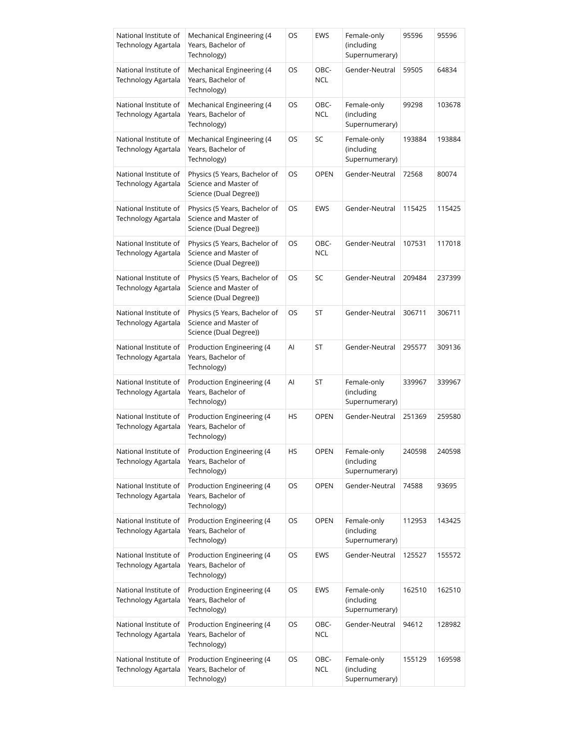| National Institute of<br>Technology Agartala        | Mechanical Engineering (4<br>Years, Bachelor of<br>Technology)                   | OS | EWS                | Female-only<br>(including<br>Supernumerary) | 95596  | 95596  |
|-----------------------------------------------------|----------------------------------------------------------------------------------|----|--------------------|---------------------------------------------|--------|--------|
| National Institute of<br><b>Technology Agartala</b> | Mechanical Engineering (4<br>Years, Bachelor of<br>Technology)                   | OS | OBC-<br>NCL        | Gender-Neutral                              | 59505  | 64834  |
| National Institute of<br>Technology Agartala        | Mechanical Engineering (4<br>Years, Bachelor of<br>Technology)                   | OS | OBC-<br><b>NCL</b> | Female-only<br>(including<br>Supernumerary) | 99298  | 103678 |
| National Institute of<br>Technology Agartala        | Mechanical Engineering (4<br>Years, Bachelor of<br>Technology)                   | OS | SC                 | Female-only<br>(including<br>Supernumerary) | 193884 | 193884 |
| National Institute of<br>Technology Agartala        | Physics (5 Years, Bachelor of<br>Science and Master of<br>Science (Dual Degree)) | OS | <b>OPEN</b>        | Gender-Neutral                              | 72568  | 80074  |
| National Institute of<br>Technology Agartala        | Physics (5 Years, Bachelor of<br>Science and Master of<br>Science (Dual Degree)) | OS | EWS                | Gender-Neutral                              | 115425 | 115425 |
| National Institute of<br>Technology Agartala        | Physics (5 Years, Bachelor of<br>Science and Master of<br>Science (Dual Degree)) | OS | OBC-<br><b>NCL</b> | Gender-Neutral                              | 107531 | 117018 |
| National Institute of<br>Technology Agartala        | Physics (5 Years, Bachelor of<br>Science and Master of<br>Science (Dual Degree)) | OS | SC                 | Gender-Neutral                              | 209484 | 237399 |
| National Institute of<br>Technology Agartala        | Physics (5 Years, Bachelor of<br>Science and Master of<br>Science (Dual Degree)) | OS | ST                 | Gender-Neutral                              | 306711 | 306711 |
| National Institute of<br>Technology Agartala        | Production Engineering (4<br>Years, Bachelor of<br>Technology)                   | Al | ST                 | Gender-Neutral                              | 295577 | 309136 |
| National Institute of<br>Technology Agartala        | Production Engineering (4<br>Years, Bachelor of<br>Technology)                   | Al | ST                 | Female-only<br>(including<br>Supernumerary) | 339967 | 339967 |
| National Institute of<br>Technology Agartala        | Production Engineering (4<br>Years, Bachelor of<br>Technology)                   | HS | <b>OPEN</b>        | Gender-Neutral                              | 251369 | 259580 |
| National Institute of<br>Technology Agartala        | Production Engineering (4<br>Years, Bachelor of<br>Technology)                   | HS | OPEN               | Female-only<br>(including<br>Supernumerary) | 240598 | 240598 |
| National Institute of<br>Technology Agartala        | Production Engineering (4<br>Years, Bachelor of<br>Technology)                   | OS | <b>OPEN</b>        | Gender-Neutral                              | 74588  | 93695  |
| National Institute of<br>Technology Agartala        | Production Engineering (4<br>Years, Bachelor of<br>Technology)                   | OS | <b>OPEN</b>        | Female-only<br>(including<br>Supernumerary) | 112953 | 143425 |
| National Institute of<br>Technology Agartala        | Production Engineering (4<br>Years, Bachelor of<br>Technology)                   | OS | EWS                | Gender-Neutral                              | 125527 | 155572 |
| National Institute of<br>Technology Agartala        | Production Engineering (4<br>Years, Bachelor of<br>Technology)                   | OS | EWS                | Female-only<br>(including<br>Supernumerary) | 162510 | 162510 |
| National Institute of<br>Technology Agartala        | Production Engineering (4<br>Years, Bachelor of<br>Technology)                   | OS | OBC-<br><b>NCL</b> | Gender-Neutral                              | 94612  | 128982 |
| National Institute of<br>Technology Agartala        | Production Engineering (4<br>Years, Bachelor of<br>Technology)                   | OS | OBC-<br><b>NCL</b> | Female-only<br>(including<br>Supernumerary) | 155129 | 169598 |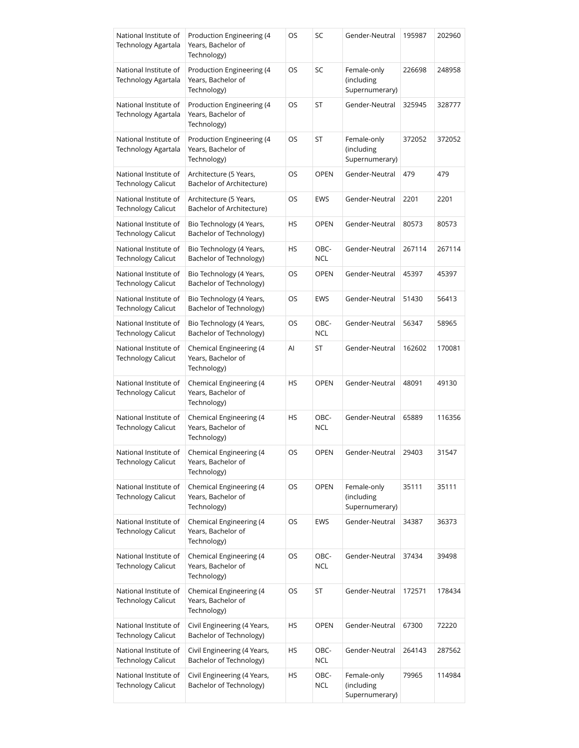| National Institute of<br>Technology Agartala        | Production Engineering (4<br>Years, Bachelor of<br>Technology) | OS        | SC                 | Gender-Neutral                              | 195987 | 202960 |
|-----------------------------------------------------|----------------------------------------------------------------|-----------|--------------------|---------------------------------------------|--------|--------|
| National Institute of<br>Technology Agartala        | Production Engineering (4<br>Years, Bachelor of<br>Technology) | OS        | SC                 | Female-only<br>(including<br>Supernumerary) | 226698 | 248958 |
| National Institute of<br>Technology Agartala        | Production Engineering (4<br>Years, Bachelor of<br>Technology) | OS        | ST                 | Gender-Neutral                              | 325945 | 328777 |
| National Institute of<br><b>Technology Agartala</b> | Production Engineering (4<br>Years, Bachelor of<br>Technology) | OS        | ST                 | Female-only<br>(including<br>Supernumerary) | 372052 | 372052 |
| National Institute of<br><b>Technology Calicut</b>  | Architecture (5 Years,<br>Bachelor of Architecture)            | OS        | <b>OPEN</b>        | Gender-Neutral                              | 479    | 479    |
| National Institute of<br><b>Technology Calicut</b>  | Architecture (5 Years,<br>Bachelor of Architecture)            | OS        | EWS                | Gender-Neutral                              | 2201   | 2201   |
| National Institute of<br><b>Technology Calicut</b>  | Bio Technology (4 Years,<br>Bachelor of Technology)            | HS        | <b>OPEN</b>        | Gender-Neutral                              | 80573  | 80573  |
| National Institute of<br><b>Technology Calicut</b>  | Bio Technology (4 Years,<br>Bachelor of Technology)            | HS        | OBC-<br><b>NCL</b> | Gender-Neutral                              | 267114 | 267114 |
| National Institute of<br><b>Technology Calicut</b>  | Bio Technology (4 Years,<br>Bachelor of Technology)            | OS        | <b>OPEN</b>        | Gender-Neutral                              | 45397  | 45397  |
| National Institute of<br><b>Technology Calicut</b>  | Bio Technology (4 Years,<br>Bachelor of Technology)            | OS        | <b>EWS</b>         | Gender-Neutral                              | 51430  | 56413  |
| National Institute of<br><b>Technology Calicut</b>  | Bio Technology (4 Years,<br>Bachelor of Technology)            | OS        | OBC-<br><b>NCL</b> | Gender-Neutral                              | 56347  | 58965  |
| National Institute of<br><b>Technology Calicut</b>  | Chemical Engineering (4<br>Years, Bachelor of<br>Technology)   | Al        | ST                 | Gender-Neutral                              | 162602 | 170081 |
| National Institute of<br>Technology Calicut         | Chemical Engineering (4<br>Years, Bachelor of<br>Technology)   | HS        | <b>OPEN</b>        | Gender-Neutral                              | 48091  | 49130  |
| National Institute of<br><b>Technology Calicut</b>  | Chemical Engineering (4<br>Years, Bachelor of<br>Technology)   | <b>HS</b> | OBC-<br><b>NCL</b> | Gender-Neutral                              | 65889  | 116356 |
| National Institute of<br><b>Technology Calicut</b>  | Chemical Engineering (4<br>Years, Bachelor of<br>Technology)   | OS        | OPEN               | Gender-Neutral                              | 29403  | 31547  |
| National Institute of<br><b>Technology Calicut</b>  | Chemical Engineering (4<br>Years, Bachelor of<br>Technology)   | OS        | <b>OPEN</b>        | Female-only<br>(including<br>Supernumerary) | 35111  | 35111  |
| National Institute of<br><b>Technology Calicut</b>  | Chemical Engineering (4<br>Years, Bachelor of<br>Technology)   | OS        | EWS                | Gender-Neutral                              | 34387  | 36373  |
| National Institute of<br><b>Technology Calicut</b>  | Chemical Engineering (4<br>Years, Bachelor of<br>Technology)   | OS        | OBC-<br><b>NCL</b> | Gender-Neutral                              | 37434  | 39498  |
| National Institute of<br><b>Technology Calicut</b>  | Chemical Engineering (4<br>Years, Bachelor of<br>Technology)   | OS        | ST                 | Gender-Neutral                              | 172571 | 178434 |
| National Institute of<br><b>Technology Calicut</b>  | Civil Engineering (4 Years,<br>Bachelor of Technology)         | HS        | <b>OPEN</b>        | Gender-Neutral                              | 67300  | 72220  |
| National Institute of<br><b>Technology Calicut</b>  | Civil Engineering (4 Years,<br>Bachelor of Technology)         | HS        | OBC-<br><b>NCL</b> | Gender-Neutral                              | 264143 | 287562 |
| National Institute of<br><b>Technology Calicut</b>  | Civil Engineering (4 Years,<br>Bachelor of Technology)         | HS        | OBC-<br><b>NCL</b> | Female-only<br>(including<br>Supernumerary) | 79965  | 114984 |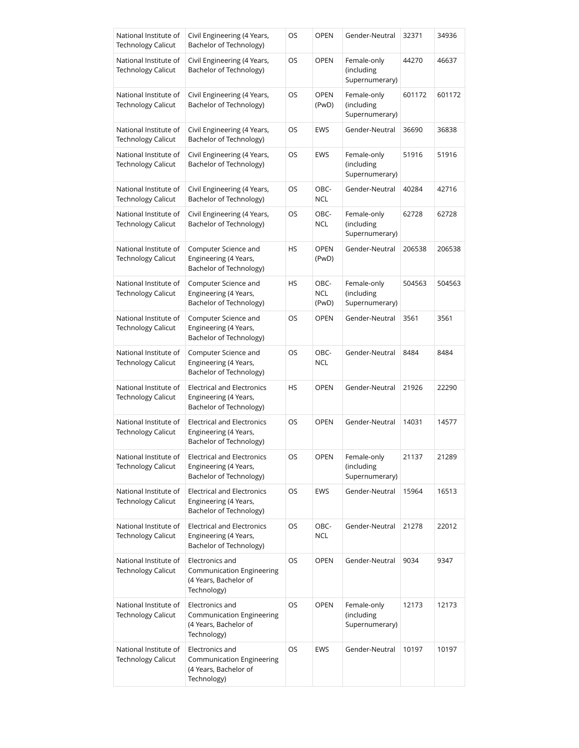| National Institute of<br><b>Technology Calicut</b> | Civil Engineering (4 Years,<br>Bachelor of Technology)                                      | OS        | <b>OPEN</b>                 | Gender-Neutral                              | 32371  | 34936  |
|----------------------------------------------------|---------------------------------------------------------------------------------------------|-----------|-----------------------------|---------------------------------------------|--------|--------|
| National Institute of<br><b>Technology Calicut</b> | Civil Engineering (4 Years,<br>Bachelor of Technology)                                      | OS        | <b>OPEN</b>                 | Female-only<br>(including<br>Supernumerary) | 44270  | 46637  |
| National Institute of<br><b>Technology Calicut</b> | Civil Engineering (4 Years,<br>Bachelor of Technology)                                      | OS        | <b>OPEN</b><br>(PwD)        | Female-only<br>(including<br>Supernumerary) | 601172 | 601172 |
| National Institute of<br><b>Technology Calicut</b> | Civil Engineering (4 Years,<br>Bachelor of Technology)                                      | OS        | <b>EWS</b>                  | Gender-Neutral                              | 36690  | 36838  |
| National Institute of<br><b>Technology Calicut</b> | Civil Engineering (4 Years,<br>Bachelor of Technology)                                      | <b>OS</b> | <b>EWS</b>                  | Female-only<br>(including<br>Supernumerary) | 51916  | 51916  |
| National Institute of<br><b>Technology Calicut</b> | Civil Engineering (4 Years,<br>Bachelor of Technology)                                      | OS        | OBC-<br><b>NCL</b>          | Gender-Neutral                              | 40284  | 42716  |
| National Institute of<br><b>Technology Calicut</b> | Civil Engineering (4 Years,<br>Bachelor of Technology)                                      | OS        | OBC-<br><b>NCL</b>          | Female-only<br>(including<br>Supernumerary) | 62728  | 62728  |
| National Institute of<br><b>Technology Calicut</b> | Computer Science and<br>Engineering (4 Years,<br>Bachelor of Technology)                    | HS        | <b>OPEN</b><br>(PwD)        | Gender-Neutral                              | 206538 | 206538 |
| National Institute of<br><b>Technology Calicut</b> | Computer Science and<br>Engineering (4 Years,<br>Bachelor of Technology)                    | <b>HS</b> | OBC-<br><b>NCL</b><br>(PwD) | Female-only<br>(including<br>Supernumerary) | 504563 | 504563 |
| National Institute of<br><b>Technology Calicut</b> | Computer Science and<br>Engineering (4 Years,<br>Bachelor of Technology)                    | OS        | <b>OPEN</b>                 | Gender-Neutral                              | 3561   | 3561   |
| National Institute of<br><b>Technology Calicut</b> | Computer Science and<br>Engineering (4 Years,<br>Bachelor of Technology)                    | OS        | OBC-<br><b>NCL</b>          | Gender-Neutral                              | 8484   | 8484   |
| National Institute of<br><b>Technology Calicut</b> | <b>Electrical and Electronics</b><br>Engineering (4 Years,<br>Bachelor of Technology)       | HS        | <b>OPEN</b>                 | Gender-Neutral                              | 21926  | 22290  |
| National Institute of<br><b>Technology Calicut</b> | <b>Electrical and Electronics</b><br>Engineering (4 Years,<br>Bachelor of Technology)       | OS.       | <b>OPEN</b>                 | Gender-Neutral                              | 14031  | 14577  |
| National Institute of<br><b>Technology Calicut</b> | <b>Electrical and Electronics</b><br>Engineering (4 Years,<br>Bachelor of Technology)       | OS        | <b>OPEN</b>                 | Female-only<br>(including<br>Supernumerary) | 21137  | 21289  |
| National Institute of<br><b>Technology Calicut</b> | <b>Electrical and Electronics</b><br>Engineering (4 Years,<br>Bachelor of Technology)       | OS        | EWS                         | Gender-Neutral                              | 15964  | 16513  |
| National Institute of<br><b>Technology Calicut</b> | <b>Electrical and Electronics</b><br>Engineering (4 Years,<br>Bachelor of Technology)       | OS        | OBC-<br><b>NCL</b>          | Gender-Neutral                              | 21278  | 22012  |
| National Institute of<br><b>Technology Calicut</b> | Electronics and<br><b>Communication Engineering</b><br>(4 Years, Bachelor of<br>Technology) | OS        | <b>OPEN</b>                 | Gender-Neutral                              | 9034   | 9347   |
| National Institute of<br><b>Technology Calicut</b> | Electronics and<br>Communication Engineering<br>(4 Years, Bachelor of<br>Technology)        | OS        | <b>OPEN</b>                 | Female-only<br>(including<br>Supernumerary) | 12173  | 12173  |
| National Institute of<br><b>Technology Calicut</b> | Electronics and<br>Communication Engineering<br>(4 Years, Bachelor of<br>Technology)        | OS        | EWS                         | Gender-Neutral                              | 10197  | 10197  |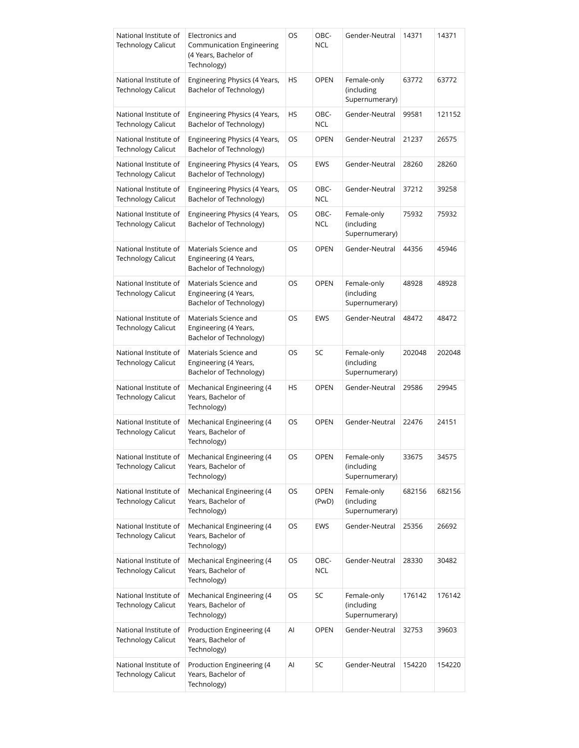| National Institute of<br><b>Technology Calicut</b> | Electronics and<br><b>Communication Engineering</b><br>(4 Years, Bachelor of<br>Technology) | OS | OBC-<br><b>NCL</b>   | Gender-Neutral                              | 14371  | 14371  |
|----------------------------------------------------|---------------------------------------------------------------------------------------------|----|----------------------|---------------------------------------------|--------|--------|
| National Institute of<br><b>Technology Calicut</b> | Engineering Physics (4 Years,<br>Bachelor of Technology)                                    | HS | <b>OPEN</b>          | Female-only<br>(including<br>Supernumerary) | 63772  | 63772  |
| National Institute of<br><b>Technology Calicut</b> | Engineering Physics (4 Years,<br>Bachelor of Technology)                                    | HS | OBC-<br><b>NCL</b>   | Gender-Neutral                              | 99581  | 121152 |
| National Institute of<br><b>Technology Calicut</b> | Engineering Physics (4 Years,<br>Bachelor of Technology)                                    | OS | <b>OPEN</b>          | Gender-Neutral                              | 21237  | 26575  |
| National Institute of<br><b>Technology Calicut</b> | Engineering Physics (4 Years,<br>Bachelor of Technology)                                    | OS | EWS                  | Gender-Neutral                              | 28260  | 28260  |
| National Institute of<br><b>Technology Calicut</b> | Engineering Physics (4 Years,<br>Bachelor of Technology)                                    | OS | OBC-<br><b>NCL</b>   | Gender-Neutral                              | 37212  | 39258  |
| National Institute of<br><b>Technology Calicut</b> | Engineering Physics (4 Years,<br>Bachelor of Technology)                                    | OS | OBC-<br><b>NCL</b>   | Female-only<br>(including<br>Supernumerary) | 75932  | 75932  |
| National Institute of<br><b>Technology Calicut</b> | Materials Science and<br>Engineering (4 Years,<br>Bachelor of Technology)                   | OS | <b>OPEN</b>          | Gender-Neutral                              | 44356  | 45946  |
| National Institute of<br><b>Technology Calicut</b> | Materials Science and<br>Engineering (4 Years,<br>Bachelor of Technology)                   | OS | <b>OPEN</b>          | Female-only<br>(including<br>Supernumerary) | 48928  | 48928  |
| National Institute of<br><b>Technology Calicut</b> | Materials Science and<br>Engineering (4 Years,<br>Bachelor of Technology)                   | OS | <b>EWS</b>           | Gender-Neutral                              | 48472  | 48472  |
| National Institute of<br><b>Technology Calicut</b> | Materials Science and<br>Engineering (4 Years,<br>Bachelor of Technology)                   | OS | SC                   | Female-only<br>(including<br>Supernumerary) | 202048 | 202048 |
| National Institute of<br><b>Technology Calicut</b> | Mechanical Engineering (4<br>Years, Bachelor of<br>Technology)                              | HS | <b>OPEN</b>          | Gender-Neutral                              | 29586  | 29945  |
| National Institute of<br><b>Technology Calicut</b> | Mechanical Engineering (4<br>Years, Bachelor of<br>Technology)                              | OS | <b>OPEN</b>          | Gender-Neutral                              | 22476  | 24151  |
| National Institute of<br><b>Technology Calicut</b> | Mechanical Engineering (4<br>Years, Bachelor of<br>Technology)                              | OS | <b>OPEN</b>          | Female-only<br>(including<br>Supernumerary) | 33675  | 34575  |
| National Institute of<br><b>Technology Calicut</b> | Mechanical Engineering (4<br>Years, Bachelor of<br>Technology)                              | OS | <b>OPEN</b><br>(PwD) | Female-only<br>(including<br>Supernumerary) | 682156 | 682156 |
| National Institute of<br><b>Technology Calicut</b> | Mechanical Engineering (4<br>Years, Bachelor of<br>Technology)                              | OS | EWS                  | Gender-Neutral                              | 25356  | 26692  |
| National Institute of<br><b>Technology Calicut</b> | Mechanical Engineering (4<br>Years, Bachelor of<br>Technology)                              | OS | OBC-<br><b>NCL</b>   | Gender-Neutral                              | 28330  | 30482  |
| National Institute of<br><b>Technology Calicut</b> | Mechanical Engineering (4<br>Years, Bachelor of<br>Technology)                              | OS | SC                   | Female-only<br>(including<br>Supernumerary) | 176142 | 176142 |
| National Institute of<br><b>Technology Calicut</b> | Production Engineering (4<br>Years, Bachelor of<br>Technology)                              | Al | <b>OPEN</b>          | Gender-Neutral                              | 32753  | 39603  |
| National Institute of<br><b>Technology Calicut</b> | Production Engineering (4<br>Years, Bachelor of<br>Technology)                              | Al | SC                   | Gender-Neutral                              | 154220 | 154220 |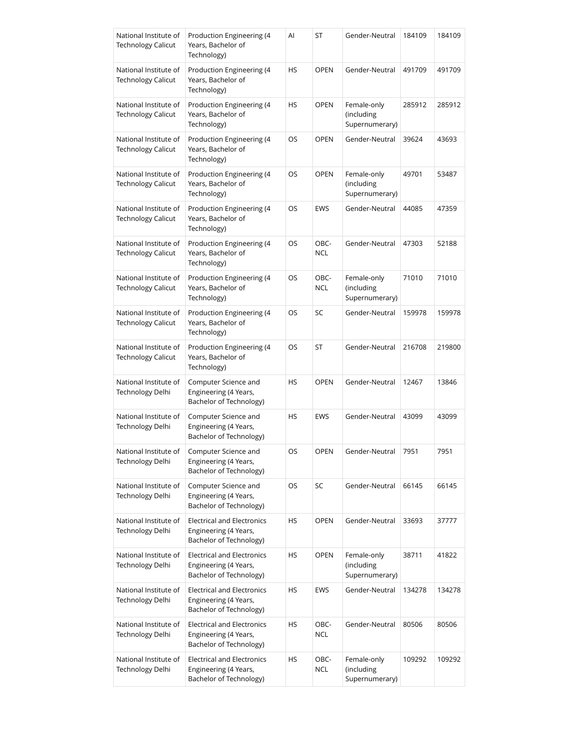| National Institute of<br><b>Technology Calicut</b> | Production Engineering (4<br>Years, Bachelor of<br>Technology)                        | Al | ST                 | Gender-Neutral                              | 184109 | 184109 |
|----------------------------------------------------|---------------------------------------------------------------------------------------|----|--------------------|---------------------------------------------|--------|--------|
| National Institute of<br><b>Technology Calicut</b> | Production Engineering (4<br>Years, Bachelor of<br>Technology)                        | HS | <b>OPEN</b>        | Gender-Neutral                              | 491709 | 491709 |
| National Institute of<br><b>Technology Calicut</b> | Production Engineering (4<br>Years, Bachelor of<br>Technology)                        | HS | <b>OPEN</b>        | Female-only<br>(including<br>Supernumerary) | 285912 | 285912 |
| National Institute of<br><b>Technology Calicut</b> | Production Engineering (4<br>Years, Bachelor of<br>Technology)                        | OS | <b>OPEN</b>        | Gender-Neutral                              | 39624  | 43693  |
| National Institute of<br><b>Technology Calicut</b> | Production Engineering (4<br>Years, Bachelor of<br>Technology)                        | OS | <b>OPEN</b>        | Female-only<br>(including<br>Supernumerary) | 49701  | 53487  |
| National Institute of<br><b>Technology Calicut</b> | Production Engineering (4<br>Years, Bachelor of<br>Technology)                        | OS | EWS                | Gender-Neutral                              | 44085  | 47359  |
| National Institute of<br>Technology Calicut        | Production Engineering (4<br>Years, Bachelor of<br>Technology)                        | OS | OBC-<br><b>NCL</b> | Gender-Neutral                              | 47303  | 52188  |
| National Institute of<br><b>Technology Calicut</b> | Production Engineering (4<br>Years, Bachelor of<br>Technology)                        | OS | OBC-<br><b>NCL</b> | Female-only<br>(including<br>Supernumerary) | 71010  | 71010  |
| National Institute of<br><b>Technology Calicut</b> | Production Engineering (4<br>Years, Bachelor of<br>Technology)                        | OS | SC                 | Gender-Neutral                              | 159978 | 159978 |
| National Institute of<br>Technology Calicut        | Production Engineering (4<br>Years, Bachelor of<br>Technology)                        | OS | ST                 | Gender-Neutral                              | 216708 | 219800 |
| National Institute of<br>Technology Delhi          | Computer Science and<br>Engineering (4 Years,<br>Bachelor of Technology)              | HS | <b>OPEN</b>        | Gender-Neutral                              | 12467  | 13846  |
| National Institute of<br>Technology Delhi          | Computer Science and<br>Engineering (4 Years,<br>Bachelor of Technology)              | HS | <b>EWS</b>         | Gender-Neutral                              | 43099  | 43099  |
| National Institute of<br>Technology Delhi          | Computer Science and<br>Engineering (4 Years,<br>Bachelor of Technology)              | OS | OPEN               | Gender-Neutral                              | 7951   | 7951   |
| National Institute of<br>Technology Delhi          | Computer Science and<br>Engineering (4 Years,<br>Bachelor of Technology)              | OS | SC                 | Gender-Neutral                              | 66145  | 66145  |
| National Institute of<br>Technology Delhi          | <b>Electrical and Electronics</b><br>Engineering (4 Years,<br>Bachelor of Technology) | HS | <b>OPEN</b>        | Gender-Neutral                              | 33693  | 37777  |
| National Institute of<br>Technology Delhi          | <b>Electrical and Electronics</b><br>Engineering (4 Years,<br>Bachelor of Technology) | HS | <b>OPEN</b>        | Female-only<br>(including<br>Supernumerary) | 38711  | 41822  |
| National Institute of<br>Technology Delhi          | <b>Electrical and Electronics</b><br>Engineering (4 Years,<br>Bachelor of Technology) | HS | EWS                | Gender-Neutral                              | 134278 | 134278 |
| National Institute of<br>Technology Delhi          | <b>Electrical and Electronics</b><br>Engineering (4 Years,<br>Bachelor of Technology) | HS | OBC-<br><b>NCL</b> | Gender-Neutral                              | 80506  | 80506  |
| National Institute of<br>Technology Delhi          | <b>Electrical and Electronics</b><br>Engineering (4 Years,<br>Bachelor of Technology) | HS | OBC-<br><b>NCL</b> | Female-only<br>(including<br>Supernumerary) | 109292 | 109292 |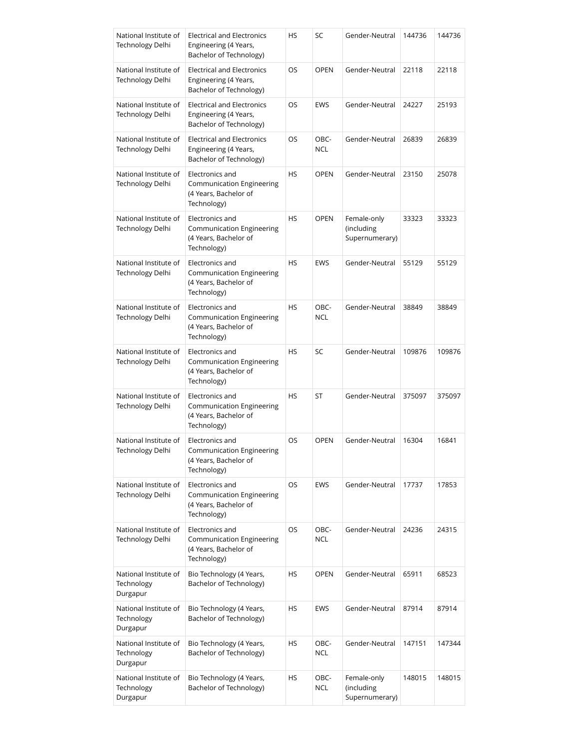| National Institute of<br>Technology Delhi       | <b>Electrical and Electronics</b><br>Engineering (4 Years,<br>Bachelor of Technology)       | HS        | SC                 | Gender-Neutral                              | 144736 | 144736 |
|-------------------------------------------------|---------------------------------------------------------------------------------------------|-----------|--------------------|---------------------------------------------|--------|--------|
| National Institute of<br>Technology Delhi       | <b>Electrical and Electronics</b><br>Engineering (4 Years,<br>Bachelor of Technology)       | OS        | <b>OPEN</b>        | Gender-Neutral                              | 22118  | 22118  |
| National Institute of<br>Technology Delhi       | <b>Electrical and Electronics</b><br>Engineering (4 Years,<br>Bachelor of Technology)       | OS.       | <b>EWS</b>         | Gender-Neutral                              | 24227  | 25193  |
| National Institute of<br>Technology Delhi       | <b>Electrical and Electronics</b><br>Engineering (4 Years,<br>Bachelor of Technology)       | OS        | OBC-<br><b>NCL</b> | Gender-Neutral                              | 26839  | 26839  |
| National Institute of<br>Technology Delhi       | Electronics and<br>Communication Engineering<br>(4 Years, Bachelor of<br>Technology)        | <b>HS</b> | <b>OPEN</b>        | Gender-Neutral                              | 23150  | 25078  |
| National Institute of<br>Technology Delhi       | Electronics and<br><b>Communication Engineering</b><br>(4 Years, Bachelor of<br>Technology) | HS        | <b>OPEN</b>        | Female-only<br>(including<br>Supernumerary) | 33323  | 33323  |
| National Institute of<br>Technology Delhi       | Electronics and<br>Communication Engineering<br>(4 Years, Bachelor of<br>Technology)        | <b>HS</b> | <b>EWS</b>         | Gender-Neutral                              | 55129  | 55129  |
| National Institute of<br>Technology Delhi       | Electronics and<br>Communication Engineering<br>(4 Years, Bachelor of<br>Technology)        | HS        | OBC-<br><b>NCL</b> | Gender-Neutral                              | 38849  | 38849  |
| National Institute of<br>Technology Delhi       | Electronics and<br><b>Communication Engineering</b><br>(4 Years, Bachelor of<br>Technology) | HS        | SC                 | Gender-Neutral                              | 109876 | 109876 |
| National Institute of<br>Technology Delhi       | Electronics and<br>Communication Engineering<br>(4 Years, Bachelor of<br>Technology)        | <b>HS</b> | ST                 | Gender-Neutral                              | 375097 | 375097 |
| National Institute of<br>Technology Delhi       | Electronics and<br>Communication Engineering<br>(4 Years, Bachelor of<br>Technology)        | OS        | <b>OPEN</b>        | Gender-Neutral                              | 16304  | 16841  |
| National Institute of<br>Technology Delhi       | Electronics and<br>Communication Engineering<br>(4 Years, Bachelor of<br>Technology)        | OS        | <b>EWS</b>         | Gender-Neutral                              | 17737  | 17853  |
| National Institute of<br>Technology Delhi       | Electronics and<br><b>Communication Engineering</b><br>(4 Years, Bachelor of<br>Technology) | OS        | OBC-<br><b>NCL</b> | Gender-Neutral                              | 24236  | 24315  |
| National Institute of<br>Technology<br>Durgapur | Bio Technology (4 Years,<br>Bachelor of Technology)                                         | HS        | <b>OPEN</b>        | Gender-Neutral                              | 65911  | 68523  |
| National Institute of<br>Technology<br>Durgapur | Bio Technology (4 Years,<br>Bachelor of Technology)                                         | HS        | <b>EWS</b>         | Gender-Neutral                              | 87914  | 87914  |
| National Institute of<br>Technology<br>Durgapur | Bio Technology (4 Years,<br>Bachelor of Technology)                                         | HS        | OBC-<br><b>NCL</b> | Gender-Neutral                              | 147151 | 147344 |
| National Institute of<br>Technology<br>Durgapur | Bio Technology (4 Years,<br>Bachelor of Technology)                                         | HS        | OBC-<br><b>NCL</b> | Female-only<br>(including<br>Supernumerary) | 148015 | 148015 |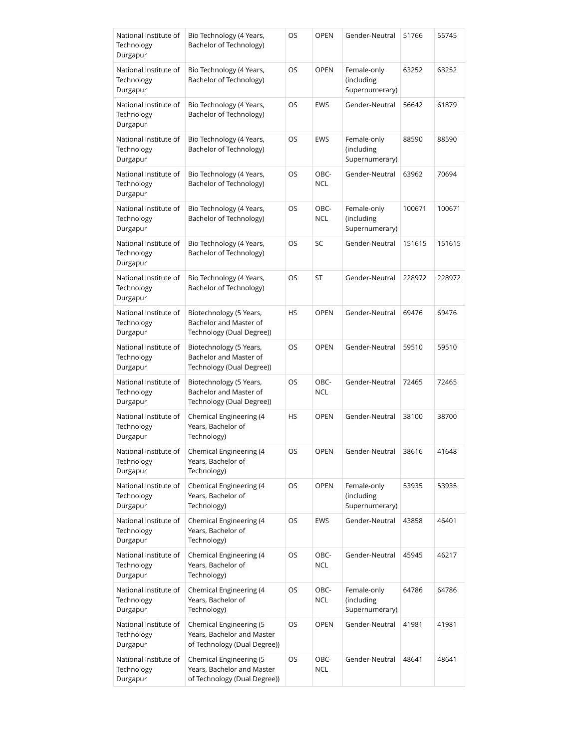| National Institute of<br>Technology<br>Durgapur | Bio Technology (4 Years,<br>Bachelor of Technology)                                   | OS        | <b>OPEN</b>        | Gender-Neutral                              | 51766  | 55745  |
|-------------------------------------------------|---------------------------------------------------------------------------------------|-----------|--------------------|---------------------------------------------|--------|--------|
| National Institute of<br>Technology<br>Durgapur | Bio Technology (4 Years,<br>Bachelor of Technology)                                   | OS        | <b>OPEN</b>        | Female-only<br>(including<br>Supernumerary) | 63252  | 63252  |
| National Institute of<br>Technology<br>Durgapur | Bio Technology (4 Years,<br>Bachelor of Technology)                                   | OS        | EWS                | Gender-Neutral                              | 56642  | 61879  |
| National Institute of<br>Technology<br>Durgapur | Bio Technology (4 Years,<br>Bachelor of Technology)                                   | OS        | EWS                | Female-only<br>(including<br>Supernumerary) | 88590  | 88590  |
| National Institute of<br>Technology<br>Durgapur | Bio Technology (4 Years,<br>Bachelor of Technology)                                   | OS        | OBC-<br><b>NCL</b> | Gender-Neutral                              | 63962  | 70694  |
| National Institute of<br>Technology<br>Durgapur | Bio Technology (4 Years,<br>Bachelor of Technology)                                   | OS        | OBC-<br><b>NCL</b> | Female-only<br>(including<br>Supernumerary) | 100671 | 100671 |
| National Institute of<br>Technology<br>Durgapur | Bio Technology (4 Years,<br>Bachelor of Technology)                                   | OS        | SC                 | Gender-Neutral                              | 151615 | 151615 |
| National Institute of<br>Technology<br>Durgapur | Bio Technology (4 Years,<br>Bachelor of Technology)                                   | OS        | ST                 | Gender-Neutral                              | 228972 | 228972 |
| National Institute of<br>Technology<br>Durgapur | Biotechnology (5 Years,<br>Bachelor and Master of<br>Technology (Dual Degree))        | HS        | <b>OPEN</b>        | Gender-Neutral                              | 69476  | 69476  |
| National Institute of<br>Technology<br>Durgapur | Biotechnology (5 Years,<br>Bachelor and Master of<br>Technology (Dual Degree))        | OS        | <b>OPEN</b>        | Gender-Neutral                              | 59510  | 59510  |
| National Institute of<br>Technology<br>Durgapur | Biotechnology (5 Years,<br>Bachelor and Master of<br>Technology (Dual Degree))        | OS        | OBC-<br><b>NCL</b> | Gender-Neutral                              | 72465  | 72465  |
| National Institute of<br>Technology<br>Durgapur | Chemical Engineering (4<br>Years, Bachelor of<br>Technology)                          | HS        | <b>OPEN</b>        | Gender-Neutral                              | 38100  | 38700  |
| National Institute of<br>Technology<br>Durgapur | Chemical Engineering (4<br>Years, Bachelor of<br>Technology)                          | OS        | OPEN               | Gender-Neutral                              | 38616  | 41648  |
| National Institute of<br>Technology<br>Durgapur | Chemical Engineering (4<br>Years, Bachelor of<br>Technology)                          | OS        | <b>OPEN</b>        | Female-only<br>(including<br>Supernumerary) | 53935  | 53935  |
| National Institute of<br>Technology<br>Durgapur | Chemical Engineering (4<br>Years, Bachelor of<br>Technology)                          | OS        | EWS                | Gender-Neutral                              | 43858  | 46401  |
| National Institute of<br>Technology<br>Durgapur | Chemical Engineering (4<br>Years, Bachelor of<br>Technology)                          | OS        | OBC-<br><b>NCL</b> | Gender-Neutral                              | 45945  | 46217  |
| National Institute of<br>Technology<br>Durgapur | Chemical Engineering (4<br>Years, Bachelor of<br>Technology)                          | OS        | OBC-<br><b>NCL</b> | Female-only<br>(including<br>Supernumerary) | 64786  | 64786  |
| National Institute of<br>Technology<br>Durgapur | Chemical Engineering (5<br>Years, Bachelor and Master<br>of Technology (Dual Degree)) | OS        | <b>OPEN</b>        | Gender-Neutral                              | 41981  | 41981  |
| National Institute of<br>Technology<br>Durgapur | Chemical Engineering (5<br>Years, Bachelor and Master<br>of Technology (Dual Degree)) | <b>OS</b> | OBC-<br><b>NCL</b> | Gender-Neutral                              | 48641  | 48641  |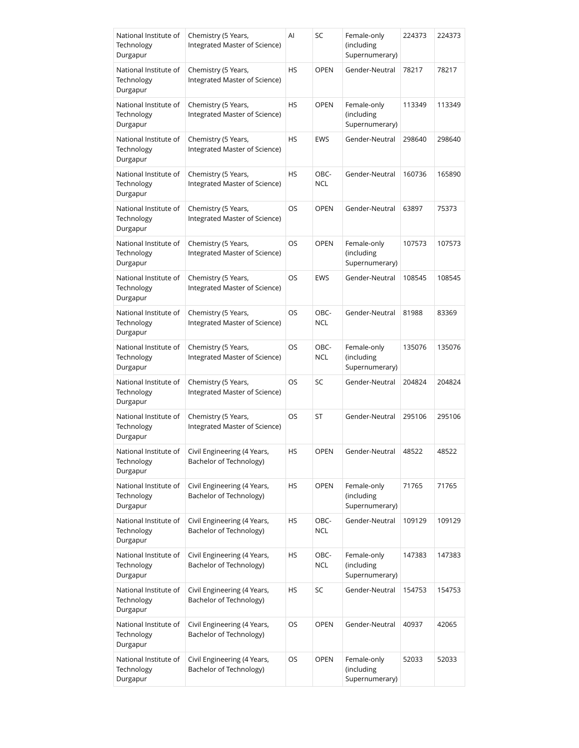| National Institute of<br>Technology<br>Durgapur | Chemistry (5 Years,<br>Integrated Master of Science)   | Al        | SC                 | Female-only<br>(including<br>Supernumerary) | 224373 | 224373 |
|-------------------------------------------------|--------------------------------------------------------|-----------|--------------------|---------------------------------------------|--------|--------|
| National Institute of<br>Technology<br>Durgapur | Chemistry (5 Years,<br>Integrated Master of Science)   | HS        | <b>OPEN</b>        | Gender-Neutral                              | 78217  | 78217  |
| National Institute of<br>Technology<br>Durgapur | Chemistry (5 Years,<br>Integrated Master of Science)   | <b>HS</b> | <b>OPEN</b>        | Female-only<br>(including<br>Supernumerary) | 113349 | 113349 |
| National Institute of<br>Technology<br>Durgapur | Chemistry (5 Years,<br>Integrated Master of Science)   | HS        | EWS                | Gender-Neutral                              | 298640 | 298640 |
| National Institute of<br>Technology<br>Durgapur | Chemistry (5 Years,<br>Integrated Master of Science)   | HS        | OBC-<br><b>NCL</b> | Gender-Neutral                              | 160736 | 165890 |
| National Institute of<br>Technology<br>Durgapur | Chemistry (5 Years,<br>Integrated Master of Science)   | OS        | <b>OPEN</b>        | Gender-Neutral                              | 63897  | 75373  |
| National Institute of<br>Technology<br>Durgapur | Chemistry (5 Years,<br>Integrated Master of Science)   | OS        | <b>OPEN</b>        | Female-only<br>(including<br>Supernumerary) | 107573 | 107573 |
| National Institute of<br>Technology<br>Durgapur | Chemistry (5 Years,<br>Integrated Master of Science)   | OS        | EWS                | Gender-Neutral                              | 108545 | 108545 |
| National Institute of<br>Technology<br>Durgapur | Chemistry (5 Years,<br>Integrated Master of Science)   | OS        | OBC-<br><b>NCL</b> | Gender-Neutral                              | 81988  | 83369  |
| National Institute of<br>Technology<br>Durgapur | Chemistry (5 Years,<br>Integrated Master of Science)   | OS        | OBC-<br><b>NCL</b> | Female-only<br>(including<br>Supernumerary) | 135076 | 135076 |
| National Institute of<br>Technology<br>Durgapur | Chemistry (5 Years,<br>Integrated Master of Science)   | <b>OS</b> | SC                 | Gender-Neutral                              | 204824 | 204824 |
| National Institute of<br>Technology<br>Durgapur | Chemistry (5 Years,<br>Integrated Master of Science)   | OS        | ST                 | Gender-Neutral                              | 295106 | 295106 |
| National Institute of<br>Technology<br>Durgapur | Civil Engineering (4 Years,<br>Bachelor of Technology) | HS        | OPEN               | Gender-Neutral                              | 48522  | 48522  |
| National Institute of<br>Technology<br>Durgapur | Civil Engineering (4 Years,<br>Bachelor of Technology) | HS        | <b>OPEN</b>        | Female-only<br>(including<br>Supernumerary) | 71765  | 71765  |
| National Institute of<br>Technology<br>Durgapur | Civil Engineering (4 Years,<br>Bachelor of Technology) | HS        | OBC-<br><b>NCL</b> | Gender-Neutral                              | 109129 | 109129 |
| National Institute of<br>Technology<br>Durgapur | Civil Engineering (4 Years,<br>Bachelor of Technology) | HS        | OBC-<br><b>NCL</b> | Female-only<br>(including<br>Supernumerary) | 147383 | 147383 |
| National Institute of<br>Technology<br>Durgapur | Civil Engineering (4 Years,<br>Bachelor of Technology) | HS        | SC                 | Gender-Neutral                              | 154753 | 154753 |
| National Institute of<br>Technology<br>Durgapur | Civil Engineering (4 Years,<br>Bachelor of Technology) | OS        | <b>OPEN</b>        | Gender-Neutral                              | 40937  | 42065  |
| National Institute of<br>Technology<br>Durgapur | Civil Engineering (4 Years,<br>Bachelor of Technology) | OS        | <b>OPEN</b>        | Female-only<br>(including<br>Supernumerary) | 52033  | 52033  |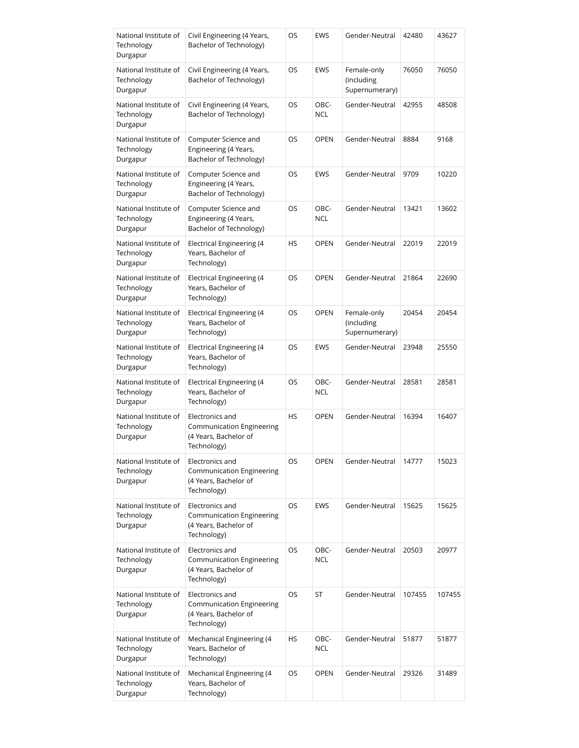| National Institute of<br>Technology<br>Durgapur | Civil Engineering (4 Years,<br>Bachelor of Technology)                                      | OS        | EWS                | Gender-Neutral                              | 42480  | 43627  |
|-------------------------------------------------|---------------------------------------------------------------------------------------------|-----------|--------------------|---------------------------------------------|--------|--------|
| National Institute of<br>Technology<br>Durgapur | Civil Engineering (4 Years,<br>Bachelor of Technology)                                      | OS        | <b>EWS</b>         | Female-only<br>(including<br>Supernumerary) | 76050  | 76050  |
| National Institute of<br>Technology<br>Durgapur | Civil Engineering (4 Years,<br>Bachelor of Technology)                                      | OS        | OBC-<br><b>NCL</b> | Gender-Neutral                              | 42955  | 48508  |
| National Institute of<br>Technology<br>Durgapur | Computer Science and<br>Engineering (4 Years,<br>Bachelor of Technology)                    | OS        | <b>OPEN</b>        | Gender-Neutral                              | 8884   | 9168   |
| National Institute of<br>Technology<br>Durgapur | Computer Science and<br>Engineering (4 Years,<br>Bachelor of Technology)                    | OS        | <b>EWS</b>         | Gender-Neutral                              | 9709   | 10220  |
| National Institute of<br>Technology<br>Durgapur | Computer Science and<br>Engineering (4 Years,<br>Bachelor of Technology)                    | OS        | OBC-<br><b>NCL</b> | Gender-Neutral                              | 13421  | 13602  |
| National Institute of<br>Technology<br>Durgapur | Electrical Engineering (4<br>Years, Bachelor of<br>Technology)                              | HS        | <b>OPEN</b>        | Gender-Neutral                              | 22019  | 22019  |
| National Institute of<br>Technology<br>Durgapur | <b>Electrical Engineering (4</b><br>Years, Bachelor of<br>Technology)                       | OS        | <b>OPEN</b>        | Gender-Neutral                              | 21864  | 22690  |
| National Institute of<br>Technology<br>Durgapur | Electrical Engineering (4<br>Years, Bachelor of<br>Technology)                              | OS        | <b>OPEN</b>        | Female-only<br>(including<br>Supernumerary) | 20454  | 20454  |
| National Institute of<br>Technology<br>Durgapur | <b>Electrical Engineering (4</b><br>Years, Bachelor of<br>Technology)                       | OS        | <b>EWS</b>         | Gender-Neutral                              | 23948  | 25550  |
| National Institute of<br>Technology<br>Durgapur | Electrical Engineering (4<br>Years, Bachelor of<br>Technology)                              | OS        | OBC-<br><b>NCL</b> | Gender-Neutral                              | 28581  | 28581  |
| National Institute of<br>Technology<br>Durgapur | Electronics and<br>Communication Engineering<br>(4 Years, Bachelor of<br>Technology)        | <b>HS</b> | <b>OPEN</b>        | Gender-Neutral                              | 16394  | 16407  |
| National Institute of<br>Technology<br>Durgapur | Electronics and<br><b>Communication Engineering</b><br>(4 Years, Bachelor of<br>Technology) | OS        | <b>OPEN</b>        | Gender-Neutral                              | 14777  | 15023  |
| National Institute of<br>Technology<br>Durgapur | Electronics and<br><b>Communication Engineering</b><br>(4 Years, Bachelor of<br>Technology) | OS        | <b>EWS</b>         | Gender-Neutral                              | 15625  | 15625  |
| National Institute of<br>Technology<br>Durgapur | Electronics and<br>Communication Engineering<br>(4 Years, Bachelor of<br>Technology)        | OS        | OBC-<br><b>NCL</b> | Gender-Neutral                              | 20503  | 20977  |
| National Institute of<br>Technology<br>Durgapur | Electronics and<br>Communication Engineering<br>(4 Years, Bachelor of<br>Technology)        | OS        | ST                 | Gender-Neutral                              | 107455 | 107455 |
| National Institute of<br>Technology<br>Durgapur | Mechanical Engineering (4<br>Years, Bachelor of<br>Technology)                              | НS        | OBC-<br><b>NCL</b> | Gender-Neutral                              | 51877  | 51877  |
| National Institute of<br>Technology<br>Durgapur | Mechanical Engineering (4<br>Years, Bachelor of<br>Technology)                              | OS        | <b>OPEN</b>        | Gender-Neutral                              | 29326  | 31489  |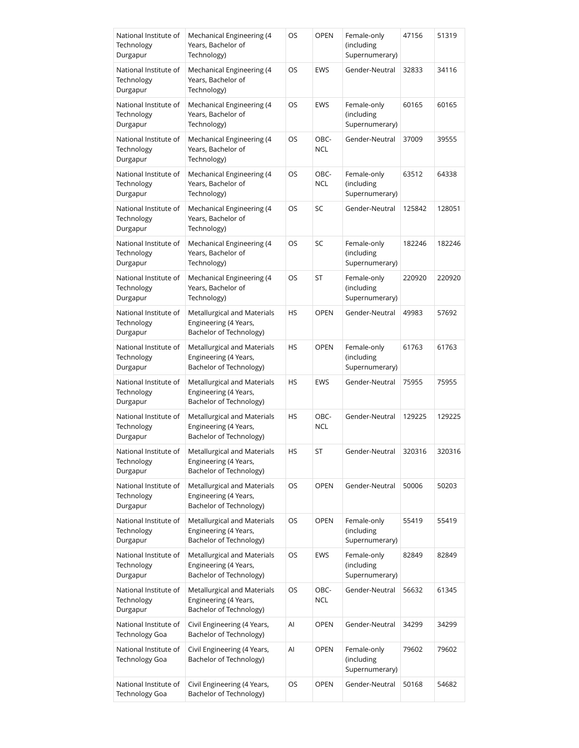| National Institute of<br>Technology<br>Durgapur | Mechanical Engineering (4<br>Years, Bachelor of<br>Technology)                  | OS | <b>OPEN</b>        | Female-only<br>(including<br>Supernumerary) | 47156  | 51319  |
|-------------------------------------------------|---------------------------------------------------------------------------------|----|--------------------|---------------------------------------------|--------|--------|
| National Institute of<br>Technology<br>Durgapur | Mechanical Engineering (4<br>Years, Bachelor of<br>Technology)                  | OS | <b>EWS</b>         | Gender-Neutral                              | 32833  | 34116  |
| National Institute of<br>Technology<br>Durgapur | Mechanical Engineering (4<br>Years, Bachelor of<br>Technology)                  | OS | EWS                | Female-only<br>(including<br>Supernumerary) | 60165  | 60165  |
| National Institute of<br>Technology<br>Durgapur | Mechanical Engineering (4<br>Years, Bachelor of<br>Technology)                  | OS | OBC-<br><b>NCL</b> | Gender-Neutral                              | 37009  | 39555  |
| National Institute of<br>Technology<br>Durgapur | Mechanical Engineering (4<br>Years, Bachelor of<br>Technology)                  | OS | OBC-<br><b>NCL</b> | Female-only<br>(including<br>Supernumerary) | 63512  | 64338  |
| National Institute of<br>Technology<br>Durgapur | Mechanical Engineering (4<br>Years, Bachelor of<br>Technology)                  | OS | SC                 | Gender-Neutral                              | 125842 | 128051 |
| National Institute of<br>Technology<br>Durgapur | Mechanical Engineering (4<br>Years, Bachelor of<br>Technology)                  | OS | SC                 | Female-only<br>(including<br>Supernumerary) | 182246 | 182246 |
| National Institute of<br>Technology<br>Durgapur | Mechanical Engineering (4<br>Years, Bachelor of<br>Technology)                  | OS | ST                 | Female-only<br>(including<br>Supernumerary) | 220920 | 220920 |
| National Institute of<br>Technology<br>Durgapur | Metallurgical and Materials<br>Engineering (4 Years,<br>Bachelor of Technology) | HS | <b>OPEN</b>        | Gender-Neutral                              | 49983  | 57692  |
| National Institute of<br>Technology<br>Durgapur | Metallurgical and Materials<br>Engineering (4 Years,<br>Bachelor of Technology) | HS | <b>OPEN</b>        | Female-only<br>(including<br>Supernumerary) | 61763  | 61763  |
| National Institute of<br>Technology<br>Durgapur | Metallurgical and Materials<br>Engineering (4 Years,<br>Bachelor of Technology) | HS | <b>EWS</b>         | Gender-Neutral                              | 75955  | 75955  |
| National Institute of<br>Technology<br>Durgapur | Metallurgical and Materials<br>Engineering (4 Years,<br>Bachelor of Technology) | HS | OBC-<br><b>NCL</b> | Gender-Neutral                              | 129225 | 129225 |
| National Institute of<br>Technology<br>Durgapur | Metallurgical and Materials<br>Engineering (4 Years,<br>Bachelor of Technology) | HS | <b>ST</b>          | Gender-Neutral                              | 320316 | 320316 |
| National Institute of<br>Technology<br>Durgapur | Metallurgical and Materials<br>Engineering (4 Years,<br>Bachelor of Technology) | OS | <b>OPEN</b>        | Gender-Neutral                              | 50006  | 50203  |
| National Institute of<br>Technology<br>Durgapur | Metallurgical and Materials<br>Engineering (4 Years,<br>Bachelor of Technology) | OS | <b>OPEN</b>        | Female-only<br>(including<br>Supernumerary) | 55419  | 55419  |
| National Institute of<br>Technology<br>Durgapur | Metallurgical and Materials<br>Engineering (4 Years,<br>Bachelor of Technology) | OS | <b>EWS</b>         | Female-only<br>(including<br>Supernumerary) | 82849  | 82849  |
| National Institute of<br>Technology<br>Durgapur | Metallurgical and Materials<br>Engineering (4 Years,<br>Bachelor of Technology) | OS | OBC-<br><b>NCL</b> | Gender-Neutral                              | 56632  | 61345  |
| National Institute of<br><b>Technology Goa</b>  | Civil Engineering (4 Years,<br>Bachelor of Technology)                          | Al | <b>OPEN</b>        | Gender-Neutral                              | 34299  | 34299  |
| National Institute of<br>Technology Goa         | Civil Engineering (4 Years,<br>Bachelor of Technology)                          | Al | <b>OPEN</b>        | Female-only<br>(including<br>Supernumerary) | 79602  | 79602  |
| National Institute of<br><b>Technology Goa</b>  | Civil Engineering (4 Years,<br>Bachelor of Technology)                          | OS | <b>OPEN</b>        | Gender-Neutral                              | 50168  | 54682  |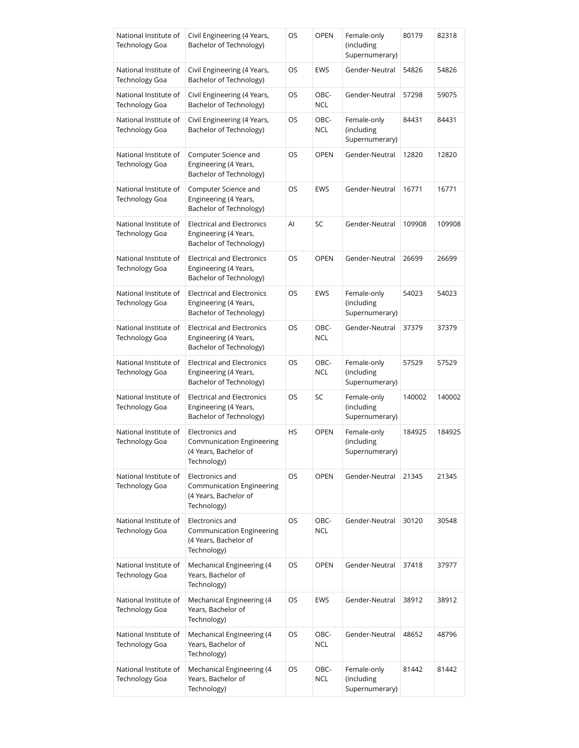| National Institute of<br>Technology Goa        | Civil Engineering (4 Years,<br>Bachelor of Technology)                                | OS | <b>OPEN</b>        | Female-only<br>(including<br>Supernumerary) | 80179  | 82318  |
|------------------------------------------------|---------------------------------------------------------------------------------------|----|--------------------|---------------------------------------------|--------|--------|
| National Institute of<br><b>Technology Goa</b> | Civil Engineering (4 Years,<br>Bachelor of Technology)                                | OS | <b>EWS</b>         | Gender-Neutral                              | 54826  | 54826  |
| National Institute of<br>Technology Goa        | Civil Engineering (4 Years,<br>Bachelor of Technology)                                | OS | OBC-<br><b>NCL</b> | Gender-Neutral                              | 57298  | 59075  |
| National Institute of<br>Technology Goa        | Civil Engineering (4 Years,<br>Bachelor of Technology)                                | OS | OBC-<br><b>NCL</b> | Female-only<br>(including<br>Supernumerary) | 84431  | 84431  |
| National Institute of<br><b>Technology Goa</b> | Computer Science and<br>Engineering (4 Years,<br>Bachelor of Technology)              | OS | <b>OPEN</b>        | Gender-Neutral                              | 12820  | 12820  |
| National Institute of<br>Technology Goa        | Computer Science and<br>Engineering (4 Years,<br>Bachelor of Technology)              | OS | <b>EWS</b>         | Gender-Neutral                              | 16771  | 16771  |
| National Institute of<br>Technology Goa        | <b>Electrical and Electronics</b><br>Engineering (4 Years,<br>Bachelor of Technology) | Al | SC                 | Gender-Neutral                              | 109908 | 109908 |
| National Institute of<br><b>Technology Goa</b> | <b>Electrical and Electronics</b><br>Engineering (4 Years,<br>Bachelor of Technology) | OS | <b>OPEN</b>        | Gender-Neutral                              | 26699  | 26699  |
| National Institute of<br>Technology Goa        | <b>Electrical and Electronics</b><br>Engineering (4 Years,<br>Bachelor of Technology) | OS | EWS                | Female-only<br>(including<br>Supernumerary) | 54023  | 54023  |
| National Institute of<br>Technology Goa        | <b>Electrical and Electronics</b><br>Engineering (4 Years,<br>Bachelor of Technology) | OS | OBC-<br><b>NCL</b> | Gender-Neutral                              | 37379  | 37379  |
| National Institute of<br>Technology Goa        | Electrical and Electronics<br>Engineering (4 Years,<br>Bachelor of Technology)        | OS | OBC-<br><b>NCL</b> | Female-only<br>(including<br>Supernumerary) | 57529  | 57529  |
| National Institute of<br><b>Technology Goa</b> | <b>Electrical and Electronics</b><br>Engineering (4 Years,<br>Bachelor of Technology) | OS | SC                 | Female-only<br>(including<br>Supernumerary) | 140002 | 140002 |
| National Institute of<br><b>Technology Goa</b> | Electronics and<br>Communication Engineering<br>(4 Years, Bachelor of<br>Technology)  | HS | <b>OPEN</b>        | Female-only<br>(including<br>Supernumerary) | 184925 | 184925 |
| National Institute of<br><b>Technology Goa</b> | Electronics and<br>Communication Engineering<br>(4 Years, Bachelor of<br>Technology)  | OS | <b>OPEN</b>        | Gender-Neutral                              | 21345  | 21345  |
| National Institute of<br><b>Technology Goa</b> | Electronics and<br>Communication Engineering<br>(4 Years, Bachelor of<br>Technology)  | OS | OBC-<br><b>NCL</b> | Gender-Neutral                              | 30120  | 30548  |
| National Institute of<br><b>Technology Goa</b> | Mechanical Engineering (4<br>Years, Bachelor of<br>Technology)                        | OS | <b>OPEN</b>        | Gender-Neutral                              | 37418  | 37977  |
| National Institute of<br><b>Technology Goa</b> | Mechanical Engineering (4<br>Years, Bachelor of<br>Technology)                        | OS | EWS                | Gender-Neutral                              | 38912  | 38912  |
| National Institute of<br><b>Technology Goa</b> | Mechanical Engineering (4<br>Years, Bachelor of<br>Technology)                        | OS | OBC-<br><b>NCL</b> | Gender-Neutral                              | 48652  | 48796  |
| National Institute of<br><b>Technology Goa</b> | Mechanical Engineering (4<br>Years, Bachelor of<br>Technology)                        | OS | OBC-<br><b>NCL</b> | Female-only<br>(including<br>Supernumerary) | 81442  | 81442  |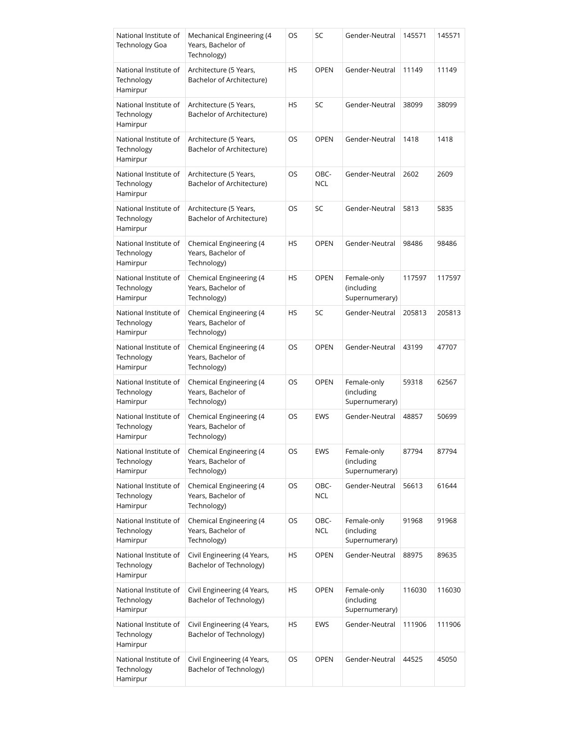| National Institute of<br><b>Technology Goa</b>  | Mechanical Engineering (4<br>Years, Bachelor of<br>Technology) | OS        | SC                 | Gender-Neutral                              | 145571 | 145571 |
|-------------------------------------------------|----------------------------------------------------------------|-----------|--------------------|---------------------------------------------|--------|--------|
| National Institute of<br>Technology<br>Hamirpur | Architecture (5 Years,<br>Bachelor of Architecture)            | HS        | <b>OPEN</b>        | Gender-Neutral                              | 11149  | 11149  |
| National Institute of<br>Technology<br>Hamirpur | Architecture (5 Years,<br>Bachelor of Architecture)            | <b>HS</b> | SC                 | Gender-Neutral                              | 38099  | 38099  |
| National Institute of<br>Technology<br>Hamirpur | Architecture (5 Years,<br>Bachelor of Architecture)            | OS        | <b>OPEN</b>        | Gender-Neutral                              | 1418   | 1418   |
| National Institute of<br>Technology<br>Hamirpur | Architecture (5 Years,<br>Bachelor of Architecture)            | OS        | OBC-<br><b>NCL</b> | Gender-Neutral                              | 2602   | 2609   |
| National Institute of<br>Technology<br>Hamirpur | Architecture (5 Years,<br>Bachelor of Architecture)            | OS        | SC                 | Gender-Neutral                              | 5813   | 5835   |
| National Institute of<br>Technology<br>Hamirpur | Chemical Engineering (4<br>Years, Bachelor of<br>Technology)   | <b>HS</b> | <b>OPEN</b>        | Gender-Neutral                              | 98486  | 98486  |
| National Institute of<br>Technology<br>Hamirpur | Chemical Engineering (4<br>Years, Bachelor of<br>Technology)   | HS        | <b>OPEN</b>        | Female-only<br>(including<br>Supernumerary) | 117597 | 117597 |
| National Institute of<br>Technology<br>Hamirpur | Chemical Engineering (4<br>Years, Bachelor of<br>Technology)   | HS        | SC                 | Gender-Neutral                              | 205813 | 205813 |
| National Institute of<br>Technology<br>Hamirpur | Chemical Engineering (4<br>Years, Bachelor of<br>Technology)   | OS        | <b>OPEN</b>        | Gender-Neutral                              | 43199  | 47707  |
| National Institute of<br>Technology<br>Hamirpur | Chemical Engineering (4<br>Years, Bachelor of<br>Technology)   | OS        | <b>OPEN</b>        | Female-only<br>(including<br>Supernumerary) | 59318  | 62567  |
| National Institute of<br>Technology<br>Hamirpur | Chemical Engineering (4<br>Years, Bachelor of<br>Technology)   | OS        | <b>EWS</b>         | Gender-Neutral                              | 48857  | 50699  |
| National Institute of<br>Technology<br>Hamirpur | Chemical Engineering (4<br>Years, Bachelor of<br>Technology)   | OS        | EWS                | Female-only<br>(including<br>Supernumerary) | 87794  | 87794  |
| National Institute of<br>Technology<br>Hamirpur | Chemical Engineering (4<br>Years, Bachelor of<br>Technology)   | OS        | OBC-<br><b>NCL</b> | Gender-Neutral                              | 56613  | 61644  |
| National Institute of<br>Technology<br>Hamirpur | Chemical Engineering (4<br>Years, Bachelor of<br>Technology)   | OS        | OBC-<br><b>NCL</b> | Female-only<br>(including<br>Supernumerary) | 91968  | 91968  |
| National Institute of<br>Technology<br>Hamirpur | Civil Engineering (4 Years,<br>Bachelor of Technology)         | HS        | <b>OPEN</b>        | Gender-Neutral                              | 88975  | 89635  |
| National Institute of<br>Technology<br>Hamirpur | Civil Engineering (4 Years,<br>Bachelor of Technology)         | HS        | <b>OPEN</b>        | Female-only<br>(including<br>Supernumerary) | 116030 | 116030 |
| National Institute of<br>Technology<br>Hamirpur | Civil Engineering (4 Years,<br>Bachelor of Technology)         | HS        | EWS                | Gender-Neutral                              | 111906 | 111906 |
| National Institute of<br>Technology<br>Hamirpur | Civil Engineering (4 Years,<br>Bachelor of Technology)         | OS        | <b>OPEN</b>        | Gender-Neutral                              | 44525  | 45050  |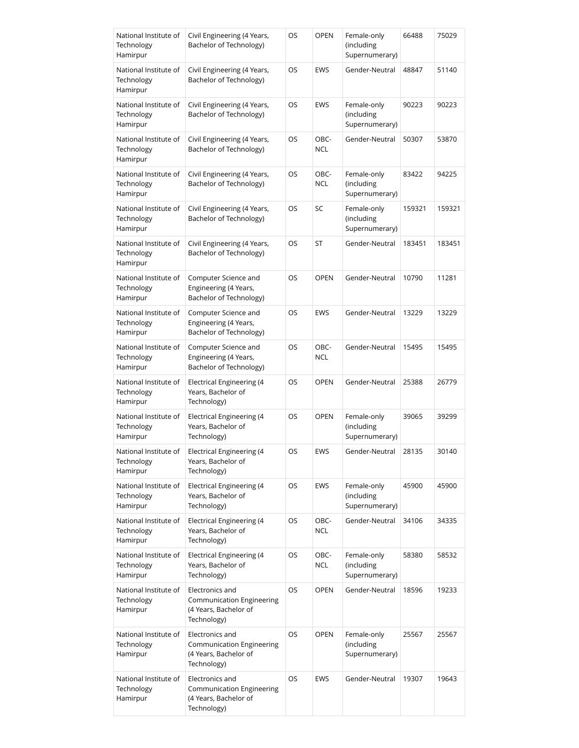| National Institute of<br>Technology<br>Hamirpur | Civil Engineering (4 Years,<br>Bachelor of Technology)                               | OS | <b>OPEN</b>        | Female-only<br>(including<br>Supernumerary) | 66488  | 75029  |
|-------------------------------------------------|--------------------------------------------------------------------------------------|----|--------------------|---------------------------------------------|--------|--------|
| National Institute of<br>Technology<br>Hamirpur | Civil Engineering (4 Years,<br>Bachelor of Technology)                               | OS | <b>EWS</b>         | Gender-Neutral                              | 48847  | 51140  |
| National Institute of<br>Technology<br>Hamirpur | Civil Engineering (4 Years,<br>Bachelor of Technology)                               | OS | <b>EWS</b>         | Female-only<br>(including<br>Supernumerary) | 90223  | 90223  |
| National Institute of<br>Technology<br>Hamirpur | Civil Engineering (4 Years,<br>Bachelor of Technology)                               | OS | OBC-<br><b>NCL</b> | Gender-Neutral                              | 50307  | 53870  |
| National Institute of<br>Technology<br>Hamirpur | Civil Engineering (4 Years,<br>Bachelor of Technology)                               | OS | OBC-<br><b>NCL</b> | Female-only<br>(including<br>Supernumerary) | 83422  | 94225  |
| National Institute of<br>Technology<br>Hamirpur | Civil Engineering (4 Years,<br>Bachelor of Technology)                               | OS | SC                 | Female-only<br>(including<br>Supernumerary) | 159321 | 159321 |
| National Institute of<br>Technology<br>Hamirpur | Civil Engineering (4 Years,<br>Bachelor of Technology)                               | OS | ST                 | Gender-Neutral                              | 183451 | 183451 |
| National Institute of<br>Technology<br>Hamirpur | Computer Science and<br>Engineering (4 Years,<br>Bachelor of Technology)             | OS | <b>OPEN</b>        | Gender-Neutral                              | 10790  | 11281  |
| National Institute of<br>Technology<br>Hamirpur | Computer Science and<br>Engineering (4 Years,<br>Bachelor of Technology)             | OS | <b>EWS</b>         | Gender-Neutral                              | 13229  | 13229  |
| National Institute of<br>Technology<br>Hamirpur | Computer Science and<br>Engineering (4 Years,<br>Bachelor of Technology)             | OS | OBC-<br><b>NCL</b> | Gender-Neutral                              | 15495  | 15495  |
| National Institute of<br>Technology<br>Hamirpur | Electrical Engineering (4<br>Years, Bachelor of<br>Technology)                       | OS | <b>OPEN</b>        | Gender-Neutral                              | 25388  | 26779  |
| National Institute of<br>Technology<br>Hamirpur | <b>Electrical Engineering (4</b><br>Years, Bachelor of<br>Technology)                | OS | <b>OPEN</b>        | Female-only<br>(including<br>Supernumerary) | 39065  | 39299  |
| National Institute of<br>Technology<br>Hamirpur | <b>Electrical Engineering (4</b><br>Years, Bachelor of<br>Technology)                | OS | <b>EWS</b>         | Gender-Neutral                              | 28135  | 30140  |
| National Institute of<br>Technology<br>Hamirpur | Electrical Engineering (4<br>Years, Bachelor of<br>Technology)                       | OS | <b>EWS</b>         | Female-only<br>(including<br>Supernumerary) | 45900  | 45900  |
| National Institute of<br>Technology<br>Hamirpur | <b>Electrical Engineering (4</b><br>Years, Bachelor of<br>Technology)                | OS | OBC-<br><b>NCL</b> | Gender-Neutral                              | 34106  | 34335  |
| National Institute of<br>Technology<br>Hamirpur | <b>Electrical Engineering (4</b><br>Years, Bachelor of<br>Technology)                | OS | OBC-<br><b>NCL</b> | Female-only<br>(including<br>Supernumerary) | 58380  | 58532  |
| National Institute of<br>Technology<br>Hamirpur | Electronics and<br>Communication Engineering<br>(4 Years, Bachelor of<br>Technology) | OS | <b>OPEN</b>        | Gender-Neutral                              | 18596  | 19233  |
| National Institute of<br>Technology<br>Hamirpur | Electronics and<br>Communication Engineering<br>(4 Years, Bachelor of<br>Technology) | OS | <b>OPEN</b>        | Female-only<br>(including<br>Supernumerary) | 25567  | 25567  |
| National Institute of<br>Technology<br>Hamirpur | Electronics and<br>Communication Engineering<br>(4 Years, Bachelor of<br>Technology) | OS | EWS                | Gender-Neutral                              | 19307  | 19643  |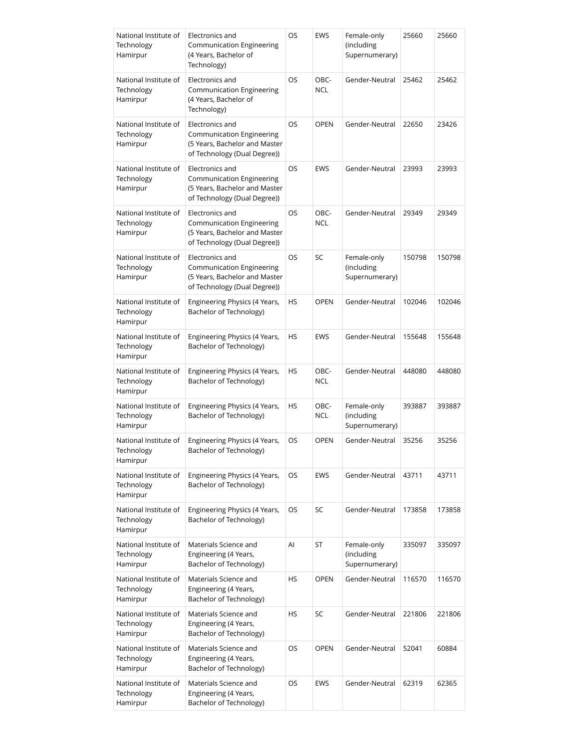| National Institute of<br>Technology<br>Hamirpur | Electronics and<br>Communication Engineering<br>(4 Years, Bachelor of<br>Technology)                                 | OS | <b>EWS</b>         | Female-only<br>(including<br>Supernumerary) | 25660  | 25660  |
|-------------------------------------------------|----------------------------------------------------------------------------------------------------------------------|----|--------------------|---------------------------------------------|--------|--------|
| National Institute of<br>Technology<br>Hamirpur | Electronics and<br><b>Communication Engineering</b><br>(4 Years, Bachelor of<br>Technology)                          | OS | OBC-<br><b>NCL</b> | Gender-Neutral                              | 25462  | 25462  |
| National Institute of<br>Technology<br>Hamirpur | Electronics and<br><b>Communication Engineering</b><br>(5 Years, Bachelor and Master<br>of Technology (Dual Degree)) | OS | <b>OPEN</b>        | Gender-Neutral                              | 22650  | 23426  |
| National Institute of<br>Technology<br>Hamirpur | Electronics and<br>Communication Engineering<br>(5 Years, Bachelor and Master<br>of Technology (Dual Degree))        | OS | EWS                | Gender-Neutral                              | 23993  | 23993  |
| National Institute of<br>Technology<br>Hamirpur | Electronics and<br>Communication Engineering<br>(5 Years, Bachelor and Master<br>of Technology (Dual Degree))        | OS | OBC-<br><b>NCL</b> | Gender-Neutral                              | 29349  | 29349  |
| National Institute of<br>Technology<br>Hamirpur | Electronics and<br>Communication Engineering<br>(5 Years, Bachelor and Master<br>of Technology (Dual Degree))        | OS | SC                 | Female-only<br>(including<br>Supernumerary) | 150798 | 150798 |
| National Institute of<br>Technology<br>Hamirpur | Engineering Physics (4 Years,<br>Bachelor of Technology)                                                             | HS | <b>OPEN</b>        | Gender-Neutral                              | 102046 | 102046 |
| National Institute of<br>Technology<br>Hamirpur | Engineering Physics (4 Years,<br>Bachelor of Technology)                                                             | HS | <b>EWS</b>         | Gender-Neutral                              | 155648 | 155648 |
| National Institute of<br>Technology<br>Hamirpur | Engineering Physics (4 Years,<br>Bachelor of Technology)                                                             | HS | OBC-<br><b>NCL</b> | Gender-Neutral                              | 448080 | 448080 |
| National Institute of<br>Technology<br>Hamirpur | Engineering Physics (4 Years,<br>Bachelor of Technology)                                                             | HS | OBC-<br><b>NCL</b> | Female-only<br>(including<br>Supernumerary) | 393887 | 393887 |
| National Institute of<br>Technology<br>Hamirpur | Engineering Physics (4 Years,<br>Bachelor of Technology)                                                             | OS | <b>OPEN</b>        | Gender-Neutral                              | 35256  | 35256  |
| National Institute of<br>Technology<br>Hamirpur | Engineering Physics (4 Years,<br>Bachelor of Technology)                                                             | OS | EWS                | Gender-Neutral                              | 43711  | 43711  |
| National Institute of<br>Technology<br>Hamirpur | Engineering Physics (4 Years,<br>Bachelor of Technology)                                                             | OS | SC                 | Gender-Neutral                              | 173858 | 173858 |
| National Institute of<br>Technology<br>Hamirpur | Materials Science and<br>Engineering (4 Years,<br>Bachelor of Technology)                                            | AI | ST                 | Female-only<br>(including<br>Supernumerary) | 335097 | 335097 |
| National Institute of<br>Technology<br>Hamirpur | Materials Science and<br>Engineering (4 Years,<br>Bachelor of Technology)                                            | HS | <b>OPEN</b>        | Gender-Neutral                              | 116570 | 116570 |
| National Institute of<br>Technology<br>Hamirpur | Materials Science and<br>Engineering (4 Years,<br>Bachelor of Technology)                                            | HS | SC                 | Gender-Neutral                              | 221806 | 221806 |
| National Institute of<br>Technology<br>Hamirpur | Materials Science and<br>Engineering (4 Years,<br>Bachelor of Technology)                                            | OS | <b>OPEN</b>        | Gender-Neutral                              | 52041  | 60884  |
| National Institute of<br>Technology<br>Hamirpur | Materials Science and<br>Engineering (4 Years,<br>Bachelor of Technology)                                            | OS | EWS                | Gender-Neutral                              | 62319  | 62365  |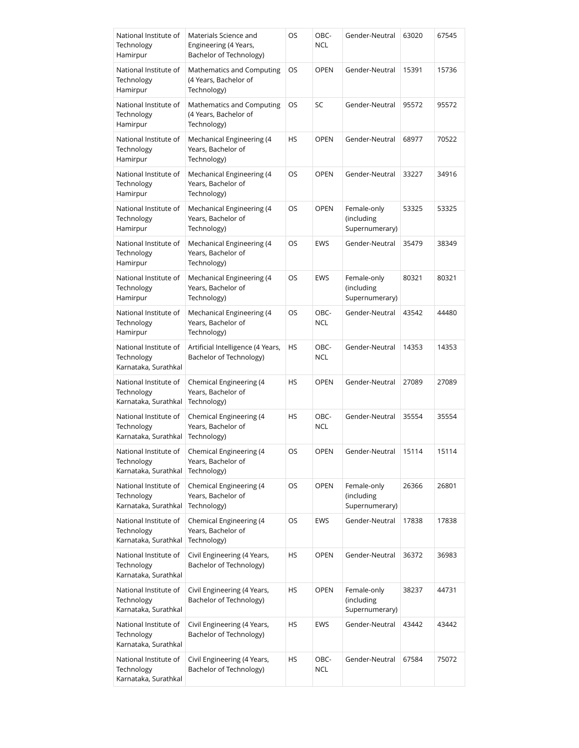| National Institute of<br>Technology<br>Hamirpur             | Materials Science and<br>Engineering (4 Years,<br>Bachelor of Technology) | OS        | OBC-<br><b>NCL</b> | Gender-Neutral                              | 63020 | 67545 |
|-------------------------------------------------------------|---------------------------------------------------------------------------|-----------|--------------------|---------------------------------------------|-------|-------|
| National Institute of<br>Technology<br>Hamirpur             | Mathematics and Computing<br>(4 Years, Bachelor of<br>Technology)         | OS        | <b>OPEN</b>        | Gender-Neutral                              | 15391 | 15736 |
| National Institute of<br>Technology<br>Hamirpur             | Mathematics and Computing<br>(4 Years, Bachelor of<br>Technology)         | OS        | SC                 | Gender-Neutral                              | 95572 | 95572 |
| National Institute of<br>Technology<br>Hamirpur             | Mechanical Engineering (4<br>Years, Bachelor of<br>Technology)            | HS        | <b>OPEN</b>        | Gender-Neutral                              | 68977 | 70522 |
| National Institute of<br>Technology<br>Hamirpur             | Mechanical Engineering (4<br>Years, Bachelor of<br>Technology)            | OS        | <b>OPEN</b>        | Gender-Neutral                              | 33227 | 34916 |
| National Institute of<br>Technology<br>Hamirpur             | Mechanical Engineering (4<br>Years, Bachelor of<br>Technology)            | OS        | <b>OPEN</b>        | Female-only<br>(including<br>Supernumerary) | 53325 | 53325 |
| National Institute of<br>Technology<br>Hamirpur             | Mechanical Engineering (4<br>Years, Bachelor of<br>Technology)            | OS        | EWS                | Gender-Neutral                              | 35479 | 38349 |
| National Institute of<br>Technology<br>Hamirpur             | Mechanical Engineering (4<br>Years, Bachelor of<br>Technology)            | OS        | EWS                | Female-only<br>(including<br>Supernumerary) | 80321 | 80321 |
| National Institute of<br>Technology<br>Hamirpur             | Mechanical Engineering (4<br>Years, Bachelor of<br>Technology)            | OS        | OBC-<br><b>NCL</b> | Gender-Neutral                              | 43542 | 44480 |
| National Institute of<br>Technology<br>Karnataka, Surathkal | Artificial Intelligence (4 Years,<br>Bachelor of Technology)              | HS        | OBC-<br><b>NCL</b> | Gender-Neutral                              | 14353 | 14353 |
| National Institute of<br>Technology<br>Karnataka, Surathkal | Chemical Engineering (4<br>Years, Bachelor of<br>Technology)              | HS        | <b>OPEN</b>        | Gender-Neutral                              | 27089 | 27089 |
| National Institute of<br>Technology<br>Karnataka, Surathkal | Chemical Engineering (4<br>Years, Bachelor of<br>Technology)              | <b>HS</b> | OBC-<br><b>NCL</b> | Gender-Neutral                              | 35554 | 35554 |
| National Institute of<br>Technology<br>Karnataka, Surathkal | Chemical Engineering (4<br>Years, Bachelor of<br>Technology)              | OS        | OPEN               | Gender-Neutral                              | 15114 | 15114 |
| National Institute of<br>Technology<br>Karnataka, Surathkal | Chemical Engineering (4<br>Years, Bachelor of<br>Technology)              | OS        | <b>OPEN</b>        | Female-only<br>(including<br>Supernumerary) | 26366 | 26801 |
| National Institute of<br>Technology<br>Karnataka, Surathkal | Chemical Engineering (4<br>Years, Bachelor of<br>Technology)              | OS        | EWS                | Gender-Neutral                              | 17838 | 17838 |
| National Institute of<br>Technology<br>Karnataka, Surathkal | Civil Engineering (4 Years,<br>Bachelor of Technology)                    | HS        | <b>OPEN</b>        | Gender-Neutral                              | 36372 | 36983 |
| National Institute of<br>Technology<br>Karnataka, Surathkal | Civil Engineering (4 Years,<br>Bachelor of Technology)                    | HS        | <b>OPEN</b>        | Female-only<br>(including<br>Supernumerary) | 38237 | 44731 |
| National Institute of<br>Technology<br>Karnataka, Surathkal | Civil Engineering (4 Years,<br>Bachelor of Technology)                    | HS        | EWS                | Gender-Neutral                              | 43442 | 43442 |
| National Institute of<br>Technology<br>Karnataka, Surathkal | Civil Engineering (4 Years,<br>Bachelor of Technology)                    | HS        | OBC-<br><b>NCL</b> | Gender-Neutral                              | 67584 | 75072 |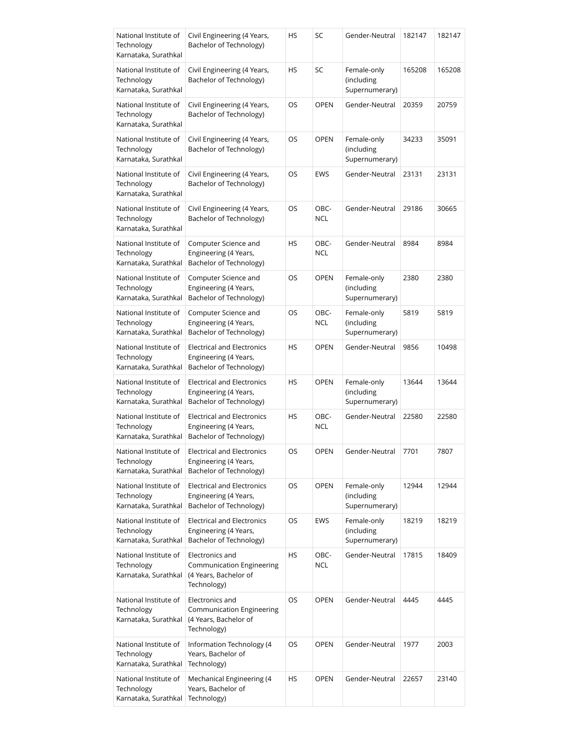| National Institute of<br>Technology<br>Karnataka, Surathkal | Civil Engineering (4 Years,<br>Bachelor of Technology)                                | HS        | SC                 | Gender-Neutral                              | 182147 | 182147 |
|-------------------------------------------------------------|---------------------------------------------------------------------------------------|-----------|--------------------|---------------------------------------------|--------|--------|
| National Institute of<br>Technology<br>Karnataka, Surathkal | Civil Engineering (4 Years,<br>Bachelor of Technology)                                | HS        | SC                 | Female-only<br>(including<br>Supernumerary) | 165208 | 165208 |
| National Institute of<br>Technology<br>Karnataka, Surathkal | Civil Engineering (4 Years,<br>Bachelor of Technology)                                | OS        | <b>OPEN</b>        | Gender-Neutral                              | 20359  | 20759  |
| National Institute of<br>Technology<br>Karnataka, Surathkal | Civil Engineering (4 Years,<br>Bachelor of Technology)                                | OS        | <b>OPEN</b>        | Female-only<br>(including<br>Supernumerary) | 34233  | 35091  |
| National Institute of<br>Technology<br>Karnataka, Surathkal | Civil Engineering (4 Years,<br>Bachelor of Technology)                                | OS        | EWS                | Gender-Neutral                              | 23131  | 23131  |
| National Institute of<br>Technology<br>Karnataka, Surathkal | Civil Engineering (4 Years,<br>Bachelor of Technology)                                | OS        | OBC-<br><b>NCL</b> | Gender-Neutral                              | 29186  | 30665  |
| National Institute of<br>Technology<br>Karnataka, Surathkal | Computer Science and<br>Engineering (4 Years,<br>Bachelor of Technology)              | HS        | OBC-<br><b>NCL</b> | Gender-Neutral                              | 8984   | 8984   |
| National Institute of<br>Technology<br>Karnataka, Surathkal | Computer Science and<br>Engineering (4 Years,<br>Bachelor of Technology)              | OS        | <b>OPEN</b>        | Female-only<br>(including<br>Supernumerary) | 2380   | 2380   |
| National Institute of<br>Technology<br>Karnataka, Surathkal | Computer Science and<br>Engineering (4 Years,<br>Bachelor of Technology)              | OS        | OBC-<br><b>NCL</b> | Female-only<br>(including<br>Supernumerary) | 5819   | 5819   |
| National Institute of<br>Technology<br>Karnataka, Surathkal | <b>Electrical and Electronics</b><br>Engineering (4 Years,<br>Bachelor of Technology) | <b>HS</b> | <b>OPEN</b>        | Gender-Neutral                              | 9856   | 10498  |
| National Institute of<br>Technology<br>Karnataka, Surathkal | <b>Electrical and Electronics</b><br>Engineering (4 Years,<br>Bachelor of Technology) | HS        | <b>OPEN</b>        | Female-only<br>(including<br>Supernumerary) | 13644  | 13644  |
| National Institute of<br>Technology<br>Karnataka, Surathkal | <b>Electrical and Electronics</b><br>Engineering (4 Years,<br>Bachelor of Technology) | HS        | OBC-<br><b>NCL</b> | Gender-Neutral                              | 22580  | 22580  |
| National Institute of<br>Technology<br>Karnataka, Surathkal | <b>Electrical and Electronics</b><br>Engineering (4 Years,<br>Bachelor of Technology) | OS        | OPEN               | Gender-Neutral                              | 7701   | 7807   |
| National Institute of<br>Technology<br>Karnataka, Surathkal | <b>Electrical and Electronics</b><br>Engineering (4 Years,<br>Bachelor of Technology) | OS        | <b>OPEN</b>        | Female-only<br>(including<br>Supernumerary) | 12944  | 12944  |
| National Institute of<br>Technology<br>Karnataka, Surathkal | <b>Electrical and Electronics</b><br>Engineering (4 Years,<br>Bachelor of Technology) | OS        | EWS                | Female-only<br>(including<br>Supernumerary) | 18219  | 18219  |
| National Institute of<br>Technology<br>Karnataka, Surathkal | Electronics and<br>Communication Engineering<br>(4 Years, Bachelor of<br>Technology)  | HS        | OBC-<br><b>NCL</b> | Gender-Neutral                              | 17815  | 18409  |
| National Institute of<br>Technology<br>Karnataka, Surathkal | Electronics and<br>Communication Engineering<br>(4 Years, Bachelor of<br>Technology)  | OS        | <b>OPEN</b>        | Gender-Neutral                              | 4445   | 4445   |
| National Institute of<br>Technology<br>Karnataka, Surathkal | Information Technology (4<br>Years, Bachelor of<br>Technology)                        | OS        | <b>OPEN</b>        | Gender-Neutral                              | 1977   | 2003   |
| National Institute of<br>Technology<br>Karnataka, Surathkal | Mechanical Engineering (4<br>Years, Bachelor of<br>Technology)                        | HS        | <b>OPEN</b>        | Gender-Neutral                              | 22657  | 23140  |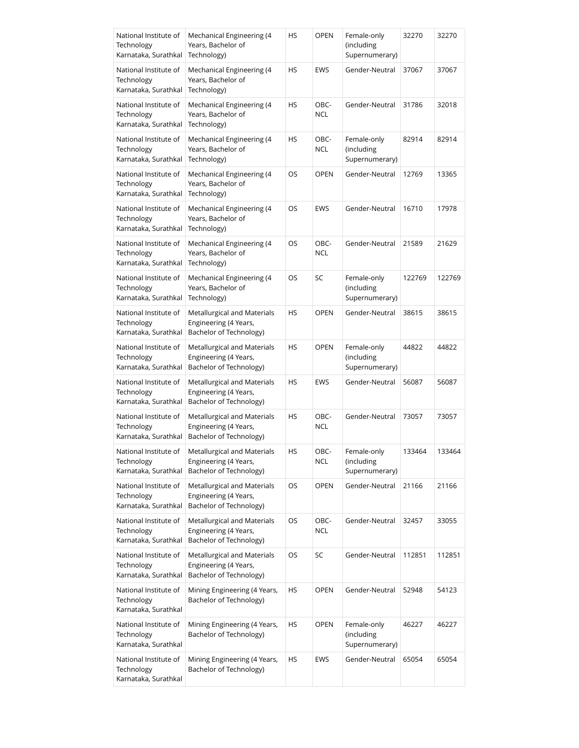| National Institute of<br>Technology<br>Karnataka, Surathkal | Mechanical Engineering (4<br>Years, Bachelor of<br>Technology)                  | HS        | <b>OPEN</b>        | Female-only<br>(including<br>Supernumerary) | 32270  | 32270  |
|-------------------------------------------------------------|---------------------------------------------------------------------------------|-----------|--------------------|---------------------------------------------|--------|--------|
| National Institute of<br>Technology<br>Karnataka, Surathkal | Mechanical Engineering (4<br>Years, Bachelor of<br>Technology)                  | HS        | EWS                | Gender-Neutral                              | 37067  | 37067  |
| National Institute of<br>Technology<br>Karnataka, Surathkal | Mechanical Engineering (4<br>Years, Bachelor of<br>Technology)                  | HS        | OBC-<br><b>NCL</b> | Gender-Neutral                              | 31786  | 32018  |
| National Institute of<br>Technology<br>Karnataka, Surathkal | Mechanical Engineering (4<br>Years, Bachelor of<br>Technology)                  | HS        | OBC-<br><b>NCL</b> | Female-only<br>(including<br>Supernumerary) | 82914  | 82914  |
| National Institute of<br>Technology<br>Karnataka, Surathkal | Mechanical Engineering (4<br>Years, Bachelor of<br>Technology)                  | OS        | <b>OPEN</b>        | Gender-Neutral                              | 12769  | 13365  |
| National Institute of<br>Technology<br>Karnataka, Surathkal | Mechanical Engineering (4<br>Years, Bachelor of<br>Technology)                  | OS        | EWS                | Gender-Neutral                              | 16710  | 17978  |
| National Institute of<br>Technology<br>Karnataka, Surathkal | Mechanical Engineering (4<br>Years, Bachelor of<br>Technology)                  | OS        | OBC-<br><b>NCL</b> | Gender-Neutral                              | 21589  | 21629  |
| National Institute of<br>Technology<br>Karnataka, Surathkal | Mechanical Engineering (4<br>Years, Bachelor of<br>Technology)                  | OS        | SC                 | Female-only<br>(including<br>Supernumerary) | 122769 | 122769 |
| National Institute of<br>Technology<br>Karnataka, Surathkal | Metallurgical and Materials<br>Engineering (4 Years,<br>Bachelor of Technology) | <b>HS</b> | <b>OPEN</b>        | Gender-Neutral                              | 38615  | 38615  |
| National Institute of<br>Technology<br>Karnataka, Surathkal | Metallurgical and Materials<br>Engineering (4 Years,<br>Bachelor of Technology) | HS        | <b>OPEN</b>        | Female-only<br>(including<br>Supernumerary) | 44822  | 44822  |
| National Institute of<br>Technology<br>Karnataka, Surathkal | Metallurgical and Materials<br>Engineering (4 Years,<br>Bachelor of Technology) | <b>HS</b> | <b>EWS</b>         | Gender-Neutral                              | 56087  | 56087  |
| National Institute of<br>Technology<br>Karnataka, Surathkal | Metallurgical and Materials<br>Engineering (4 Years,<br>Bachelor of Technology) | HS        | OBC-<br><b>NCL</b> | Gender-Neutral                              | 73057  | 73057  |
| National Institute of<br>Technology<br>Karnataka, Surathkal | Metallurgical and Materials<br>Engineering (4 Years,<br>Bachelor of Technology) | HS        | OBC-<br>NCL        | Female-only<br>(including<br>Supernumerary) | 133464 | 133464 |
| National Institute of<br>Technology<br>Karnataka, Surathkal | Metallurgical and Materials<br>Engineering (4 Years,<br>Bachelor of Technology) | OS        | <b>OPEN</b>        | Gender-Neutral                              | 21166  | 21166  |
| National Institute of<br>Technology<br>Karnataka, Surathkal | Metallurgical and Materials<br>Engineering (4 Years,<br>Bachelor of Technology) | OS        | OBC-<br>NCL        | Gender-Neutral                              | 32457  | 33055  |
| National Institute of<br>Technology<br>Karnataka, Surathkal | Metallurgical and Materials<br>Engineering (4 Years,<br>Bachelor of Technology) | OS        | SC                 | Gender-Neutral                              | 112851 | 112851 |
| National Institute of<br>Technology<br>Karnataka, Surathkal | Mining Engineering (4 Years,<br>Bachelor of Technology)                         | HS        | <b>OPEN</b>        | Gender-Neutral                              | 52948  | 54123  |
| National Institute of<br>Technology<br>Karnataka, Surathkal | Mining Engineering (4 Years,<br>Bachelor of Technology)                         | HS        | <b>OPEN</b>        | Female-only<br>(including<br>Supernumerary) | 46227  | 46227  |
| National Institute of<br>Technology<br>Karnataka, Surathkal | Mining Engineering (4 Years,<br>Bachelor of Technology)                         | HS        | EWS                | Gender-Neutral                              | 65054  | 65054  |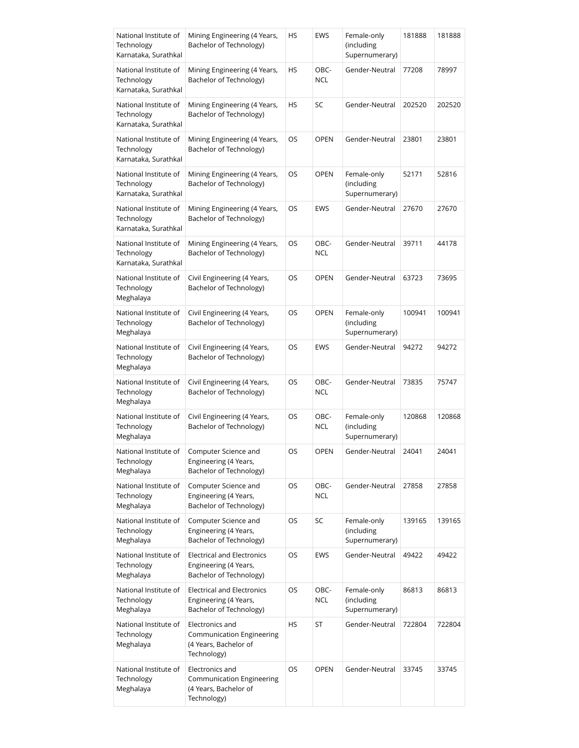| National Institute of<br>Technology<br>Karnataka, Surathkal | Mining Engineering (4 Years,<br>Bachelor of Technology)                               | HS        | EWS                | Female-only<br>(including<br>Supernumerary) | 181888 | 181888 |
|-------------------------------------------------------------|---------------------------------------------------------------------------------------|-----------|--------------------|---------------------------------------------|--------|--------|
| National Institute of<br>Technology<br>Karnataka, Surathkal | Mining Engineering (4 Years,<br>Bachelor of Technology)                               | HS        | OBC-<br><b>NCL</b> | Gender-Neutral                              | 77208  | 78997  |
| National Institute of<br>Technology<br>Karnataka, Surathkal | Mining Engineering (4 Years,<br>Bachelor of Technology)                               | HS        | SC                 | Gender-Neutral                              | 202520 | 202520 |
| National Institute of<br>Technology<br>Karnataka, Surathkal | Mining Engineering (4 Years,<br>Bachelor of Technology)                               | OS        | <b>OPEN</b>        | Gender-Neutral                              | 23801  | 23801  |
| National Institute of<br>Technology<br>Karnataka, Surathkal | Mining Engineering (4 Years,<br>Bachelor of Technology)                               | OS        | <b>OPEN</b>        | Female-only<br>(including<br>Supernumerary) | 52171  | 52816  |
| National Institute of<br>Technology<br>Karnataka, Surathkal | Mining Engineering (4 Years,<br>Bachelor of Technology)                               | OS        | EWS                | Gender-Neutral                              | 27670  | 27670  |
| National Institute of<br>Technology<br>Karnataka, Surathkal | Mining Engineering (4 Years,<br>Bachelor of Technology)                               | OS        | OBC-<br><b>NCL</b> | Gender-Neutral                              | 39711  | 44178  |
| National Institute of<br>Technology<br>Meghalaya            | Civil Engineering (4 Years,<br>Bachelor of Technology)                                | OS        | <b>OPEN</b>        | Gender-Neutral                              | 63723  | 73695  |
| National Institute of<br>Technology<br>Meghalaya            | Civil Engineering (4 Years,<br>Bachelor of Technology)                                | OS        | <b>OPEN</b>        | Female-only<br>(including<br>Supernumerary) | 100941 | 100941 |
| National Institute of<br>Technology<br>Meghalaya            | Civil Engineering (4 Years,<br>Bachelor of Technology)                                | OS        | EWS                | Gender-Neutral                              | 94272  | 94272  |
| National Institute of<br>Technology<br>Meghalaya            | Civil Engineering (4 Years,<br>Bachelor of Technology)                                | OS        | OBC-<br><b>NCL</b> | Gender-Neutral                              | 73835  | 75747  |
| National Institute of<br>Technology<br>Meghalaya            | Civil Engineering (4 Years,<br>Bachelor of Technology)                                | OS        | OBC-<br><b>NCL</b> | Female-only<br>(including<br>Supernumerary) | 120868 | 120868 |
| National Institute of<br>Technology<br>Meghalaya            | Computer Science and<br>Engineering (4 Years,<br>Bachelor of Technology)              | OS        | OPEN               | Gender-Neutral                              | 24041  | 24041  |
| National Institute of<br>Technology<br>Meghalaya            | Computer Science and<br>Engineering (4 Years,<br>Bachelor of Technology)              | OS        | OBC-<br><b>NCL</b> | Gender-Neutral                              | 27858  | 27858  |
| National Institute of<br>Technology<br>Meghalaya            | Computer Science and<br>Engineering (4 Years,<br>Bachelor of Technology)              | OS        | SC                 | Female-only<br>(including<br>Supernumerary) | 139165 | 139165 |
| National Institute of<br>Technology<br>Meghalaya            | <b>Electrical and Electronics</b><br>Engineering (4 Years,<br>Bachelor of Technology) | OS        | EWS                | Gender-Neutral                              | 49422  | 49422  |
| National Institute of<br>Technology<br>Meghalaya            | <b>Electrical and Electronics</b><br>Engineering (4 Years,<br>Bachelor of Technology) | OS        | OBC-<br><b>NCL</b> | Female-only<br>(including<br>Supernumerary) | 86813  | 86813  |
| National Institute of<br>Technology<br>Meghalaya            | Electronics and<br>Communication Engineering<br>(4 Years, Bachelor of<br>Technology)  | <b>HS</b> | ST                 | Gender-Neutral                              | 722804 | 722804 |
| National Institute of<br>Technology<br>Meghalaya            | Electronics and<br>Communication Engineering<br>(4 Years, Bachelor of<br>Technology)  | OS        | <b>OPEN</b>        | Gender-Neutral                              | 33745  | 33745  |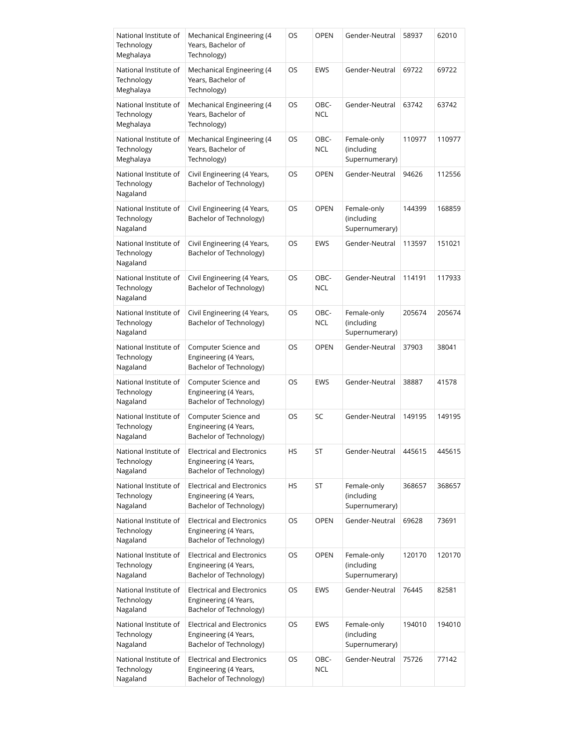| National Institute of<br>Technology<br>Meghalaya | Mechanical Engineering (4<br>Years, Bachelor of<br>Technology)                        | OS        | <b>OPEN</b>        | Gender-Neutral                              | 58937  | 62010  |
|--------------------------------------------------|---------------------------------------------------------------------------------------|-----------|--------------------|---------------------------------------------|--------|--------|
| National Institute of<br>Technology<br>Meghalaya | Mechanical Engineering (4<br>Years, Bachelor of<br>Technology)                        | OS        | EWS                | Gender-Neutral                              | 69722  | 69722  |
| National Institute of<br>Technology<br>Meghalaya | Mechanical Engineering (4<br>Years, Bachelor of<br>Technology)                        | OS        | OBC-<br><b>NCL</b> | Gender-Neutral                              | 63742  | 63742  |
| National Institute of<br>Technology<br>Meghalaya | Mechanical Engineering (4<br>Years, Bachelor of<br>Technology)                        | OS        | OBC-<br><b>NCL</b> | Female-only<br>(including<br>Supernumerary) | 110977 | 110977 |
| National Institute of<br>Technology<br>Nagaland  | Civil Engineering (4 Years,<br>Bachelor of Technology)                                | OS        | <b>OPEN</b>        | Gender-Neutral                              | 94626  | 112556 |
| National Institute of<br>Technology<br>Nagaland  | Civil Engineering (4 Years,<br>Bachelor of Technology)                                | OS        | <b>OPEN</b>        | Female-only<br>(including<br>Supernumerary) | 144399 | 168859 |
| National Institute of<br>Technology<br>Nagaland  | Civil Engineering (4 Years,<br>Bachelor of Technology)                                | OS        | <b>EWS</b>         | Gender-Neutral                              | 113597 | 151021 |
| National Institute of<br>Technology<br>Nagaland  | Civil Engineering (4 Years,<br>Bachelor of Technology)                                | OS        | OBC-<br><b>NCL</b> | Gender-Neutral                              | 114191 | 117933 |
| National Institute of<br>Technology<br>Nagaland  | Civil Engineering (4 Years,<br>Bachelor of Technology)                                | OS        | OBC-<br><b>NCL</b> | Female-only<br>(including<br>Supernumerary) | 205674 | 205674 |
| National Institute of<br>Technology<br>Nagaland  | Computer Science and<br>Engineering (4 Years,<br>Bachelor of Technology)              | OS        | <b>OPEN</b>        | Gender-Neutral                              | 37903  | 38041  |
| National Institute of<br>Technology<br>Nagaland  | Computer Science and<br>Engineering (4 Years,<br>Bachelor of Technology)              | <b>OS</b> | <b>EWS</b>         | Gender-Neutral                              | 38887  | 41578  |
| National Institute of<br>Technology<br>Nagaland  | Computer Science and<br>Engineering (4 Years,<br>Bachelor of Technology)              | OS        | SC                 | Gender-Neutral                              | 149195 | 149195 |
| National Institute of<br>Technology<br>Nagaland  | <b>Electrical and Electronics</b><br>Engineering (4 Years,<br>Bachelor of Technology) | HS        | ST                 | Gender-Neutral                              | 445615 | 445615 |
| National Institute of<br>Technology<br>Nagaland  | <b>Electrical and Electronics</b><br>Engineering (4 Years,<br>Bachelor of Technology) | HS        | ST                 | Female-only<br>(including<br>Supernumerary) | 368657 | 368657 |
| National Institute of<br>Technology<br>Nagaland  | <b>Electrical and Electronics</b><br>Engineering (4 Years,<br>Bachelor of Technology) | OS        | <b>OPEN</b>        | Gender-Neutral                              | 69628  | 73691  |
| National Institute of<br>Technology<br>Nagaland  | <b>Electrical and Electronics</b><br>Engineering (4 Years,<br>Bachelor of Technology) | OS        | <b>OPEN</b>        | Female-only<br>(including<br>Supernumerary) | 120170 | 120170 |
| National Institute of<br>Technology<br>Nagaland  | <b>Electrical and Electronics</b><br>Engineering (4 Years,<br>Bachelor of Technology) | OS        | EWS                | Gender-Neutral                              | 76445  | 82581  |
| National Institute of<br>Technology<br>Nagaland  | <b>Electrical and Electronics</b><br>Engineering (4 Years,<br>Bachelor of Technology) | OS        | EWS                | Female-only<br>(including<br>Supernumerary) | 194010 | 194010 |
| National Institute of<br>Technology<br>Nagaland  | <b>Electrical and Electronics</b><br>Engineering (4 Years,<br>Bachelor of Technology) | OS        | OBC-<br><b>NCL</b> | Gender-Neutral                              | 75726  | 77142  |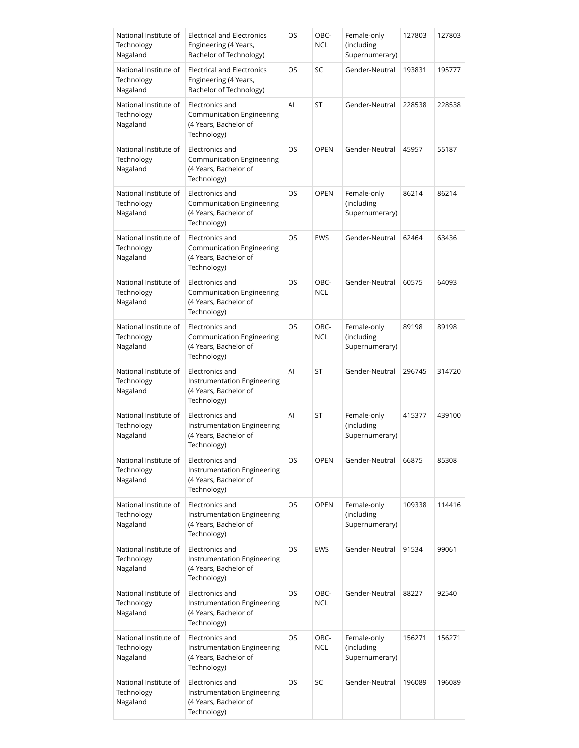| National Institute of<br>Technology<br>Nagaland | <b>Electrical and Electronics</b><br>Engineering (4 Years,<br>Bachelor of Technology)       | OS        | OBC-<br>NCL        | Female-only<br>(including<br>Supernumerary) | 127803 | 127803 |
|-------------------------------------------------|---------------------------------------------------------------------------------------------|-----------|--------------------|---------------------------------------------|--------|--------|
| National Institute of<br>Technology<br>Nagaland | <b>Electrical and Electronics</b><br>Engineering (4 Years,<br>Bachelor of Technology)       | OS        | SC                 | Gender-Neutral                              | 193831 | 195777 |
| National Institute of<br>Technology<br>Nagaland | Electronics and<br>Communication Engineering<br>(4 Years, Bachelor of<br>Technology)        | AI        | ST                 | Gender-Neutral                              | 228538 | 228538 |
| National Institute of<br>Technology<br>Nagaland | Electronics and<br><b>Communication Engineering</b><br>(4 Years, Bachelor of<br>Technology) | <b>OS</b> | <b>OPEN</b>        | Gender-Neutral                              | 45957  | 55187  |
| National Institute of<br>Technology<br>Nagaland | Electronics and<br><b>Communication Engineering</b><br>(4 Years, Bachelor of<br>Technology) | OS        | <b>OPEN</b>        | Female-only<br>(including<br>Supernumerary) | 86214  | 86214  |
| National Institute of<br>Technology<br>Nagaland | Electronics and<br><b>Communication Engineering</b><br>(4 Years, Bachelor of<br>Technology) | OS        | <b>EWS</b>         | Gender-Neutral                              | 62464  | 63436  |
| National Institute of<br>Technology<br>Nagaland | Electronics and<br>Communication Engineering<br>(4 Years, Bachelor of<br>Technology)        | OS        | OBC-<br><b>NCL</b> | Gender-Neutral                              | 60575  | 64093  |
| National Institute of<br>Technology<br>Nagaland | Electronics and<br>Communication Engineering<br>(4 Years, Bachelor of<br>Technology)        | OS        | OBC-<br><b>NCL</b> | Female-only<br>(including<br>Supernumerary) | 89198  | 89198  |
| National Institute of<br>Technology<br>Nagaland | Electronics and<br>Instrumentation Engineering<br>(4 Years, Bachelor of<br>Technology)      | AI        | ST                 | Gender-Neutral                              | 296745 | 314720 |
| National Institute of<br>Technology<br>Nagaland | Electronics and<br>Instrumentation Engineering<br>(4 Years, Bachelor of<br>Technology)      | Al        | ST                 | Female-only<br>(including<br>Supernumerary) | 415377 | 439100 |
| National Institute of<br>Technology<br>Nagaland | Electronics and<br>Instrumentation Engineering<br>(4 Years, Bachelor of<br>Technology)      | OS        | <b>OPEN</b>        | Gender-Neutral                              | 66875  | 85308  |
| National Institute of<br>Technology<br>Nagaland | Electronics and<br>Instrumentation Engineering<br>(4 Years, Bachelor of<br>Technology)      | OS        | <b>OPEN</b>        | Female-only<br>(including<br>Supernumerary) | 109338 | 114416 |
| National Institute of<br>Technology<br>Nagaland | Electronics and<br>Instrumentation Engineering<br>(4 Years, Bachelor of<br>Technology)      | OS        | EWS                | Gender-Neutral                              | 91534  | 99061  |
| National Institute of<br>Technology<br>Nagaland | Electronics and<br>Instrumentation Engineering<br>(4 Years, Bachelor of<br>Technology)      | OS        | OBC-<br><b>NCL</b> | Gender-Neutral                              | 88227  | 92540  |
| National Institute of<br>Technology<br>Nagaland | Electronics and<br>Instrumentation Engineering<br>(4 Years, Bachelor of<br>Technology)      | OS        | OBC-<br><b>NCL</b> | Female-only<br>(including<br>Supernumerary) | 156271 | 156271 |
| National Institute of<br>Technology<br>Nagaland | Electronics and<br>Instrumentation Engineering<br>(4 Years, Bachelor of<br>Technology)      | OS        | SC                 | Gender-Neutral                              | 196089 | 196089 |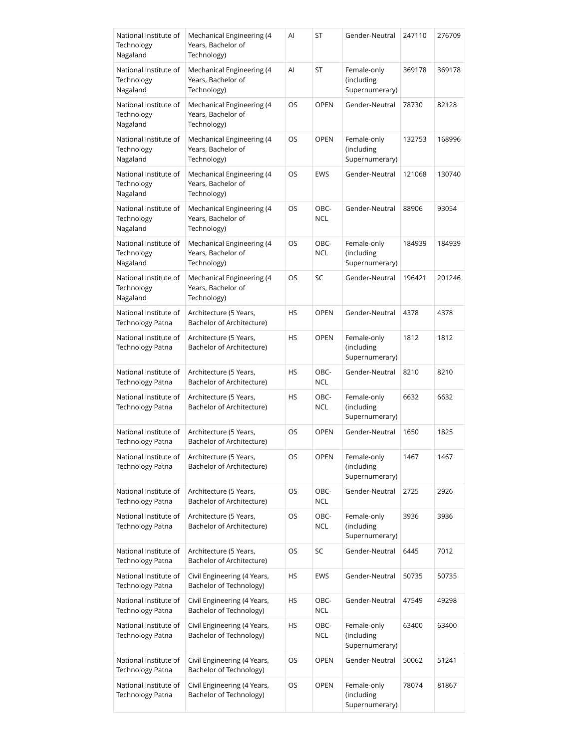| National Institute of<br>Technology<br>Nagaland | Mechanical Engineering (4<br>Years, Bachelor of<br>Technology) | Al        | ST                 | Gender-Neutral                              | 247110 | 276709 |
|-------------------------------------------------|----------------------------------------------------------------|-----------|--------------------|---------------------------------------------|--------|--------|
| National Institute of<br>Technology<br>Nagaland | Mechanical Engineering (4<br>Years, Bachelor of<br>Technology) | Al        | ST                 | Female-only<br>(including<br>Supernumerary) | 369178 | 369178 |
| National Institute of<br>Technology<br>Nagaland | Mechanical Engineering (4<br>Years, Bachelor of<br>Technology) | OS        | <b>OPEN</b>        | Gender-Neutral                              | 78730  | 82128  |
| National Institute of<br>Technology<br>Nagaland | Mechanical Engineering (4<br>Years, Bachelor of<br>Technology) | OS        | <b>OPEN</b>        | Female-only<br>(including<br>Supernumerary) | 132753 | 168996 |
| National Institute of<br>Technology<br>Nagaland | Mechanical Engineering (4<br>Years, Bachelor of<br>Technology) | OS        | <b>EWS</b>         | Gender-Neutral                              | 121068 | 130740 |
| National Institute of<br>Technology<br>Nagaland | Mechanical Engineering (4<br>Years, Bachelor of<br>Technology) | OS        | OBC-<br><b>NCL</b> | Gender-Neutral                              | 88906  | 93054  |
| National Institute of<br>Technology<br>Nagaland | Mechanical Engineering (4<br>Years, Bachelor of<br>Technology) | OS        | OBC-<br><b>NCL</b> | Female-only<br>(including<br>Supernumerary) | 184939 | 184939 |
| National Institute of<br>Technology<br>Nagaland | Mechanical Engineering (4<br>Years, Bachelor of<br>Technology) | OS        | SC                 | Gender-Neutral                              | 196421 | 201246 |
| National Institute of<br>Technology Patna       | Architecture (5 Years,<br>Bachelor of Architecture)            | <b>HS</b> | <b>OPEN</b>        | Gender-Neutral                              | 4378   | 4378   |
| National Institute of<br>Technology Patna       | Architecture (5 Years,<br>Bachelor of Architecture)            | HS        | <b>OPEN</b>        | Female-only<br>(including<br>Supernumerary) | 1812   | 1812   |
| National Institute of<br>Technology Patna       | Architecture (5 Years,<br>Bachelor of Architecture)            | <b>HS</b> | OBC-<br><b>NCL</b> | Gender-Neutral                              | 8210   | 8210   |
| National Institute of<br>Technology Patna       | Architecture (5 Years,<br>Bachelor of Architecture)            | HS        | OBC-<br><b>NCL</b> | Female-only<br>(including<br>Supernumerary) | 6632   | 6632   |
| National Institute of<br>Technology Patna       | Architecture (5 Years,<br>Bachelor of Architecture)            | OS        | <b>OPEN</b>        | Gender-Neutral                              | 1650   | 1825   |
| National Institute of<br>Technology Patna       | Architecture (5 Years,<br>Bachelor of Architecture)            | OS        | <b>OPEN</b>        | Female-only<br>(including<br>Supernumerary) | 1467   | 1467   |
| National Institute of<br>Technology Patna       | Architecture (5 Years,<br>Bachelor of Architecture)            | OS        | OBC-<br><b>NCL</b> | Gender-Neutral                              | 2725   | 2926   |
| National Institute of<br>Technology Patna       | Architecture (5 Years,<br>Bachelor of Architecture)            | OS        | OBC-<br><b>NCL</b> | Female-only<br>(including<br>Supernumerary) | 3936   | 3936   |
| National Institute of<br>Technology Patna       | Architecture (5 Years,<br>Bachelor of Architecture)            | OS        | SC                 | Gender-Neutral                              | 6445   | 7012   |
| National Institute of<br>Technology Patna       | Civil Engineering (4 Years,<br>Bachelor of Technology)         | HS        | EWS                | Gender-Neutral                              | 50735  | 50735  |
| National Institute of<br>Technology Patna       | Civil Engineering (4 Years,<br>Bachelor of Technology)         | HS        | OBC-<br><b>NCL</b> | Gender-Neutral                              | 47549  | 49298  |
| National Institute of<br>Technology Patna       | Civil Engineering (4 Years,<br>Bachelor of Technology)         | HS        | OBC-<br><b>NCL</b> | Female-only<br>(including<br>Supernumerary) | 63400  | 63400  |
| National Institute of<br>Technology Patna       | Civil Engineering (4 Years,<br>Bachelor of Technology)         | OS        | <b>OPEN</b>        | Gender-Neutral                              | 50062  | 51241  |
| National Institute of<br>Technology Patna       | Civil Engineering (4 Years,<br>Bachelor of Technology)         | OS        | <b>OPEN</b>        | Female-only<br>(including<br>Supernumerary) | 78074  | 81867  |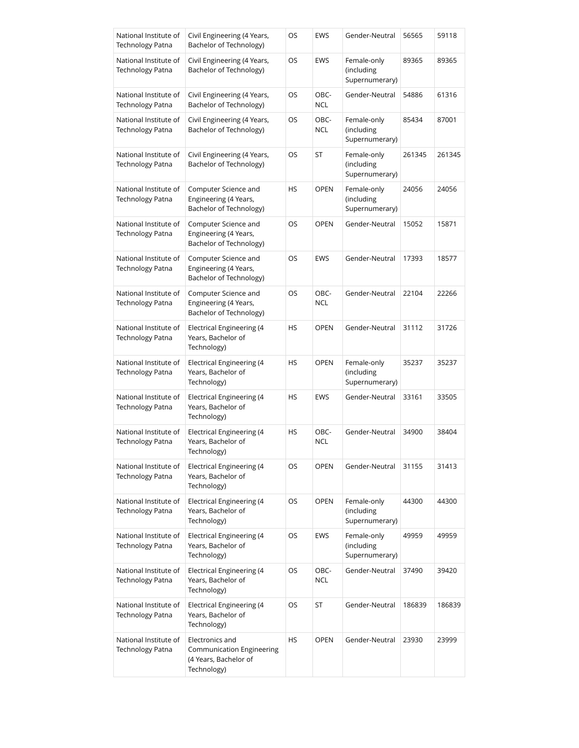| National Institute of<br>Technology Patna        | Civil Engineering (4 Years,<br>Bachelor of Technology)                               | OS        | EWS                | Gender-Neutral                              | 56565  | 59118  |
|--------------------------------------------------|--------------------------------------------------------------------------------------|-----------|--------------------|---------------------------------------------|--------|--------|
| National Institute of<br>Technology Patna        | Civil Engineering (4 Years,<br>Bachelor of Technology)                               | OS        | EWS                | Female-only<br>(including<br>Supernumerary) | 89365  | 89365  |
| National Institute of<br>Technology Patna        | Civil Engineering (4 Years,<br>Bachelor of Technology)                               | OS        | OBC-<br><b>NCL</b> | Gender-Neutral                              | 54886  | 61316  |
| National Institute of<br>Technology Patna        | Civil Engineering (4 Years,<br>Bachelor of Technology)                               | OS        | OBC-<br><b>NCL</b> | Female-only<br>(including<br>Supernumerary) | 85434  | 87001  |
| National Institute of<br>Technology Patna        | Civil Engineering (4 Years,<br>Bachelor of Technology)                               | OS        | ST                 | Female-only<br>(including<br>Supernumerary) | 261345 | 261345 |
| National Institute of<br>Technology Patna        | Computer Science and<br>Engineering (4 Years,<br>Bachelor of Technology)             | HS        | <b>OPEN</b>        | Female-only<br>(including<br>Supernumerary) | 24056  | 24056  |
| National Institute of<br>Technology Patna        | Computer Science and<br>Engineering (4 Years,<br>Bachelor of Technology)             | OS        | <b>OPEN</b>        | Gender-Neutral                              | 15052  | 15871  |
| National Institute of<br>Technology Patna        | Computer Science and<br>Engineering (4 Years,<br>Bachelor of Technology)             | OS        | EWS                | Gender-Neutral                              | 17393  | 18577  |
| National Institute of<br>Technology Patna        | Computer Science and<br>Engineering (4 Years,<br>Bachelor of Technology)             | OS        | OBC-<br><b>NCL</b> | Gender-Neutral                              | 22104  | 22266  |
| National Institute of<br>Technology Patna        | Electrical Engineering (4<br>Years, Bachelor of<br>Technology)                       | HS        | <b>OPEN</b>        | Gender-Neutral                              | 31112  | 31726  |
| National Institute of<br>Technology Patna        | <b>Electrical Engineering (4</b><br>Years, Bachelor of<br>Technology)                | <b>HS</b> | <b>OPEN</b>        | Female-only<br>(including<br>Supernumerary) | 35237  | 35237  |
| National Institute of<br><b>Technology Patna</b> | Electrical Engineering (4<br>Years, Bachelor of<br>Technology)                       | HS        | EWS                | Gender-Neutral                              | 33161  | 33505  |
| National Institute of<br>Technology Patna        | <b>Electrical Engineering (4</b><br>Years, Bachelor of<br>Technology)                | HS        | OBC-<br><b>NCL</b> | Gender-Neutral                              | 34900  | 38404  |
| National Institute of<br>Technology Patna        | Electrical Engineering (4<br>Years, Bachelor of<br>Technology)                       | OS        | <b>OPEN</b>        | Gender-Neutral                              | 31155  | 31413  |
| National Institute of<br>Technology Patna        | <b>Electrical Engineering (4</b><br>Years, Bachelor of<br>Technology)                | OS        | <b>OPEN</b>        | Female-only<br>(including<br>Supernumerary) | 44300  | 44300  |
| National Institute of<br>Technology Patna        | Electrical Engineering (4<br>Years, Bachelor of<br>Technology)                       | OS        | EWS                | Female-only<br>(including<br>Supernumerary) | 49959  | 49959  |
| National Institute of<br>Technology Patna        | <b>Electrical Engineering (4</b><br>Years, Bachelor of<br>Technology)                | OS        | OBC-<br><b>NCL</b> | Gender-Neutral                              | 37490  | 39420  |
| National Institute of<br>Technology Patna        | Electrical Engineering (4<br>Years, Bachelor of<br>Technology)                       | OS        | ST                 | Gender-Neutral                              | 186839 | 186839 |
| National Institute of<br>Technology Patna        | Electronics and<br>Communication Engineering<br>(4 Years, Bachelor of<br>Technology) | HS        | <b>OPEN</b>        | Gender-Neutral                              | 23930  | 23999  |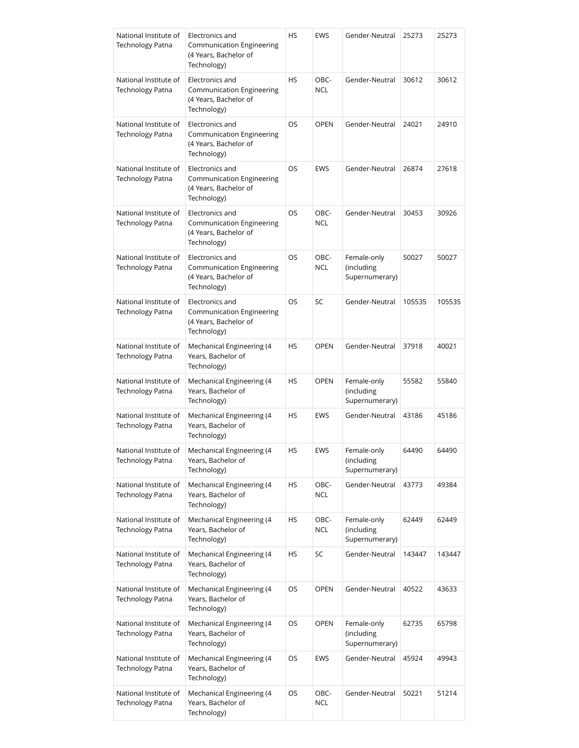| National Institute of<br><b>Technology Patna</b> | Electronics and<br>Communication Engineering<br>(4 Years, Bachelor of<br>Technology)        | HS        | EWS                | Gender-Neutral                              | 25273  | 25273  |
|--------------------------------------------------|---------------------------------------------------------------------------------------------|-----------|--------------------|---------------------------------------------|--------|--------|
| National Institute of<br><b>Technology Patna</b> | Electronics and<br><b>Communication Engineering</b><br>(4 Years, Bachelor of<br>Technology) | <b>HS</b> | OBC-<br><b>NCL</b> | Gender-Neutral                              | 30612  | 30612  |
| National Institute of<br><b>Technology Patna</b> | Electronics and<br><b>Communication Engineering</b><br>(4 Years, Bachelor of<br>Technology) | OS        | <b>OPEN</b>        | Gender-Neutral                              | 24021  | 24910  |
| National Institute of<br>Technology Patna        | Electronics and<br>Communication Engineering<br>(4 Years, Bachelor of<br>Technology)        | OS        | <b>EWS</b>         | Gender-Neutral                              | 26874  | 27618  |
| National Institute of<br><b>Technology Patna</b> | Electronics and<br>Communication Engineering<br>(4 Years, Bachelor of<br>Technology)        | OS        | OBC-<br><b>NCL</b> | Gender-Neutral                              | 30453  | 30926  |
| National Institute of<br>Technology Patna        | Electronics and<br><b>Communication Engineering</b><br>(4 Years, Bachelor of<br>Technology) | OS        | OBC-<br><b>NCL</b> | Female-only<br>(including<br>Supernumerary) | 50027  | 50027  |
| National Institute of<br><b>Technology Patna</b> | Electronics and<br>Communication Engineering<br>(4 Years, Bachelor of<br>Technology)        | <b>OS</b> | SC                 | Gender-Neutral                              | 105535 | 105535 |
| National Institute of<br><b>Technology Patna</b> | Mechanical Engineering (4<br>Years, Bachelor of<br>Technology)                              | HS        | <b>OPEN</b>        | Gender-Neutral                              | 37918  | 40021  |
| National Institute of<br><b>Technology Patna</b> | Mechanical Engineering (4<br>Years, Bachelor of<br>Technology)                              | HS        | <b>OPEN</b>        | Female-only<br>(including<br>Supernumerary) | 55582  | 55840  |
| National Institute of<br>Technology Patna        | Mechanical Engineering (4<br>Years, Bachelor of<br>Technology)                              | HS        | <b>EWS</b>         | Gender-Neutral                              | 43186  | 45186  |
| National Institute of<br>Technology Patna        | Mechanical Engineering (4<br>Years, Bachelor of<br>Technology)                              | HS        | EWS                | Female-only<br>(including<br>Supernumerary) | 64490  | 64490  |
| National Institute of<br>Technology Patna        | Mechanical Engineering (4<br>Years, Bachelor of<br>Technology)                              | HS        | OBC-<br><b>NCL</b> | Gender-Neutral                              | 43773  | 49384  |
| National Institute of<br>Technology Patna        | Mechanical Engineering (4<br>Years, Bachelor of<br>Technology)                              | HS        | OBC-<br><b>NCL</b> | Female-only<br>(including<br>Supernumerary) | 62449  | 62449  |
| National Institute of<br>Technology Patna        | Mechanical Engineering (4<br>Years, Bachelor of<br>Technology)                              | HS        | SC                 | Gender-Neutral                              | 143447 | 143447 |
| National Institute of<br>Technology Patna        | Mechanical Engineering (4<br>Years, Bachelor of<br>Technology)                              | OS        | <b>OPEN</b>        | Gender-Neutral                              | 40522  | 43633  |
| National Institute of<br>Technology Patna        | Mechanical Engineering (4<br>Years, Bachelor of<br>Technology)                              | OS        | <b>OPEN</b>        | Female-only<br>(including<br>Supernumerary) | 62735  | 65798  |
| National Institute of<br>Technology Patna        | Mechanical Engineering (4<br>Years, Bachelor of<br>Technology)                              | OS        | EWS                | Gender-Neutral                              | 45924  | 49943  |
| National Institute of<br>Technology Patna        | Mechanical Engineering (4<br>Years, Bachelor of<br>Technology)                              | OS        | OBC-<br><b>NCL</b> | Gender-Neutral                              | 50221  | 51214  |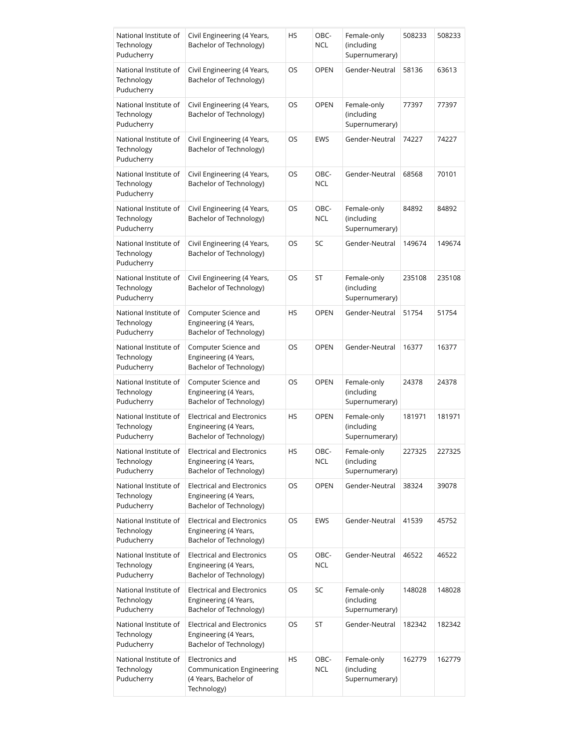| National Institute of<br>Technology<br>Puducherry | Civil Engineering (4 Years,<br>Bachelor of Technology)                                | HS | OBC-<br><b>NCL</b> | Female-only<br>(including<br>Supernumerary) | 508233 | 508233 |
|---------------------------------------------------|---------------------------------------------------------------------------------------|----|--------------------|---------------------------------------------|--------|--------|
| National Institute of<br>Technology<br>Puducherry | Civil Engineering (4 Years,<br>Bachelor of Technology)                                | OS | <b>OPEN</b>        | Gender-Neutral                              | 58136  | 63613  |
| National Institute of<br>Technology<br>Puducherry | Civil Engineering (4 Years,<br>Bachelor of Technology)                                | OS | <b>OPEN</b>        | Female-only<br>(including<br>Supernumerary) | 77397  | 77397  |
| National Institute of<br>Technology<br>Puducherry | Civil Engineering (4 Years,<br>Bachelor of Technology)                                | OS | EWS                | Gender-Neutral                              | 74227  | 74227  |
| National Institute of<br>Technology<br>Puducherry | Civil Engineering (4 Years,<br>Bachelor of Technology)                                | OS | OBC-<br><b>NCL</b> | Gender-Neutral                              | 68568  | 70101  |
| National Institute of<br>Technology<br>Puducherry | Civil Engineering (4 Years,<br>Bachelor of Technology)                                | OS | OBC-<br><b>NCL</b> | Female-only<br>(including<br>Supernumerary) | 84892  | 84892  |
| National Institute of<br>Technology<br>Puducherry | Civil Engineering (4 Years,<br>Bachelor of Technology)                                | OS | SC                 | Gender-Neutral                              | 149674 | 149674 |
| National Institute of<br>Technology<br>Puducherry | Civil Engineering (4 Years,<br>Bachelor of Technology)                                | OS | ST                 | Female-only<br>(including<br>Supernumerary) | 235108 | 235108 |
| National Institute of<br>Technology<br>Puducherry | Computer Science and<br>Engineering (4 Years,<br>Bachelor of Technology)              | HS | <b>OPEN</b>        | Gender-Neutral                              | 51754  | 51754  |
| National Institute of<br>Technology<br>Puducherry | Computer Science and<br>Engineering (4 Years,<br>Bachelor of Technology)              | OS | <b>OPEN</b>        | Gender-Neutral                              | 16377  | 16377  |
| National Institute of<br>Technology<br>Puducherry | Computer Science and<br>Engineering (4 Years,<br>Bachelor of Technology)              | OS | <b>OPEN</b>        | Female-only<br>(including<br>Supernumerary) | 24378  | 24378  |
| National Institute of<br>Technology<br>Puducherry | <b>Electrical and Electronics</b><br>Engineering (4 Years,<br>Bachelor of Technology) | HS | <b>OPEN</b>        | Female-only<br>(including<br>Supernumerary) | 181971 | 181971 |
| National Institute of<br>Technology<br>Puducherry | <b>Electrical and Electronics</b><br>Engineering (4 Years,<br>Bachelor of Technology) | HS | OBC-<br>NCL        | Female-only<br>(including<br>Supernumerary) | 227325 | 227325 |
| National Institute of<br>Technology<br>Puducherry | <b>Electrical and Electronics</b><br>Engineering (4 Years,<br>Bachelor of Technology) | OS | <b>OPEN</b>        | Gender-Neutral                              | 38324  | 39078  |
| National Institute of<br>Technology<br>Puducherry | <b>Electrical and Electronics</b><br>Engineering (4 Years,<br>Bachelor of Technology) | OS | EWS                | Gender-Neutral                              | 41539  | 45752  |
| National Institute of<br>Technology<br>Puducherry | <b>Electrical and Electronics</b><br>Engineering (4 Years,<br>Bachelor of Technology) | OS | OBC-<br><b>NCL</b> | Gender-Neutral                              | 46522  | 46522  |
| National Institute of<br>Technology<br>Puducherry | <b>Electrical and Electronics</b><br>Engineering (4 Years,<br>Bachelor of Technology) | OS | SC                 | Female-only<br>(including<br>Supernumerary) | 148028 | 148028 |
| National Institute of<br>Technology<br>Puducherry | <b>Electrical and Electronics</b><br>Engineering (4 Years,<br>Bachelor of Technology) | OS | ST                 | Gender-Neutral                              | 182342 | 182342 |
| National Institute of<br>Technology<br>Puducherry | Electronics and<br>Communication Engineering<br>(4 Years, Bachelor of<br>Technology)  | HS | OBC-<br><b>NCL</b> | Female-only<br>(including<br>Supernumerary) | 162779 | 162779 |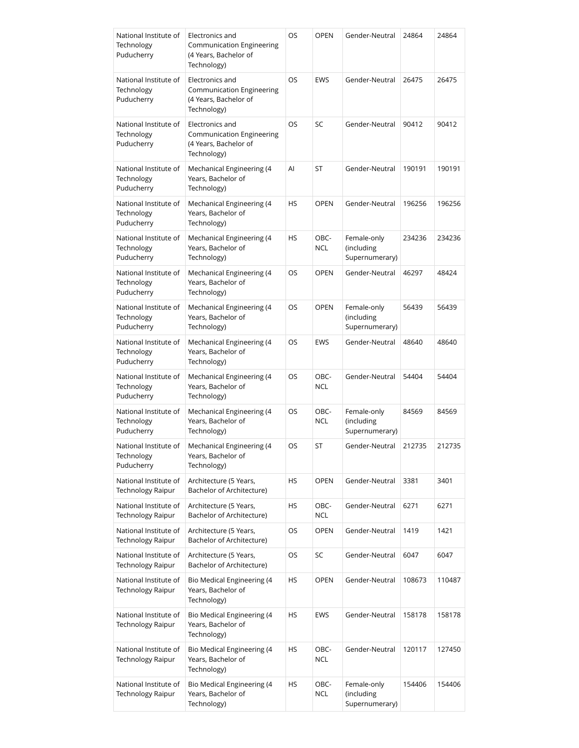| National Institute of<br>Technology<br>Puducherry | Electronics and<br>Communication Engineering<br>(4 Years, Bachelor of<br>Technology)        | OS        | <b>OPEN</b>        | Gender-Neutral                              | 24864  | 24864  |
|---------------------------------------------------|---------------------------------------------------------------------------------------------|-----------|--------------------|---------------------------------------------|--------|--------|
| National Institute of<br>Technology<br>Puducherry | Electronics and<br>Communication Engineering<br>(4 Years, Bachelor of<br>Technology)        | OS        | <b>EWS</b>         | Gender-Neutral                              | 26475  | 26475  |
| National Institute of<br>Technology<br>Puducherry | Electronics and<br><b>Communication Engineering</b><br>(4 Years, Bachelor of<br>Technology) | OS        | SC                 | Gender-Neutral                              | 90412  | 90412  |
| National Institute of<br>Technology<br>Puducherry | Mechanical Engineering (4<br>Years, Bachelor of<br>Technology)                              | Al        | ST                 | Gender-Neutral                              | 190191 | 190191 |
| National Institute of<br>Technology<br>Puducherry | Mechanical Engineering (4<br>Years, Bachelor of<br>Technology)                              | <b>HS</b> | <b>OPEN</b>        | Gender-Neutral                              | 196256 | 196256 |
| National Institute of<br>Technology<br>Puducherry | Mechanical Engineering (4<br>Years, Bachelor of<br>Technology)                              | <b>HS</b> | OBC-<br><b>NCL</b> | Female-only<br>(including<br>Supernumerary) | 234236 | 234236 |
| National Institute of<br>Technology<br>Puducherry | Mechanical Engineering (4<br>Years, Bachelor of<br>Technology)                              | OS        | <b>OPEN</b>        | Gender-Neutral                              | 46297  | 48424  |
| National Institute of<br>Technology<br>Puducherry | Mechanical Engineering (4<br>Years, Bachelor of<br>Technology)                              | OS        | OPEN               | Female-only<br>(including<br>Supernumerary) | 56439  | 56439  |
| National Institute of<br>Technology<br>Puducherry | Mechanical Engineering (4<br>Years, Bachelor of<br>Technology)                              | OS        | <b>EWS</b>         | Gender-Neutral                              | 48640  | 48640  |
| National Institute of<br>Technology<br>Puducherry | Mechanical Engineering (4<br>Years, Bachelor of<br>Technology)                              | OS        | OBC-<br><b>NCL</b> | Gender-Neutral                              | 54404  | 54404  |
| National Institute of<br>Technology<br>Puducherry | Mechanical Engineering (4<br>Years, Bachelor of<br>Technology)                              | OS        | OBC-<br><b>NCL</b> | Female-only<br>(including<br>Supernumerary) | 84569  | 84569  |
| National Institute of<br>Technology<br>Puducherry | Mechanical Engineering (4<br>Years, Bachelor of<br>Technology)                              | OS        | ST                 | Gender-Neutral                              | 212735 | 212735 |
| National Institute of<br><b>Technology Raipur</b> | Architecture (5 Years,<br>Bachelor of Architecture)                                         | HS        | <b>OPEN</b>        | Gender-Neutral                              | 3381   | 3401   |
| National Institute of<br><b>Technology Raipur</b> | Architecture (5 Years,<br>Bachelor of Architecture)                                         | HS        | OBC-<br><b>NCL</b> | Gender-Neutral                              | 6271   | 6271   |
| National Institute of<br>Technology Raipur        | Architecture (5 Years,<br>Bachelor of Architecture)                                         | OS        | <b>OPEN</b>        | Gender-Neutral                              | 1419   | 1421   |
| National Institute of<br><b>Technology Raipur</b> | Architecture (5 Years,<br>Bachelor of Architecture)                                         | OS        | SC                 | Gender-Neutral                              | 6047   | 6047   |
| National Institute of<br><b>Technology Raipur</b> | Bio Medical Engineering (4<br>Years, Bachelor of<br>Technology)                             | HS        | <b>OPEN</b>        | Gender-Neutral                              | 108673 | 110487 |
| National Institute of<br><b>Technology Raipur</b> | Bio Medical Engineering (4<br>Years, Bachelor of<br>Technology)                             | HS        | <b>EWS</b>         | Gender-Neutral                              | 158178 | 158178 |
| National Institute of<br>Technology Raipur        | Bio Medical Engineering (4<br>Years, Bachelor of<br>Technology)                             | HS        | OBC-<br><b>NCL</b> | Gender-Neutral                              | 120117 | 127450 |
| National Institute of<br><b>Technology Raipur</b> | Bio Medical Engineering (4<br>Years, Bachelor of<br>Technology)                             | HS        | OBC-<br><b>NCL</b> | Female-only<br>(including<br>Supernumerary) | 154406 | 154406 |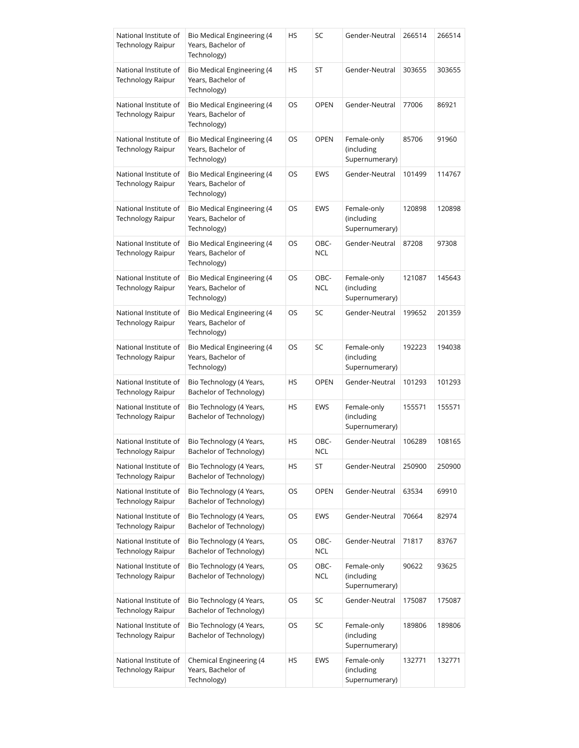| National Institute of<br><b>Technology Raipur</b> | Bio Medical Engineering (4<br>Years, Bachelor of<br>Technology)        | HS | SC                 | Gender-Neutral                              | 266514 | 266514 |
|---------------------------------------------------|------------------------------------------------------------------------|----|--------------------|---------------------------------------------|--------|--------|
| National Institute of<br><b>Technology Raipur</b> | Bio Medical Engineering (4<br>Years, Bachelor of<br>Technology)        | HS | ST                 | Gender-Neutral                              | 303655 | 303655 |
| National Institute of<br><b>Technology Raipur</b> | Bio Medical Engineering (4<br>Years, Bachelor of<br>Technology)        | OS | <b>OPEN</b>        | Gender-Neutral                              | 77006  | 86921  |
| National Institute of<br><b>Technology Raipur</b> | Bio Medical Engineering (4<br>Years, Bachelor of<br>Technology)        | OS | <b>OPEN</b>        | Female-only<br>(including<br>Supernumerary) | 85706  | 91960  |
| National Institute of<br><b>Technology Raipur</b> | Bio Medical Engineering (4<br>Years, Bachelor of<br>Technology)        | OS | EWS                | Gender-Neutral                              | 101499 | 114767 |
| National Institute of<br><b>Technology Raipur</b> | Bio Medical Engineering (4<br>Years, Bachelor of<br>Technology)        | OS | EWS                | Female-only<br>(including<br>Supernumerary) | 120898 | 120898 |
| National Institute of<br><b>Technology Raipur</b> | <b>Bio Medical Engineering (4</b><br>Years, Bachelor of<br>Technology) | OS | OBC-<br><b>NCL</b> | Gender-Neutral                              | 87208  | 97308  |
| National Institute of<br><b>Technology Raipur</b> | Bio Medical Engineering (4<br>Years, Bachelor of<br>Technology)        | OS | OBC-<br><b>NCL</b> | Female-only<br>(including<br>Supernumerary) | 121087 | 145643 |
| National Institute of<br><b>Technology Raipur</b> | Bio Medical Engineering (4<br>Years, Bachelor of<br>Technology)        | OS | SC                 | Gender-Neutral                              | 199652 | 201359 |
| National Institute of<br><b>Technology Raipur</b> | Bio Medical Engineering (4<br>Years, Bachelor of<br>Technology)        | OS | SC                 | Female-only<br>(including<br>Supernumerary) | 192223 | 194038 |
| National Institute of<br>Technology Raipur        | Bio Technology (4 Years,<br>Bachelor of Technology)                    | HS | <b>OPEN</b>        | Gender-Neutral                              | 101293 | 101293 |
| National Institute of<br>Technology Raipur        | Bio Technology (4 Years,<br>Bachelor of Technology)                    | HS | EWS                | Female-only<br>(including<br>Supernumerary) | 155571 | 155571 |
| National Institute of<br>Technology Raipur        | Bio Technology (4 Years,<br>Bachelor of Technology)                    | HS | OBC-<br><b>NCL</b> | Gender-Neutral                              | 106289 | 108165 |
| National Institute of<br>Technology Raipur        | Bio Technology (4 Years,<br>Bachelor of Technology)                    | HS | ST                 | Gender-Neutral                              | 250900 | 250900 |
| National Institute of<br><b>Technology Raipur</b> | Bio Technology (4 Years,<br>Bachelor of Technology)                    | OS | <b>OPEN</b>        | Gender-Neutral                              | 63534  | 69910  |
| National Institute of<br>Technology Raipur        | Bio Technology (4 Years,<br>Bachelor of Technology)                    | OS | EWS                | Gender-Neutral                              | 70664  | 82974  |
| National Institute of<br><b>Technology Raipur</b> | Bio Technology (4 Years,<br>Bachelor of Technology)                    | OS | OBC-<br><b>NCL</b> | Gender-Neutral                              | 71817  | 83767  |
| National Institute of<br>Technology Raipur        | Bio Technology (4 Years,<br>Bachelor of Technology)                    | OS | OBC-<br><b>NCL</b> | Female-only<br>(including<br>Supernumerary) | 90622  | 93625  |
| National Institute of<br>Technology Raipur        | Bio Technology (4 Years,<br>Bachelor of Technology)                    | OS | SC                 | Gender-Neutral                              | 175087 | 175087 |
| National Institute of<br>Technology Raipur        | Bio Technology (4 Years,<br>Bachelor of Technology)                    | OS | SC                 | Female-only<br>(including<br>Supernumerary) | 189806 | 189806 |
| National Institute of<br>Technology Raipur        | Chemical Engineering (4<br>Years, Bachelor of<br>Technology)           | HS | EWS                | Female-only<br>(including<br>Supernumerary) | 132771 | 132771 |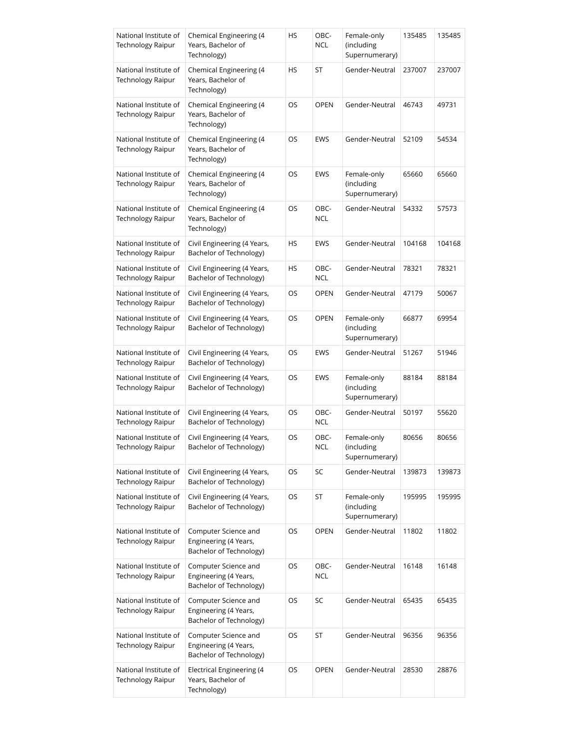| National Institute of<br><b>Technology Raipur</b> | Chemical Engineering (4<br>Years, Bachelor of<br>Technology)             | HS | OBC-<br><b>NCL</b> | Female-only<br>(including<br>Supernumerary) | 135485 | 135485 |
|---------------------------------------------------|--------------------------------------------------------------------------|----|--------------------|---------------------------------------------|--------|--------|
| National Institute of<br><b>Technology Raipur</b> | Chemical Engineering (4<br>Years, Bachelor of<br>Technology)             | HS | ST                 | Gender-Neutral                              | 237007 | 237007 |
| National Institute of<br><b>Technology Raipur</b> | Chemical Engineering (4<br>Years, Bachelor of<br>Technology)             | OS | <b>OPEN</b>        | Gender-Neutral                              | 46743  | 49731  |
| National Institute of<br>Technology Raipur        | Chemical Engineering (4<br>Years, Bachelor of<br>Technology)             | OS | EWS                | Gender-Neutral                              | 52109  | 54534  |
| National Institute of<br><b>Technology Raipur</b> | Chemical Engineering (4<br>Years, Bachelor of<br>Technology)             | OS | EWS                | Female-only<br>(including<br>Supernumerary) | 65660  | 65660  |
| National Institute of<br>Technology Raipur        | Chemical Engineering (4<br>Years, Bachelor of<br>Technology)             | OS | OBC-<br>NCL        | Gender-Neutral                              | 54332  | 57573  |
| National Institute of<br>Technology Raipur        | Civil Engineering (4 Years,<br>Bachelor of Technology)                   | HS | EWS                | Gender-Neutral                              | 104168 | 104168 |
| National Institute of<br>Technology Raipur        | Civil Engineering (4 Years,<br>Bachelor of Technology)                   | HS | OBC-<br><b>NCL</b> | Gender-Neutral                              | 78321  | 78321  |
| National Institute of<br>Technology Raipur        | Civil Engineering (4 Years,<br>Bachelor of Technology)                   | OS | OPEN               | Gender-Neutral                              | 47179  | 50067  |
| National Institute of<br>Technology Raipur        | Civil Engineering (4 Years,<br>Bachelor of Technology)                   | OS | <b>OPEN</b>        | Female-only<br>(including<br>Supernumerary) | 66877  | 69954  |
| National Institute of<br><b>Technology Raipur</b> | Civil Engineering (4 Years,<br>Bachelor of Technology)                   | OS | EWS                | Gender-Neutral                              | 51267  | 51946  |
| National Institute of<br>Technology Raipur        | Civil Engineering (4 Years,<br>Bachelor of Technology)                   | OS | <b>EWS</b>         | Female-only<br>(including<br>Supernumerary) | 88184  | 88184  |
| National Institute of<br>Technology Raipur        | Civil Engineering (4 Years,<br>Bachelor of Technology)                   | OS | OBC-<br>NCL        | Gender-Neutral                              | 50197  | 55620  |
| National Institute of<br><b>Technology Raipur</b> | Civil Engineering (4 Years,<br>Bachelor of Technology)                   | OS | OBC-<br><b>NCL</b> | Female-only<br>(including<br>Supernumerary) | 80656  | 80656  |
| National Institute of<br><b>Technology Raipur</b> | Civil Engineering (4 Years,<br>Bachelor of Technology)                   | OS | SC                 | Gender-Neutral                              | 139873 | 139873 |
| National Institute of<br><b>Technology Raipur</b> | Civil Engineering (4 Years,<br>Bachelor of Technology)                   | OS | ST                 | Female-only<br>(including<br>Supernumerary) | 195995 | 195995 |
| National Institute of<br><b>Technology Raipur</b> | Computer Science and<br>Engineering (4 Years,<br>Bachelor of Technology) | OS | <b>OPEN</b>        | Gender-Neutral                              | 11802  | 11802  |
| National Institute of<br><b>Technology Raipur</b> | Computer Science and<br>Engineering (4 Years,<br>Bachelor of Technology) | OS | OBC-<br><b>NCL</b> | Gender-Neutral                              | 16148  | 16148  |
| National Institute of<br><b>Technology Raipur</b> | Computer Science and<br>Engineering (4 Years,<br>Bachelor of Technology) | OS | SC                 | Gender-Neutral                              | 65435  | 65435  |
| National Institute of<br><b>Technology Raipur</b> | Computer Science and<br>Engineering (4 Years,<br>Bachelor of Technology) | OS | ST                 | Gender-Neutral                              | 96356  | 96356  |
| National Institute of<br><b>Technology Raipur</b> | <b>Electrical Engineering (4</b><br>Years, Bachelor of<br>Technology)    | OS | <b>OPEN</b>        | Gender-Neutral                              | 28530  | 28876  |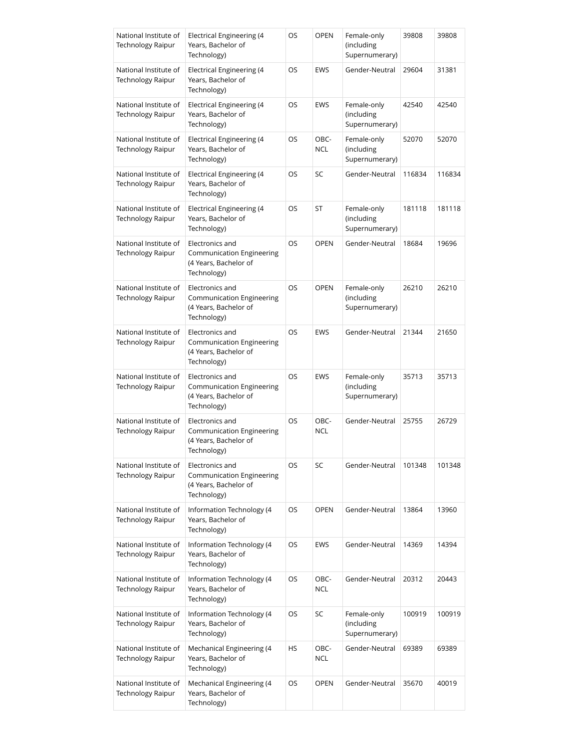| National Institute of<br><b>Technology Raipur</b> | <b>Electrical Engineering (4</b><br>Years, Bachelor of<br>Technology)                       | OS        | OPEN        | Female-only<br>(including<br>Supernumerary) | 39808  | 39808  |
|---------------------------------------------------|---------------------------------------------------------------------------------------------|-----------|-------------|---------------------------------------------|--------|--------|
| National Institute of<br><b>Technology Raipur</b> | <b>Electrical Engineering (4</b><br>Years, Bachelor of<br>Technology)                       | OS        | EWS         | Gender-Neutral                              | 29604  | 31381  |
| National Institute of<br>Technology Raipur        | <b>Electrical Engineering (4</b><br>Years, Bachelor of<br>Technology)                       | OS        | EWS         | Female-only<br>(including<br>Supernumerary) | 42540  | 42540  |
| National Institute of<br><b>Technology Raipur</b> | <b>Electrical Engineering (4</b><br>Years, Bachelor of<br>Technology)                       | OS        | OBC-<br>NCL | Female-only<br>(including<br>Supernumerary) | 52070  | 52070  |
| National Institute of<br><b>Technology Raipur</b> | Electrical Engineering (4<br>Years, Bachelor of<br>Technology)                              | OS        | SC          | Gender-Neutral                              | 116834 | 116834 |
| National Institute of<br><b>Technology Raipur</b> | Electrical Engineering (4<br>Years, Bachelor of<br>Technology)                              | OS        | ST          | Female-only<br>(including<br>Supernumerary) | 181118 | 181118 |
| National Institute of<br>Technology Raipur        | Electronics and<br>Communication Engineering<br>(4 Years, Bachelor of<br>Technology)        | OS        | <b>OPEN</b> | Gender-Neutral                              | 18684  | 19696  |
| National Institute of<br><b>Technology Raipur</b> | Electronics and<br><b>Communication Engineering</b><br>(4 Years, Bachelor of<br>Technology) | OS        | <b>OPEN</b> | Female-only<br>(including<br>Supernumerary) | 26210  | 26210  |
| National Institute of<br><b>Technology Raipur</b> | Electronics and<br>Communication Engineering<br>(4 Years, Bachelor of<br>Technology)        | OS        | EWS         | Gender-Neutral                              | 21344  | 21650  |
| National Institute of<br>Technology Raipur        | Electronics and<br>Communication Engineering<br>(4 Years, Bachelor of<br>Technology)        | <b>OS</b> | <b>EWS</b>  | Female-only<br>(including<br>Supernumerary) | 35713  | 35713  |
| National Institute of<br><b>Technology Raipur</b> | Electronics and<br>Communication Engineering<br>(4 Years, Bachelor of<br>Technology)        | <b>OS</b> | OBC-<br>NCL | Gender-Neutral                              | 25755  | 26729  |
| National Institute of<br><b>Technology Raipur</b> | Electronics and<br><b>Communication Engineering</b><br>(4 Years, Bachelor of<br>Technology) | OS        | SC          | Gender-Neutral                              | 101348 | 101348 |
| National Institute of<br><b>Technology Raipur</b> | Information Technology (4<br>Years, Bachelor of<br>Technology)                              | OS        | <b>OPEN</b> | Gender-Neutral                              | 13864  | 13960  |
| National Institute of<br><b>Technology Raipur</b> | Information Technology (4<br>Years, Bachelor of<br>Technology)                              | OS        | EWS         | Gender-Neutral                              | 14369  | 14394  |
| National Institute of<br>Technology Raipur        | Information Technology (4<br>Years, Bachelor of<br>Technology)                              | OS        | OBC-<br>NCL | Gender-Neutral                              | 20312  | 20443  |
| National Institute of<br>Technology Raipur        | Information Technology (4<br>Years, Bachelor of<br>Technology)                              | OS        | SC          | Female-only<br>(including<br>Supernumerary) | 100919 | 100919 |
| National Institute of<br>Technology Raipur        | Mechanical Engineering (4<br>Years, Bachelor of<br>Technology)                              | HS        | OBC-<br>NCL | Gender-Neutral                              | 69389  | 69389  |
| National Institute of<br>Technology Raipur        | Mechanical Engineering (4<br>Years, Bachelor of<br>Technology)                              | OS        | OPEN        | Gender-Neutral                              | 35670  | 40019  |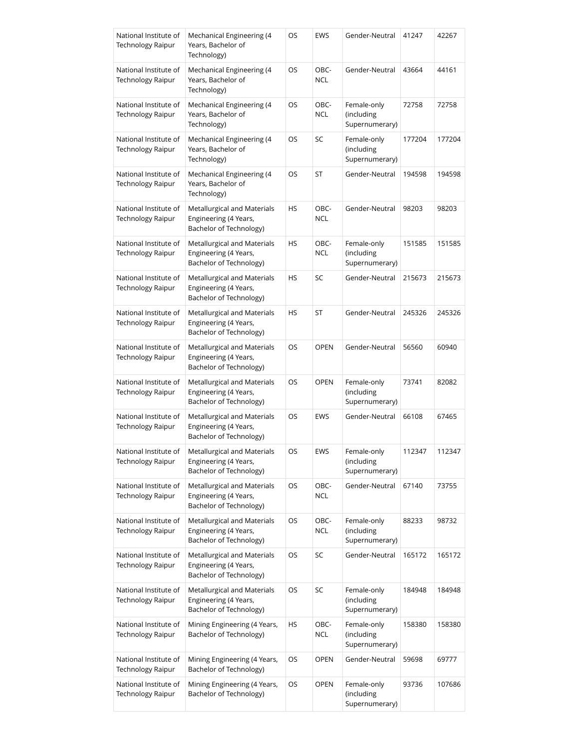| National Institute of<br><b>Technology Raipur</b> | Mechanical Engineering (4<br>Years, Bachelor of<br>Technology)                  | OS        | EWS         | Gender-Neutral                              | 41247  | 42267  |
|---------------------------------------------------|---------------------------------------------------------------------------------|-----------|-------------|---------------------------------------------|--------|--------|
| National Institute of<br><b>Technology Raipur</b> | Mechanical Engineering (4<br>Years, Bachelor of<br>Technology)                  | OS        | OBC-<br>NCL | Gender-Neutral                              | 43664  | 44161  |
| National Institute of<br><b>Technology Raipur</b> | Mechanical Engineering (4<br>Years, Bachelor of<br>Technology)                  | OS        | OBC-<br>NCL | Female-only<br>(including<br>Supernumerary) | 72758  | 72758  |
| National Institute of<br>Technology Raipur        | Mechanical Engineering (4<br>Years, Bachelor of<br>Technology)                  | OS        | SC          | Female-only<br>(including<br>Supernumerary) | 177204 | 177204 |
| National Institute of<br><b>Technology Raipur</b> | Mechanical Engineering (4<br>Years, Bachelor of<br>Technology)                  | OS        | ST          | Gender-Neutral                              | 194598 | 194598 |
| National Institute of<br>Technology Raipur        | Metallurgical and Materials<br>Engineering (4 Years,<br>Bachelor of Technology) | HS        | OBC-<br>NCL | Gender-Neutral                              | 98203  | 98203  |
| National Institute of<br><b>Technology Raipur</b> | Metallurgical and Materials<br>Engineering (4 Years,<br>Bachelor of Technology) | HS        | OBC-<br>NCL | Female-only<br>(including<br>Supernumerary) | 151585 | 151585 |
| National Institute of<br>Technology Raipur        | Metallurgical and Materials<br>Engineering (4 Years,<br>Bachelor of Technology) | <b>HS</b> | SC          | Gender-Neutral                              | 215673 | 215673 |
| National Institute of<br><b>Technology Raipur</b> | Metallurgical and Materials<br>Engineering (4 Years,<br>Bachelor of Technology) | HS        | ST          | Gender-Neutral                              | 245326 | 245326 |
| National Institute of<br>Technology Raipur        | Metallurgical and Materials<br>Engineering (4 Years,<br>Bachelor of Technology) | OS        | <b>OPEN</b> | Gender-Neutral                              | 56560  | 60940  |
| National Institute of<br><b>Technology Raipur</b> | Metallurgical and Materials<br>Engineering (4 Years,<br>Bachelor of Technology) | OS        | <b>OPEN</b> | Female-only<br>(including<br>Supernumerary) | 73741  | 82082  |
| National Institute of<br>Technology Raipur        | Metallurgical and Materials<br>Engineering (4 Years,<br>Bachelor of Technology) | OS        | EWS         | Gender-Neutral                              | 66108  | 67465  |
| National Institute of<br><b>Technology Raipur</b> | Metallurgical and Materials<br>Engineering (4 Years,<br>Bachelor of Technology) | OS        | EWS         | Female-only<br>(including<br>Supernumerary) | 112347 | 112347 |
| National Institute of<br>Technology Raipur        | Metallurgical and Materials<br>Engineering (4 Years,<br>Bachelor of Technology) | OS        | OBC-<br>NCL | Gender-Neutral                              | 67140  | 73755  |
| National Institute of<br><b>Technology Raipur</b> | Metallurgical and Materials<br>Engineering (4 Years,<br>Bachelor of Technology) | OS        | OBC-<br>NCL | Female-only<br>(including<br>Supernumerary) | 88233  | 98732  |
| National Institute of<br>Technology Raipur        | Metallurgical and Materials<br>Engineering (4 Years,<br>Bachelor of Technology) | OS        | SC          | Gender-Neutral                              | 165172 | 165172 |
| National Institute of<br><b>Technology Raipur</b> | Metallurgical and Materials<br>Engineering (4 Years,<br>Bachelor of Technology) | OS        | SC          | Female-only<br>(including<br>Supernumerary) | 184948 | 184948 |
| National Institute of<br>Technology Raipur        | Mining Engineering (4 Years,<br>Bachelor of Technology)                         | HS        | OBC-<br>NCL | Female-only<br>(including<br>Supernumerary) | 158380 | 158380 |
| National Institute of<br>Technology Raipur        | Mining Engineering (4 Years,<br>Bachelor of Technology)                         | OS        | <b>OPEN</b> | Gender-Neutral                              | 59698  | 69777  |
| National Institute of<br>Technology Raipur        | Mining Engineering (4 Years,<br>Bachelor of Technology)                         | OS        | OPEN        | Female-only<br>(including<br>Supernumerary) | 93736  | 107686 |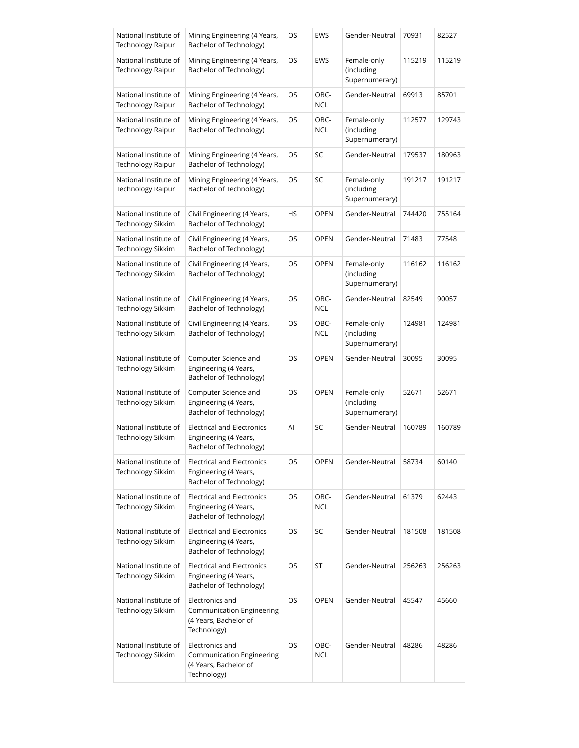| National Institute of<br><b>Technology Raipur</b> | Mining Engineering (4 Years,<br>Bachelor of Technology)                               | OS  | EWS                | Gender-Neutral                              | 70931  | 82527  |
|---------------------------------------------------|---------------------------------------------------------------------------------------|-----|--------------------|---------------------------------------------|--------|--------|
| National Institute of<br><b>Technology Raipur</b> | Mining Engineering (4 Years,<br>Bachelor of Technology)                               | OS  | EWS                | Female-only<br>(including<br>Supernumerary) | 115219 | 115219 |
| National Institute of<br><b>Technology Raipur</b> | Mining Engineering (4 Years,<br>Bachelor of Technology)                               | OS  | OBC-<br><b>NCL</b> | Gender-Neutral                              | 69913  | 85701  |
| National Institute of<br>Technology Raipur        | Mining Engineering (4 Years,<br>Bachelor of Technology)                               | OS  | OBC-<br><b>NCL</b> | Female-only<br>(including<br>Supernumerary) | 112577 | 129743 |
| National Institute of<br><b>Technology Raipur</b> | Mining Engineering (4 Years,<br>Bachelor of Technology)                               | OS  | SC                 | Gender-Neutral                              | 179537 | 180963 |
| National Institute of<br><b>Technology Raipur</b> | Mining Engineering (4 Years,<br>Bachelor of Technology)                               | OS  | SC                 | Female-only<br>(including<br>Supernumerary) | 191217 | 191217 |
| National Institute of<br>Technology Sikkim        | Civil Engineering (4 Years,<br>Bachelor of Technology)                                | HS  | <b>OPEN</b>        | Gender-Neutral                              | 744420 | 755164 |
| National Institute of<br>Technology Sikkim        | Civil Engineering (4 Years,<br>Bachelor of Technology)                                | OS  | <b>OPEN</b>        | Gender-Neutral                              | 71483  | 77548  |
| National Institute of<br>Technology Sikkim        | Civil Engineering (4 Years,<br>Bachelor of Technology)                                | OS  | <b>OPEN</b>        | Female-only<br>(including<br>Supernumerary) | 116162 | 116162 |
| National Institute of<br>Technology Sikkim        | Civil Engineering (4 Years,<br>Bachelor of Technology)                                | OS  | OBC-<br><b>NCL</b> | Gender-Neutral                              | 82549  | 90057  |
| National Institute of<br>Technology Sikkim        | Civil Engineering (4 Years,<br>Bachelor of Technology)                                | OS  | OBC-<br><b>NCL</b> | Female-only<br>(including<br>Supernumerary) | 124981 | 124981 |
| National Institute of<br>Technology Sikkim        | Computer Science and<br>Engineering (4 Years,<br>Bachelor of Technology)              | OS  | <b>OPEN</b>        | Gender-Neutral                              | 30095  | 30095  |
| National Institute of<br>Technology Sikkim        | Computer Science and<br>Engineering (4 Years,<br>Bachelor of Technology)              | OS  | <b>OPEN</b>        | Female-only<br>(including<br>Supernumerary) | 52671  | 52671  |
| National Institute of<br>Technology Sikkim        | <b>Electrical and Electronics</b><br>Engineering (4 Years,<br>Bachelor of Technology) | Al  | SC                 | Gender-Neutral                              | 160789 | 160789 |
| National Institute of<br>Technology Sikkim        | <b>Electrical and Electronics</b><br>Engineering (4 Years,<br>Bachelor of Technology) | OS  | <b>OPEN</b>        | Gender-Neutral                              | 58734  | 60140  |
| National Institute of<br>Technology Sikkim        | <b>Electrical and Electronics</b><br>Engineering (4 Years,<br>Bachelor of Technology) | OS  | OBC-<br><b>NCL</b> | Gender-Neutral                              | 61379  | 62443  |
| National Institute of<br>Technology Sikkim        | <b>Electrical and Electronics</b><br>Engineering (4 Years,<br>Bachelor of Technology) | OS. | SC                 | Gender-Neutral                              | 181508 | 181508 |
| National Institute of<br>Technology Sikkim        | <b>Electrical and Electronics</b><br>Engineering (4 Years,<br>Bachelor of Technology) | OS  | ST                 | Gender-Neutral                              | 256263 | 256263 |
| National Institute of<br>Technology Sikkim        | Electronics and<br>Communication Engineering<br>(4 Years, Bachelor of<br>Technology)  | OS  | <b>OPEN</b>        | Gender-Neutral                              | 45547  | 45660  |
| National Institute of<br>Technology Sikkim        | Electronics and<br>Communication Engineering<br>(4 Years, Bachelor of<br>Technology)  | OS  | OBC-<br>NCL        | Gender-Neutral                              | 48286  | 48286  |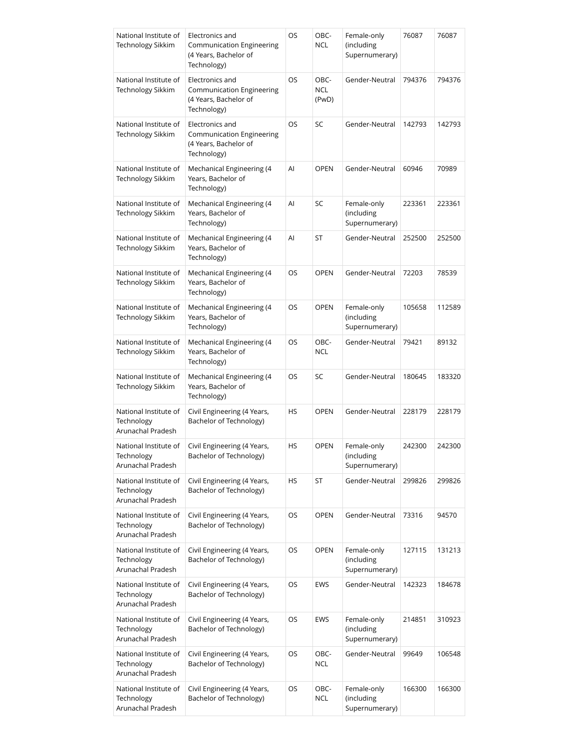| National Institute of<br><b>Technology Sikkim</b>        | Electronics and<br><b>Communication Engineering</b><br>(4 Years, Bachelor of<br>Technology) | OS | OBC-<br><b>NCL</b>          | Female-only<br>(including<br>Supernumerary) | 76087  | 76087  |
|----------------------------------------------------------|---------------------------------------------------------------------------------------------|----|-----------------------------|---------------------------------------------|--------|--------|
| National Institute of<br>Technology Sikkim               | Electronics and<br><b>Communication Engineering</b><br>(4 Years, Bachelor of<br>Technology) | OS | OBC-<br><b>NCL</b><br>(PwD) | Gender-Neutral                              | 794376 | 794376 |
| National Institute of<br>Technology Sikkim               | Electronics and<br>Communication Engineering<br>(4 Years, Bachelor of<br>Technology)        | OS | SC                          | Gender-Neutral                              | 142793 | 142793 |
| National Institute of<br>Technology Sikkim               | Mechanical Engineering (4<br>Years, Bachelor of<br>Technology)                              | Al | <b>OPEN</b>                 | Gender-Neutral                              | 60946  | 70989  |
| National Institute of<br>Technology Sikkim               | Mechanical Engineering (4<br>Years, Bachelor of<br>Technology)                              | Al | SC                          | Female-only<br>(including<br>Supernumerary) | 223361 | 223361 |
| National Institute of<br>Technology Sikkim               | Mechanical Engineering (4<br>Years, Bachelor of<br>Technology)                              | Al | ST                          | Gender-Neutral                              | 252500 | 252500 |
| National Institute of<br>Technology Sikkim               | Mechanical Engineering (4<br>Years, Bachelor of<br>Technology)                              | OS | <b>OPEN</b>                 | Gender-Neutral                              | 72203  | 78539  |
| National Institute of<br><b>Technology Sikkim</b>        | Mechanical Engineering (4<br>Years, Bachelor of<br>Technology)                              | OS | <b>OPEN</b>                 | Female-only<br>(including<br>Supernumerary) | 105658 | 112589 |
| National Institute of<br><b>Technology Sikkim</b>        | Mechanical Engineering (4<br>Years, Bachelor of<br>Technology)                              | OS | OBC-<br><b>NCL</b>          | Gender-Neutral                              | 79421  | 89132  |
| National Institute of<br>Technology Sikkim               | Mechanical Engineering (4<br>Years, Bachelor of<br>Technology)                              | OS | SC                          | Gender-Neutral                              | 180645 | 183320 |
| National Institute of<br>Technology<br>Arunachal Pradesh | Civil Engineering (4 Years,<br>Bachelor of Technology)                                      | HS | <b>OPEN</b>                 | Gender-Neutral                              | 228179 | 228179 |
| National Institute of<br>Technology<br>Arunachal Pradesh | Civil Engineering (4 Years,<br>Bachelor of Technology)                                      | HS | <b>OPEN</b>                 | Female-only<br>(including<br>Supernumerary) | 242300 | 242300 |
| National Institute of<br>Technology<br>Arunachal Pradesh | Civil Engineering (4 Years,<br>Bachelor of Technology)                                      | HS | ST                          | Gender-Neutral                              | 299826 | 299826 |
| National Institute of<br>Technology<br>Arunachal Pradesh | Civil Engineering (4 Years,<br>Bachelor of Technology)                                      | OS | <b>OPEN</b>                 | Gender-Neutral                              | 73316  | 94570  |
| National Institute of<br>Technology<br>Arunachal Pradesh | Civil Engineering (4 Years,<br>Bachelor of Technology)                                      | OS | <b>OPEN</b>                 | Female-only<br>(including<br>Supernumerary) | 127115 | 131213 |
| National Institute of<br>Technology<br>Arunachal Pradesh | Civil Engineering (4 Years,<br>Bachelor of Technology)                                      | OS | EWS                         | Gender-Neutral                              | 142323 | 184678 |
| National Institute of<br>Technology<br>Arunachal Pradesh | Civil Engineering (4 Years,<br>Bachelor of Technology)                                      | OS | EWS                         | Female-only<br>(including<br>Supernumerary) | 214851 | 310923 |
| National Institute of<br>Technology<br>Arunachal Pradesh | Civil Engineering (4 Years,<br>Bachelor of Technology)                                      | OS | OBC-<br><b>NCL</b>          | Gender-Neutral                              | 99649  | 106548 |
| National Institute of<br>Technology<br>Arunachal Pradesh | Civil Engineering (4 Years,<br>Bachelor of Technology)                                      | OS | OBC-<br><b>NCL</b>          | Female-only<br>(including<br>Supernumerary) | 166300 | 166300 |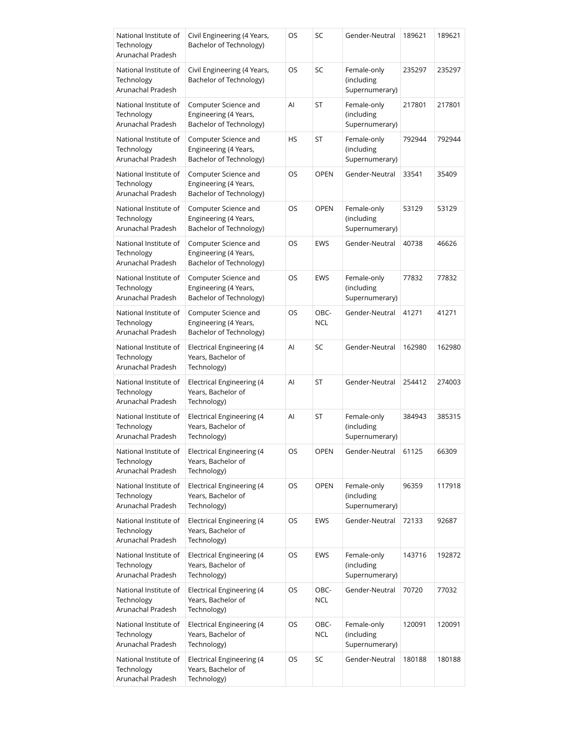| National Institute of<br>Technology<br>Arunachal Pradesh | Civil Engineering (4 Years,<br>Bachelor of Technology)                   | OS | SC                 | Gender-Neutral                              | 189621 | 189621 |
|----------------------------------------------------------|--------------------------------------------------------------------------|----|--------------------|---------------------------------------------|--------|--------|
| National Institute of<br>Technology<br>Arunachal Pradesh | Civil Engineering (4 Years,<br>Bachelor of Technology)                   | OS | SC                 | Female-only<br>(including<br>Supernumerary) | 235297 | 235297 |
| National Institute of<br>Technology<br>Arunachal Pradesh | Computer Science and<br>Engineering (4 Years,<br>Bachelor of Technology) | Al | ST                 | Female-only<br>(including<br>Supernumerary) | 217801 | 217801 |
| National Institute of<br>Technology<br>Arunachal Pradesh | Computer Science and<br>Engineering (4 Years,<br>Bachelor of Technology) | HS | ST                 | Female-only<br>(including<br>Supernumerary) | 792944 | 792944 |
| National Institute of<br>Technology<br>Arunachal Pradesh | Computer Science and<br>Engineering (4 Years,<br>Bachelor of Technology) | OS | <b>OPEN</b>        | Gender-Neutral                              | 33541  | 35409  |
| National Institute of<br>Technology<br>Arunachal Pradesh | Computer Science and<br>Engineering (4 Years,<br>Bachelor of Technology) | OS | <b>OPEN</b>        | Female-only<br>(including<br>Supernumerary) | 53129  | 53129  |
| National Institute of<br>Technology<br>Arunachal Pradesh | Computer Science and<br>Engineering (4 Years,<br>Bachelor of Technology) | OS | EWS                | Gender-Neutral                              | 40738  | 46626  |
| National Institute of<br>Technology<br>Arunachal Pradesh | Computer Science and<br>Engineering (4 Years,<br>Bachelor of Technology) | OS | EWS                | Female-only<br>(including<br>Supernumerary) | 77832  | 77832  |
| National Institute of<br>Technology<br>Arunachal Pradesh | Computer Science and<br>Engineering (4 Years,<br>Bachelor of Technology) | OS | OBC-<br><b>NCL</b> | Gender-Neutral                              | 41271  | 41271  |
| National Institute of<br>Technology<br>Arunachal Pradesh | Electrical Engineering (4<br>Years, Bachelor of<br>Technology)           | AI | SC                 | Gender-Neutral                              | 162980 | 162980 |
| National Institute of<br>Technology<br>Arunachal Pradesh | Electrical Engineering (4<br>Years, Bachelor of<br>Technology)           | Al | ST                 | Gender-Neutral                              | 254412 | 274003 |
| National Institute of<br>Technology<br>Arunachal Pradesh | Electrical Engineering (4<br>Years, Bachelor of<br>Technology)           | AI | ST                 | Female-only<br>(including<br>Supernumerary) | 384943 | 385315 |
| National Institute of<br>Technology<br>Arunachal Pradesh | <b>Electrical Engineering (4</b><br>Years, Bachelor of<br>Technology)    | OS | <b>OPEN</b>        | Gender-Neutral                              | 61125  | 66309  |
| National Institute of<br>Technology<br>Arunachal Pradesh | Electrical Engineering (4<br>Years, Bachelor of<br>Technology)           | OS | <b>OPEN</b>        | Female-only<br>(including<br>Supernumerary) | 96359  | 117918 |
| National Institute of<br>Technology<br>Arunachal Pradesh | <b>Electrical Engineering (4</b><br>Years, Bachelor of<br>Technology)    | OS | EWS                | Gender-Neutral                              | 72133  | 92687  |
| National Institute of<br>Technology<br>Arunachal Pradesh | <b>Electrical Engineering (4</b><br>Years, Bachelor of<br>Technology)    | OS | EWS                | Female-only<br>(including<br>Supernumerary) | 143716 | 192872 |
| National Institute of<br>Technology<br>Arunachal Pradesh | <b>Electrical Engineering (4</b><br>Years, Bachelor of<br>Technology)    | OS | OBC-<br><b>NCL</b> | Gender-Neutral                              | 70720  | 77032  |
| National Institute of<br>Technology<br>Arunachal Pradesh | Electrical Engineering (4<br>Years, Bachelor of<br>Technology)           | OS | OBC-<br><b>NCL</b> | Female-only<br>(including<br>Supernumerary) | 120091 | 120091 |
| National Institute of<br>Technology<br>Arunachal Pradesh | <b>Electrical Engineering (4</b><br>Years, Bachelor of<br>Technology)    | OS | SC                 | Gender-Neutral                              | 180188 | 180188 |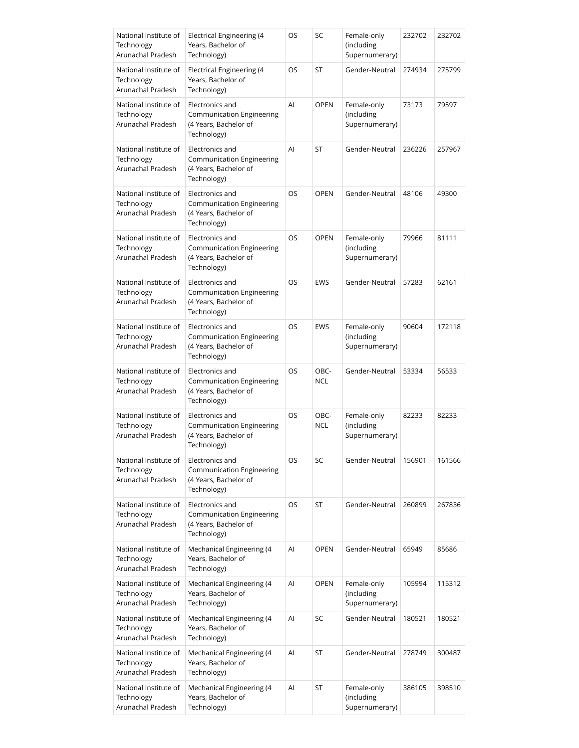| National Institute of<br>Technology<br>Arunachal Pradesh | <b>Electrical Engineering (4</b><br>Years, Bachelor of<br>Technology)                       | OS | SC                 | Female-only<br>(including<br>Supernumerary) | 232702 | 232702 |
|----------------------------------------------------------|---------------------------------------------------------------------------------------------|----|--------------------|---------------------------------------------|--------|--------|
| National Institute of<br>Technology<br>Arunachal Pradesh | <b>Electrical Engineering (4</b><br>Years, Bachelor of<br>Technology)                       | OS | ST                 | Gender-Neutral                              | 274934 | 275799 |
| National Institute of<br>Technology<br>Arunachal Pradesh | Electronics and<br>Communication Engineering<br>(4 Years, Bachelor of<br>Technology)        | AI | <b>OPEN</b>        | Female-only<br>(including<br>Supernumerary) | 73173  | 79597  |
| National Institute of<br>Technology<br>Arunachal Pradesh | Electronics and<br><b>Communication Engineering</b><br>(4 Years, Bachelor of<br>Technology) | Al | ST                 | Gender-Neutral                              | 236226 | 257967 |
| National Institute of<br>Technology<br>Arunachal Pradesh | Electronics and<br><b>Communication Engineering</b><br>(4 Years, Bachelor of<br>Technology) | OS | <b>OPEN</b>        | Gender-Neutral                              | 48106  | 49300  |
| National Institute of<br>Technology<br>Arunachal Pradesh | Electronics and<br><b>Communication Engineering</b><br>(4 Years, Bachelor of<br>Technology) | OS | <b>OPEN</b>        | Female-only<br>(including<br>Supernumerary) | 79966  | 81111  |
| National Institute of<br>Technology<br>Arunachal Pradesh | Electronics and<br>Communication Engineering<br>(4 Years, Bachelor of<br>Technology)        | OS | <b>EWS</b>         | Gender-Neutral                              | 57283  | 62161  |
| National Institute of<br>Technology<br>Arunachal Pradesh | Electronics and<br>Communication Engineering<br>(4 Years, Bachelor of<br>Technology)        | OS | <b>EWS</b>         | Female-only<br>(including<br>Supernumerary) | 90604  | 172118 |
| National Institute of<br>Technology<br>Arunachal Pradesh | Electronics and<br>Communication Engineering<br>(4 Years, Bachelor of<br>Technology)        | OS | OBC-<br><b>NCL</b> | Gender-Neutral                              | 53334  | 56533  |
| National Institute of<br>Technology<br>Arunachal Pradesh | Electronics and<br>Communication Engineering<br>(4 Years, Bachelor of<br>Technology)        | OS | OBC-<br><b>NCL</b> | Female-only<br>(including<br>Supernumerary) | 82233  | 82233  |
| National Institute of<br>Technology<br>Arunachal Pradesh | Electronics and<br><b>Communication Engineering</b><br>(4 Years, Bachelor of<br>Technology) | OS | SC                 | Gender-Neutral                              | 156901 | 161566 |
| National Institute of<br>Technology<br>Arunachal Pradesh | Electronics and<br><b>Communication Engineering</b><br>(4 Years, Bachelor of<br>Technology) | OS | ST                 | Gender-Neutral                              | 260899 | 267836 |
| National Institute of<br>Technology<br>Arunachal Pradesh | Mechanical Engineering (4<br>Years, Bachelor of<br>Technology)                              | Al | <b>OPEN</b>        | Gender-Neutral                              | 65949  | 85686  |
| National Institute of<br>Technology<br>Arunachal Pradesh | Mechanical Engineering (4<br>Years, Bachelor of<br>Technology)                              | Al | <b>OPEN</b>        | Female-only<br>(including<br>Supernumerary) | 105994 | 115312 |
| National Institute of<br>Technology<br>Arunachal Pradesh | Mechanical Engineering (4<br>Years, Bachelor of<br>Technology)                              | Al | SC                 | Gender-Neutral                              | 180521 | 180521 |
| National Institute of<br>Technology<br>Arunachal Pradesh | Mechanical Engineering (4<br>Years, Bachelor of<br>Technology)                              | AI | ST                 | Gender-Neutral                              | 278749 | 300487 |
| National Institute of<br>Technology<br>Arunachal Pradesh | Mechanical Engineering (4<br>Years, Bachelor of<br>Technology)                              | Al | ST                 | Female-only<br>(including<br>Supernumerary) | 386105 | 398510 |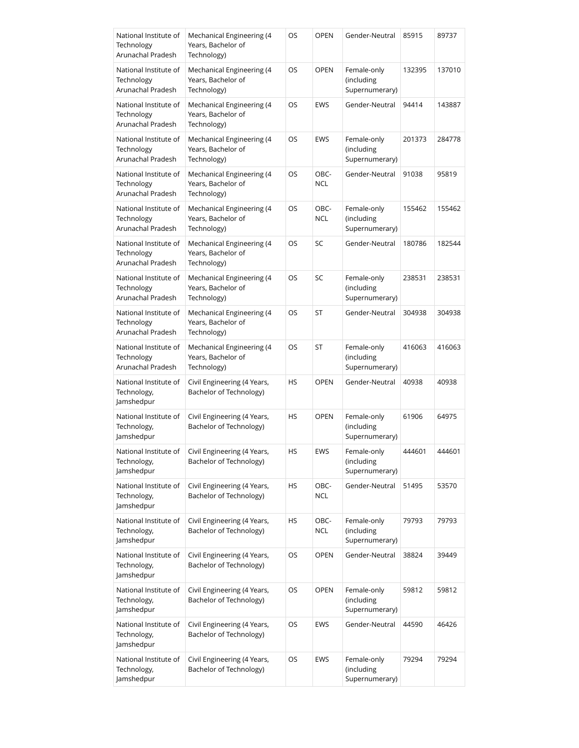| National Institute of<br>Technology<br>Arunachal Pradesh | Mechanical Engineering (4<br>Years, Bachelor of<br>Technology) | OS        | <b>OPEN</b>        | Gender-Neutral                              | 85915  | 89737  |
|----------------------------------------------------------|----------------------------------------------------------------|-----------|--------------------|---------------------------------------------|--------|--------|
| National Institute of<br>Technology<br>Arunachal Pradesh | Mechanical Engineering (4<br>Years, Bachelor of<br>Technology) | OS        | <b>OPEN</b>        | Female-only<br>(including<br>Supernumerary) | 132395 | 137010 |
| National Institute of<br>Technology<br>Arunachal Pradesh | Mechanical Engineering (4<br>Years, Bachelor of<br>Technology) | OS        | EWS                | Gender-Neutral                              | 94414  | 143887 |
| National Institute of<br>Technology<br>Arunachal Pradesh | Mechanical Engineering (4<br>Years, Bachelor of<br>Technology) | OS        | EWS                | Female-only<br>(including<br>Supernumerary) | 201373 | 284778 |
| National Institute of<br>Technology<br>Arunachal Pradesh | Mechanical Engineering (4<br>Years, Bachelor of<br>Technology) | OS        | OBC-<br><b>NCL</b> | Gender-Neutral                              | 91038  | 95819  |
| National Institute of<br>Technology<br>Arunachal Pradesh | Mechanical Engineering (4<br>Years, Bachelor of<br>Technology) | OS        | OBC-<br><b>NCL</b> | Female-only<br>(including<br>Supernumerary) | 155462 | 155462 |
| National Institute of<br>Technology<br>Arunachal Pradesh | Mechanical Engineering (4<br>Years, Bachelor of<br>Technology) | OS        | SC                 | Gender-Neutral                              | 180786 | 182544 |
| National Institute of<br>Technology<br>Arunachal Pradesh | Mechanical Engineering (4<br>Years, Bachelor of<br>Technology) | OS        | SC                 | Female-only<br>(including<br>Supernumerary) | 238531 | 238531 |
| National Institute of<br>Technology<br>Arunachal Pradesh | Mechanical Engineering (4<br>Years, Bachelor of<br>Technology) | OS        | ST                 | Gender-Neutral                              | 304938 | 304938 |
| National Institute of<br>Technology<br>Arunachal Pradesh | Mechanical Engineering (4<br>Years, Bachelor of<br>Technology) | OS        | ST                 | Female-only<br>(including<br>Supernumerary) | 416063 | 416063 |
| National Institute of<br>Technology,<br>lamshedpur       | Civil Engineering (4 Years,<br>Bachelor of Technology)         | <b>HS</b> | <b>OPEN</b>        | Gender-Neutral                              | 40938  | 40938  |
| National Institute of<br>Technology,<br>Jamshedpur       | Civil Engineering (4 Years,<br>Bachelor of Technology)         | HS        | <b>OPEN</b>        | Female-only<br>(including<br>Supernumerary) | 61906  | 64975  |
| National Institute of<br>Technology,<br>Jamshedpur       | Civil Engineering (4 Years,<br>Bachelor of Technology)         | HS        | EWS                | Female-only<br>(including<br>Supernumerary) | 444601 | 444601 |
| National Institute of<br>Technology,<br>Jamshedpur       | Civil Engineering (4 Years,<br>Bachelor of Technology)         | HS        | OBC-<br>NCL        | Gender-Neutral                              | 51495  | 53570  |
| National Institute of<br>Technology,<br>Jamshedpur       | Civil Engineering (4 Years,<br>Bachelor of Technology)         | HS        | OBC-<br><b>NCL</b> | Female-only<br>(including<br>Supernumerary) | 79793  | 79793  |
| National Institute of<br>Technology,<br>Jamshedpur       | Civil Engineering (4 Years,<br>Bachelor of Technology)         | OS        | <b>OPEN</b>        | Gender-Neutral                              | 38824  | 39449  |
| National Institute of<br>Technology,<br>Jamshedpur       | Civil Engineering (4 Years,<br>Bachelor of Technology)         | OS        | <b>OPEN</b>        | Female-only<br>(including<br>Supernumerary) | 59812  | 59812  |
| National Institute of<br>Technology,<br>Jamshedpur       | Civil Engineering (4 Years,<br>Bachelor of Technology)         | OS        | EWS                | Gender-Neutral                              | 44590  | 46426  |
| National Institute of<br>Technology,<br>Jamshedpur       | Civil Engineering (4 Years,<br>Bachelor of Technology)         | <b>OS</b> | EWS                | Female-only<br>(including<br>Supernumerary) | 79294  | 79294  |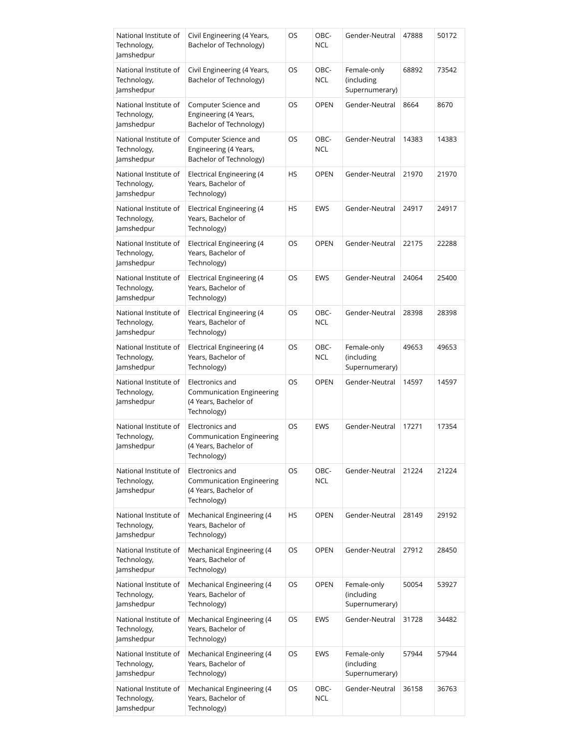| National Institute of<br>Technology,<br>Jamshedpur | Civil Engineering (4 Years,<br>Bachelor of Technology)                                      | OS        | OBC-<br><b>NCL</b> | Gender-Neutral                              | 47888 | 50172 |
|----------------------------------------------------|---------------------------------------------------------------------------------------------|-----------|--------------------|---------------------------------------------|-------|-------|
| National Institute of<br>Technology,<br>Jamshedpur | Civil Engineering (4 Years,<br>Bachelor of Technology)                                      | OS        | OBC-<br><b>NCL</b> | Female-only<br>(including<br>Supernumerary) | 68892 | 73542 |
| National Institute of<br>Technology,<br>Jamshedpur | Computer Science and<br>Engineering (4 Years,<br>Bachelor of Technology)                    | OS        | <b>OPEN</b>        | Gender-Neutral                              | 8664  | 8670  |
| National Institute of<br>Technology,<br>Jamshedpur | Computer Science and<br>Engineering (4 Years,<br>Bachelor of Technology)                    | OS        | OBC-<br><b>NCL</b> | Gender-Neutral                              | 14383 | 14383 |
| National Institute of<br>Technology,<br>Jamshedpur | <b>Electrical Engineering (4</b><br>Years, Bachelor of<br>Technology)                       | <b>HS</b> | <b>OPEN</b>        | Gender-Neutral                              | 21970 | 21970 |
| National Institute of<br>Technology,<br>Jamshedpur | <b>Electrical Engineering (4</b><br>Years, Bachelor of<br>Technology)                       | HS        | EWS                | Gender-Neutral                              | 24917 | 24917 |
| National Institute of<br>Technology,<br>Jamshedpur | <b>Electrical Engineering (4</b><br>Years, Bachelor of<br>Technology)                       | OS        | <b>OPEN</b>        | Gender-Neutral                              | 22175 | 22288 |
| National Institute of<br>Technology,<br>Jamshedpur | Electrical Engineering (4<br>Years, Bachelor of<br>Technology)                              | OS        | EWS                | Gender-Neutral                              | 24064 | 25400 |
| National Institute of<br>Technology,<br>Jamshedpur | <b>Electrical Engineering (4</b><br>Years, Bachelor of<br>Technology)                       | OS        | OBC-<br><b>NCL</b> | Gender-Neutral                              | 28398 | 28398 |
| National Institute of<br>Technology,<br>Jamshedpur | <b>Electrical Engineering (4</b><br>Years, Bachelor of<br>Technology)                       | OS        | OBC-<br><b>NCL</b> | Female-only<br>(including<br>Supernumerary) | 49653 | 49653 |
| National Institute of<br>Technology,<br>Jamshedpur | Electronics and<br><b>Communication Engineering</b><br>(4 Years, Bachelor of<br>Technology) | <b>OS</b> | <b>OPEN</b>        | Gender-Neutral                              | 14597 | 14597 |
| National Institute of<br>Technology,<br>Jamshedpur | Electronics and<br><b>Communication Engineering</b><br>(4 Years, Bachelor of<br>Technology) | <b>OS</b> | <b>EWS</b>         | Gender-Neutral                              | 17271 | 17354 |
| National Institute of<br>Technology,<br>Jamshedpur | Electronics and<br><b>Communication Engineering</b><br>(4 Years, Bachelor of<br>Technology) | OS        | OBC-<br><b>NCL</b> | Gender-Neutral                              | 21224 | 21224 |
| National Institute of<br>Technology,<br>Jamshedpur | Mechanical Engineering (4<br>Years, Bachelor of<br>Technology)                              | HS        | <b>OPEN</b>        | Gender-Neutral                              | 28149 | 29192 |
| National Institute of<br>Technology,<br>Jamshedpur | Mechanical Engineering (4<br>Years, Bachelor of<br>Technology)                              | OS        | <b>OPEN</b>        | Gender-Neutral                              | 27912 | 28450 |
| National Institute of<br>Technology,<br>Jamshedpur | Mechanical Engineering (4<br>Years, Bachelor of<br>Technology)                              | OS        | <b>OPEN</b>        | Female-only<br>(including<br>Supernumerary) | 50054 | 53927 |
| National Institute of<br>Technology,<br>Jamshedpur | Mechanical Engineering (4<br>Years, Bachelor of<br>Technology)                              | OS        | EWS                | Gender-Neutral                              | 31728 | 34482 |
| National Institute of<br>Technology,<br>Jamshedpur | Mechanical Engineering (4<br>Years, Bachelor of<br>Technology)                              | OS        | EWS                | Female-only<br>(including<br>Supernumerary) | 57944 | 57944 |
| National Institute of<br>Technology,<br>Jamshedpur | Mechanical Engineering (4<br>Years, Bachelor of<br>Technology)                              | OS        | OBC-<br><b>NCL</b> | Gender-Neutral                              | 36158 | 36763 |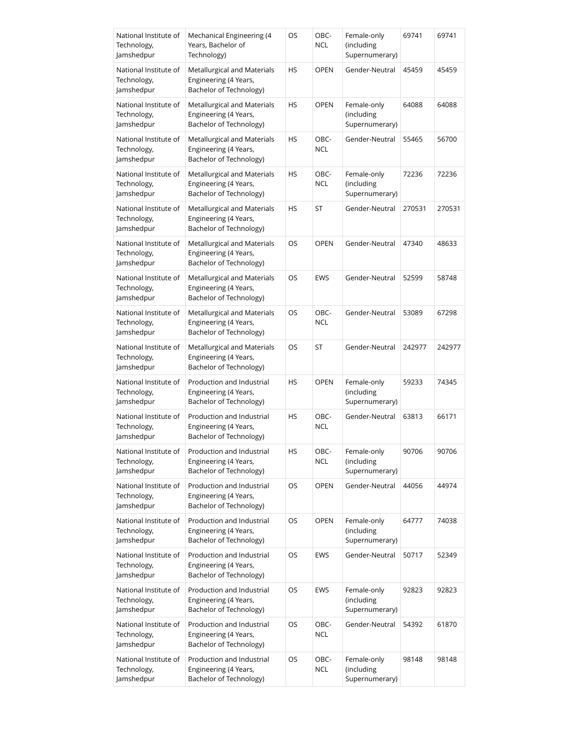| National Institute of<br>Technology,<br>Jamshedpur | Mechanical Engineering (4<br>Years, Bachelor of<br>Technology)                  | OS        | OBC-<br><b>NCL</b> | Female-only<br>(including<br>Supernumerary) | 69741  | 69741  |
|----------------------------------------------------|---------------------------------------------------------------------------------|-----------|--------------------|---------------------------------------------|--------|--------|
| National Institute of<br>Technology,<br>Jamshedpur | Metallurgical and Materials<br>Engineering (4 Years,<br>Bachelor of Technology) | HS        | <b>OPEN</b>        | Gender-Neutral                              | 45459  | 45459  |
| National Institute of<br>Technology,<br>Jamshedpur | Metallurgical and Materials<br>Engineering (4 Years,<br>Bachelor of Technology) | HS        | <b>OPEN</b>        | Female-only<br>(including<br>Supernumerary) | 64088  | 64088  |
| National Institute of<br>Technology,<br>Jamshedpur | Metallurgical and Materials<br>Engineering (4 Years,<br>Bachelor of Technology) | HS        | OBC-<br><b>NCL</b> | Gender-Neutral                              | 55465  | 56700  |
| National Institute of<br>Technology,<br>Jamshedpur | Metallurgical and Materials<br>Engineering (4 Years,<br>Bachelor of Technology) | HS        | OBC-<br><b>NCL</b> | Female-only<br>(including<br>Supernumerary) | 72236  | 72236  |
| National Institute of<br>Technology,<br>Jamshedpur | Metallurgical and Materials<br>Engineering (4 Years,<br>Bachelor of Technology) | HS        | ST                 | Gender-Neutral                              | 270531 | 270531 |
| National Institute of<br>Technology,<br>Jamshedpur | Metallurgical and Materials<br>Engineering (4 Years,<br>Bachelor of Technology) | OS        | <b>OPEN</b>        | Gender-Neutral                              | 47340  | 48633  |
| National Institute of<br>Technology,<br>Jamshedpur | Metallurgical and Materials<br>Engineering (4 Years,<br>Bachelor of Technology) | OS        | EWS                | Gender-Neutral                              | 52599  | 58748  |
| National Institute of<br>Technology,<br>Jamshedpur | Metallurgical and Materials<br>Engineering (4 Years,<br>Bachelor of Technology) | OS        | OBC-<br><b>NCL</b> | Gender-Neutral                              | 53089  | 67298  |
| National Institute of<br>Technology,<br>Jamshedpur | Metallurgical and Materials<br>Engineering (4 Years,<br>Bachelor of Technology) | OS        | ST                 | Gender-Neutral                              | 242977 | 242977 |
| National Institute of<br>Technology,<br>Jamshedpur | Production and Industrial<br>Engineering (4 Years,<br>Bachelor of Technology)   | <b>HS</b> | <b>OPEN</b>        | Female-only<br>(including<br>Supernumerary) | 59233  | 74345  |
| National Institute of<br>Technology,<br>Jamshedpur | Production and Industrial<br>Engineering (4 Years,<br>Bachelor of Technology)   | HS        | OBC-<br><b>NCL</b> | Gender-Neutral                              | 63813  | 66171  |
| National Institute of<br>Technology,<br>lamshedpur | Production and Industrial<br>Engineering (4 Years,<br>Bachelor of Technology)   | HS        | OBC-<br><b>NCL</b> | Female-only<br>(including<br>Supernumerary) | 90706  | 90706  |
| National Institute of<br>Technology,<br>Jamshedpur | Production and Industrial<br>Engineering (4 Years,<br>Bachelor of Technology)   | OS        | <b>OPEN</b>        | Gender-Neutral                              | 44056  | 44974  |
| National Institute of<br>Technology,<br>Jamshedpur | Production and Industrial<br>Engineering (4 Years,<br>Bachelor of Technology)   | OS        | <b>OPEN</b>        | Female-only<br>(including<br>Supernumerary) | 64777  | 74038  |
| National Institute of<br>Technology,<br>Jamshedpur | Production and Industrial<br>Engineering (4 Years,<br>Bachelor of Technology)   | OS        | EWS                | Gender-Neutral                              | 50717  | 52349  |
| National Institute of<br>Technology,<br>Jamshedpur | Production and Industrial<br>Engineering (4 Years,<br>Bachelor of Technology)   | OS        | EWS                | Female-only<br>(including<br>Supernumerary) | 92823  | 92823  |
| National Institute of<br>Technology,<br>Jamshedpur | Production and Industrial<br>Engineering (4 Years,<br>Bachelor of Technology)   | OS        | OBC-<br><b>NCL</b> | Gender-Neutral                              | 54392  | 61870  |
| National Institute of<br>Technology,<br>Jamshedpur | Production and Industrial<br>Engineering (4 Years,<br>Bachelor of Technology)   | OS        | OBC-<br><b>NCL</b> | Female-only<br>(including<br>Supernumerary) | 98148  | 98148  |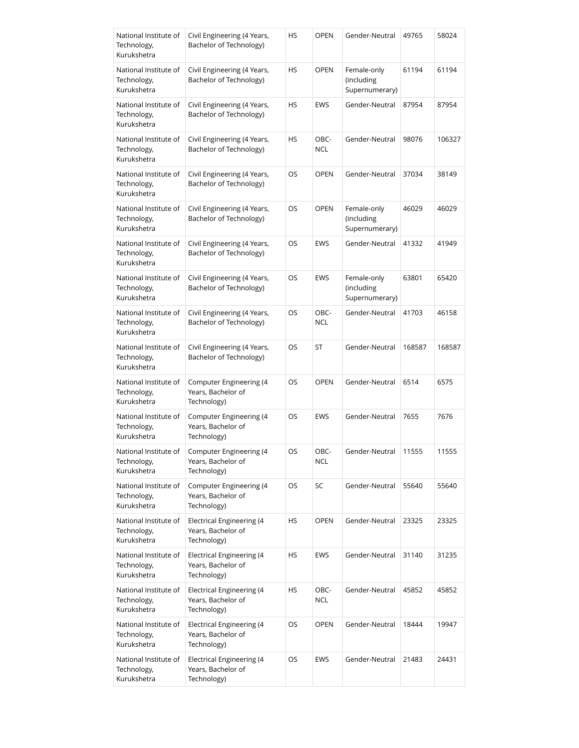| National Institute of<br>Technology,<br>Kurukshetra | Civil Engineering (4 Years,<br>Bachelor of Technology)                | HS | <b>OPEN</b>        | Gender-Neutral                              | 49765  | 58024  |
|-----------------------------------------------------|-----------------------------------------------------------------------|----|--------------------|---------------------------------------------|--------|--------|
| National Institute of<br>Technology,<br>Kurukshetra | Civil Engineering (4 Years,<br>Bachelor of Technology)                | HS | <b>OPEN</b>        | Female-only<br>(including<br>Supernumerary) | 61194  | 61194  |
| National Institute of<br>Technology,<br>Kurukshetra | Civil Engineering (4 Years,<br>Bachelor of Technology)                | HS | EWS                | Gender-Neutral                              | 87954  | 87954  |
| National Institute of<br>Technology,<br>Kurukshetra | Civil Engineering (4 Years,<br>Bachelor of Technology)                | HS | OBC-<br><b>NCL</b> | Gender-Neutral                              | 98076  | 106327 |
| National Institute of<br>Technology,<br>Kurukshetra | Civil Engineering (4 Years,<br>Bachelor of Technology)                | OS | <b>OPEN</b>        | Gender-Neutral                              | 37034  | 38149  |
| National Institute of<br>Technology,<br>Kurukshetra | Civil Engineering (4 Years,<br>Bachelor of Technology)                | OS | <b>OPEN</b>        | Female-only<br>(including<br>Supernumerary) | 46029  | 46029  |
| National Institute of<br>Technology,<br>Kurukshetra | Civil Engineering (4 Years,<br>Bachelor of Technology)                | OS | EWS                | Gender-Neutral                              | 41332  | 41949  |
| National Institute of<br>Technology,<br>Kurukshetra | Civil Engineering (4 Years,<br>Bachelor of Technology)                | OS | EWS                | Female-only<br>(including<br>Supernumerary) | 63801  | 65420  |
| National Institute of<br>Technology,<br>Kurukshetra | Civil Engineering (4 Years,<br>Bachelor of Technology)                | OS | OBC-<br><b>NCL</b> | Gender-Neutral                              | 41703  | 46158  |
| National Institute of<br>Technology,<br>Kurukshetra | Civil Engineering (4 Years,<br>Bachelor of Technology)                | OS | ST                 | Gender-Neutral                              | 168587 | 168587 |
| National Institute of<br>Technology,<br>Kurukshetra | Computer Engineering (4<br>Years, Bachelor of<br>Technology)          | OS | <b>OPEN</b>        | Gender-Neutral                              | 6514   | 6575   |
| National Institute of<br>Technology,<br>Kurukshetra | Computer Engineering (4<br>Years, Bachelor of<br>Technology)          | OS | EWS                | Gender-Neutral                              | 7655   | 7676   |
| National Institute of<br>Technology,<br>Kurukshetra | <b>Computer Engineering (4</b><br>Years, Bachelor of<br>Technology)   | OS | OBC-<br><b>NCL</b> | Gender-Neutral                              | 11555  | 11555  |
| National Institute of<br>Technology,<br>Kurukshetra | Computer Engineering (4<br>Years, Bachelor of<br>Technology)          | OS | SC                 | Gender-Neutral                              | 55640  | 55640  |
| National Institute of<br>Technology,<br>Kurukshetra | <b>Electrical Engineering (4</b><br>Years, Bachelor of<br>Technology) | HS | <b>OPEN</b>        | Gender-Neutral                              | 23325  | 23325  |
| National Institute of<br>Technology,<br>Kurukshetra | <b>Electrical Engineering (4</b><br>Years, Bachelor of<br>Technology) | HS | EWS                | Gender-Neutral                              | 31140  | 31235  |
| National Institute of<br>Technology,<br>Kurukshetra | <b>Electrical Engineering (4</b><br>Years, Bachelor of<br>Technology) | HS | OBC-<br><b>NCL</b> | Gender-Neutral                              | 45852  | 45852  |
| National Institute of<br>Technology,<br>Kurukshetra | <b>Electrical Engineering (4</b><br>Years, Bachelor of<br>Technology) | OS | <b>OPEN</b>        | Gender-Neutral                              | 18444  | 19947  |
| National Institute of<br>Technology,<br>Kurukshetra | <b>Electrical Engineering (4</b><br>Years, Bachelor of<br>Technology) | OS | EWS                | Gender-Neutral                              | 21483  | 24431  |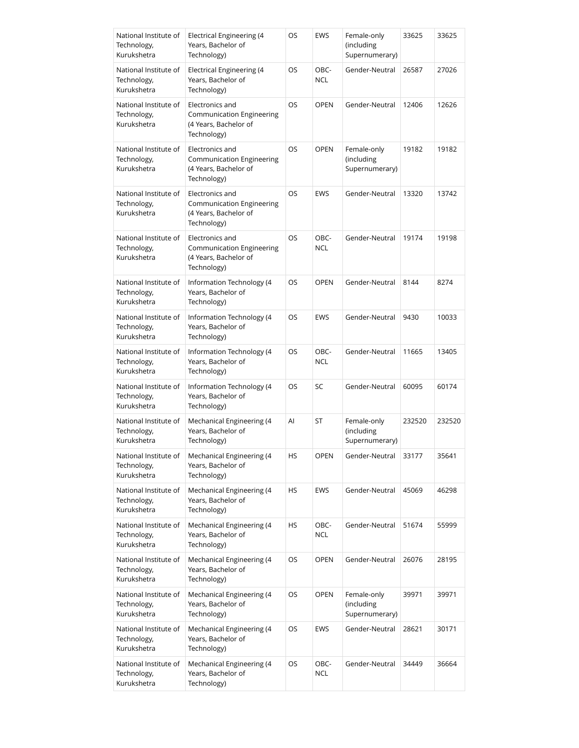| National Institute of<br>Technology,<br>Kurukshetra | <b>Electrical Engineering (4</b><br>Years, Bachelor of<br>Technology)                       | OS | <b>EWS</b>         | Female-only<br>(including<br>Supernumerary) | 33625  | 33625  |
|-----------------------------------------------------|---------------------------------------------------------------------------------------------|----|--------------------|---------------------------------------------|--------|--------|
| National Institute of<br>Technology,<br>Kurukshetra | <b>Electrical Engineering (4</b><br>Years, Bachelor of<br>Technology)                       | OS | OBC-<br><b>NCL</b> | Gender-Neutral                              | 26587  | 27026  |
| National Institute of<br>Technology,<br>Kurukshetra | Electronics and<br>Communication Engineering<br>(4 Years, Bachelor of<br>Technology)        | OS | <b>OPEN</b>        | Gender-Neutral                              | 12406  | 12626  |
| National Institute of<br>Technology,<br>Kurukshetra | Electronics and<br>Communication Engineering<br>(4 Years, Bachelor of<br>Technology)        | OS | <b>OPEN</b>        | Female-only<br>(including<br>Supernumerary) | 19182  | 19182  |
| National Institute of<br>Technology,<br>Kurukshetra | Electronics and<br><b>Communication Engineering</b><br>(4 Years, Bachelor of<br>Technology) | OS | <b>EWS</b>         | Gender-Neutral                              | 13320  | 13742  |
| National Institute of<br>Technology,<br>Kurukshetra | Electronics and<br><b>Communication Engineering</b><br>(4 Years, Bachelor of<br>Technology) | OS | OBC-<br><b>NCL</b> | Gender-Neutral                              | 19174  | 19198  |
| National Institute of<br>Technology,<br>Kurukshetra | Information Technology (4<br>Years, Bachelor of<br>Technology)                              | OS | <b>OPEN</b>        | Gender-Neutral                              | 8144   | 8274   |
| National Institute of<br>Technology,<br>Kurukshetra | Information Technology (4<br>Years, Bachelor of<br>Technology)                              | OS | <b>EWS</b>         | Gender-Neutral                              | 9430   | 10033  |
| National Institute of<br>Technology,<br>Kurukshetra | Information Technology (4<br>Years, Bachelor of<br>Technology)                              | OS | OBC-<br><b>NCL</b> | Gender-Neutral                              | 11665  | 13405  |
| National Institute of<br>Technology,<br>Kurukshetra | Information Technology (4<br>Years, Bachelor of<br>Technology)                              | OS | SC                 | Gender-Neutral                              | 60095  | 60174  |
| National Institute of<br>Technology,<br>Kurukshetra | Mechanical Engineering (4<br>Years, Bachelor of<br>Technology)                              | AI | ST                 | Female-only<br>(including<br>Supernumerary) | 232520 | 232520 |
| National Institute of<br>Technology,<br>Kurukshetra | Mechanical Engineering (4<br>Years, Bachelor of<br>Technology)                              | HS | OPEN               | Gender-Neutral                              | 33177  | 35641  |
| National Institute of<br>Technology,<br>Kurukshetra | Mechanical Engineering (4<br>Years, Bachelor of<br>Technology)                              | НS | <b>EWS</b>         | Gender-Neutral                              | 45069  | 46298  |
| National Institute of<br>Technology,<br>Kurukshetra | Mechanical Engineering (4<br>Years, Bachelor of<br>Technology)                              | НS | OBC-<br><b>NCL</b> | Gender-Neutral                              | 51674  | 55999  |
| National Institute of<br>Technology,<br>Kurukshetra | Mechanical Engineering (4<br>Years, Bachelor of<br>Technology)                              | OS | <b>OPEN</b>        | Gender-Neutral                              | 26076  | 28195  |
| National Institute of<br>Technology,<br>Kurukshetra | Mechanical Engineering (4<br>Years, Bachelor of<br>Technology)                              | OS | <b>OPEN</b>        | Female-only<br>(including<br>Supernumerary) | 39971  | 39971  |
| National Institute of<br>Technology,<br>Kurukshetra | Mechanical Engineering (4<br>Years, Bachelor of<br>Technology)                              | OS | EWS                | Gender-Neutral                              | 28621  | 30171  |
| National Institute of<br>Technology,<br>Kurukshetra | Mechanical Engineering (4<br>Years, Bachelor of<br>Technology)                              | OS | OBC-<br><b>NCL</b> | Gender-Neutral                              | 34449  | 36664  |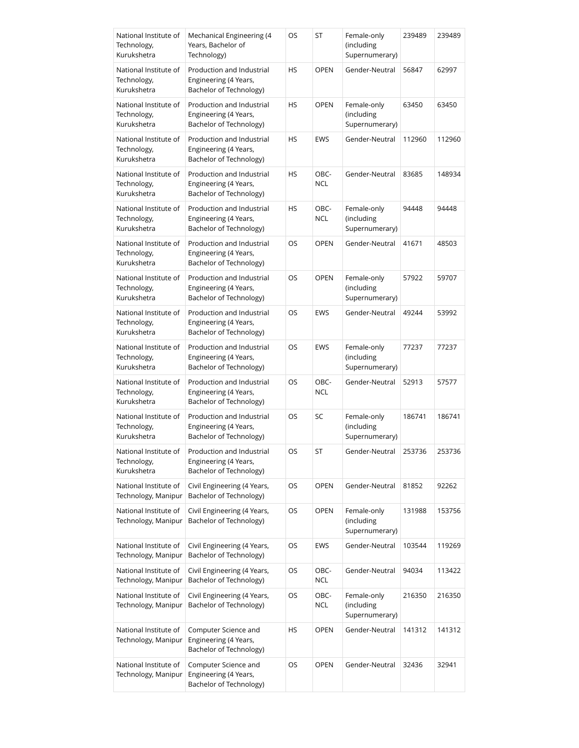| National Institute of<br>Technology,<br>Kurukshetra | Mechanical Engineering (4<br>Years, Bachelor of<br>Technology)                | OS        | ST                 | Female-only<br>(including<br>Supernumerary) | 239489 | 239489 |
|-----------------------------------------------------|-------------------------------------------------------------------------------|-----------|--------------------|---------------------------------------------|--------|--------|
| National Institute of<br>Technology,<br>Kurukshetra | Production and Industrial<br>Engineering (4 Years,<br>Bachelor of Technology) | HS        | <b>OPEN</b>        | Gender-Neutral                              | 56847  | 62997  |
| National Institute of<br>Technology,<br>Kurukshetra | Production and Industrial<br>Engineering (4 Years,<br>Bachelor of Technology) | HS        | <b>OPEN</b>        | Female-only<br>(including<br>Supernumerary) | 63450  | 63450  |
| National Institute of<br>Technology,<br>Kurukshetra | Production and Industrial<br>Engineering (4 Years,<br>Bachelor of Technology) | HS        | EWS                | Gender-Neutral                              | 112960 | 112960 |
| National Institute of<br>Technology,<br>Kurukshetra | Production and Industrial<br>Engineering (4 Years,<br>Bachelor of Technology) | HS        | OBC-<br><b>NCL</b> | Gender-Neutral                              | 83685  | 148934 |
| National Institute of<br>Technology,<br>Kurukshetra | Production and Industrial<br>Engineering (4 Years,<br>Bachelor of Technology) | <b>HS</b> | OBC-<br><b>NCL</b> | Female-only<br>(including<br>Supernumerary) | 94448  | 94448  |
| National Institute of<br>Technology,<br>Kurukshetra | Production and Industrial<br>Engineering (4 Years,<br>Bachelor of Technology) | OS        | <b>OPEN</b>        | Gender-Neutral                              | 41671  | 48503  |
| National Institute of<br>Technology,<br>Kurukshetra | Production and Industrial<br>Engineering (4 Years,<br>Bachelor of Technology) | OS        | <b>OPEN</b>        | Female-only<br>(including<br>Supernumerary) | 57922  | 59707  |
| National Institute of<br>Technology,<br>Kurukshetra | Production and Industrial<br>Engineering (4 Years,<br>Bachelor of Technology) | OS        | EWS                | Gender-Neutral                              | 49244  | 53992  |
| National Institute of<br>Technology,<br>Kurukshetra | Production and Industrial<br>Engineering (4 Years,<br>Bachelor of Technology) | OS        | EWS                | Female-only<br>(including<br>Supernumerary) | 77237  | 77237  |
| National Institute of<br>Technology,<br>Kurukshetra | Production and Industrial<br>Engineering (4 Years,<br>Bachelor of Technology) | OS        | OBC-<br><b>NCL</b> | Gender-Neutral                              | 52913  | 57577  |
| National Institute of<br>Technology,<br>Kurukshetra | Production and Industrial<br>Engineering (4 Years,<br>Bachelor of Technology) | OS        | SC                 | Female-only<br>(including<br>Supernumerary) | 186741 | 186741 |
| National Institute of<br>Technology,<br>Kurukshetra | Production and Industrial<br>Engineering (4 Years,<br>Bachelor of Technology) | OS        | ST                 | Gender-Neutral                              | 253736 | 253736 |
| National Institute of<br>Technology, Manipur        | Civil Engineering (4 Years,<br>Bachelor of Technology)                        | OS        | <b>OPEN</b>        | Gender-Neutral                              | 81852  | 92262  |
| National Institute of<br>Technology, Manipur        | Civil Engineering (4 Years,<br>Bachelor of Technology)                        | OS        | OPEN               | Female-only<br>(including<br>Supernumerary) | 131988 | 153756 |
| National Institute of<br>Technology, Manipur        | Civil Engineering (4 Years,<br>Bachelor of Technology)                        | OS        | EWS                | Gender-Neutral                              | 103544 | 119269 |
| National Institute of<br>Technology, Manipur        | Civil Engineering (4 Years,<br>Bachelor of Technology)                        | OS        | OBC-<br><b>NCL</b> | Gender-Neutral                              | 94034  | 113422 |
| National Institute of<br>Technology, Manipur        | Civil Engineering (4 Years,<br>Bachelor of Technology)                        | OS        | OBC-<br><b>NCL</b> | Female-only<br>(including<br>Supernumerary) | 216350 | 216350 |
| National Institute of<br>Technology, Manipur        | Computer Science and<br>Engineering (4 Years,<br>Bachelor of Technology)      | HS        | <b>OPEN</b>        | Gender-Neutral                              | 141312 | 141312 |
| National Institute of<br>Technology, Manipur        | Computer Science and<br>Engineering (4 Years,<br>Bachelor of Technology)      | OS        | <b>OPEN</b>        | Gender-Neutral                              | 32436  | 32941  |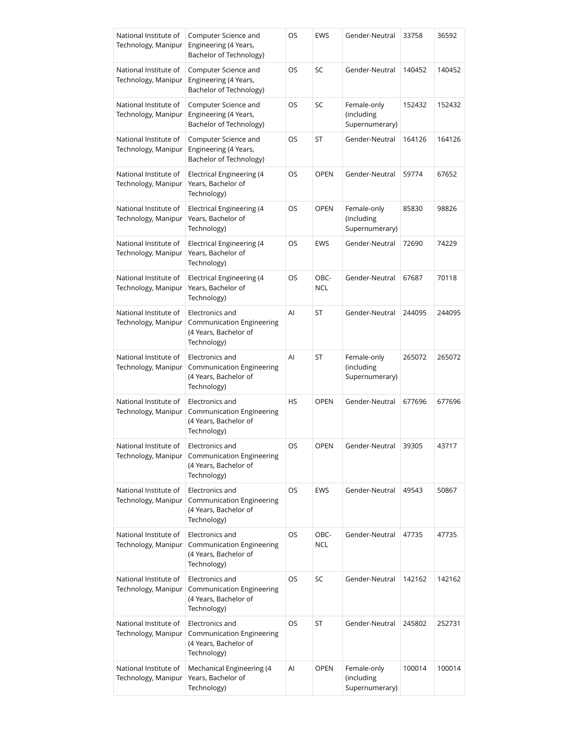| National Institute of<br>Technology, Manipur | Computer Science and<br>Engineering (4 Years,<br>Bachelor of Technology)                                   | OS | EWS                | Gender-Neutral                              | 33758  | 36592  |
|----------------------------------------------|------------------------------------------------------------------------------------------------------------|----|--------------------|---------------------------------------------|--------|--------|
| National Institute of<br>Technology, Manipur | Computer Science and<br>Engineering (4 Years,<br>Bachelor of Technology)                                   | OS | SC                 | Gender-Neutral                              | 140452 | 140452 |
| National Institute of<br>Technology, Manipur | Computer Science and<br>Engineering (4 Years,<br>Bachelor of Technology)                                   | OS | SC                 | Female-only<br>(including<br>Supernumerary) | 152432 | 152432 |
| National Institute of<br>Technology, Manipur | Computer Science and<br>Engineering (4 Years,<br>Bachelor of Technology)                                   | OS | ST                 | Gender-Neutral                              | 164126 | 164126 |
| National Institute of<br>Technology, Manipur | Electrical Engineering (4<br>Years, Bachelor of<br>Technology)                                             | OS | <b>OPEN</b>        | Gender-Neutral                              | 59774  | 67652  |
| National Institute of<br>Technology, Manipur | Electrical Engineering (4<br>Years, Bachelor of<br>Technology)                                             | OS | <b>OPEN</b>        | Female-only<br>(including<br>Supernumerary) | 85830  | 98826  |
| National Institute of<br>Technology, Manipur | <b>Electrical Engineering (4</b><br>Years, Bachelor of<br>Technology)                                      | OS | <b>EWS</b>         | Gender-Neutral                              | 72690  | 74229  |
| National Institute of<br>Technology, Manipur | Electrical Engineering (4<br>Years, Bachelor of<br>Technology)                                             | OS | OBC-<br><b>NCL</b> | Gender-Neutral                              | 67687  | 70118  |
| National Institute of<br>Technology, Manipur | Electronics and<br>Communication Engineering<br>(4 Years, Bachelor of<br>Technology)                       | Al | ST                 | Gender-Neutral                              | 244095 | 244095 |
| National Institute of<br>Technology, Manipur | Electronics and<br>Communication Engineering<br>(4 Years, Bachelor of<br>Technology)                       | Al | ST                 | Female-only<br>(including<br>Supernumerary) | 265072 | 265072 |
| National Institute of<br>Technology, Manipur | Electronics and<br>Communication Engineering<br>(4 Years, Bachelor of<br>Technology)                       | HS | <b>OPEN</b>        | Gender-Neutral                              | 677696 | 677696 |
| National Institute of                        | Electronics and<br>Technology, Manipur   Communication Engineering<br>(4 Years, Bachelor of<br>Technology) | OS | <b>OPEN</b>        | Gender-Neutral                              | 39305  | 43717  |
| National Institute of<br>Technology, Manipur | Electronics and<br><b>Communication Engineering</b><br>(4 Years, Bachelor of<br>Technology)                | OS | EWS                | Gender-Neutral                              | 49543  | 50867  |
| National Institute of<br>Technology, Manipur | Electronics and<br><b>Communication Engineering</b><br>(4 Years, Bachelor of<br>Technology)                | OS | OBC-<br><b>NCL</b> | Gender-Neutral                              | 47735  | 47735  |
| National Institute of<br>Technology, Manipur | Electronics and<br>Communication Engineering<br>(4 Years, Bachelor of<br>Technology)                       | OS | SC                 | Gender-Neutral                              | 142162 | 142162 |
| National Institute of<br>Technology, Manipur | Electronics and<br>Communication Engineering<br>(4 Years, Bachelor of<br>Technology)                       | OS | ST                 | Gender-Neutral                              | 245802 | 252731 |
| National Institute of<br>Technology, Manipur | Mechanical Engineering (4<br>Years, Bachelor of<br>Technology)                                             | Al | OPEN               | Female-only<br>(including<br>Supernumerary) | 100014 | 100014 |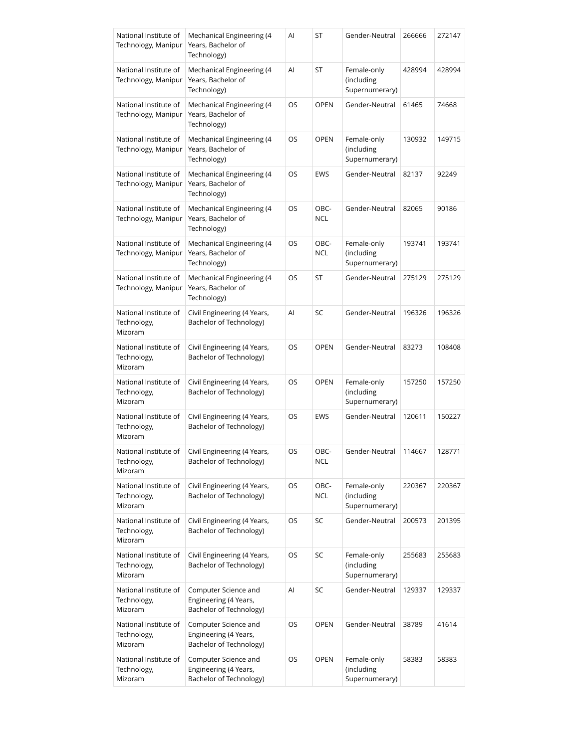| National Institute of<br>Technology, Manipur    | Mechanical Engineering (4<br>Years, Bachelor of<br>Technology)           | Al | ST                 | Gender-Neutral                              | 266666 | 272147 |
|-------------------------------------------------|--------------------------------------------------------------------------|----|--------------------|---------------------------------------------|--------|--------|
| National Institute of<br>Technology, Manipur    | Mechanical Engineering (4<br>Years, Bachelor of<br>Technology)           | Al | ST                 | Female-only<br>(including<br>Supernumerary) | 428994 | 428994 |
| National Institute of<br>Technology, Manipur    | Mechanical Engineering (4<br>Years, Bachelor of<br>Technology)           | OS | <b>OPEN</b>        | Gender-Neutral                              | 61465  | 74668  |
| National Institute of<br>Technology, Manipur    | Mechanical Engineering (4<br>Years, Bachelor of<br>Technology)           | OS | <b>OPEN</b>        | Female-only<br>(including<br>Supernumerary) | 130932 | 149715 |
| National Institute of<br>Technology, Manipur    | Mechanical Engineering (4<br>Years, Bachelor of<br>Technology)           | OS | EWS                | Gender-Neutral                              | 82137  | 92249  |
| National Institute of<br>Technology, Manipur    | Mechanical Engineering (4<br>Years, Bachelor of<br>Technology)           | OS | OBC-<br><b>NCL</b> | Gender-Neutral                              | 82065  | 90186  |
| National Institute of<br>Technology, Manipur    | Mechanical Engineering (4<br>Years, Bachelor of<br>Technology)           | OS | OBC-<br><b>NCL</b> | Female-only<br>(including<br>Supernumerary) | 193741 | 193741 |
| National Institute of<br>Technology, Manipur    | Mechanical Engineering (4<br>Years, Bachelor of<br>Technology)           | OS | ST                 | Gender-Neutral                              | 275129 | 275129 |
| National Institute of<br>Technology,<br>Mizoram | Civil Engineering (4 Years,<br>Bachelor of Technology)                   | Al | SC                 | Gender-Neutral                              | 196326 | 196326 |
| National Institute of<br>Technology,<br>Mizoram | Civil Engineering (4 Years,<br>Bachelor of Technology)                   | OS | <b>OPEN</b>        | Gender-Neutral                              | 83273  | 108408 |
| National Institute of<br>Technology,<br>Mizoram | Civil Engineering (4 Years,<br>Bachelor of Technology)                   | OS | <b>OPEN</b>        | Female-only<br>(including<br>Supernumerary) | 157250 | 157250 |
| National Institute of<br>Technology,<br>Mizoram | Civil Engineering (4 Years,<br>Bachelor of Technology)                   | OS | EWS                | Gender-Neutral                              | 120611 | 150227 |
| National Institute of<br>Technology,<br>Mizoram | Civil Engineering (4 Years,<br>Bachelor of Technology)                   | OS | OBC-<br>NCL        | Gender-Neutral                              | 114667 | 128771 |
| National Institute of<br>Technology,<br>Mizoram | Civil Engineering (4 Years,<br>Bachelor of Technology)                   | OS | OBC-<br><b>NCL</b> | Female-only<br>(including<br>Supernumerary) | 220367 | 220367 |
| National Institute of<br>Technology,<br>Mizoram | Civil Engineering (4 Years,<br>Bachelor of Technology)                   | OS | SC                 | Gender-Neutral                              | 200573 | 201395 |
| National Institute of<br>Technology,<br>Mizoram | Civil Engineering (4 Years,<br>Bachelor of Technology)                   | OS | SC                 | Female-only<br>(including<br>Supernumerary) | 255683 | 255683 |
| National Institute of<br>Technology,<br>Mizoram | Computer Science and<br>Engineering (4 Years,<br>Bachelor of Technology) | Al | SC                 | Gender-Neutral                              | 129337 | 129337 |
| National Institute of<br>Technology,<br>Mizoram | Computer Science and<br>Engineering (4 Years,<br>Bachelor of Technology) | OS | <b>OPEN</b>        | Gender-Neutral                              | 38789  | 41614  |
| National Institute of<br>Technology,<br>Mizoram | Computer Science and<br>Engineering (4 Years,<br>Bachelor of Technology) | OS | <b>OPEN</b>        | Female-only<br>(including<br>Supernumerary) | 58383  | 58383  |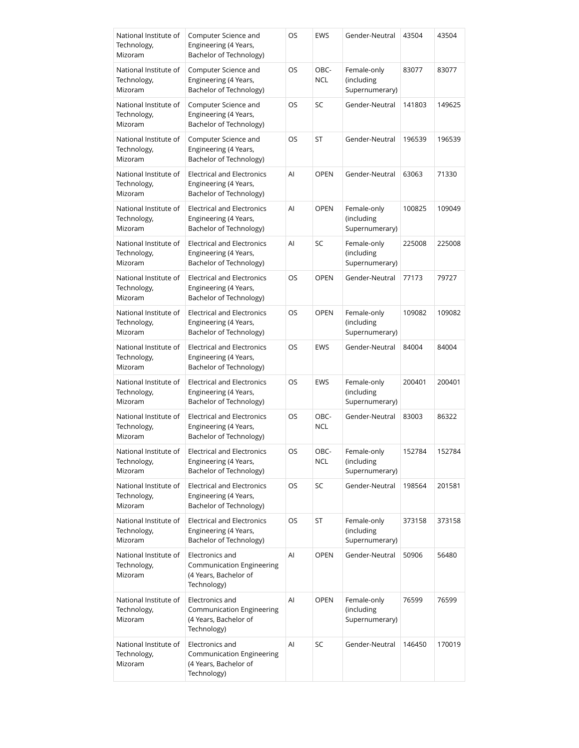| National Institute of<br>Technology,<br>Mizoram | Computer Science and<br>Engineering (4 Years,<br>Bachelor of Technology)              | OS | EWS                | Gender-Neutral                              | 43504  | 43504  |
|-------------------------------------------------|---------------------------------------------------------------------------------------|----|--------------------|---------------------------------------------|--------|--------|
| National Institute of<br>Technology,<br>Mizoram | Computer Science and<br>Engineering (4 Years,<br>Bachelor of Technology)              | OS | OBC-<br><b>NCL</b> | Female-only<br>(including<br>Supernumerary) | 83077  | 83077  |
| National Institute of<br>Technology,<br>Mizoram | Computer Science and<br>Engineering (4 Years,<br>Bachelor of Technology)              | OS | SC                 | Gender-Neutral                              | 141803 | 149625 |
| National Institute of<br>Technology,<br>Mizoram | Computer Science and<br>Engineering (4 Years,<br>Bachelor of Technology)              | OS | ST                 | Gender-Neutral                              | 196539 | 196539 |
| National Institute of<br>Technology,<br>Mizoram | <b>Electrical and Electronics</b><br>Engineering (4 Years,<br>Bachelor of Technology) | Al | <b>OPEN</b>        | Gender-Neutral                              | 63063  | 71330  |
| National Institute of<br>Technology,<br>Mizoram | <b>Electrical and Electronics</b><br>Engineering (4 Years,<br>Bachelor of Technology) | AI | <b>OPEN</b>        | Female-only<br>(including<br>Supernumerary) | 100825 | 109049 |
| National Institute of<br>Technology,<br>Mizoram | <b>Electrical and Electronics</b><br>Engineering (4 Years,<br>Bachelor of Technology) | AI | SC                 | Female-only<br>(including<br>Supernumerary) | 225008 | 225008 |
| National Institute of<br>Technology,<br>Mizoram | <b>Electrical and Electronics</b><br>Engineering (4 Years,<br>Bachelor of Technology) | OS | <b>OPEN</b>        | Gender-Neutral                              | 77173  | 79727  |
| National Institute of<br>Technology,<br>Mizoram | <b>Electrical and Electronics</b><br>Engineering (4 Years,<br>Bachelor of Technology) | OS | <b>OPEN</b>        | Female-only<br>(including<br>Supernumerary) | 109082 | 109082 |
| National Institute of<br>Technology,<br>Mizoram | <b>Electrical and Electronics</b><br>Engineering (4 Years,<br>Bachelor of Technology) | OS | <b>EWS</b>         | Gender-Neutral                              | 84004  | 84004  |
| National Institute of<br>Technology,<br>Mizoram | <b>Electrical and Electronics</b><br>Engineering (4 Years,<br>Bachelor of Technology) | OS | EWS                | Female-only<br>(including<br>Supernumerary) | 200401 | 200401 |
| National Institute of<br>Technology,<br>Mizoram | <b>Electrical and Electronics</b><br>Engineering (4 Years,<br>Bachelor of Technology) | OS | OBC-<br><b>NCL</b> | Gender-Neutral                              | 83003  | 86322  |
| National Institute of<br>Technology,<br>Mizoram | <b>Electrical and Electronics</b><br>Engineering (4 Years,<br>Bachelor of Technology) | OS | OBC-<br>NCL        | Female-only<br>(including<br>Supernumerary) | 152784 | 152784 |
| National Institute of<br>Technology,<br>Mizoram | <b>Electrical and Electronics</b><br>Engineering (4 Years,<br>Bachelor of Technology) | OS | SC                 | Gender-Neutral                              | 198564 | 201581 |
| National Institute of<br>Technology,<br>Mizoram | <b>Electrical and Electronics</b><br>Engineering (4 Years,<br>Bachelor of Technology) | OS | ST                 | Female-only<br>(including<br>Supernumerary) | 373158 | 373158 |
| National Institute of<br>Technology,<br>Mizoram | Electronics and<br>Communication Engineering<br>(4 Years, Bachelor of<br>Technology)  | Al | <b>OPEN</b>        | Gender-Neutral                              | 50906  | 56480  |
| National Institute of<br>Technology,<br>Mizoram | Electronics and<br>Communication Engineering<br>(4 Years, Bachelor of<br>Technology)  | Al | <b>OPEN</b>        | Female-only<br>(including<br>Supernumerary) | 76599  | 76599  |
| National Institute of<br>Technology,<br>Mizoram | Electronics and<br>Communication Engineering<br>(4 Years, Bachelor of<br>Technology)  | AI | SC                 | Gender-Neutral                              | 146450 | 170019 |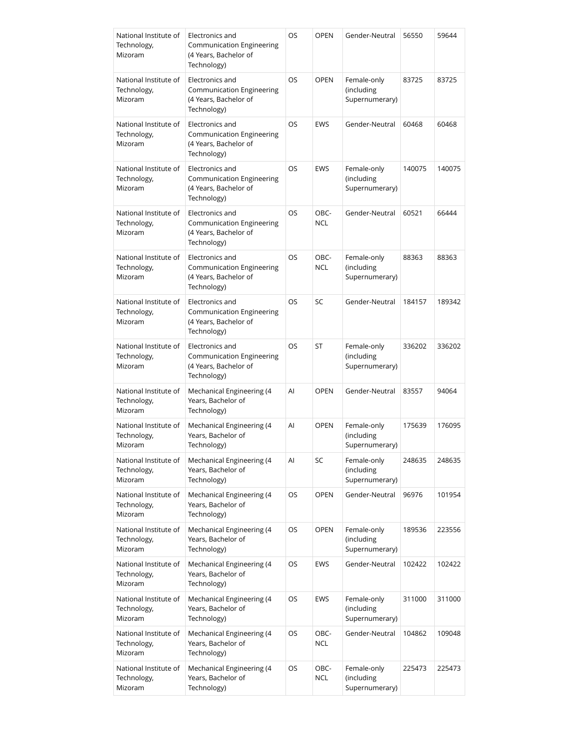| National Institute of<br>Technology,<br>Mizoram | Electronics and<br>Communication Engineering<br>(4 Years, Bachelor of<br>Technology)        | OS        | <b>OPEN</b>        | Gender-Neutral                              | 56550  | 59644  |
|-------------------------------------------------|---------------------------------------------------------------------------------------------|-----------|--------------------|---------------------------------------------|--------|--------|
| National Institute of<br>Technology,<br>Mizoram | Electronics and<br>Communication Engineering<br>(4 Years, Bachelor of<br>Technology)        | OS        | <b>OPEN</b>        | Female-only<br>(including<br>Supernumerary) | 83725  | 83725  |
| National Institute of<br>Technology,<br>Mizoram | Electronics and<br><b>Communication Engineering</b><br>(4 Years, Bachelor of<br>Technology) | OS        | <b>EWS</b>         | Gender-Neutral                              | 60468  | 60468  |
| National Institute of<br>Technology,<br>Mizoram | Electronics and<br>Communication Engineering<br>(4 Years, Bachelor of<br>Technology)        | OS        | EWS                | Female-only<br>(including<br>Supernumerary) | 140075 | 140075 |
| National Institute of<br>Technology,<br>Mizoram | Electronics and<br>Communication Engineering<br>(4 Years, Bachelor of<br>Technology)        | OS        | OBC-<br><b>NCL</b> | Gender-Neutral                              | 60521  | 66444  |
| National Institute of<br>Technology,<br>Mizoram | Electronics and<br>Communication Engineering<br>(4 Years, Bachelor of<br>Technology)        | <b>OS</b> | OBC-<br><b>NCL</b> | Female-only<br>(including<br>Supernumerary) | 88363  | 88363  |
| National Institute of<br>Technology,<br>Mizoram | Electronics and<br>Communication Engineering<br>(4 Years, Bachelor of<br>Technology)        | OS        | SC                 | Gender-Neutral                              | 184157 | 189342 |
| National Institute of<br>Technology,<br>Mizoram | Electronics and<br>Communication Engineering<br>(4 Years, Bachelor of<br>Technology)        | OS        | ST                 | Female-only<br>(including<br>Supernumerary) | 336202 | 336202 |
| National Institute of<br>Technology,<br>Mizoram | Mechanical Engineering (4<br>Years, Bachelor of<br>Technology)                              | Al        | <b>OPEN</b>        | Gender-Neutral                              | 83557  | 94064  |
| National Institute of<br>Technology,<br>Mizoram | Mechanical Engineering (4<br>Years, Bachelor of<br>Technology)                              | Al        | <b>OPEN</b>        | Female-only<br>(including<br>Supernumerary) | 175639 | 176095 |
| National Institute of<br>Technology,<br>Mizoram | Mechanical Engineering (4<br>Years, Bachelor of<br>Technology)                              | Al        | SC                 | Female-only<br>(including<br>Supernumerary) | 248635 | 248635 |
| National Institute of<br>Technology,<br>Mizoram | Mechanical Engineering (4<br>Years, Bachelor of<br>Technology)                              | OS        | <b>OPEN</b>        | Gender-Neutral                              | 96976  | 101954 |
| National Institute of<br>Technology,<br>Mizoram | Mechanical Engineering (4<br>Years, Bachelor of<br>Technology)                              | OS        | <b>OPEN</b>        | Female-only<br>(including<br>Supernumerary) | 189536 | 223556 |
| National Institute of<br>Technology,<br>Mizoram | Mechanical Engineering (4<br>Years, Bachelor of<br>Technology)                              | OS        | EWS                | Gender-Neutral                              | 102422 | 102422 |
| National Institute of<br>Technology,<br>Mizoram | Mechanical Engineering (4<br>Years, Bachelor of<br>Technology)                              | OS        | EWS                | Female-only<br>(including<br>Supernumerary) | 311000 | 311000 |
| National Institute of<br>Technology,<br>Mizoram | Mechanical Engineering (4<br>Years, Bachelor of<br>Technology)                              | OS        | OBC-<br><b>NCL</b> | Gender-Neutral                              | 104862 | 109048 |
| National Institute of<br>Technology,<br>Mizoram | Mechanical Engineering (4<br>Years, Bachelor of<br>Technology)                              | OS        | OBC-<br><b>NCL</b> | Female-only<br>(including<br>Supernumerary) | 225473 | 225473 |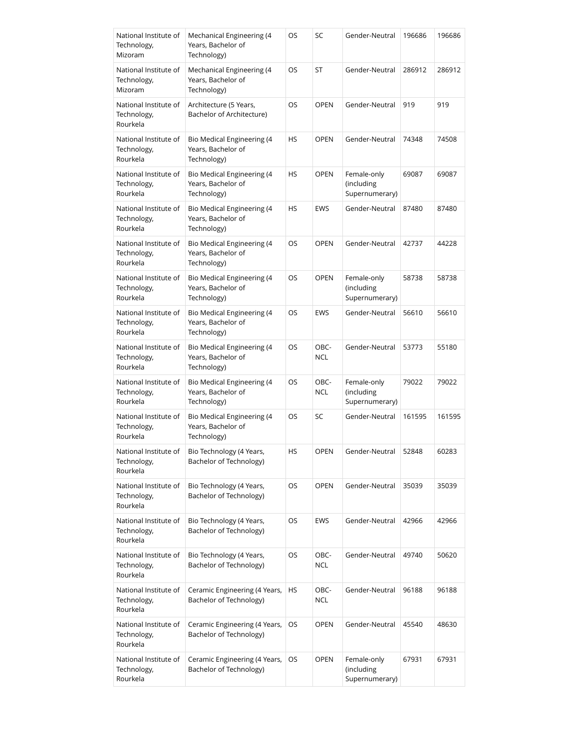| National Institute of<br>Technology,<br>Mizoram  | Mechanical Engineering (4<br>Years, Bachelor of<br>Technology)         | OS        | SC                 | Gender-Neutral                              | 196686 | 196686 |
|--------------------------------------------------|------------------------------------------------------------------------|-----------|--------------------|---------------------------------------------|--------|--------|
| National Institute of<br>Technology,<br>Mizoram  | Mechanical Engineering (4<br>Years, Bachelor of<br>Technology)         | OS        | ST                 | Gender-Neutral                              | 286912 | 286912 |
| National Institute of<br>Technology,<br>Rourkela | Architecture (5 Years,<br>Bachelor of Architecture)                    | <b>OS</b> | <b>OPEN</b>        | Gender-Neutral                              | 919    | 919    |
| National Institute of<br>Technology,<br>Rourkela | Bio Medical Engineering (4<br>Years, Bachelor of<br>Technology)        | HS        | <b>OPEN</b>        | Gender-Neutral                              | 74348  | 74508  |
| National Institute of<br>Technology,<br>Rourkela | Bio Medical Engineering (4<br>Years, Bachelor of<br>Technology)        | <b>HS</b> | <b>OPEN</b>        | Female-only<br>(including<br>Supernumerary) | 69087  | 69087  |
| National Institute of<br>Technology,<br>Rourkela | Bio Medical Engineering (4<br>Years, Bachelor of<br>Technology)        | HS        | EWS                | Gender-Neutral                              | 87480  | 87480  |
| National Institute of<br>Technology,<br>Rourkela | Bio Medical Engineering (4<br>Years, Bachelor of<br>Technology)        | OS        | <b>OPEN</b>        | Gender-Neutral                              | 42737  | 44228  |
| National Institute of<br>Technology,<br>Rourkela | Bio Medical Engineering (4<br>Years, Bachelor of<br>Technology)        | OS        | <b>OPEN</b>        | Female-only<br>(including<br>Supernumerary) | 58738  | 58738  |
| National Institute of<br>Technology,<br>Rourkela | Bio Medical Engineering (4<br>Years, Bachelor of<br>Technology)        | OS        | <b>EWS</b>         | Gender-Neutral                              | 56610  | 56610  |
| National Institute of<br>Technology,<br>Rourkela | Bio Medical Engineering (4<br>Years, Bachelor of<br>Technology)        | OS        | OBC-<br><b>NCL</b> | Gender-Neutral                              | 53773  | 55180  |
| National Institute of<br>Technology,<br>Rourkela | <b>Bio Medical Engineering (4</b><br>Years, Bachelor of<br>Technology) | OS        | OBC-<br><b>NCL</b> | Female-only<br>(including<br>Supernumerary) | 79022  | 79022  |
| National Institute of<br>Technology,<br>Rourkela | Bio Medical Engineering (4<br>Years, Bachelor of<br>Technology)        | OS        | SC                 | Gender-Neutral                              | 161595 | 161595 |
| National Institute of<br>Technology,<br>Rourkela | Bio Technology (4 Years,<br>Bachelor of Technology)                    | HS        | OPEN               | Gender-Neutral                              | 52848  | 60283  |
| National Institute of<br>Technology,<br>Rourkela | Bio Technology (4 Years,<br>Bachelor of Technology)                    | OS        | <b>OPEN</b>        | Gender-Neutral                              | 35039  | 35039  |
| National Institute of<br>Technology,<br>Rourkela | Bio Technology (4 Years,<br>Bachelor of Technology)                    | OS        | EWS                | Gender-Neutral                              | 42966  | 42966  |
| National Institute of<br>Technology,<br>Rourkela | Bio Technology (4 Years,<br>Bachelor of Technology)                    | OS        | OBC-<br><b>NCL</b> | Gender-Neutral                              | 49740  | 50620  |
| National Institute of<br>Technology,<br>Rourkela | Ceramic Engineering (4 Years,<br>Bachelor of Technology)               | HS        | OBC-<br><b>NCL</b> | Gender-Neutral                              | 96188  | 96188  |
| National Institute of<br>Technology,<br>Rourkela | Ceramic Engineering (4 Years,<br>Bachelor of Technology)               | OS        | <b>OPEN</b>        | Gender-Neutral                              | 45540  | 48630  |
| National Institute of<br>Technology,<br>Rourkela | Ceramic Engineering (4 Years,<br>Bachelor of Technology)               | OS        | <b>OPEN</b>        | Female-only<br>(including<br>Supernumerary) | 67931  | 67931  |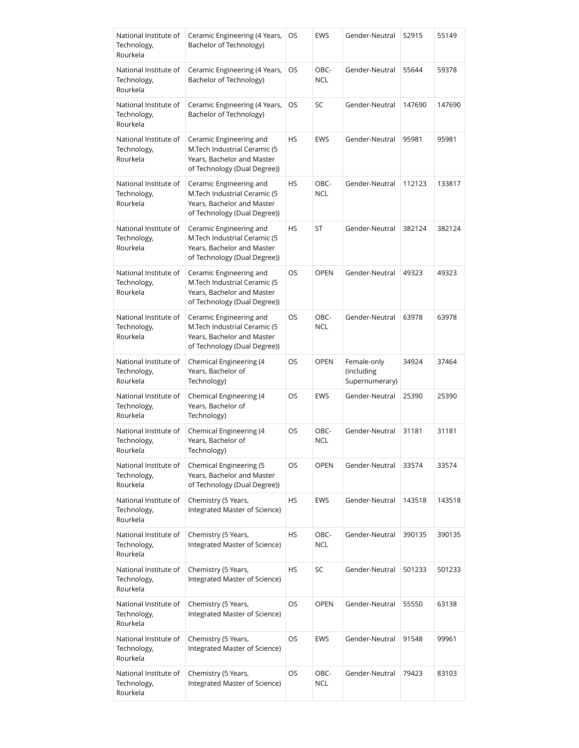| National Institute of<br>Technology,<br>Rourkela | Ceramic Engineering (4 Years,<br>Bachelor of Technology)                                                              | OS        | EWS                | Gender-Neutral                              | 52915  | 55149  |
|--------------------------------------------------|-----------------------------------------------------------------------------------------------------------------------|-----------|--------------------|---------------------------------------------|--------|--------|
| National Institute of<br>Technology,<br>Rourkela | Ceramic Engineering (4 Years,<br>Bachelor of Technology)                                                              | OS        | OBC-<br><b>NCL</b> | Gender-Neutral                              | 55644  | 59378  |
| National Institute of<br>Technology,<br>Rourkela | Ceramic Engineering (4 Years,<br>Bachelor of Technology)                                                              | OS        | SC                 | Gender-Neutral                              | 147690 | 147690 |
| National Institute of<br>Technology,<br>Rourkela | Ceramic Engineering and<br>M.Tech Industrial Ceramic (5<br>Years, Bachelor and Master<br>of Technology (Dual Degree)) | HS        | EWS                | Gender-Neutral                              | 95981  | 95981  |
| National Institute of<br>Technology,<br>Rourkela | Ceramic Engineering and<br>M.Tech Industrial Ceramic (5<br>Years, Bachelor and Master<br>of Technology (Dual Degree)) | HS        | OBC-<br><b>NCL</b> | Gender-Neutral                              | 112123 | 133817 |
| National Institute of<br>Technology,<br>Rourkela | Ceramic Engineering and<br>M.Tech Industrial Ceramic (5<br>Years, Bachelor and Master<br>of Technology (Dual Degree)) | HS        | ST                 | Gender-Neutral                              | 382124 | 382124 |
| National Institute of<br>Technology,<br>Rourkela | Ceramic Engineering and<br>M.Tech Industrial Ceramic (5<br>Years, Bachelor and Master<br>of Technology (Dual Degree)) | OS        | <b>OPEN</b>        | Gender-Neutral                              | 49323  | 49323  |
| National Institute of<br>Technology,<br>Rourkela | Ceramic Engineering and<br>M.Tech Industrial Ceramic (5<br>Years, Bachelor and Master<br>of Technology (Dual Degree)) | OS        | OBC-<br><b>NCL</b> | Gender-Neutral                              | 63978  | 63978  |
| National Institute of<br>Technology,<br>Rourkela | Chemical Engineering (4<br>Years, Bachelor of<br>Technology)                                                          | OS        | <b>OPEN</b>        | Female-only<br>(including<br>Supernumerary) | 34924  | 37464  |
| National Institute of<br>Technology,<br>Rourkela | Chemical Engineering (4<br>Years, Bachelor of<br>Technology)                                                          | OS        | EWS                | Gender-Neutral                              | 25390  | 25390  |
| National Institute of<br>Technology,<br>Rourkela | Chemical Engineering (4<br>Years, Bachelor of<br>Technology)                                                          | OS        | OBC-<br><b>NCL</b> | Gender-Neutral                              | 31181  | 31181  |
| National Institute of<br>Technology,<br>Rourkela | Chemical Engineering (5<br>Years, Bachelor and Master<br>of Technology (Dual Degree))                                 | OS        | <b>OPEN</b>        | Gender-Neutral                              | 33574  | 33574  |
| National Institute of<br>Technology,<br>Rourkela | Chemistry (5 Years,<br>Integrated Master of Science)                                                                  | HS        | <b>EWS</b>         | Gender-Neutral                              | 143518 | 143518 |
| National Institute of<br>Technology,<br>Rourkela | Chemistry (5 Years,<br>Integrated Master of Science)                                                                  | HS        | OBC-<br><b>NCL</b> | Gender-Neutral                              | 390135 | 390135 |
| National Institute of<br>Technology,<br>Rourkela | Chemistry (5 Years,<br>Integrated Master of Science)                                                                  | HS        | SC                 | Gender-Neutral                              | 501233 | 501233 |
| National Institute of<br>Technology,<br>Rourkela | Chemistry (5 Years,<br>Integrated Master of Science)                                                                  | OS        | <b>OPEN</b>        | Gender-Neutral                              | 55550  | 63138  |
| National Institute of<br>Technology,<br>Rourkela | Chemistry (5 Years,<br>Integrated Master of Science)                                                                  | <b>OS</b> | EWS                | Gender-Neutral                              | 91548  | 99961  |
| National Institute of<br>Technology,<br>Rourkela | Chemistry (5 Years,<br>Integrated Master of Science)                                                                  | OS        | OBC-<br><b>NCL</b> | Gender-Neutral                              | 79423  | 83103  |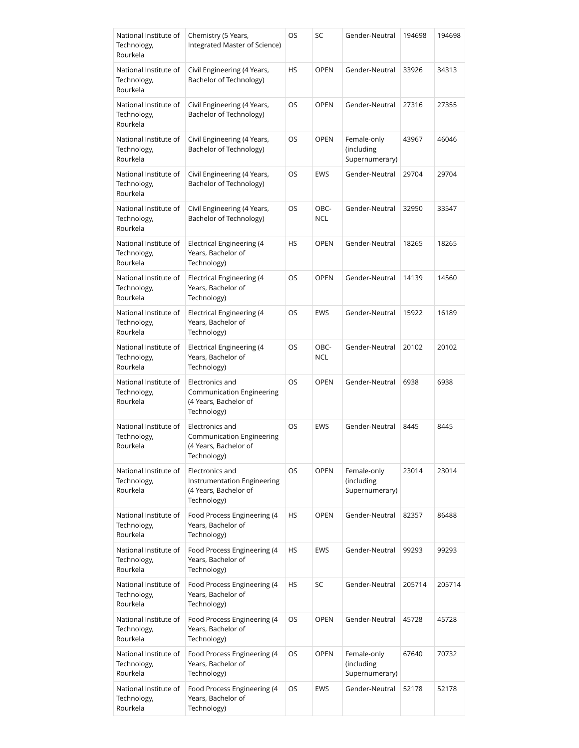| National Institute of<br>Technology,<br>Rourkela | Chemistry (5 Years,<br>Integrated Master of Science)                                   | OS        | SC                 | Gender-Neutral                              | 194698 | 194698 |
|--------------------------------------------------|----------------------------------------------------------------------------------------|-----------|--------------------|---------------------------------------------|--------|--------|
| National Institute of<br>Technology,<br>Rourkela | Civil Engineering (4 Years,<br>Bachelor of Technology)                                 | HS        | <b>OPEN</b>        | Gender-Neutral                              | 33926  | 34313  |
| National Institute of<br>Technology,<br>Rourkela | Civil Engineering (4 Years,<br>Bachelor of Technology)                                 | OS        | <b>OPEN</b>        | Gender-Neutral                              | 27316  | 27355  |
| National Institute of<br>Technology,<br>Rourkela | Civil Engineering (4 Years,<br>Bachelor of Technology)                                 | OS        | <b>OPEN</b>        | Female-only<br>(including<br>Supernumerary) | 43967  | 46046  |
| National Institute of<br>Technology,<br>Rourkela | Civil Engineering (4 Years,<br>Bachelor of Technology)                                 | OS        | <b>EWS</b>         | Gender-Neutral                              | 29704  | 29704  |
| National Institute of<br>Technology,<br>Rourkela | Civil Engineering (4 Years,<br>Bachelor of Technology)                                 | OS        | OBC-<br><b>NCL</b> | Gender-Neutral                              | 32950  | 33547  |
| National Institute of<br>Technology,<br>Rourkela | <b>Electrical Engineering (4</b><br>Years, Bachelor of<br>Technology)                  | <b>HS</b> | <b>OPEN</b>        | Gender-Neutral                              | 18265  | 18265  |
| National Institute of<br>Technology,<br>Rourkela | <b>Electrical Engineering (4</b><br>Years, Bachelor of<br>Technology)                  | OS        | <b>OPEN</b>        | Gender-Neutral                              | 14139  | 14560  |
| National Institute of<br>Technology,<br>Rourkela | Electrical Engineering (4<br>Years, Bachelor of<br>Technology)                         | OS        | <b>EWS</b>         | Gender-Neutral                              | 15922  | 16189  |
| National Institute of<br>Technology,<br>Rourkela | <b>Electrical Engineering (4</b><br>Years, Bachelor of<br>Technology)                  | OS        | OBC-<br><b>NCL</b> | Gender-Neutral                              | 20102  | 20102  |
| National Institute of<br>Technology,<br>Rourkela | Electronics and<br>Communication Engineering<br>(4 Years, Bachelor of<br>Technology)   | <b>OS</b> | <b>OPEN</b>        | Gender-Neutral                              | 6938   | 6938   |
| National Institute of<br>Technology,<br>Rourkela | Electronics and<br>Communication Engineering<br>(4 Years, Bachelor of<br>Technology)   | OS        | <b>EWS</b>         | Gender-Neutral                              | 8445   | 8445   |
| National Institute of<br>Technology,<br>Rourkela | Electronics and<br>Instrumentation Engineering<br>(4 Years, Bachelor of<br>Technology) | OS        | <b>OPEN</b>        | Female-only<br>(including<br>Supernumerary) | 23014  | 23014  |
| National Institute of<br>Technology,<br>Rourkela | Food Process Engineering (4<br>Years, Bachelor of<br>Technology)                       | HS        | <b>OPEN</b>        | Gender-Neutral                              | 82357  | 86488  |
| National Institute of<br>Technology,<br>Rourkela | Food Process Engineering (4<br>Years, Bachelor of<br>Technology)                       | HS        | <b>EWS</b>         | Gender-Neutral                              | 99293  | 99293  |
| National Institute of<br>Technology,<br>Rourkela | Food Process Engineering (4<br>Years, Bachelor of<br>Technology)                       | НS        | SC                 | Gender-Neutral                              | 205714 | 205714 |
| National Institute of<br>Technology,<br>Rourkela | Food Process Engineering (4<br>Years, Bachelor of<br>Technology)                       | OS        | <b>OPEN</b>        | Gender-Neutral                              | 45728  | 45728  |
| National Institute of<br>Technology,<br>Rourkela | Food Process Engineering (4<br>Years, Bachelor of<br>Technology)                       | OS        | <b>OPEN</b>        | Female-only<br>(including<br>Supernumerary) | 67640  | 70732  |
| National Institute of<br>Technology,<br>Rourkela | Food Process Engineering (4<br>Years, Bachelor of<br>Technology)                       | OS        | <b>EWS</b>         | Gender-Neutral                              | 52178  | 52178  |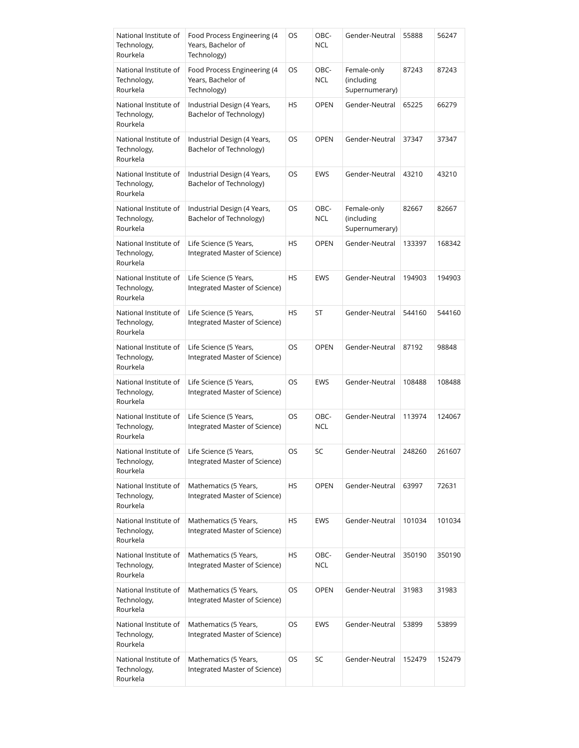| National Institute of<br>Technology,<br>Rourkela | Food Process Engineering (4<br>Years, Bachelor of<br>Technology) | OS        | OBC-<br><b>NCL</b> | Gender-Neutral                              | 55888  | 56247  |
|--------------------------------------------------|------------------------------------------------------------------|-----------|--------------------|---------------------------------------------|--------|--------|
| National Institute of<br>Technology,<br>Rourkela | Food Process Engineering (4<br>Years, Bachelor of<br>Technology) | OS        | OBC-<br><b>NCL</b> | Female-only<br>(including<br>Supernumerary) | 87243  | 87243  |
| National Institute of<br>Technology,<br>Rourkela | Industrial Design (4 Years,<br>Bachelor of Technology)           | HS        | <b>OPEN</b>        | Gender-Neutral                              | 65225  | 66279  |
| National Institute of<br>Technology,<br>Rourkela | Industrial Design (4 Years,<br>Bachelor of Technology)           | OS        | <b>OPEN</b>        | Gender-Neutral                              | 37347  | 37347  |
| National Institute of<br>Technology,<br>Rourkela | Industrial Design (4 Years,<br>Bachelor of Technology)           | OS        | <b>EWS</b>         | Gender-Neutral                              | 43210  | 43210  |
| National Institute of<br>Technology,<br>Rourkela | Industrial Design (4 Years,<br>Bachelor of Technology)           | OS        | OBC-<br><b>NCL</b> | Female-only<br>(including<br>Supernumerary) | 82667  | 82667  |
| National Institute of<br>Technology,<br>Rourkela | Life Science (5 Years,<br>Integrated Master of Science)          | <b>HS</b> | <b>OPEN</b>        | Gender-Neutral                              | 133397 | 168342 |
| National Institute of<br>Technology,<br>Rourkela | Life Science (5 Years,<br>Integrated Master of Science)          | HS        | <b>EWS</b>         | Gender-Neutral                              | 194903 | 194903 |
| National Institute of<br>Technology,<br>Rourkela | Life Science (5 Years,<br>Integrated Master of Science)          | HS        | ST                 | Gender-Neutral                              | 544160 | 544160 |
| National Institute of<br>Technology,<br>Rourkela | Life Science (5 Years,<br>Integrated Master of Science)          | OS        | <b>OPEN</b>        | Gender-Neutral                              | 87192  | 98848  |
| National Institute of<br>Technology,<br>Rourkela | Life Science (5 Years,<br>Integrated Master of Science)          | <b>OS</b> | <b>EWS</b>         | Gender-Neutral                              | 108488 | 108488 |
| National Institute of<br>Technology,<br>Rourkela | Life Science (5 Years,<br>Integrated Master of Science)          | <b>OS</b> | OBC-<br><b>NCL</b> | Gender-Neutral                              | 113974 | 124067 |
| National Institute of<br>Technology,<br>Rourkela | Life Science (5 Years,<br>Integrated Master of Science)          | OS        | SC                 | Gender-Neutral                              | 248260 | 261607 |
| National Institute of<br>Technology,<br>Rourkela | Mathematics (5 Years,<br>Integrated Master of Science)           | HS        | <b>OPEN</b>        | Gender-Neutral                              | 63997  | 72631  |
| National Institute of<br>Technology,<br>Rourkela | Mathematics (5 Years,<br>Integrated Master of Science)           | HS        | <b>EWS</b>         | Gender-Neutral                              | 101034 | 101034 |
| National Institute of<br>Technology,<br>Rourkela | Mathematics (5 Years,<br>Integrated Master of Science)           | HS        | OBC-<br><b>NCL</b> | Gender-Neutral                              | 350190 | 350190 |
| National Institute of<br>Technology,<br>Rourkela | Mathematics (5 Years,<br>Integrated Master of Science)           | OS        | <b>OPEN</b>        | Gender-Neutral                              | 31983  | 31983  |
| National Institute of<br>Technology,<br>Rourkela | Mathematics (5 Years,<br>Integrated Master of Science)           | OS        | <b>EWS</b>         | Gender-Neutral                              | 53899  | 53899  |
| National Institute of<br>Technology,<br>Rourkela | Mathematics (5 Years,<br>Integrated Master of Science)           | OS        | SC                 | Gender-Neutral                              | 152479 | 152479 |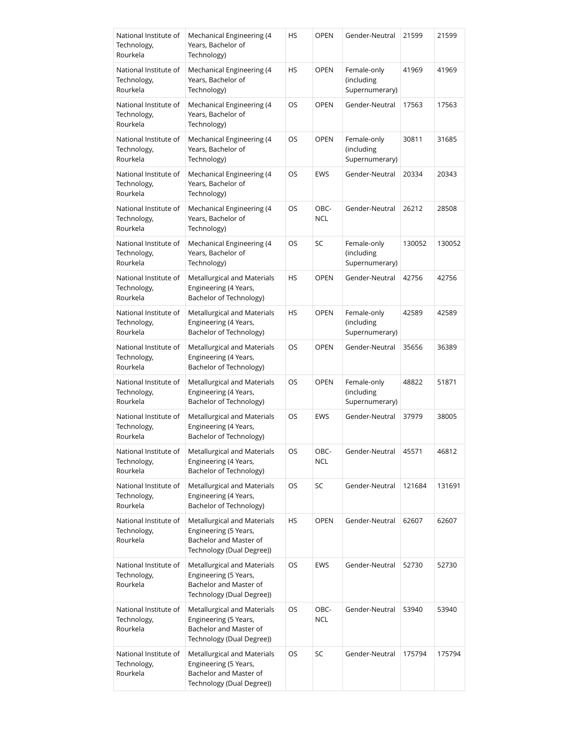| National Institute of<br>Technology,<br>Rourkela | Mechanical Engineering (4<br>Years, Bachelor of<br>Technology)                                              | HS        | <b>OPEN</b>        | Gender-Neutral                              | 21599  | 21599  |
|--------------------------------------------------|-------------------------------------------------------------------------------------------------------------|-----------|--------------------|---------------------------------------------|--------|--------|
| National Institute of<br>Technology,<br>Rourkela | Mechanical Engineering (4<br>Years, Bachelor of<br>Technology)                                              | HS        | <b>OPEN</b>        | Female-only<br>(including<br>Supernumerary) | 41969  | 41969  |
| National Institute of<br>Technology,<br>Rourkela | Mechanical Engineering (4<br>Years, Bachelor of<br>Technology)                                              | OS        | <b>OPEN</b>        | Gender-Neutral                              | 17563  | 17563  |
| National Institute of<br>Technology,<br>Rourkela | Mechanical Engineering (4<br>Years, Bachelor of<br>Technology)                                              | OS        | <b>OPEN</b>        | Female-only<br>(including<br>Supernumerary) | 30811  | 31685  |
| National Institute of<br>Technology,<br>Rourkela | Mechanical Engineering (4<br>Years, Bachelor of<br>Technology)                                              | OS        | <b>EWS</b>         | Gender-Neutral                              | 20334  | 20343  |
| National Institute of<br>Technology,<br>Rourkela | Mechanical Engineering (4<br>Years, Bachelor of<br>Technology)                                              | OS        | OBC-<br><b>NCL</b> | Gender-Neutral                              | 26212  | 28508  |
| National Institute of<br>Technology,<br>Rourkela | Mechanical Engineering (4<br>Years, Bachelor of<br>Technology)                                              | OS        | SC                 | Female-only<br>(including<br>Supernumerary) | 130052 | 130052 |
| National Institute of<br>Technology,<br>Rourkela | Metallurgical and Materials<br>Engineering (4 Years,<br>Bachelor of Technology)                             | HS        | <b>OPEN</b>        | Gender-Neutral                              | 42756  | 42756  |
| National Institute of<br>Technology,<br>Rourkela | Metallurgical and Materials<br>Engineering (4 Years,<br>Bachelor of Technology)                             | HS        | <b>OPEN</b>        | Female-only<br>(including<br>Supernumerary) | 42589  | 42589  |
| National Institute of<br>Technology,<br>Rourkela | Metallurgical and Materials<br>Engineering (4 Years,<br>Bachelor of Technology)                             | OS        | <b>OPEN</b>        | Gender-Neutral                              | 35656  | 36389  |
| National Institute of<br>Technology,<br>Rourkela | Metallurgical and Materials<br>Engineering (4 Years,<br>Bachelor of Technology)                             | <b>OS</b> | <b>OPEN</b>        | Female-only<br>(including<br>Supernumerary) | 48822  | 51871  |
| National Institute of<br>Technology,<br>Rourkela | Metallurgical and Materials<br>Engineering (4 Years,<br>Bachelor of Technology)                             | OS        | <b>EWS</b>         | Gender-Neutral                              | 37979  | 38005  |
| National Institute of<br>Technology,<br>Rourkela | Metallurgical and Materials<br>Engineering (4 Years,<br>Bachelor of Technology)                             | OS        | OBC-<br><b>NCL</b> | Gender-Neutral                              | 45571  | 46812  |
| National Institute of<br>Technology,<br>Rourkela | Metallurgical and Materials<br>Engineering (4 Years,<br>Bachelor of Technology)                             | OS        | SC                 | Gender-Neutral                              | 121684 | 131691 |
| National Institute of<br>Technology,<br>Rourkela | Metallurgical and Materials<br>Engineering (5 Years,<br>Bachelor and Master of<br>Technology (Dual Degree)) | HS        | <b>OPEN</b>        | Gender-Neutral                              | 62607  | 62607  |
| National Institute of<br>Technology,<br>Rourkela | Metallurgical and Materials<br>Engineering (5 Years,<br>Bachelor and Master of<br>Technology (Dual Degree)) | OS        | <b>EWS</b>         | Gender-Neutral                              | 52730  | 52730  |
| National Institute of<br>Technology,<br>Rourkela | Metallurgical and Materials<br>Engineering (5 Years,<br>Bachelor and Master of<br>Technology (Dual Degree)) | OS        | OBC-<br><b>NCL</b> | Gender-Neutral                              | 53940  | 53940  |
| National Institute of<br>Technology,<br>Rourkela | Metallurgical and Materials<br>Engineering (5 Years,<br>Bachelor and Master of<br>Technology (Dual Degree)) | OS        | SC                 | Gender-Neutral                              | 175794 | 175794 |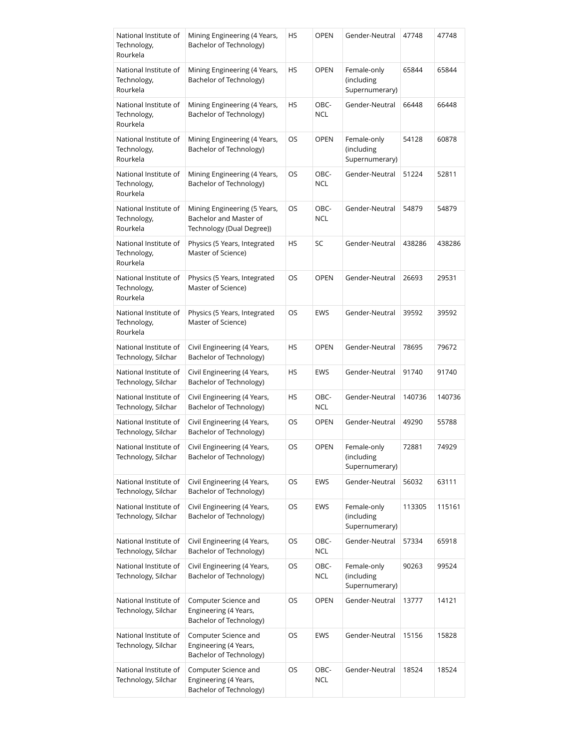| National Institute of<br>Technology,<br>Rourkela | Mining Engineering (4 Years,<br>Bachelor of Technology)                             | HS | <b>OPEN</b>        | Gender-Neutral                              | 47748  | 47748  |
|--------------------------------------------------|-------------------------------------------------------------------------------------|----|--------------------|---------------------------------------------|--------|--------|
| National Institute of<br>Technology,<br>Rourkela | Mining Engineering (4 Years,<br>Bachelor of Technology)                             | HS | OPEN               | Female-only<br>(including<br>Supernumerary) | 65844  | 65844  |
| National Institute of<br>Technology,<br>Rourkela | Mining Engineering (4 Years,<br>Bachelor of Technology)                             | HS | OBC-<br>NCL        | Gender-Neutral                              | 66448  | 66448  |
| National Institute of<br>Technology,<br>Rourkela | Mining Engineering (4 Years,<br>Bachelor of Technology)                             | OS | <b>OPEN</b>        | Female-only<br>(including<br>Supernumerary) | 54128  | 60878  |
| National Institute of<br>Technology,<br>Rourkela | Mining Engineering (4 Years,<br>Bachelor of Technology)                             | OS | OBC-<br><b>NCL</b> | Gender-Neutral                              | 51224  | 52811  |
| National Institute of<br>Technology,<br>Rourkela | Mining Engineering (5 Years,<br>Bachelor and Master of<br>Technology (Dual Degree)) | OS | OBC-<br><b>NCL</b> | Gender-Neutral                              | 54879  | 54879  |
| National Institute of<br>Technology,<br>Rourkela | Physics (5 Years, Integrated<br>Master of Science)                                  | HS | SC                 | Gender-Neutral                              | 438286 | 438286 |
| National Institute of<br>Technology,<br>Rourkela | Physics (5 Years, Integrated<br>Master of Science)                                  | OS | <b>OPEN</b>        | Gender-Neutral                              | 26693  | 29531  |
| National Institute of<br>Technology,<br>Rourkela | Physics (5 Years, Integrated<br>Master of Science)                                  | OS | EWS                | Gender-Neutral                              | 39592  | 39592  |
| National Institute of<br>Technology, Silchar     | Civil Engineering (4 Years,<br>Bachelor of Technology)                              | HS | <b>OPEN</b>        | Gender-Neutral                              | 78695  | 79672  |
| National Institute of<br>Technology, Silchar     | Civil Engineering (4 Years,<br>Bachelor of Technology)                              | HS | EWS                | Gender-Neutral                              | 91740  | 91740  |
| National Institute of<br>Technology, Silchar     | Civil Engineering (4 Years,<br>Bachelor of Technology)                              | HS | OBC-<br><b>NCL</b> | Gender-Neutral                              | 140736 | 140736 |
| National Institute of<br>Technology, Silchar     | Civil Engineering (4 Years,<br>Bachelor of Technology)                              | OS | <b>OPEN</b>        | Gender-Neutral                              | 49290  | 55788  |
| National Institute of<br>Technology, Silchar     | Civil Engineering (4 Years,<br>Bachelor of Technology)                              | OS | <b>OPEN</b>        | Female-only<br>(including<br>Supernumerary) | 72881  | 74929  |
| National Institute of<br>Technology, Silchar     | Civil Engineering (4 Years,<br>Bachelor of Technology)                              | OS | <b>EWS</b>         | Gender-Neutral                              | 56032  | 63111  |
| National Institute of<br>Technology, Silchar     | Civil Engineering (4 Years,<br>Bachelor of Technology)                              | OS | EWS                | Female-only<br>(including<br>Supernumerary) | 113305 | 115161 |
| National Institute of<br>Technology, Silchar     | Civil Engineering (4 Years,<br>Bachelor of Technology)                              | OS | OBC-<br><b>NCL</b> | Gender-Neutral                              | 57334  | 65918  |
| National Institute of<br>Technology, Silchar     | Civil Engineering (4 Years,<br>Bachelor of Technology)                              | OS | OBC-<br><b>NCL</b> | Female-only<br>(including<br>Supernumerary) | 90263  | 99524  |
| National Institute of<br>Technology, Silchar     | Computer Science and<br>Engineering (4 Years,<br>Bachelor of Technology)            | OS | <b>OPEN</b>        | Gender-Neutral                              | 13777  | 14121  |
| National Institute of<br>Technology, Silchar     | Computer Science and<br>Engineering (4 Years,<br>Bachelor of Technology)            | OS | EWS                | Gender-Neutral                              | 15156  | 15828  |
| National Institute of<br>Technology, Silchar     | Computer Science and<br>Engineering (4 Years,<br>Bachelor of Technology)            | OS | OBC-<br><b>NCL</b> | Gender-Neutral                              | 18524  | 18524  |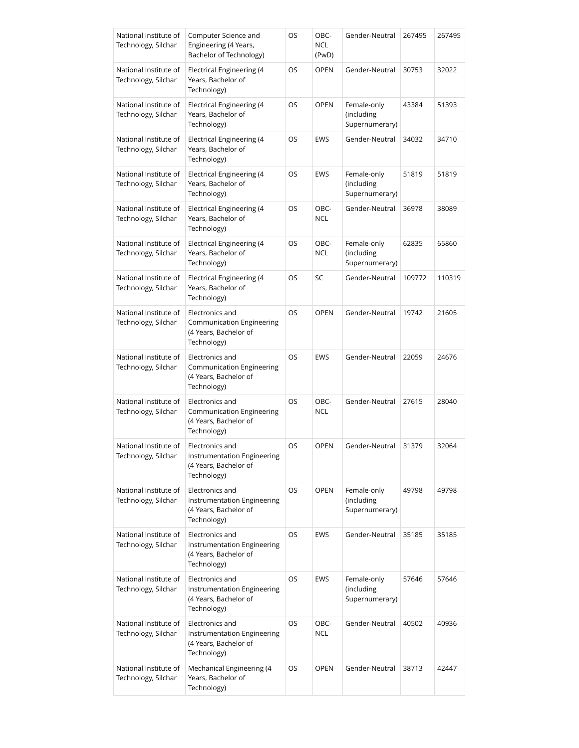| National Institute of<br>Technology, Silchar | Computer Science and<br>Engineering (4 Years,<br>Bachelor of Technology)               | OS | OBC-<br><b>NCL</b><br>(PwD) | Gender-Neutral                              | 267495 | 267495 |
|----------------------------------------------|----------------------------------------------------------------------------------------|----|-----------------------------|---------------------------------------------|--------|--------|
| National Institute of<br>Technology, Silchar | Electrical Engineering (4<br>Years, Bachelor of<br>Technology)                         | OS | <b>OPEN</b>                 | Gender-Neutral                              | 30753  | 32022  |
| National Institute of<br>Technology, Silchar | <b>Electrical Engineering (4</b><br>Years, Bachelor of<br>Technology)                  | OS | <b>OPEN</b>                 | Female-only<br>(including<br>Supernumerary) | 43384  | 51393  |
| National Institute of<br>Technology, Silchar | <b>Electrical Engineering (4</b><br>Years, Bachelor of<br>Technology)                  | OS | EWS                         | Gender-Neutral                              | 34032  | 34710  |
| National Institute of<br>Technology, Silchar | Electrical Engineering (4<br>Years, Bachelor of<br>Technology)                         | OS | EWS                         | Female-only<br>(including<br>Supernumerary) | 51819  | 51819  |
| National Institute of<br>Technology, Silchar | Electrical Engineering (4<br>Years, Bachelor of<br>Technology)                         | OS | OBC-<br>NCL                 | Gender-Neutral                              | 36978  | 38089  |
| National Institute of<br>Technology, Silchar | Electrical Engineering (4<br>Years, Bachelor of<br>Technology)                         | OS | OBC-<br><b>NCL</b>          | Female-only<br>(including<br>Supernumerary) | 62835  | 65860  |
| National Institute of<br>Technology, Silchar | Electrical Engineering (4<br>Years, Bachelor of<br>Technology)                         | OS | SC                          | Gender-Neutral                              | 109772 | 110319 |
| National Institute of<br>Technology, Silchar | Electronics and<br>Communication Engineering<br>(4 Years, Bachelor of<br>Technology)   | OS | <b>OPEN</b>                 | Gender-Neutral                              | 19742  | 21605  |
| National Institute of<br>Technology, Silchar | Electronics and<br>Communication Engineering<br>(4 Years, Bachelor of<br>Technology)   | OS | EWS                         | Gender-Neutral                              | 22059  | 24676  |
| National Institute of<br>Technology, Silchar | Electronics and<br>Communication Engineering<br>(4 Years, Bachelor of<br>Technology)   | OS | OBC-<br><b>NCL</b>          | Gender-Neutral                              | 27615  | 28040  |
| National Institute of<br>Technology, Silchar | Electronics and<br>Instrumentation Engineering<br>(4 Years, Bachelor of<br>Technology) | OS | <b>OPEN</b>                 | Gender-Neutral                              | 31379  | 32064  |
| National Institute of<br>Technology, Silchar | Electronics and<br>Instrumentation Engineering<br>(4 Years, Bachelor of<br>Technology) | OS | <b>OPEN</b>                 | Female-only<br>(including<br>Supernumerary) | 49798  | 49798  |
| National Institute of<br>Technology, Silchar | Electronics and<br>Instrumentation Engineering<br>(4 Years, Bachelor of<br>Technology) | OS | <b>EWS</b>                  | Gender-Neutral                              | 35185  | 35185  |
| National Institute of<br>Technology, Silchar | Electronics and<br>Instrumentation Engineering<br>(4 Years, Bachelor of<br>Technology) | OS | EWS                         | Female-only<br>(including<br>Supernumerary) | 57646  | 57646  |
| National Institute of<br>Technology, Silchar | Electronics and<br>Instrumentation Engineering<br>(4 Years, Bachelor of<br>Technology) | OS | OBC-<br><b>NCL</b>          | Gender-Neutral                              | 40502  | 40936  |
| National Institute of<br>Technology, Silchar | Mechanical Engineering (4<br>Years, Bachelor of<br>Technology)                         | OS | OPEN                        | Gender-Neutral                              | 38713  | 42447  |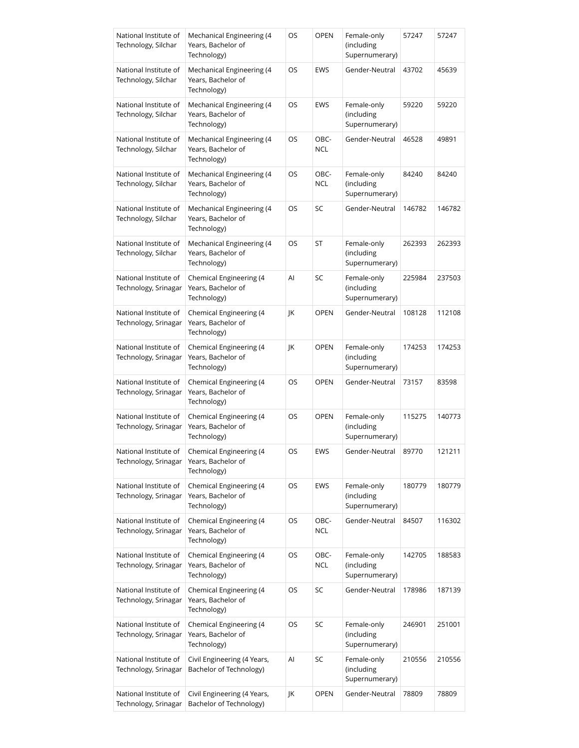| National Institute of<br>Technology, Silchar  | Mechanical Engineering (4<br>Years, Bachelor of<br>Technology) | OS | OPEN        | Female-only<br>(including<br>Supernumerary) | 57247  | 57247  |
|-----------------------------------------------|----------------------------------------------------------------|----|-------------|---------------------------------------------|--------|--------|
| National Institute of<br>Technology, Silchar  | Mechanical Engineering (4<br>Years, Bachelor of<br>Technology) | OS | EWS         | Gender-Neutral                              | 43702  | 45639  |
| National Institute of<br>Technology, Silchar  | Mechanical Engineering (4<br>Years, Bachelor of<br>Technology) | OS | EWS         | Female-only<br>(including<br>Supernumerary) | 59220  | 59220  |
| National Institute of<br>Technology, Silchar  | Mechanical Engineering (4<br>Years, Bachelor of<br>Technology) | OS | OBC-<br>NCL | Gender-Neutral                              | 46528  | 49891  |
| National Institute of<br>Technology, Silchar  | Mechanical Engineering (4<br>Years, Bachelor of<br>Technology) | OS | OBC-<br>NCL | Female-only<br>(including<br>Supernumerary) | 84240  | 84240  |
| National Institute of<br>Technology, Silchar  | Mechanical Engineering (4<br>Years, Bachelor of<br>Technology) | OS | SC          | Gender-Neutral                              | 146782 | 146782 |
| National Institute of<br>Technology, Silchar  | Mechanical Engineering (4<br>Years, Bachelor of<br>Technology) | OS | ST          | Female-only<br>(including<br>Supernumerary) | 262393 | 262393 |
| National Institute of<br>Technology, Srinagar | Chemical Engineering (4<br>Years, Bachelor of<br>Technology)   | Al | SC          | Female-only<br>(including<br>Supernumerary) | 225984 | 237503 |
| National Institute of<br>Technology, Srinagar | Chemical Engineering (4<br>Years, Bachelor of<br>Technology)   | JK | <b>OPEN</b> | Gender-Neutral                              | 108128 | 112108 |
| National Institute of<br>Technology, Srinagar | Chemical Engineering (4<br>Years, Bachelor of<br>Technology)   | JK | <b>OPEN</b> | Female-only<br>(including<br>Supernumerary) | 174253 | 174253 |
| National Institute of<br>Technology, Srinagar | Chemical Engineering (4<br>Years, Bachelor of<br>Technology)   | OS | <b>OPEN</b> | Gender-Neutral                              | 73157  | 83598  |
| National Institute of<br>Technology, Srinagar | Chemical Engineering (4<br>Years, Bachelor of<br>Technology)   | OS | <b>OPEN</b> | Female-only<br>(including<br>Supernumerary) | 115275 | 140773 |
| National Institute of<br>Technology, Srinagar | Chemical Engineering (4<br>Years, Bachelor of<br>Technology)   | OS | EWS         | Gender-Neutral                              | 89770  | 121211 |
| National Institute of<br>Technology, Srinagar | Chemical Engineering (4<br>Years, Bachelor of<br>Technology)   | OS | <b>EWS</b>  | Female-only<br>(including<br>Supernumerary) | 180779 | 180779 |
| National Institute of<br>Technology, Srinagar | Chemical Engineering (4<br>Years, Bachelor of<br>Technology)   | OS | OBC-<br>NCL | Gender-Neutral                              | 84507  | 116302 |
| National Institute of<br>Technology, Srinagar | Chemical Engineering (4<br>Years, Bachelor of<br>Technology)   | OS | OBC-<br>NCL | Female-only<br>(including<br>Supernumerary) | 142705 | 188583 |
| National Institute of<br>Technology, Srinagar | Chemical Engineering (4<br>Years, Bachelor of<br>Technology)   | OS | SC          | Gender-Neutral                              | 178986 | 187139 |
| National Institute of<br>Technology, Srinagar | Chemical Engineering (4<br>Years, Bachelor of<br>Technology)   | OS | SC          | Female-only<br>(including<br>Supernumerary) | 246901 | 251001 |
| National Institute of<br>Technology, Srinagar | Civil Engineering (4 Years,<br>Bachelor of Technology)         | Al | SC          | Female-only<br>(including<br>Supernumerary) | 210556 | 210556 |
| National Institute of<br>Technology, Srinagar | Civil Engineering (4 Years,<br>Bachelor of Technology)         | JK | <b>OPEN</b> | Gender-Neutral                              | 78809  | 78809  |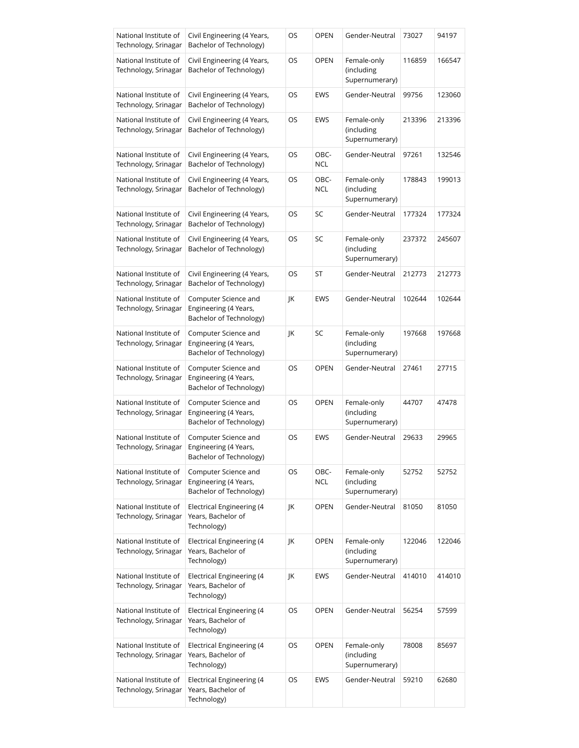| National Institute of<br>Technology, Srinagar | Civil Engineering (4 Years,<br>Bachelor of Technology)                   | OS | OPEN        | Gender-Neutral                              | 73027  | 94197  |
|-----------------------------------------------|--------------------------------------------------------------------------|----|-------------|---------------------------------------------|--------|--------|
| National Institute of<br>Technology, Srinagar | Civil Engineering (4 Years,<br>Bachelor of Technology)                   | OS | <b>OPEN</b> | Female-only<br>(including<br>Supernumerary) | 116859 | 166547 |
| National Institute of<br>Technology, Srinagar | Civil Engineering (4 Years,<br>Bachelor of Technology)                   | OS | EWS         | Gender-Neutral                              | 99756  | 123060 |
| National Institute of<br>Technology, Srinagar | Civil Engineering (4 Years,<br>Bachelor of Technology)                   | OS | EWS         | Female-only<br>(including<br>Supernumerary) | 213396 | 213396 |
| National Institute of<br>Technology, Srinagar | Civil Engineering (4 Years,<br>Bachelor of Technology)                   | OS | OBC-<br>NCL | Gender-Neutral                              | 97261  | 132546 |
| National Institute of<br>Technology, Srinagar | Civil Engineering (4 Years,<br>Bachelor of Technology)                   | OS | OBC-<br>NCL | Female-only<br>(including<br>Supernumerary) | 178843 | 199013 |
| National Institute of<br>Technology, Srinagar | Civil Engineering (4 Years,<br>Bachelor of Technology)                   | OS | SC          | Gender-Neutral                              | 177324 | 177324 |
| National Institute of<br>Technology, Srinagar | Civil Engineering (4 Years,<br>Bachelor of Technology)                   | OS | SC          | Female-only<br>(including<br>Supernumerary) | 237372 | 245607 |
| National Institute of<br>Technology, Srinagar | Civil Engineering (4 Years,<br>Bachelor of Technology)                   | OS | ST          | Gender-Neutral                              | 212773 | 212773 |
| National Institute of<br>Technology, Srinagar | Computer Science and<br>Engineering (4 Years,<br>Bachelor of Technology) | JK | EWS         | Gender-Neutral                              | 102644 | 102644 |
| National Institute of<br>Technology, Srinagar | Computer Science and<br>Engineering (4 Years,<br>Bachelor of Technology) | JK | SC          | Female-only<br>(including<br>Supernumerary) | 197668 | 197668 |
| National Institute of<br>Technology, Srinagar | Computer Science and<br>Engineering (4 Years,<br>Bachelor of Technology) | OS | OPEN        | Gender-Neutral                              | 27461  | 27715  |
| National Institute of<br>Technology, Srinagar | Computer Science and<br>Engineering (4 Years,<br>Bachelor of Technology) | OS | OPEN        | Female-only<br>(including<br>Supernumerary) | 44707  | 47478  |
| National Institute of<br>Technology, Srinagar | Computer Science and<br>Engineering (4 Years,<br>Bachelor of Technology) | OS | EWS         | Gender-Neutral                              | 29633  | 29965  |
| National Institute of<br>Technology, Srinagar | Computer Science and<br>Engineering (4 Years,<br>Bachelor of Technology) | OS | OBC-<br>NCL | Female-only<br>(including<br>Supernumerary) | 52752  | 52752  |
| National Institute of<br>Technology, Srinagar | <b>Electrical Engineering (4</b><br>Years, Bachelor of<br>Technology)    | JK | OPEN        | Gender-Neutral                              | 81050  | 81050  |
| National Institute of<br>Technology, Srinagar | <b>Electrical Engineering (4</b><br>Years, Bachelor of<br>Technology)    | JK | <b>OPEN</b> | Female-only<br>(including<br>Supernumerary) | 122046 | 122046 |
| National Institute of<br>Technology, Srinagar | <b>Electrical Engineering (4</b><br>Years, Bachelor of<br>Technology)    | JK | EWS         | Gender-Neutral                              | 414010 | 414010 |
| National Institute of<br>Technology, Srinagar | <b>Electrical Engineering (4</b><br>Years, Bachelor of<br>Technology)    | OS | <b>OPEN</b> | Gender-Neutral                              | 56254  | 57599  |
| National Institute of<br>Technology, Srinagar | <b>Electrical Engineering (4</b><br>Years, Bachelor of<br>Technology)    | OS | <b>OPEN</b> | Female-only<br>(including<br>Supernumerary) | 78008  | 85697  |
| National Institute of<br>Technology, Srinagar | <b>Electrical Engineering (4</b><br>Years, Bachelor of<br>Technology)    | OS | EWS         | Gender-Neutral                              | 59210  | 62680  |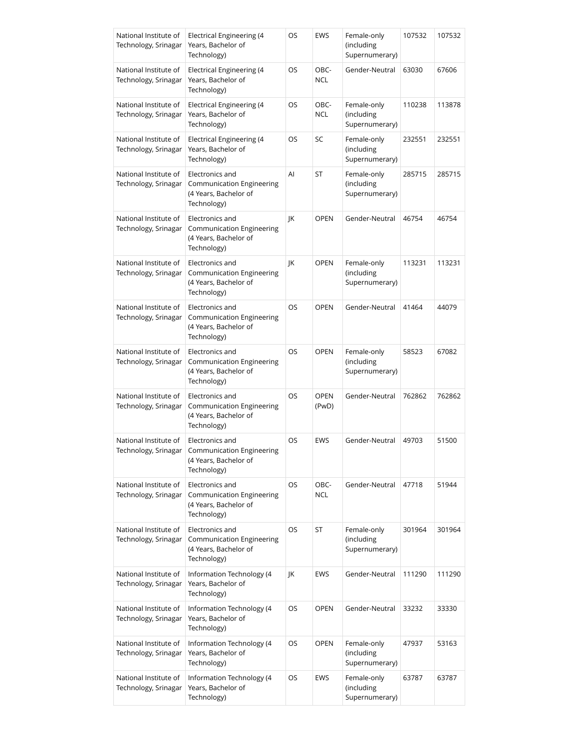| National Institute of<br>Technology, Srinagar | Electrical Engineering (4<br>Years, Bachelor of<br>Technology)                              | OS | EWS                  | Female-only<br>(including<br>Supernumerary) | 107532 | 107532 |
|-----------------------------------------------|---------------------------------------------------------------------------------------------|----|----------------------|---------------------------------------------|--------|--------|
| National Institute of<br>Technology, Srinagar | Electrical Engineering (4<br>Years, Bachelor of<br>Technology)                              | OS | OBC-<br><b>NCL</b>   | Gender-Neutral                              | 63030  | 67606  |
| National Institute of<br>Technology, Srinagar | Electrical Engineering (4<br>Years, Bachelor of<br>Technology)                              | OS | OBC-<br><b>NCL</b>   | Female-only<br>(including<br>Supernumerary) | 110238 | 113878 |
| National Institute of<br>Technology, Srinagar | Electrical Engineering (4<br>Years, Bachelor of<br>Technology)                              | OS | SC                   | Female-only<br>(including<br>Supernumerary) | 232551 | 232551 |
| National Institute of<br>Technology, Srinagar | Electronics and<br>Communication Engineering<br>(4 Years, Bachelor of<br>Technology)        | Al | ST                   | Female-only<br>(including<br>Supernumerary) | 285715 | 285715 |
| National Institute of<br>Technology, Srinagar | Electronics and<br>Communication Engineering<br>(4 Years, Bachelor of<br>Technology)        | JK | <b>OPEN</b>          | Gender-Neutral                              | 46754  | 46754  |
| National Institute of<br>Technology, Srinagar | Electronics and<br><b>Communication Engineering</b><br>(4 Years, Bachelor of<br>Technology) | JK | <b>OPEN</b>          | Female-only<br>(including<br>Supernumerary) | 113231 | 113231 |
| National Institute of<br>Technology, Srinagar | Electronics and<br>Communication Engineering<br>(4 Years, Bachelor of<br>Technology)        | OS | <b>OPEN</b>          | Gender-Neutral                              | 41464  | 44079  |
| National Institute of<br>Technology, Srinagar | Electronics and<br>Communication Engineering<br>(4 Years, Bachelor of<br>Technology)        | OS | <b>OPEN</b>          | Female-only<br>(including<br>Supernumerary) | 58523  | 67082  |
| National Institute of<br>Technology, Srinagar | Electronics and<br>Communication Engineering<br>(4 Years, Bachelor of<br>Technology)        | OS | <b>OPEN</b><br>(PwD) | Gender-Neutral                              | 762862 | 762862 |
| National Institute of<br>Technology, Srinagar | Electronics and<br><b>Communication Engineering</b><br>(4 Years, Bachelor of<br>Technology) | OS | EWS                  | Gender-Neutral                              | 49703  | 51500  |
| National Institute of<br>Technology, Srinagar | Electronics and<br><b>Communication Engineering</b><br>(4 Years, Bachelor of<br>Technology) | OS | OBC-<br><b>NCL</b>   | Gender-Neutral                              | 47718  | 51944  |
| National Institute of<br>Technology, Srinagar | Electronics and<br>Communication Engineering<br>(4 Years, Bachelor of<br>Technology)        | OS | ST                   | Female-only<br>(including<br>Supernumerary) | 301964 | 301964 |
| National Institute of<br>Technology, Srinagar | Information Technology (4<br>Years, Bachelor of<br>Technology)                              | JK | EWS                  | Gender-Neutral                              | 111290 | 111290 |
| National Institute of<br>Technology, Srinagar | Information Technology (4<br>Years, Bachelor of<br>Technology)                              | OS | <b>OPEN</b>          | Gender-Neutral                              | 33232  | 33330  |
| National Institute of<br>Technology, Srinagar | Information Technology (4<br>Years, Bachelor of<br>Technology)                              | OS | <b>OPEN</b>          | Female-only<br>(including<br>Supernumerary) | 47937  | 53163  |
| National Institute of<br>Technology, Srinagar | Information Technology (4<br>Years, Bachelor of<br>Technology)                              | OS | EWS                  | Female-only<br>(including<br>Supernumerary) | 63787  | 63787  |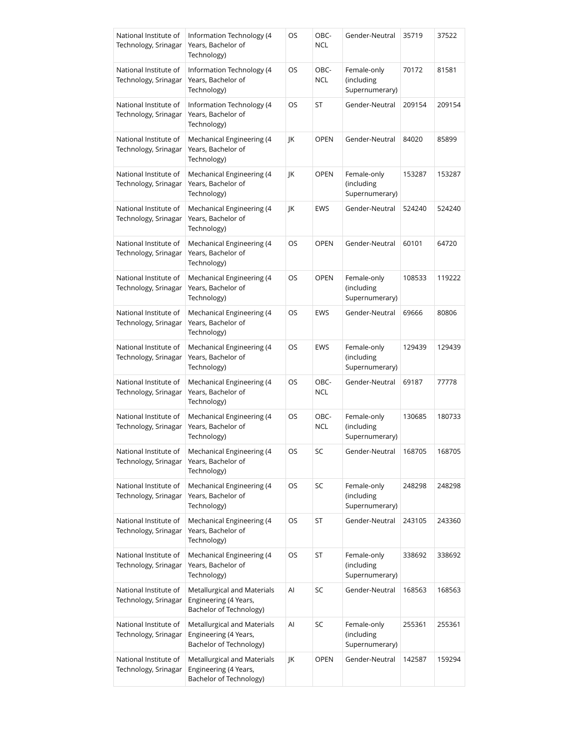| National Institute of<br>Technology, Srinagar | Information Technology (4<br>Years, Bachelor of<br>Technology)                  | OS | OBC-<br><b>NCL</b> | Gender-Neutral                              | 35719  | 37522  |
|-----------------------------------------------|---------------------------------------------------------------------------------|----|--------------------|---------------------------------------------|--------|--------|
| National Institute of<br>Technology, Srinagar | Information Technology (4<br>Years, Bachelor of<br>Technology)                  | OS | OBC-<br><b>NCL</b> | Female-only<br>(including<br>Supernumerary) | 70172  | 81581  |
| National Institute of<br>Technology, Srinagar | Information Technology (4<br>Years, Bachelor of<br>Technology)                  | OS | ST                 | Gender-Neutral                              | 209154 | 209154 |
| National Institute of<br>Technology, Srinagar | Mechanical Engineering (4<br>Years, Bachelor of<br>Technology)                  | JK | <b>OPEN</b>        | Gender-Neutral                              | 84020  | 85899  |
| National Institute of<br>Technology, Srinagar | Mechanical Engineering (4<br>Years, Bachelor of<br>Technology)                  | JK | OPEN               | Female-only<br>(including<br>Supernumerary) | 153287 | 153287 |
| National Institute of<br>Technology, Srinagar | Mechanical Engineering (4<br>Years, Bachelor of<br>Technology)                  | ΙK | <b>EWS</b>         | Gender-Neutral                              | 524240 | 524240 |
| National Institute of<br>Technology, Srinagar | Mechanical Engineering (4<br>Years, Bachelor of<br>Technology)                  | OS | <b>OPEN</b>        | Gender-Neutral                              | 60101  | 64720  |
| National Institute of<br>Technology, Srinagar | Mechanical Engineering (4<br>Years, Bachelor of<br>Technology)                  | OS | <b>OPEN</b>        | Female-only<br>(including<br>Supernumerary) | 108533 | 119222 |
| National Institute of<br>Technology, Srinagar | Mechanical Engineering (4<br>Years, Bachelor of<br>Technology)                  | OS | EWS                | Gender-Neutral                              | 69666  | 80806  |
| National Institute of<br>Technology, Srinagar | Mechanical Engineering (4<br>Years, Bachelor of<br>Technology)                  | OS | <b>EWS</b>         | Female-only<br>(including<br>Supernumerary) | 129439 | 129439 |
| National Institute of<br>Technology, Srinagar | Mechanical Engineering (4<br>Years, Bachelor of<br>Technology)                  | OS | OBC-<br><b>NCL</b> | Gender-Neutral                              | 69187  | 77778  |
| National Institute of<br>Technology, Srinagar | Mechanical Engineering (4<br>Years, Bachelor of<br>Technology)                  | OS | OBC-<br><b>NCL</b> | Female-only<br>(including<br>Supernumerary) | 130685 | 180733 |
| National Institute of<br>Technology, Srinagar | Mechanical Engineering (4<br>Years, Bachelor of<br>Technology)                  | OS | SC                 | Gender-Neutral                              | 168705 | 168705 |
| National Institute of<br>Technology, Srinagar | Mechanical Engineering (4<br>Years, Bachelor of<br>Technology)                  | OS | SC                 | Female-only<br>(including<br>Supernumerary) | 248298 | 248298 |
| National Institute of<br>Technology, Srinagar | Mechanical Engineering (4<br>Years, Bachelor of<br>Technology)                  | OS | ST                 | Gender-Neutral                              | 243105 | 243360 |
| National Institute of<br>Technology, Srinagar | Mechanical Engineering (4<br>Years, Bachelor of<br>Technology)                  | OS | ST                 | Female-only<br>(including<br>Supernumerary) | 338692 | 338692 |
| National Institute of<br>Technology, Srinagar | Metallurgical and Materials<br>Engineering (4 Years,<br>Bachelor of Technology) | Al | SC                 | Gender-Neutral                              | 168563 | 168563 |
| National Institute of<br>Technology, Srinagar | Metallurgical and Materials<br>Engineering (4 Years,<br>Bachelor of Technology) | Al | SC                 | Female-only<br>(including<br>Supernumerary) | 255361 | 255361 |
| National Institute of<br>Technology, Srinagar | Metallurgical and Materials<br>Engineering (4 Years,<br>Bachelor of Technology) | JK | <b>OPEN</b>        | Gender-Neutral                              | 142587 | 159294 |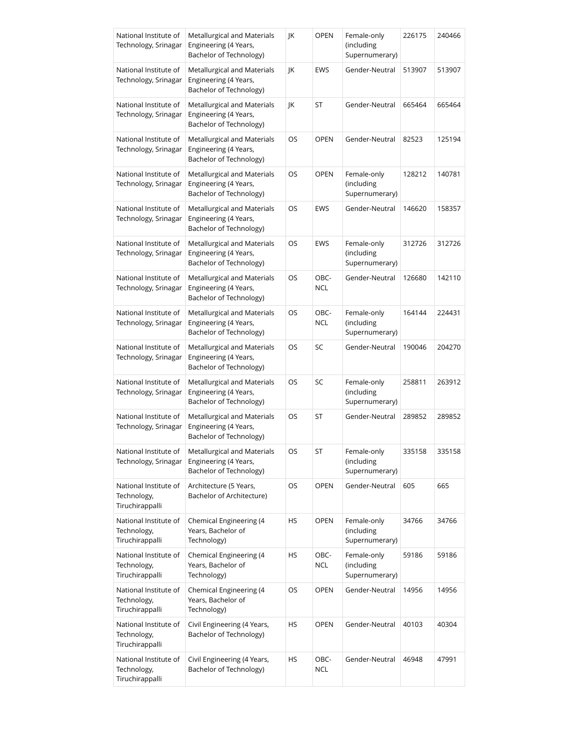| National Institute of<br>Technology, Srinagar           | Metallurgical and Materials<br>Engineering (4 Years,<br>Bachelor of Technology) | JK | <b>OPEN</b>        | Female-only<br>(including<br>Supernumerary) | 226175 | 240466 |
|---------------------------------------------------------|---------------------------------------------------------------------------------|----|--------------------|---------------------------------------------|--------|--------|
| National Institute of<br>Technology, Srinagar           | Metallurgical and Materials<br>Engineering (4 Years,<br>Bachelor of Technology) | JK | EWS                | Gender-Neutral                              | 513907 | 513907 |
| National Institute of<br>Technology, Srinagar           | Metallurgical and Materials<br>Engineering (4 Years,<br>Bachelor of Technology) | JK | ST                 | Gender-Neutral                              | 665464 | 665464 |
| National Institute of<br>Technology, Srinagar           | Metallurgical and Materials<br>Engineering (4 Years,<br>Bachelor of Technology) | OS | <b>OPEN</b>        | Gender-Neutral                              | 82523  | 125194 |
| National Institute of<br>Technology, Srinagar           | Metallurgical and Materials<br>Engineering (4 Years,<br>Bachelor of Technology) | OS | <b>OPEN</b>        | Female-only<br>(including<br>Supernumerary) | 128212 | 140781 |
| National Institute of<br>Technology, Srinagar           | Metallurgical and Materials<br>Engineering (4 Years,<br>Bachelor of Technology) | OS | EWS                | Gender-Neutral                              | 146620 | 158357 |
| National Institute of<br>Technology, Srinagar           | Metallurgical and Materials<br>Engineering (4 Years,<br>Bachelor of Technology) | OS | EWS                | Female-only<br>(including<br>Supernumerary) | 312726 | 312726 |
| National Institute of<br>Technology, Srinagar           | Metallurgical and Materials<br>Engineering (4 Years,<br>Bachelor of Technology) | OS | OBC-<br><b>NCL</b> | Gender-Neutral                              | 126680 | 142110 |
| National Institute of<br>Technology, Srinagar           | Metallurgical and Materials<br>Engineering (4 Years,<br>Bachelor of Technology) | OS | OBC-<br><b>NCL</b> | Female-only<br>(including<br>Supernumerary) | 164144 | 224431 |
| National Institute of<br>Technology, Srinagar           | Metallurgical and Materials<br>Engineering (4 Years,<br>Bachelor of Technology) | OS | SC                 | Gender-Neutral                              | 190046 | 204270 |
| National Institute of<br>Technology, Srinagar           | Metallurgical and Materials<br>Engineering (4 Years,<br>Bachelor of Technology) | OS | SC                 | Female-only<br>(including<br>Supernumerary) | 258811 | 263912 |
| National Institute of<br>Technology, Srinagar           | Metallurgical and Materials<br>Engineering (4 Years,<br>Bachelor of Technology) | OS | ST                 | Gender-Neutral                              | 289852 | 289852 |
| National Institute of<br>Technology, Srinagar           | Metallurgical and Materials<br>Engineering (4 Years,<br>Bachelor of Technology) | OS | ST                 | Female-only<br>(including<br>Supernumerary) | 335158 | 335158 |
| National Institute of<br>Technology,<br>Tiruchirappalli | Architecture (5 Years,<br>Bachelor of Architecture)                             | OS | <b>OPEN</b>        | Gender-Neutral                              | 605    | 665    |
| National Institute of<br>Technology,<br>Tiruchirappalli | Chemical Engineering (4<br>Years, Bachelor of<br>Technology)                    | HS | <b>OPEN</b>        | Female-only<br>(including<br>Supernumerary) | 34766  | 34766  |
| National Institute of<br>Technology,<br>Tiruchirappalli | Chemical Engineering (4<br>Years, Bachelor of<br>Technology)                    | HS | OBC-<br><b>NCL</b> | Female-only<br>(including<br>Supernumerary) | 59186  | 59186  |
| National Institute of<br>Technology,<br>Tiruchirappalli | Chemical Engineering (4<br>Years, Bachelor of<br>Technology)                    | OS | <b>OPEN</b>        | Gender-Neutral                              | 14956  | 14956  |
| National Institute of<br>Technology,<br>Tiruchirappalli | Civil Engineering (4 Years,<br>Bachelor of Technology)                          | HS | <b>OPEN</b>        | Gender-Neutral                              | 40103  | 40304  |
| National Institute of<br>Technology,<br>Tiruchirappalli | Civil Engineering (4 Years,<br>Bachelor of Technology)                          | HS | OBC-<br><b>NCL</b> | Gender-Neutral                              | 46948  | 47991  |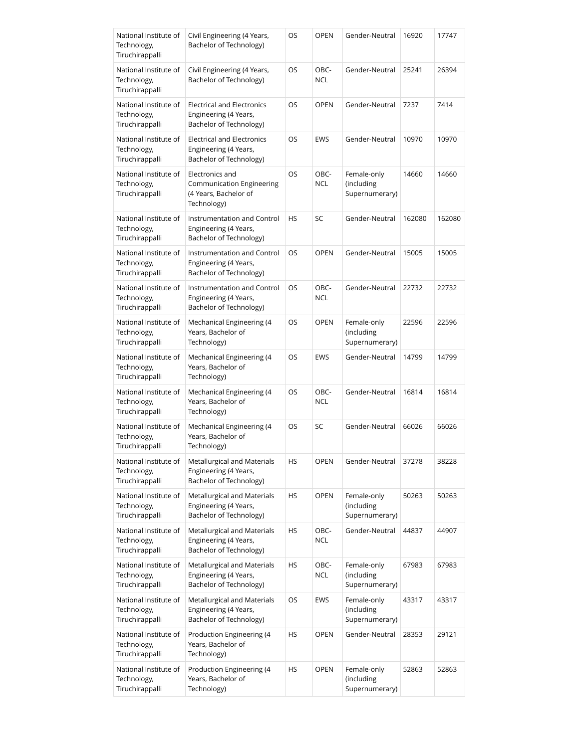| National Institute of<br>Technology,<br>Tiruchirappalli | Civil Engineering (4 Years,<br>Bachelor of Technology)                                | OS        | <b>OPEN</b>        | Gender-Neutral                              | 16920  | 17747  |
|---------------------------------------------------------|---------------------------------------------------------------------------------------|-----------|--------------------|---------------------------------------------|--------|--------|
| National Institute of<br>Technology,<br>Tiruchirappalli | Civil Engineering (4 Years,<br>Bachelor of Technology)                                | OS        | OBC-<br><b>NCL</b> | Gender-Neutral                              | 25241  | 26394  |
| National Institute of<br>Technology,<br>Tiruchirappalli | <b>Electrical and Electronics</b><br>Engineering (4 Years,<br>Bachelor of Technology) | OS        | <b>OPEN</b>        | Gender-Neutral                              | 7237   | 7414   |
| National Institute of<br>Technology,<br>Tiruchirappalli | <b>Electrical and Electronics</b><br>Engineering (4 Years,<br>Bachelor of Technology) | OS        | EWS                | Gender-Neutral                              | 10970  | 10970  |
| National Institute of<br>Technology,<br>Tiruchirappalli | Electronics and<br>Communication Engineering<br>(4 Years, Bachelor of<br>Technology)  | OS        | OBC-<br><b>NCL</b> | Female-only<br>(including<br>Supernumerary) | 14660  | 14660  |
| National Institute of<br>Technology,<br>Tiruchirappalli | Instrumentation and Control<br>Engineering (4 Years,<br>Bachelor of Technology)       | <b>HS</b> | SC                 | Gender-Neutral                              | 162080 | 162080 |
| National Institute of<br>Technology,<br>Tiruchirappalli | Instrumentation and Control<br>Engineering (4 Years,<br>Bachelor of Technology)       | <b>OS</b> | <b>OPEN</b>        | Gender-Neutral                              | 15005  | 15005  |
| National Institute of<br>Technology,<br>Tiruchirappalli | Instrumentation and Control<br>Engineering (4 Years,<br>Bachelor of Technology)       | OS        | OBC-<br><b>NCL</b> | Gender-Neutral                              | 22732  | 22732  |
| National Institute of<br>Technology,<br>Tiruchirappalli | Mechanical Engineering (4<br>Years, Bachelor of<br>Technology)                        | OS        | <b>OPEN</b>        | Female-only<br>(including<br>Supernumerary) | 22596  | 22596  |
| National Institute of<br>Technology,<br>Tiruchirappalli | Mechanical Engineering (4<br>Years, Bachelor of<br>Technology)                        | OS        | <b>EWS</b>         | Gender-Neutral                              | 14799  | 14799  |
| National Institute of<br>Technology,<br>Tiruchirappalli | Mechanical Engineering (4<br>Years, Bachelor of<br>Technology)                        | OS        | OBC-<br><b>NCL</b> | Gender-Neutral                              | 16814  | 16814  |
| National Institute of<br>Technology,<br>Tiruchirappalli | Mechanical Engineering (4<br>Years, Bachelor of<br>Technology)                        | OS        | SC                 | Gender-Neutral                              | 66026  | 66026  |
| National Institute of<br>Technology,<br>Tiruchirappalli | Metallurgical and Materials<br>Engineering (4 Years,<br>Bachelor of Technology)       | HS        | <b>OPEN</b>        | Gender-Neutral                              | 37278  | 38228  |
| National Institute of<br>Technology,<br>Tiruchirappalli | Metallurgical and Materials<br>Engineering (4 Years,<br>Bachelor of Technology)       | HS        | <b>OPEN</b>        | Female-only<br>(including<br>Supernumerary) | 50263  | 50263  |
| National Institute of<br>Technology,<br>Tiruchirappalli | Metallurgical and Materials<br>Engineering (4 Years,<br>Bachelor of Technology)       | HS        | OBC-<br><b>NCL</b> | Gender-Neutral                              | 44837  | 44907  |
| National Institute of<br>Technology,<br>Tiruchirappalli | Metallurgical and Materials<br>Engineering (4 Years,<br>Bachelor of Technology)       | HS        | OBC-<br><b>NCL</b> | Female-only<br>(including<br>Supernumerary) | 67983  | 67983  |
| National Institute of<br>Technology,<br>Tiruchirappalli | Metallurgical and Materials<br>Engineering (4 Years,<br>Bachelor of Technology)       | OS        | EWS                | Female-only<br>(including<br>Supernumerary) | 43317  | 43317  |
| National Institute of<br>Technology,<br>Tiruchirappalli | Production Engineering (4<br>Years, Bachelor of<br>Technology)                        | HS        | <b>OPEN</b>        | Gender-Neutral                              | 28353  | 29121  |
| National Institute of<br>Technology,<br>Tiruchirappalli | Production Engineering (4<br>Years, Bachelor of<br>Technology)                        | HS        | <b>OPEN</b>        | Female-only<br>(including<br>Supernumerary) | 52863  | 52863  |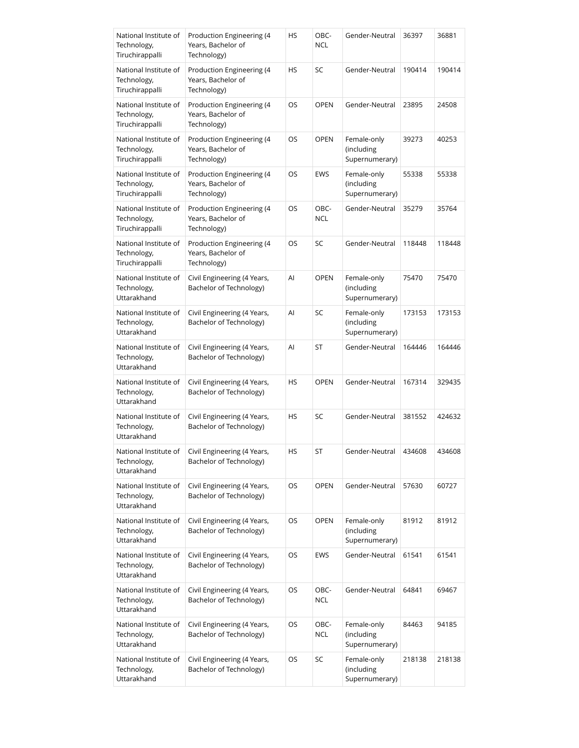| National Institute of<br>Technology,<br>Tiruchirappalli | Production Engineering (4<br>Years, Bachelor of<br>Technology) | HS | OBC-<br><b>NCL</b> | Gender-Neutral                              | 36397  | 36881  |
|---------------------------------------------------------|----------------------------------------------------------------|----|--------------------|---------------------------------------------|--------|--------|
| National Institute of<br>Technology,<br>Tiruchirappalli | Production Engineering (4<br>Years, Bachelor of<br>Technology) | HS | SC                 | Gender-Neutral                              | 190414 | 190414 |
| National Institute of<br>Technology,<br>Tiruchirappalli | Production Engineering (4<br>Years, Bachelor of<br>Technology) | OS | <b>OPEN</b>        | Gender-Neutral                              | 23895  | 24508  |
| National Institute of<br>Technology,<br>Tiruchirappalli | Production Engineering (4<br>Years, Bachelor of<br>Technology) | OS | <b>OPEN</b>        | Female-only<br>(including<br>Supernumerary) | 39273  | 40253  |
| National Institute of<br>Technology,<br>Tiruchirappalli | Production Engineering (4<br>Years, Bachelor of<br>Technology) | OS | <b>EWS</b>         | Female-only<br>(including<br>Supernumerary) | 55338  | 55338  |
| National Institute of<br>Technology,<br>Tiruchirappalli | Production Engineering (4<br>Years, Bachelor of<br>Technology) | OS | OBC-<br><b>NCL</b> | Gender-Neutral                              | 35279  | 35764  |
| National Institute of<br>Technology,<br>Tiruchirappalli | Production Engineering (4<br>Years, Bachelor of<br>Technology) | OS | SC                 | Gender-Neutral                              | 118448 | 118448 |
| National Institute of<br>Technology,<br>Uttarakhand     | Civil Engineering (4 Years,<br>Bachelor of Technology)         | Al | <b>OPEN</b>        | Female-only<br>(including<br>Supernumerary) | 75470  | 75470  |
| National Institute of<br>Technology,<br>Uttarakhand     | Civil Engineering (4 Years,<br>Bachelor of Technology)         | Al | SC                 | Female-only<br>(including<br>Supernumerary) | 173153 | 173153 |
| National Institute of<br>Technology,<br>Uttarakhand     | Civil Engineering (4 Years,<br>Bachelor of Technology)         | Al | ST                 | Gender-Neutral                              | 164446 | 164446 |
| National Institute of<br>Technology,<br>Uttarakhand     | Civil Engineering (4 Years,<br>Bachelor of Technology)         | HS | <b>OPEN</b>        | Gender-Neutral                              | 167314 | 329435 |
| National Institute of<br>Technology,<br>Uttarakhand     | Civil Engineering (4 Years,<br>Bachelor of Technology)         | HS | SC                 | Gender-Neutral                              | 381552 | 424632 |
| National Institute of<br>Technology,<br>Uttarakhand     | Civil Engineering (4 Years,<br>Bachelor of Technology)         | HS | <b>ST</b>          | Gender-Neutral                              | 434608 | 434608 |
| National Institute of<br>Technology,<br>Uttarakhand     | Civil Engineering (4 Years,<br>Bachelor of Technology)         | OS | <b>OPEN</b>        | Gender-Neutral                              | 57630  | 60727  |
| National Institute of<br>Technology,<br>Uttarakhand     | Civil Engineering (4 Years,<br>Bachelor of Technology)         | OS | <b>OPEN</b>        | Female-only<br>(including<br>Supernumerary) | 81912  | 81912  |
| National Institute of<br>Technology,<br>Uttarakhand     | Civil Engineering (4 Years,<br>Bachelor of Technology)         | OS | EWS                | Gender-Neutral                              | 61541  | 61541  |
| National Institute of<br>Technology,<br>Uttarakhand     | Civil Engineering (4 Years,<br>Bachelor of Technology)         | OS | OBC-<br><b>NCL</b> | Gender-Neutral                              | 64841  | 69467  |
| National Institute of<br>Technology,<br>Uttarakhand     | Civil Engineering (4 Years,<br>Bachelor of Technology)         | OS | OBC-<br><b>NCL</b> | Female-only<br>(including<br>Supernumerary) | 84463  | 94185  |
| National Institute of<br>Technology,<br>Uttarakhand     | Civil Engineering (4 Years,<br>Bachelor of Technology)         | OS | SC                 | Female-only<br>(including<br>Supernumerary) | 218138 | 218138 |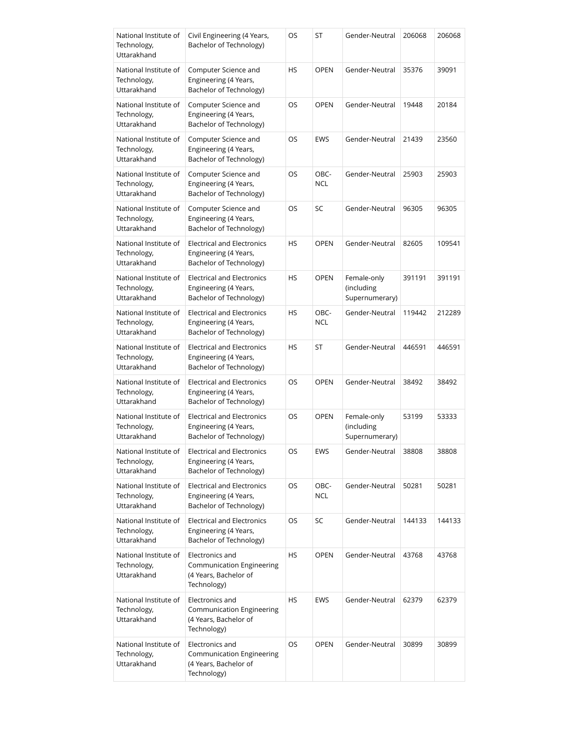| National Institute of<br>Technology,<br>Uttarakhand | Civil Engineering (4 Years,<br>Bachelor of Technology)                                      | OS        | ST                 | Gender-Neutral                              | 206068 | 206068 |
|-----------------------------------------------------|---------------------------------------------------------------------------------------------|-----------|--------------------|---------------------------------------------|--------|--------|
| National Institute of<br>Technology,<br>Uttarakhand | Computer Science and<br>Engineering (4 Years,<br>Bachelor of Technology)                    | HS        | <b>OPEN</b>        | Gender-Neutral                              | 35376  | 39091  |
| National Institute of<br>Technology,<br>Uttarakhand | Computer Science and<br>Engineering (4 Years,<br>Bachelor of Technology)                    | OS        | <b>OPEN</b>        | Gender-Neutral                              | 19448  | 20184  |
| National Institute of<br>Technology,<br>Uttarakhand | Computer Science and<br>Engineering (4 Years,<br>Bachelor of Technology)                    | OS        | EWS                | Gender-Neutral                              | 21439  | 23560  |
| National Institute of<br>Technology,<br>Uttarakhand | Computer Science and<br>Engineering (4 Years,<br>Bachelor of Technology)                    | OS        | OBC-<br><b>NCL</b> | Gender-Neutral                              | 25903  | 25903  |
| National Institute of<br>Technology,<br>Uttarakhand | Computer Science and<br>Engineering (4 Years,<br><b>Bachelor of Technology)</b>             | OS        | SC                 | Gender-Neutral                              | 96305  | 96305  |
| National Institute of<br>Technology,<br>Uttarakhand | <b>Electrical and Electronics</b><br>Engineering (4 Years,<br>Bachelor of Technology)       | <b>HS</b> | <b>OPEN</b>        | Gender-Neutral                              | 82605  | 109541 |
| National Institute of<br>Technology,<br>Uttarakhand | <b>Electrical and Electronics</b><br>Engineering (4 Years,<br>Bachelor of Technology)       | HS        | <b>OPEN</b>        | Female-only<br>(including<br>Supernumerary) | 391191 | 391191 |
| National Institute of<br>Technology,<br>Uttarakhand | <b>Electrical and Electronics</b><br>Engineering (4 Years,<br>Bachelor of Technology)       | HS        | OBC-<br><b>NCL</b> | Gender-Neutral                              | 119442 | 212289 |
| National Institute of<br>Technology,<br>Uttarakhand | <b>Electrical and Electronics</b><br>Engineering (4 Years,<br>Bachelor of Technology)       | HS        | ST                 | Gender-Neutral                              | 446591 | 446591 |
| National Institute of<br>Technology,<br>Uttarakhand | <b>Electrical and Electronics</b><br>Engineering (4 Years,<br>Bachelor of Technology)       | <b>OS</b> | <b>OPEN</b>        | Gender-Neutral                              | 38492  | 38492  |
| National Institute of<br>Technology,<br>Uttarakhand | <b>Electrical and Electronics</b><br>Engineering (4 Years,<br>Bachelor of Technology)       | OS        | <b>OPEN</b>        | Female-only<br>(including<br>Supernumerary) | 53199  | 53333  |
| National Institute of<br>Technology,<br>Uttarakhand | <b>Electrical and Electronics</b><br>Engineering (4 Years,<br>Bachelor of Technology)       | OS        | EWS                | Gender-Neutral                              | 38808  | 38808  |
| National Institute of<br>Technology,<br>Uttarakhand | <b>Electrical and Electronics</b><br>Engineering (4 Years,<br>Bachelor of Technology)       | OS        | OBC-<br><b>NCL</b> | Gender-Neutral                              | 50281  | 50281  |
| National Institute of<br>Technology,<br>Uttarakhand | <b>Electrical and Electronics</b><br>Engineering (4 Years,<br>Bachelor of Technology)       | OS        | SC                 | Gender-Neutral                              | 144133 | 144133 |
| National Institute of<br>Technology,<br>Uttarakhand | Electronics and<br><b>Communication Engineering</b><br>(4 Years, Bachelor of<br>Technology) | HS        | <b>OPEN</b>        | Gender-Neutral                              | 43768  | 43768  |
| National Institute of<br>Technology,<br>Uttarakhand | Electronics and<br>Communication Engineering<br>(4 Years, Bachelor of<br>Technology)        | HS        | EWS                | Gender-Neutral                              | 62379  | 62379  |
| National Institute of<br>Technology,<br>Uttarakhand | Electronics and<br>Communication Engineering<br>(4 Years, Bachelor of<br>Technology)        | OS        | <b>OPEN</b>        | Gender-Neutral                              | 30899  | 30899  |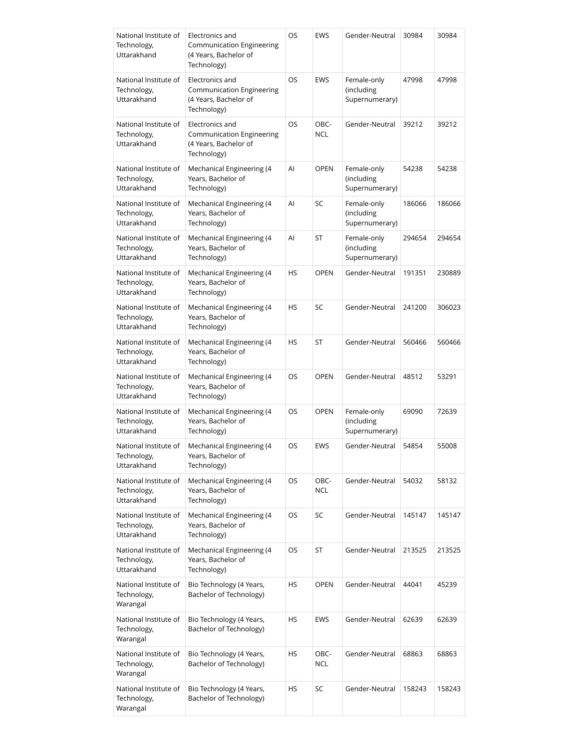| National Institute of<br>Technology,<br>Uttarakhand | Electronics and<br>Communication Engineering<br>(4 Years, Bachelor of<br>Technology) | OS        | EWS          | Gender-Neutral                              | 30984  | 30984  |
|-----------------------------------------------------|--------------------------------------------------------------------------------------|-----------|--------------|---------------------------------------------|--------|--------|
| National Institute of<br>Technology,<br>Uttarakhand | Electronics and<br>Communication Engineering<br>(4 Years, Bachelor of<br>Technology) | OS        | EWS          | Female-only<br>(including<br>Supernumerary) | 47998  | 47998  |
| National Institute of<br>Technology,<br>Uttarakhand | Electronics and<br>Communication Engineering<br>(4 Years, Bachelor of<br>Technology) | OS        | OBC-<br>NCL. | Gender-Neutral                              | 39212  | 39212  |
| National Institute of<br>Technology,<br>Uttarakhand | Mechanical Engineering (4<br>Years, Bachelor of<br>Technology)                       | Al        | <b>OPEN</b>  | Female-only<br>(including<br>Supernumerary) | 54238  | 54238  |
| National Institute of<br>Technology,<br>Uttarakhand | Mechanical Engineering (4<br>Years, Bachelor of<br>Technology)                       | Al        | SC           | Female-only<br>(including<br>Supernumerary) | 186066 | 186066 |
| National Institute of<br>Technology,<br>Uttarakhand | Mechanical Engineering (4<br>Years, Bachelor of<br>Technology)                       | Al        | ST           | Female-only<br>(including<br>Supernumerary) | 294654 | 294654 |
| National Institute of<br>Technology,<br>Uttarakhand | Mechanical Engineering (4<br>Years, Bachelor of<br>Technology)                       | <b>HS</b> | OPEN         | Gender-Neutral                              | 191351 | 230889 |
| National Institute of<br>Technology,<br>Uttarakhand | Mechanical Engineering (4<br>Years, Bachelor of<br>Technology)                       | HS        | SC           | Gender-Neutral                              | 241200 | 306023 |
| National Institute of<br>Technology,<br>Uttarakhand | Mechanical Engineering (4<br>Years, Bachelor of<br>Technology)                       | <b>HS</b> | ST           | Gender-Neutral                              | 560466 | 560466 |
| National Institute of<br>Technology,<br>Uttarakhand | Mechanical Engineering (4<br>Years, Bachelor of<br>Technology)                       | OS        | <b>OPEN</b>  | Gender-Neutral                              | 48512  | 53291  |
| National Institute of<br>Technology,<br>Uttarakhand | Mechanical Engineering (4<br>Years, Bachelor of<br>Technology)                       | OS        | <b>OPEN</b>  | Female-only<br>(including<br>Supernumerary) | 69090  | 72639  |
| National Institute of<br>Technology,<br>Uttarakhand | Mechanical Engineering (4<br>Years, Bachelor of<br>Technology)                       | OS        | EWS          | Gender-Neutral                              | 54854  | 55008  |
| National Institute of<br>Technology,<br>Uttarakhand | Mechanical Engineering (4<br>Years, Bachelor of<br>Technology)                       | OS        | OBC-<br>NCL  | Gender-Neutral                              | 54032  | 58132  |
| National Institute of<br>Technology,<br>Uttarakhand | Mechanical Engineering (4<br>Years, Bachelor of<br>Technology)                       | OS        | SC           | Gender-Neutral                              | 145147 | 145147 |
| National Institute of<br>Technology,<br>Uttarakhand | Mechanical Engineering (4<br>Years, Bachelor of<br>Technology)                       | OS        | ST           | Gender-Neutral                              | 213525 | 213525 |
| National Institute of<br>Technology,<br>Warangal    | Bio Technology (4 Years,<br>Bachelor of Technology)                                  | HS        | <b>OPEN</b>  | Gender-Neutral                              | 44041  | 45239  |
| National Institute of<br>Technology,<br>Warangal    | Bio Technology (4 Years,<br>Bachelor of Technology)                                  | HS        | EWS          | Gender-Neutral                              | 62639  | 62639  |
| National Institute of<br>Technology,<br>Warangal    | Bio Technology (4 Years,<br>Bachelor of Technology)                                  | HS        | OBC-<br>NCL  | Gender-Neutral                              | 68863  | 68863  |
| National Institute of<br>Technology,<br>Warangal    | Bio Technology (4 Years,<br>Bachelor of Technology)                                  | HS        | SC           | Gender-Neutral                              | 158243 | 158243 |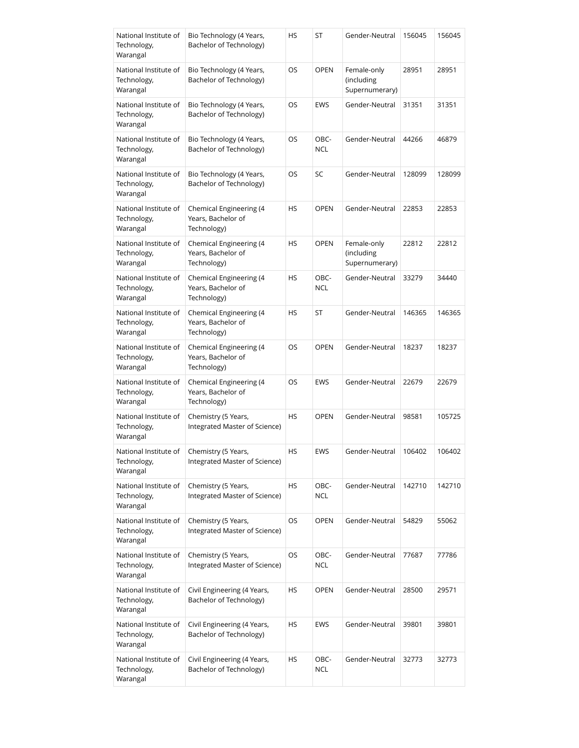| National Institute of<br>Technology,<br>Warangal | Bio Technology (4 Years,<br>Bachelor of Technology)          | HS        | ST                 | Gender-Neutral                              | 156045 | 156045 |
|--------------------------------------------------|--------------------------------------------------------------|-----------|--------------------|---------------------------------------------|--------|--------|
| National Institute of<br>Technology,<br>Warangal | Bio Technology (4 Years,<br>Bachelor of Technology)          | OS        | <b>OPEN</b>        | Female-only<br>(including<br>Supernumerary) | 28951  | 28951  |
| National Institute of<br>Technology,<br>Warangal | Bio Technology (4 Years,<br>Bachelor of Technology)          | OS        | EWS                | Gender-Neutral                              | 31351  | 31351  |
| National Institute of<br>Technology,<br>Warangal | Bio Technology (4 Years,<br>Bachelor of Technology)          | OS        | OBC-<br><b>NCL</b> | Gender-Neutral                              | 44266  | 46879  |
| National Institute of<br>Technology,<br>Warangal | Bio Technology (4 Years,<br>Bachelor of Technology)          | OS        | SC                 | Gender-Neutral                              | 128099 | 128099 |
| National Institute of<br>Technology,<br>Warangal | Chemical Engineering (4<br>Years, Bachelor of<br>Technology) | HS        | <b>OPEN</b>        | Gender-Neutral                              | 22853  | 22853  |
| National Institute of<br>Technology,<br>Warangal | Chemical Engineering (4<br>Years, Bachelor of<br>Technology) | <b>HS</b> | <b>OPEN</b>        | Female-only<br>(including<br>Supernumerary) | 22812  | 22812  |
| National Institute of<br>Technology,<br>Warangal | Chemical Engineering (4<br>Years, Bachelor of<br>Technology) | HS        | OBC-<br><b>NCL</b> | Gender-Neutral                              | 33279  | 34440  |
| National Institute of<br>Technology,<br>Warangal | Chemical Engineering (4<br>Years, Bachelor of<br>Technology) | HS        | ST                 | Gender-Neutral                              | 146365 | 146365 |
| National Institute of<br>Technology,<br>Warangal | Chemical Engineering (4<br>Years, Bachelor of<br>Technology) | OS        | <b>OPEN</b>        | Gender-Neutral                              | 18237  | 18237  |
| National Institute of<br>Technology,<br>Warangal | Chemical Engineering (4<br>Years, Bachelor of<br>Technology) | OS        | <b>EWS</b>         | Gender-Neutral                              | 22679  | 22679  |
| National Institute of<br>Technology,<br>Warangal | Chemistry (5 Years,<br>Integrated Master of Science)         | HS        | <b>OPEN</b>        | Gender-Neutral                              | 98581  | 105725 |
| National Institute of<br>Technology,<br>Warangal | Chemistry (5 Years,<br>Integrated Master of Science)         | <b>HS</b> | EWS                | Gender-Neutral                              | 106402 | 106402 |
| National Institute of<br>Technology,<br>Warangal | Chemistry (5 Years,<br>Integrated Master of Science)         | HS        | OBC-<br><b>NCL</b> | Gender-Neutral                              | 142710 | 142710 |
| National Institute of<br>Technology,<br>Warangal | Chemistry (5 Years,<br>Integrated Master of Science)         | OS        | <b>OPEN</b>        | Gender-Neutral                              | 54829  | 55062  |
| National Institute of<br>Technology,<br>Warangal | Chemistry (5 Years,<br>Integrated Master of Science)         | OS        | OBC-<br><b>NCL</b> | Gender-Neutral                              | 77687  | 77786  |
| National Institute of<br>Technology,<br>Warangal | Civil Engineering (4 Years,<br>Bachelor of Technology)       | HS        | <b>OPEN</b>        | Gender-Neutral                              | 28500  | 29571  |
| National Institute of<br>Technology,<br>Warangal | Civil Engineering (4 Years,<br>Bachelor of Technology)       | HS        | EWS                | Gender-Neutral                              | 39801  | 39801  |
| National Institute of<br>Technology,<br>Warangal | Civil Engineering (4 Years,<br>Bachelor of Technology)       | HS        | OBC-<br><b>NCL</b> | Gender-Neutral                              | 32773  | 32773  |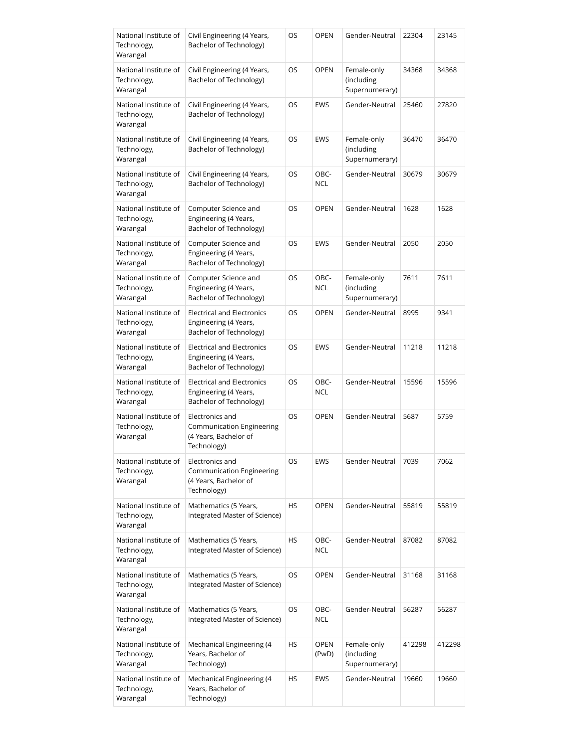| National Institute of<br>Technology,<br>Warangal | Civil Engineering (4 Years,<br>Bachelor of Technology)                                      | OS        | <b>OPEN</b>          | Gender-Neutral                              | 22304  | 23145  |
|--------------------------------------------------|---------------------------------------------------------------------------------------------|-----------|----------------------|---------------------------------------------|--------|--------|
| National Institute of<br>Technology,<br>Warangal | Civil Engineering (4 Years,<br>Bachelor of Technology)                                      | OS        | <b>OPEN</b>          | Female-only<br>(including<br>Supernumerary) | 34368  | 34368  |
| National Institute of<br>Technology,<br>Warangal | Civil Engineering (4 Years,<br>Bachelor of Technology)                                      | OS        | EWS                  | Gender-Neutral                              | 25460  | 27820  |
| National Institute of<br>Technology,<br>Warangal | Civil Engineering (4 Years,<br>Bachelor of Technology)                                      | OS        | EWS                  | Female-only<br>(including<br>Supernumerary) | 36470  | 36470  |
| National Institute of<br>Technology,<br>Warangal | Civil Engineering (4 Years,<br>Bachelor of Technology)                                      | OS        | OBC-<br><b>NCL</b>   | Gender-Neutral                              | 30679  | 30679  |
| National Institute of<br>Technology,<br>Warangal | Computer Science and<br>Engineering (4 Years,<br>Bachelor of Technology)                    | OS        | <b>OPEN</b>          | Gender-Neutral                              | 1628   | 1628   |
| National Institute of<br>Technology,<br>Warangal | Computer Science and<br>Engineering (4 Years,<br>Bachelor of Technology)                    | OS        | <b>EWS</b>           | Gender-Neutral                              | 2050   | 2050   |
| National Institute of<br>Technology,<br>Warangal | Computer Science and<br>Engineering (4 Years,<br>Bachelor of Technology)                    | OS        | OBC-<br><b>NCL</b>   | Female-only<br>(including<br>Supernumerary) | 7611   | 7611   |
| National Institute of<br>Technology,<br>Warangal | <b>Electrical and Electronics</b><br>Engineering (4 Years,<br>Bachelor of Technology)       | OS        | <b>OPEN</b>          | Gender-Neutral                              | 8995   | 9341   |
| National Institute of<br>Technology,<br>Warangal | <b>Electrical and Electronics</b><br>Engineering (4 Years,<br>Bachelor of Technology)       | OS        | EWS                  | Gender-Neutral                              | 11218  | 11218  |
| National Institute of<br>Technology,<br>Warangal | <b>Electrical and Electronics</b><br>Engineering (4 Years,<br>Bachelor of Technology)       | OS        | OBC-<br><b>NCL</b>   | Gender-Neutral                              | 15596  | 15596  |
| National Institute of<br>Technology,<br>Warangal | Electronics and<br>Communication Engineering<br>(4 Years, Bachelor of<br>Technology)        | OS        | <b>OPEN</b>          | Gender-Neutral                              | 5687   | 5759   |
| National Institute of<br>Technology,<br>Warangal | Electronics and<br><b>Communication Engineering</b><br>(4 Years, Bachelor of<br>Technology) | OS        | EWS                  | Gender-Neutral                              | 7039   | 7062   |
| National Institute of<br>Technology,<br>Warangal | Mathematics (5 Years,<br>Integrated Master of Science)                                      | HS        | <b>OPEN</b>          | Gender-Neutral                              | 55819  | 55819  |
| National Institute of<br>Technology,<br>Warangal | Mathematics (5 Years,<br>Integrated Master of Science)                                      | <b>HS</b> | OBC-<br>NCL          | Gender-Neutral                              | 87082  | 87082  |
| National Institute of<br>Technology,<br>Warangal | Mathematics (5 Years,<br>Integrated Master of Science)                                      | OS        | <b>OPEN</b>          | Gender-Neutral                              | 31168  | 31168  |
| National Institute of<br>Technology,<br>Warangal | Mathematics (5 Years,<br>Integrated Master of Science)                                      | OS        | OBC-<br><b>NCL</b>   | Gender-Neutral                              | 56287  | 56287  |
| National Institute of<br>Technology,<br>Warangal | Mechanical Engineering (4<br>Years, Bachelor of<br>Technology)                              | HS        | <b>OPEN</b><br>(PwD) | Female-only<br>(including<br>Supernumerary) | 412298 | 412298 |
| National Institute of<br>Technology,<br>Warangal | Mechanical Engineering (4<br>Years, Bachelor of<br>Technology)                              | <b>HS</b> | EWS                  | Gender-Neutral                              | 19660  | 19660  |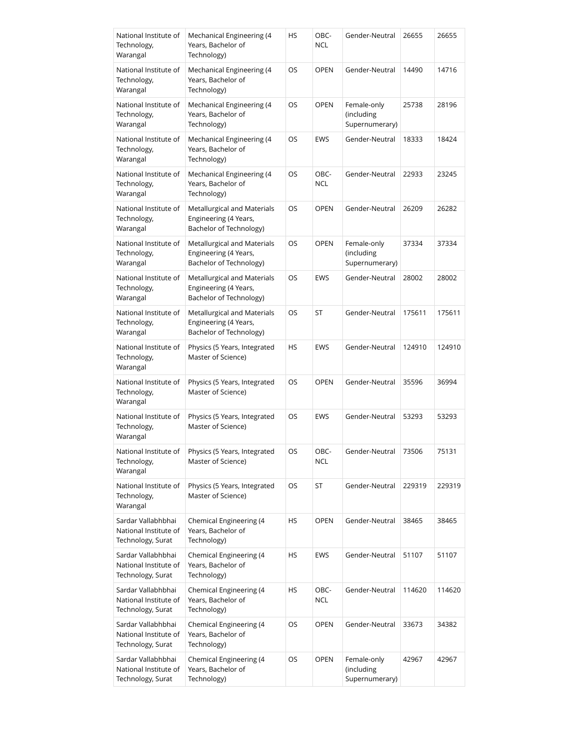| National Institute of<br>Technology,<br>Warangal                 | Mechanical Engineering (4<br>Years, Bachelor of<br>Technology)                  | HS        | OBC-<br><b>NCL</b> | Gender-Neutral                              | 26655  | 26655  |
|------------------------------------------------------------------|---------------------------------------------------------------------------------|-----------|--------------------|---------------------------------------------|--------|--------|
| National Institute of<br>Technology,<br>Warangal                 | Mechanical Engineering (4<br>Years, Bachelor of<br>Technology)                  | OS        | <b>OPEN</b>        | Gender-Neutral                              | 14490  | 14716  |
| National Institute of<br>Technology,<br>Warangal                 | Mechanical Engineering (4<br>Years, Bachelor of<br>Technology)                  | OS        | <b>OPEN</b>        | Female-only<br>(including<br>Supernumerary) | 25738  | 28196  |
| National Institute of<br>Technology,<br>Warangal                 | Mechanical Engineering (4<br>Years, Bachelor of<br>Technology)                  | OS        | EWS                | Gender-Neutral                              | 18333  | 18424  |
| National Institute of<br>Technology,<br>Warangal                 | Mechanical Engineering (4<br>Years, Bachelor of<br>Technology)                  | OS        | OBC-<br><b>NCL</b> | Gender-Neutral                              | 22933  | 23245  |
| National Institute of<br>Technology,<br>Warangal                 | Metallurgical and Materials<br>Engineering (4 Years,<br>Bachelor of Technology) | OS        | <b>OPEN</b>        | Gender-Neutral                              | 26209  | 26282  |
| National Institute of<br>Technology,<br>Warangal                 | Metallurgical and Materials<br>Engineering (4 Years,<br>Bachelor of Technology) | OS        | <b>OPEN</b>        | Female-only<br>(including<br>Supernumerary) | 37334  | 37334  |
| National Institute of<br>Technology,<br>Warangal                 | Metallurgical and Materials<br>Engineering (4 Years,<br>Bachelor of Technology) | OS        | EWS                | Gender-Neutral                              | 28002  | 28002  |
| National Institute of<br>Technology,<br>Warangal                 | Metallurgical and Materials<br>Engineering (4 Years,<br>Bachelor of Technology) | OS        | ST                 | Gender-Neutral                              | 175611 | 175611 |
| National Institute of<br>Technology,<br>Warangal                 | Physics (5 Years, Integrated<br>Master of Science)                              | HS        | EWS                | Gender-Neutral                              | 124910 | 124910 |
| National Institute of<br>Technology,<br>Warangal                 | Physics (5 Years, Integrated<br>Master of Science)                              | OS        | <b>OPEN</b>        | Gender-Neutral                              | 35596  | 36994  |
| National Institute of<br>Technology,<br>Warangal                 | Physics (5 Years, Integrated<br>Master of Science)                              | OS        | EWS                | Gender-Neutral                              | 53293  | 53293  |
| National Institute of<br>Technology,<br>Warangal                 | Physics (5 Years, Integrated<br>Master of Science)                              | OS        | OBC-<br><b>NCL</b> | Gender-Neutral                              | 73506  | 75131  |
| National Institute of<br>Technology,<br>Warangal                 | Physics (5 Years, Integrated<br>Master of Science)                              | OS        | ST                 | Gender-Neutral                              | 229319 | 229319 |
| Sardar Vallabhbhai<br>National Institute of<br>Technology, Surat | Chemical Engineering (4<br>Years, Bachelor of<br>Technology)                    | HS        | <b>OPEN</b>        | Gender-Neutral                              | 38465  | 38465  |
| Sardar Vallabhbhai<br>National Institute of<br>Technology, Surat | Chemical Engineering (4<br>Years, Bachelor of<br>Technology)                    | HS        | EWS                | Gender-Neutral                              | 51107  | 51107  |
| Sardar Vallabhbhai<br>National Institute of<br>Technology, Surat | Chemical Engineering (4<br>Years, Bachelor of<br>Technology)                    | HS        | OBC-<br><b>NCL</b> | Gender-Neutral                              | 114620 | 114620 |
| Sardar Vallabhbhai<br>National Institute of<br>Technology, Surat | Chemical Engineering (4<br>Years, Bachelor of<br>Technology)                    | <b>OS</b> | <b>OPEN</b>        | Gender-Neutral                              | 33673  | 34382  |
| Sardar Vallabhbhai<br>National Institute of<br>Technology, Surat | Chemical Engineering (4<br>Years, Bachelor of<br>Technology)                    | OS        | <b>OPEN</b>        | Female-only<br>(including<br>Supernumerary) | 42967  | 42967  |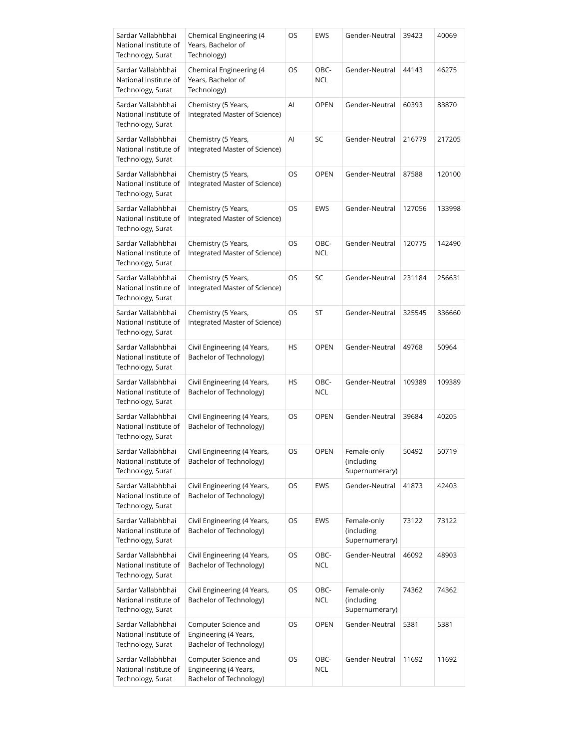| Sardar Vallabhbhai<br>National Institute of<br>Technology, Surat | Chemical Engineering (4<br>Years, Bachelor of<br>Technology)             | OS        | EWS                | Gender-Neutral                              | 39423  | 40069  |
|------------------------------------------------------------------|--------------------------------------------------------------------------|-----------|--------------------|---------------------------------------------|--------|--------|
| Sardar Vallabhbhai<br>National Institute of<br>Technology, Surat | Chemical Engineering (4<br>Years, Bachelor of<br>Technology)             | OS        | OBC-<br>NCL        | Gender-Neutral                              | 44143  | 46275  |
| Sardar Vallabhbhai<br>National Institute of<br>Technology, Surat | Chemistry (5 Years,<br>Integrated Master of Science)                     | AI        | <b>OPEN</b>        | Gender-Neutral                              | 60393  | 83870  |
| Sardar Vallabhbhai<br>National Institute of<br>Technology, Surat | Chemistry (5 Years,<br>Integrated Master of Science)                     | Al        | SC                 | Gender-Neutral                              | 216779 | 217205 |
| Sardar Vallabhbhai<br>National Institute of<br>Technology, Surat | Chemistry (5 Years,<br>Integrated Master of Science)                     | OS        | <b>OPEN</b>        | Gender-Neutral                              | 87588  | 120100 |
| Sardar Vallabhbhai<br>National Institute of<br>Technology, Surat | Chemistry (5 Years,<br>Integrated Master of Science)                     | OS        | EWS                | Gender-Neutral                              | 127056 | 133998 |
| Sardar Vallabhbhai<br>National Institute of<br>Technology, Surat | Chemistry (5 Years,<br>Integrated Master of Science)                     | OS        | OBC-<br>NCL        | Gender-Neutral                              | 120775 | 142490 |
| Sardar Vallabhbhai<br>National Institute of<br>Technology, Surat | Chemistry (5 Years,<br>Integrated Master of Science)                     | OS        | SC                 | Gender-Neutral                              | 231184 | 256631 |
| Sardar Vallabhbhai<br>National Institute of<br>Technology, Surat | Chemistry (5 Years,<br>Integrated Master of Science)                     | OS        | ST                 | Gender-Neutral                              | 325545 | 336660 |
| Sardar Vallabhbhai<br>National Institute of<br>Technology, Surat | Civil Engineering (4 Years,<br>Bachelor of Technology)                   | HS        | <b>OPEN</b>        | Gender-Neutral                              | 49768  | 50964  |
| Sardar Vallabhbhai<br>National Institute of<br>Technology, Surat | Civil Engineering (4 Years,<br>Bachelor of Technology)                   | HS        | OBC-<br><b>NCL</b> | Gender-Neutral                              | 109389 | 109389 |
| Sardar Vallabhbhai<br>National Institute of<br>Technology, Surat | Civil Engineering (4 Years,<br>Bachelor of Technology)                   | OS        | <b>OPEN</b>        | Gender-Neutral                              | 39684  | 40205  |
| Sardar Vallabhbhai<br>National Institute of<br>Technology, Surat | Civil Engineering (4 Years,<br>Bachelor of Technology)                   | OS        | OPEN               | Female-only<br>(including<br>Supernumerary) | 50492  | 50719  |
| Sardar Vallabhbhai<br>National Institute of<br>Technology, Surat | Civil Engineering (4 Years,<br>Bachelor of Technology)                   | OS        | EWS                | Gender-Neutral                              | 41873  | 42403  |
| Sardar Vallabhbhai<br>National Institute of<br>Technology, Surat | Civil Engineering (4 Years,<br>Bachelor of Technology)                   | OS        | EWS                | Female-only<br>(including<br>Supernumerary) | 73122  | 73122  |
| Sardar Vallabhbhai<br>National Institute of<br>Technology, Surat | Civil Engineering (4 Years,<br>Bachelor of Technology)                   | OS        | OBC-<br>NCL        | Gender-Neutral                              | 46092  | 48903  |
| Sardar Vallabhbhai<br>National Institute of<br>Technology, Surat | Civil Engineering (4 Years,<br>Bachelor of Technology)                   | OS        | OBC-<br><b>NCL</b> | Female-only<br>(including<br>Supernumerary) | 74362  | 74362  |
| Sardar Vallabhbhai<br>National Institute of<br>Technology, Surat | Computer Science and<br>Engineering (4 Years,<br>Bachelor of Technology) | OS        | <b>OPEN</b>        | Gender-Neutral                              | 5381   | 5381   |
| Sardar Vallabhbhai<br>National Institute of<br>Technology, Surat | Computer Science and<br>Engineering (4 Years,<br>Bachelor of Technology) | <b>OS</b> | OBC-<br><b>NCL</b> | Gender-Neutral                              | 11692  | 11692  |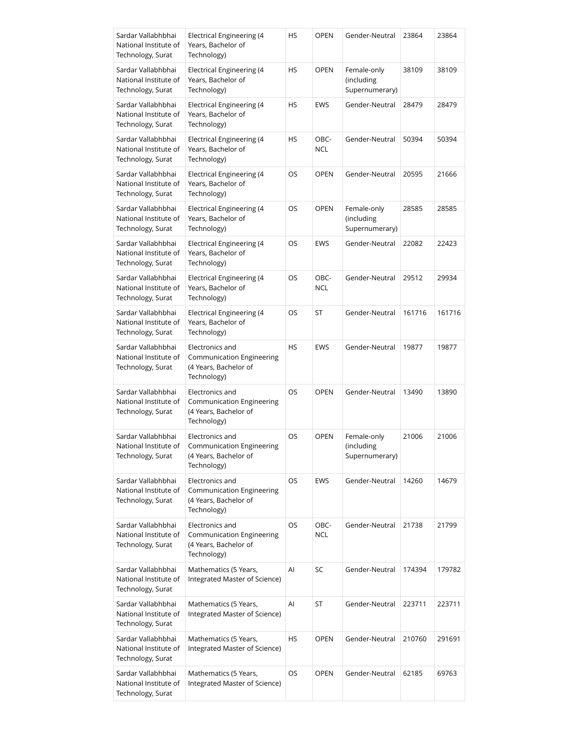| Sardar Vallabhbhai<br>National Institute of<br>Technology, Surat | Electrical Engineering (4<br>Years, Bachelor of<br>Technology)                              | HS | <b>OPEN</b>        | Gender-Neutral                              | 23864  | 23864  |
|------------------------------------------------------------------|---------------------------------------------------------------------------------------------|----|--------------------|---------------------------------------------|--------|--------|
| Sardar Vallabhbhai<br>National Institute of<br>Technology, Surat | Electrical Engineering (4<br>Years, Bachelor of<br>Technology)                              | HS | <b>OPEN</b>        | Female-only<br>(including<br>Supernumerary) | 38109  | 38109  |
| Sardar Vallabhbhai<br>National Institute of<br>Technology, Surat | Electrical Engineering (4<br>Years, Bachelor of<br>Technology)                              | HS | EWS                | Gender-Neutral                              | 28479  | 28479  |
| Sardar Vallabhbhai<br>National Institute of<br>Technology, Surat | Electrical Engineering (4<br>Years, Bachelor of<br>Technology)                              | HS | OBC-<br><b>NCL</b> | Gender-Neutral                              | 50394  | 50394  |
| Sardar Vallabhbhai<br>National Institute of<br>Technology, Surat | Electrical Engineering (4<br>Years, Bachelor of<br>Technology)                              | OS | <b>OPEN</b>        | Gender-Neutral                              | 20595  | 21666  |
| Sardar Vallabhbhai<br>National Institute of<br>Technology, Surat | Electrical Engineering (4<br>Years, Bachelor of<br>Technology)                              | OS | <b>OPEN</b>        | Female-only<br>(including<br>Supernumerary) | 28585  | 28585  |
| Sardar Vallabhbhai<br>National Institute of<br>Technology, Surat | Electrical Engineering (4<br>Years, Bachelor of<br>Technology)                              | OS | <b>EWS</b>         | Gender-Neutral                              | 22082  | 22423  |
| Sardar Vallabhbhai<br>National Institute of<br>Technology, Surat | Electrical Engineering (4<br>Years, Bachelor of<br>Technology)                              | OS | OBC-<br><b>NCL</b> | Gender-Neutral                              | 29512  | 29934  |
| Sardar Vallabhbhai<br>National Institute of<br>Technology, Surat | Electrical Engineering (4<br>Years, Bachelor of<br>Technology)                              | OS | ST                 | Gender-Neutral                              | 161716 | 161716 |
| Sardar Vallabhbhai<br>National Institute of<br>Technology, Surat | Electronics and<br>Communication Engineering<br>(4 Years, Bachelor of<br>Technology)        | HS | <b>EWS</b>         | Gender-Neutral                              | 19877  | 19877  |
| Sardar Vallabhbhai<br>National Institute of<br>Technology, Surat | Electronics and<br>Communication Engineering<br>(4 Years, Bachelor of<br>Technology)        | OS | <b>OPEN</b>        | Gender-Neutral                              | 13490  | 13890  |
| Sardar Vallabhbhai<br>National Institute of<br>Technology, Surat | Electronics and<br>Communication Engineering<br>(4 Years, Bachelor of<br>Technology)        | OS | <b>OPEN</b>        | Female-only<br>(including<br>Supernumerary) | 21006  | 21006  |
| Sardar Vallabhbhai<br>National Institute of<br>Technology, Surat | Electronics and<br>Communication Engineering<br>(4 Years, Bachelor of<br>Technology)        | OS | EWS                | Gender-Neutral                              | 14260  | 14679  |
| Sardar Vallabhbhai<br>National Institute of<br>Technology, Surat | Electronics and<br><b>Communication Engineering</b><br>(4 Years, Bachelor of<br>Technology) | OS | OBC-<br><b>NCL</b> | Gender-Neutral                              | 21738  | 21799  |
| Sardar Vallabhbhai<br>National Institute of<br>Technology, Surat | Mathematics (5 Years,<br>Integrated Master of Science)                                      | Al | SC                 | Gender-Neutral                              | 174394 | 179782 |
| Sardar Vallabhbhai<br>National Institute of<br>Technology, Surat | Mathematics (5 Years,<br>Integrated Master of Science)                                      | Al | ST                 | Gender-Neutral                              | 223711 | 223711 |
| Sardar Vallabhbhai<br>National Institute of<br>Technology, Surat | Mathematics (5 Years,<br>Integrated Master of Science)                                      | HS | <b>OPEN</b>        | Gender-Neutral                              | 210760 | 291691 |
| Sardar Vallabhbhai<br>National Institute of<br>Technology, Surat | Mathematics (5 Years,<br>Integrated Master of Science)                                      | OS | <b>OPEN</b>        | Gender-Neutral                              | 62185  | 69763  |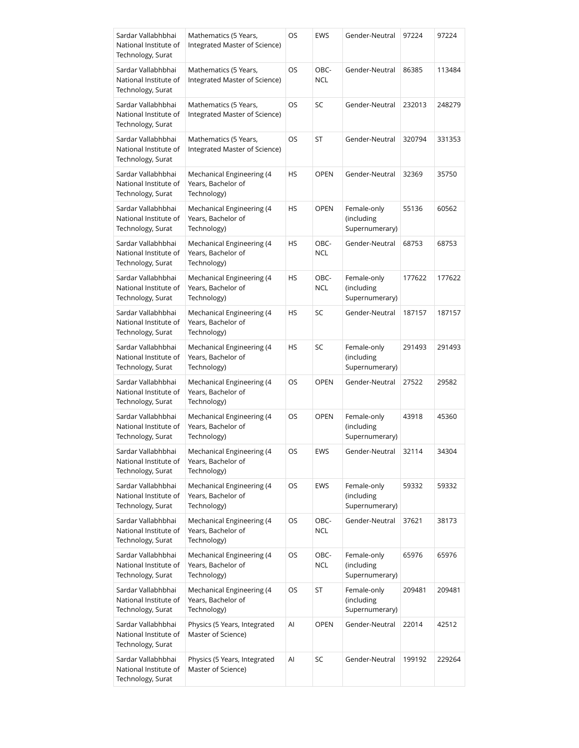| Sardar Vallabhbhai<br>National Institute of<br>Technology, Surat | Mathematics (5 Years,<br>Integrated Master of Science)         | OS  | <b>EWS</b>         | Gender-Neutral                              | 97224  | 97224  |
|------------------------------------------------------------------|----------------------------------------------------------------|-----|--------------------|---------------------------------------------|--------|--------|
| Sardar Vallabhbhai<br>National Institute of<br>Technology, Surat | Mathematics (5 Years,<br>Integrated Master of Science)         | OS  | OBC-<br><b>NCL</b> | Gender-Neutral                              | 86385  | 113484 |
| Sardar Vallabhbhai<br>National Institute of<br>Technology, Surat | Mathematics (5 Years,<br>Integrated Master of Science)         | OS  | SC                 | Gender-Neutral                              | 232013 | 248279 |
| Sardar Vallabhbhai<br>National Institute of<br>Technology, Surat | Mathematics (5 Years,<br>Integrated Master of Science)         | OS  | ST                 | Gender-Neutral                              | 320794 | 331353 |
| Sardar Vallabhbhai<br>National Institute of<br>Technology, Surat | Mechanical Engineering (4<br>Years, Bachelor of<br>Technology) | HS. | <b>OPEN</b>        | Gender-Neutral                              | 32369  | 35750  |
| Sardar Vallabhbhai<br>National Institute of<br>Technology, Surat | Mechanical Engineering (4<br>Years, Bachelor of<br>Technology) | НS  | <b>OPEN</b>        | Female-only<br>(including<br>Supernumerary) | 55136  | 60562  |
| Sardar Vallabhbhai<br>National Institute of<br>Technology, Surat | Mechanical Engineering (4<br>Years, Bachelor of<br>Technology) | HS  | OBC-<br><b>NCL</b> | Gender-Neutral                              | 68753  | 68753  |
| Sardar Vallabhbhai<br>National Institute of<br>Technology, Surat | Mechanical Engineering (4<br>Years, Bachelor of<br>Technology) | НS  | OBC-<br><b>NCL</b> | Female-only<br>(including<br>Supernumerary) | 177622 | 177622 |
| Sardar Vallabhbhai<br>National Institute of<br>Technology, Surat | Mechanical Engineering (4<br>Years, Bachelor of<br>Technology) | HS  | SC                 | Gender-Neutral                              | 187157 | 187157 |
| Sardar Vallabhbhai<br>National Institute of<br>Technology, Surat | Mechanical Engineering (4<br>Years, Bachelor of<br>Technology) | HS  | SC                 | Female-only<br>(including<br>Supernumerary) | 291493 | 291493 |
| Sardar Vallabhbhai<br>National Institute of<br>Technology, Surat | Mechanical Engineering (4<br>Years, Bachelor of<br>Technology) | OS  | <b>OPEN</b>        | Gender-Neutral                              | 27522  | 29582  |
| Sardar Vallabhbhai<br>National Institute of<br>Technology, Surat | Mechanical Engineering (4<br>Years, Bachelor of<br>Technology) | OS  | <b>OPEN</b>        | Female-only<br>(including<br>Supernumerary) | 43918  | 45360  |
| Sardar Vallabhbhai<br>National Institute of<br>Technology, Surat | Mechanical Engineering (4<br>Years, Bachelor of<br>Technology) | OS  | EWS                | Gender-Neutral                              | 32114  | 34304  |
| Sardar Vallabhbhai<br>National Institute of<br>Technology, Surat | Mechanical Engineering (4<br>Years, Bachelor of<br>Technology) | OS  | EWS                | Female-only<br>(including<br>Supernumerary) | 59332  | 59332  |
| Sardar Vallabhbhai<br>National Institute of<br>Technology, Surat | Mechanical Engineering (4<br>Years, Bachelor of<br>Technology) | OS  | OBC-<br>NCL        | Gender-Neutral                              | 37621  | 38173  |
| Sardar Vallabhbhai<br>National Institute of<br>Technology, Surat | Mechanical Engineering (4<br>Years, Bachelor of<br>Technology) | OS  | OBC-<br>NCL        | Female-only<br>(including<br>Supernumerary) | 65976  | 65976  |
| Sardar Vallabhbhai<br>National Institute of<br>Technology, Surat | Mechanical Engineering (4<br>Years, Bachelor of<br>Technology) | OS  | ST                 | Female-only<br>(including<br>Supernumerary) | 209481 | 209481 |
| Sardar Vallabhbhai<br>National Institute of<br>Technology, Surat | Physics (5 Years, Integrated<br>Master of Science)             | Al  | <b>OPEN</b>        | Gender-Neutral                              | 22014  | 42512  |
| Sardar Vallabhbhai<br>National Institute of<br>Technology, Surat | Physics (5 Years, Integrated<br>Master of Science)             | Al  | SC                 | Gender-Neutral                              | 199192 | 229264 |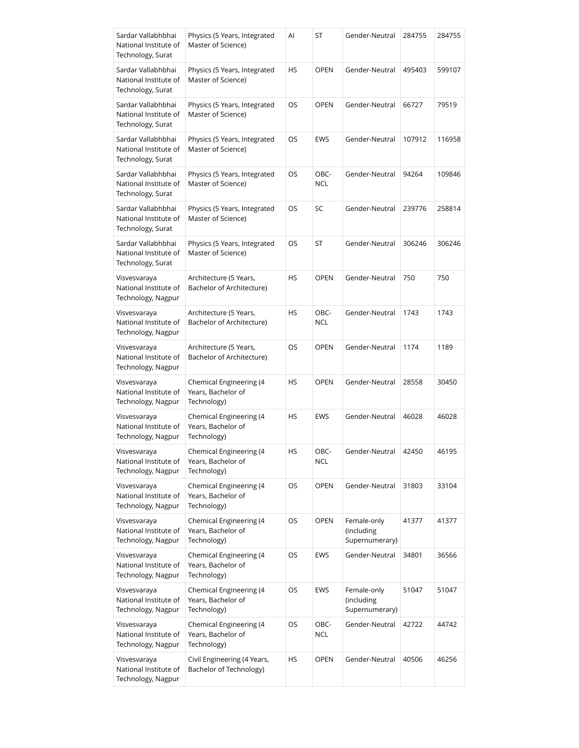| Sardar Vallabhbhai<br>National Institute of<br>Technology, Surat | Physics (5 Years, Integrated<br>Master of Science)           | Al        | ST                 | Gender-Neutral                              | 284755 | 284755 |
|------------------------------------------------------------------|--------------------------------------------------------------|-----------|--------------------|---------------------------------------------|--------|--------|
| Sardar Vallabhbhai<br>National Institute of<br>Technology, Surat | Physics (5 Years, Integrated<br>Master of Science)           | HS        | <b>OPEN</b>        | Gender-Neutral                              | 495403 | 599107 |
| Sardar Vallabhbhai<br>National Institute of<br>Technology, Surat | Physics (5 Years, Integrated<br>Master of Science)           | OS        | <b>OPEN</b>        | Gender-Neutral                              | 66727  | 79519  |
| Sardar Vallabhbhai<br>National Institute of<br>Technology, Surat | Physics (5 Years, Integrated<br>Master of Science)           | OS        | EWS                | Gender-Neutral                              | 107912 | 116958 |
| Sardar Vallabhbhai<br>National Institute of<br>Technology, Surat | Physics (5 Years, Integrated<br>Master of Science)           | OS        | OBC-<br><b>NCL</b> | Gender-Neutral                              | 94264  | 109846 |
| Sardar Vallabhbhai<br>National Institute of<br>Technology, Surat | Physics (5 Years, Integrated<br>Master of Science)           | OS        | SC                 | Gender-Neutral                              | 239776 | 258814 |
| Sardar Vallabhbhai<br>National Institute of<br>Technology, Surat | Physics (5 Years, Integrated<br>Master of Science)           | OS        | ST                 | Gender-Neutral                              | 306246 | 306246 |
| Visvesvaraya<br>National Institute of<br>Technology, Nagpur      | Architecture (5 Years,<br>Bachelor of Architecture)          | HS        | <b>OPEN</b>        | Gender-Neutral                              | 750    | 750    |
| Visvesvaraya<br>National Institute of<br>Technology, Nagpur      | Architecture (5 Years,<br>Bachelor of Architecture)          | <b>HS</b> | OBC-<br><b>NCL</b> | Gender-Neutral                              | 1743   | 1743   |
| Visvesvaraya<br>National Institute of<br>Technology, Nagpur      | Architecture (5 Years,<br>Bachelor of Architecture)          | OS        | <b>OPEN</b>        | Gender-Neutral                              | 1174   | 1189   |
| Visvesvaraya<br>National Institute of<br>Technology, Nagpur      | Chemical Engineering (4<br>Years, Bachelor of<br>Technology) | HS        | <b>OPEN</b>        | Gender-Neutral                              | 28558  | 30450  |
| Visvesvaraya<br>National Institute of<br>Technology, Nagpur      | Chemical Engineering (4<br>Years, Bachelor of<br>Technology) | HS        | <b>EWS</b>         | Gender-Neutral                              | 46028  | 46028  |
| Visvesvaraya<br>National Institute of<br>Technology, Nagpur      | Chemical Engineering (4<br>Years, Bachelor of<br>Technology) | HS        | OBC-<br><b>NCL</b> | Gender-Neutral                              | 42450  | 46195  |
| Visvesvaraya<br>National Institute of<br>Technology, Nagpur      | Chemical Engineering (4<br>Years, Bachelor of<br>Technology) | OS        | <b>OPEN</b>        | Gender-Neutral                              | 31803  | 33104  |
| Visvesvaraya<br>National Institute of<br>Technology, Nagpur      | Chemical Engineering (4<br>Years, Bachelor of<br>Technology) | OS        | <b>OPEN</b>        | Female-only<br>(including<br>Supernumerary) | 41377  | 41377  |
| Visvesvaraya<br>National Institute of<br>Technology, Nagpur      | Chemical Engineering (4<br>Years, Bachelor of<br>Technology) | OS        | EWS                | Gender-Neutral                              | 34801  | 36566  |
| Visvesvaraya<br>National Institute of<br>Technology, Nagpur      | Chemical Engineering (4<br>Years, Bachelor of<br>Technology) | OS        | EWS                | Female-only<br>(including<br>Supernumerary) | 51047  | 51047  |
| Visvesvaraya<br>National Institute of<br>Technology, Nagpur      | Chemical Engineering (4<br>Years, Bachelor of<br>Technology) | OS        | OBC-<br><b>NCL</b> | Gender-Neutral                              | 42722  | 44742  |
| Visvesvaraya<br>National Institute of<br>Technology, Nagpur      | Civil Engineering (4 Years,<br>Bachelor of Technology)       | HS        | <b>OPEN</b>        | Gender-Neutral                              | 40506  | 46256  |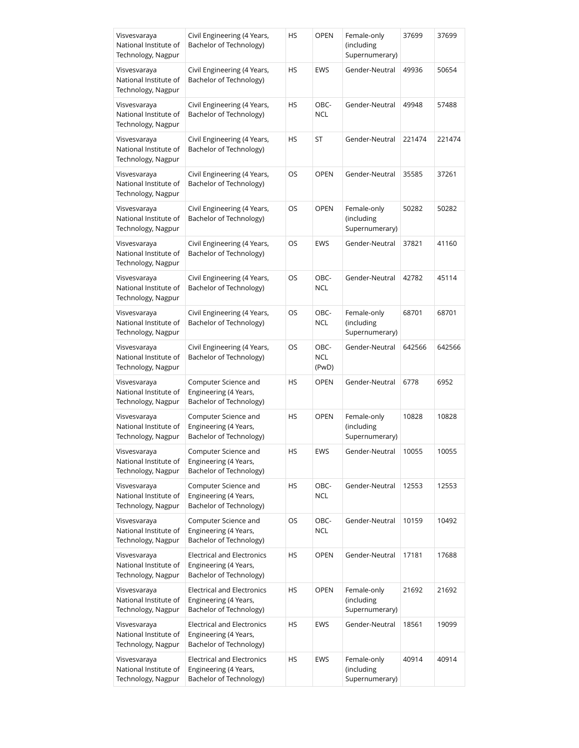| Visvesvaraya<br>National Institute of<br>Technology, Nagpur | Civil Engineering (4 Years,<br>Bachelor of Technology)                                | HS        | <b>OPEN</b>                 | Female-only<br>(including<br>Supernumerary) | 37699  | 37699  |
|-------------------------------------------------------------|---------------------------------------------------------------------------------------|-----------|-----------------------------|---------------------------------------------|--------|--------|
| Visvesvaraya<br>National Institute of<br>Technology, Nagpur | Civil Engineering (4 Years,<br>Bachelor of Technology)                                | HS        | EWS                         | Gender-Neutral                              | 49936  | 50654  |
| Visvesvaraya<br>National Institute of<br>Technology, Nagpur | Civil Engineering (4 Years,<br>Bachelor of Technology)                                | HS        | OBC-<br><b>NCL</b>          | Gender-Neutral                              | 49948  | 57488  |
| Visvesvaraya<br>National Institute of<br>Technology, Nagpur | Civil Engineering (4 Years,<br>Bachelor of Technology)                                | HS        | ST                          | Gender-Neutral                              | 221474 | 221474 |
| Visvesvaraya<br>National Institute of<br>Technology, Nagpur | Civil Engineering (4 Years,<br>Bachelor of Technology)                                | OS        | <b>OPEN</b>                 | Gender-Neutral                              | 35585  | 37261  |
| Visvesvaraya<br>National Institute of<br>Technology, Nagpur | Civil Engineering (4 Years,<br>Bachelor of Technology)                                | OS        | <b>OPEN</b>                 | Female-only<br>(including<br>Supernumerary) | 50282  | 50282  |
| Visvesvaraya<br>National Institute of<br>Technology, Nagpur | Civil Engineering (4 Years,<br>Bachelor of Technology)                                | OS        | EWS                         | Gender-Neutral                              | 37821  | 41160  |
| Visvesvaraya<br>National Institute of<br>Technology, Nagpur | Civil Engineering (4 Years,<br>Bachelor of Technology)                                | OS        | OBC-<br><b>NCL</b>          | Gender-Neutral                              | 42782  | 45114  |
| Visvesvaraya<br>National Institute of<br>Technology, Nagpur | Civil Engineering (4 Years,<br>Bachelor of Technology)                                | OS        | OBC-<br>NCL                 | Female-only<br>(including<br>Supernumerary) | 68701  | 68701  |
| Visvesvaraya<br>National Institute of<br>Technology, Nagpur | Civil Engineering (4 Years,<br>Bachelor of Technology)                                | OS        | OBC-<br><b>NCL</b><br>(PwD) | Gender-Neutral                              | 642566 | 642566 |
| Visvesvaraya<br>National Institute of<br>Technology, Nagpur | Computer Science and<br>Engineering (4 Years,<br>Bachelor of Technology)              | HS        | <b>OPEN</b>                 | Gender-Neutral                              | 6778   | 6952   |
| Visvesvaraya<br>National Institute of<br>Technology, Nagpur | Computer Science and<br>Engineering (4 Years,<br>Bachelor of Technology)              | HS        | <b>OPEN</b>                 | Female-only<br>(including<br>Supernumerary) | 10828  | 10828  |
| Visvesvaraya<br>National Institute of<br>Technology, Nagpur | Computer Science and<br>Engineering (4 Years,<br>Bachelor of Technology)              | HS        | EWS                         | Gender-Neutral                              | 10055  | 10055  |
| Visvesvaraya<br>National Institute of<br>Technology, Nagpur | Computer Science and<br>Engineering (4 Years,<br>Bachelor of Technology)              | <b>HS</b> | OBC-<br><b>NCL</b>          | Gender-Neutral                              | 12553  | 12553  |
| Visvesvaraya<br>National Institute of<br>Technology, Nagpur | Computer Science and<br>Engineering (4 Years,<br>Bachelor of Technology)              | OS        | OBC-<br><b>NCL</b>          | Gender-Neutral                              | 10159  | 10492  |
| Visvesvaraya<br>National Institute of<br>Technology, Nagpur | <b>Electrical and Electronics</b><br>Engineering (4 Years,<br>Bachelor of Technology) | HS        | <b>OPEN</b>                 | Gender-Neutral                              | 17181  | 17688  |
| Visvesvaraya<br>National Institute of<br>Technology, Nagpur | <b>Electrical and Electronics</b><br>Engineering (4 Years,<br>Bachelor of Technology) | HS        | <b>OPEN</b>                 | Female-only<br>(including<br>Supernumerary) | 21692  | 21692  |
| Visvesvaraya<br>National Institute of<br>Technology, Nagpur | <b>Electrical and Electronics</b><br>Engineering (4 Years,<br>Bachelor of Technology) | HS        | EWS                         | Gender-Neutral                              | 18561  | 19099  |
| Visvesvaraya<br>National Institute of<br>Technology, Nagpur | <b>Electrical and Electronics</b><br>Engineering (4 Years,<br>Bachelor of Technology) | HS        | EWS                         | Female-only<br>(including<br>Supernumerary) | 40914  | 40914  |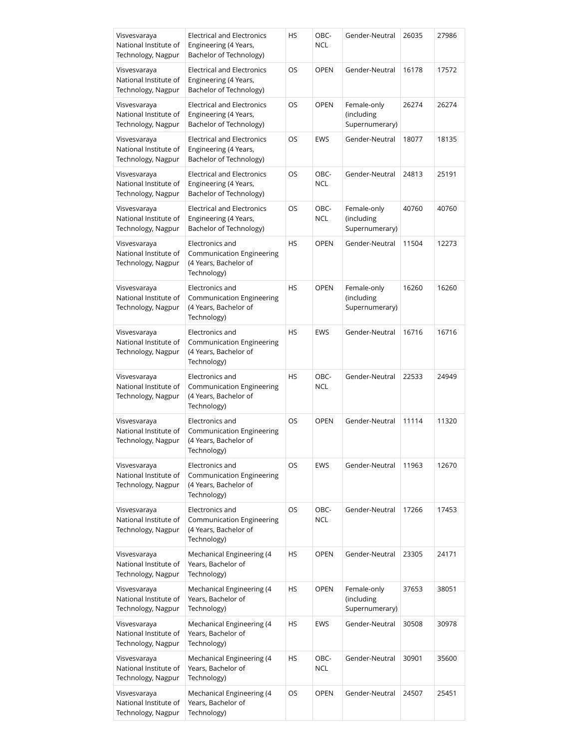| Visvesvaraya<br>National Institute of<br>Technology, Nagpur | <b>Electrical and Electronics</b><br>Engineering (4 Years,<br>Bachelor of Technology)       | HS        | OBC-<br><b>NCL</b> | Gender-Neutral                              | 26035 | 27986 |
|-------------------------------------------------------------|---------------------------------------------------------------------------------------------|-----------|--------------------|---------------------------------------------|-------|-------|
| Visvesvaraya<br>National Institute of<br>Technology, Nagpur | <b>Electrical and Electronics</b><br>Engineering (4 Years,<br>Bachelor of Technology)       | OS        | <b>OPEN</b>        | Gender-Neutral                              | 16178 | 17572 |
| Visvesvaraya<br>National Institute of<br>Technology, Nagpur | <b>Electrical and Electronics</b><br>Engineering (4 Years,<br>Bachelor of Technology)       | OS        | <b>OPEN</b>        | Female-only<br>(including<br>Supernumerary) | 26274 | 26274 |
| Visvesvaraya<br>National Institute of<br>Technology, Nagpur | <b>Electrical and Electronics</b><br>Engineering (4 Years,<br>Bachelor of Technology)       | OS        | <b>EWS</b>         | Gender-Neutral                              | 18077 | 18135 |
| Visvesvaraya<br>National Institute of<br>Technology, Nagpur | <b>Electrical and Electronics</b><br>Engineering (4 Years,<br>Bachelor of Technology)       | OS        | OBC-<br><b>NCL</b> | Gender-Neutral                              | 24813 | 25191 |
| Visvesvaraya<br>National Institute of<br>Technology, Nagpur | <b>Electrical and Electronics</b><br>Engineering (4 Years,<br>Bachelor of Technology)       | OS        | OBC-<br><b>NCL</b> | Female-only<br>(including<br>Supernumerary) | 40760 | 40760 |
| Visvesvaraya<br>National Institute of<br>Technology, Nagpur | Electronics and<br>Communication Engineering<br>(4 Years, Bachelor of<br>Technology)        | <b>HS</b> | <b>OPEN</b>        | Gender-Neutral                              | 11504 | 12273 |
| Visvesvaraya<br>National Institute of<br>Technology, Nagpur | Electronics and<br>Communication Engineering<br>(4 Years, Bachelor of<br>Technology)        | HS        | <b>OPEN</b>        | Female-only<br>(including<br>Supernumerary) | 16260 | 16260 |
| Visvesvaraya<br>National Institute of<br>Technology, Nagpur | Electronics and<br>Communication Engineering<br>(4 Years, Bachelor of<br>Technology)        | <b>HS</b> | <b>EWS</b>         | Gender-Neutral                              | 16716 | 16716 |
| Visvesvaraya<br>National Institute of<br>Technology, Nagpur | Electronics and<br>Communication Engineering<br>(4 Years, Bachelor of<br>Technology)        | HS        | OBC-<br><b>NCL</b> | Gender-Neutral                              | 22533 | 24949 |
| Visvesvaraya<br>National Institute of<br>Technology, Nagpur | Electronics and<br><b>Communication Engineering</b><br>(4 Years, Bachelor of<br>Technology) | <b>OS</b> | <b>OPEN</b>        | Gender-Neutral                              | 11114 | 11320 |
| Visvesvaraya<br>National Institute of<br>Technology, Nagpur | Electronics and<br>Communication Engineering<br>(4 Years, Bachelor of<br>Technology)        | OS        | EWS                | Gender-Neutral                              | 11963 | 12670 |
| Visvesvaraya<br>National Institute of<br>Technology, Nagpur | Electronics and<br><b>Communication Engineering</b><br>(4 Years, Bachelor of<br>Technology) | OS        | OBC-<br><b>NCL</b> | Gender-Neutral                              | 17266 | 17453 |
| Visvesvaraya<br>National Institute of<br>Technology, Nagpur | Mechanical Engineering (4<br>Years, Bachelor of<br>Technology)                              | HS        | <b>OPEN</b>        | Gender-Neutral                              | 23305 | 24171 |
| Visvesvaraya<br>National Institute of<br>Technology, Nagpur | Mechanical Engineering (4<br>Years, Bachelor of<br>Technology)                              | HS        | <b>OPEN</b>        | Female-only<br>(including<br>Supernumerary) | 37653 | 38051 |
| Visvesvaraya<br>National Institute of<br>Technology, Nagpur | Mechanical Engineering (4<br>Years, Bachelor of<br>Technology)                              | HS        | <b>EWS</b>         | Gender-Neutral                              | 30508 | 30978 |
| Visvesvaraya<br>National Institute of<br>Technology, Nagpur | Mechanical Engineering (4<br>Years, Bachelor of<br>Technology)                              | HS        | OBC-<br><b>NCL</b> | Gender-Neutral                              | 30901 | 35600 |
| Visvesvaraya<br>National Institute of<br>Technology, Nagpur | Mechanical Engineering (4<br>Years, Bachelor of<br>Technology)                              | OS        | <b>OPEN</b>        | Gender-Neutral                              | 24507 | 25451 |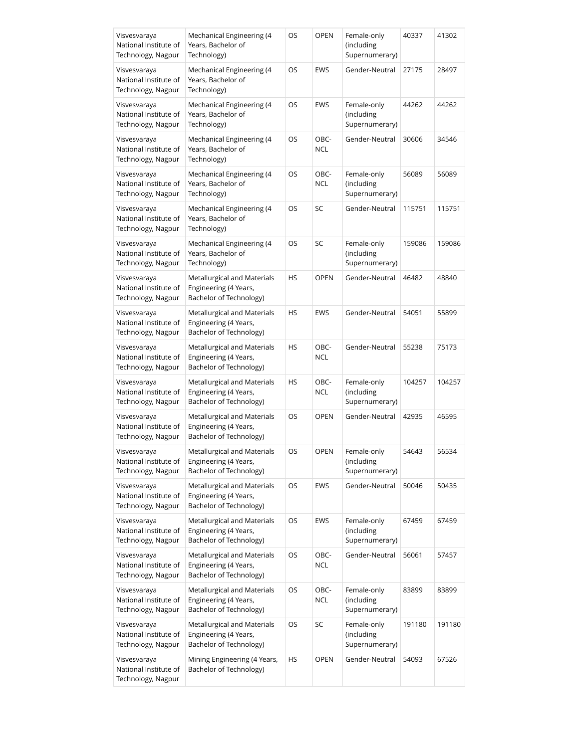| Visvesvaraya<br>National Institute of<br>Technology, Nagpur | Mechanical Engineering (4<br>Years, Bachelor of<br>Technology)                  | OS | OPEN               | Female-only<br>(including<br>Supernumerary) | 40337  | 41302  |
|-------------------------------------------------------------|---------------------------------------------------------------------------------|----|--------------------|---------------------------------------------|--------|--------|
| Visvesvaraya<br>National Institute of<br>Technology, Nagpur | Mechanical Engineering (4<br>Years, Bachelor of<br>Technology)                  | OS | EWS                | Gender-Neutral                              | 27175  | 28497  |
| Visvesvaraya<br>National Institute of<br>Technology, Nagpur | Mechanical Engineering (4<br>Years, Bachelor of<br>Technology)                  | OS | EWS                | Female-only<br>(including<br>Supernumerary) | 44262  | 44262  |
| Visvesvaraya<br>National Institute of<br>Technology, Nagpur | Mechanical Engineering (4<br>Years, Bachelor of<br>Technology)                  | OS | OBC-<br><b>NCL</b> | Gender-Neutral                              | 30606  | 34546  |
| Visvesvaraya<br>National Institute of<br>Technology, Nagpur | Mechanical Engineering (4<br>Years, Bachelor of<br>Technology)                  | OS | OBC-<br><b>NCL</b> | Female-only<br>(including<br>Supernumerary) | 56089  | 56089  |
| Visvesvaraya<br>National Institute of<br>Technology, Nagpur | Mechanical Engineering (4<br>Years, Bachelor of<br>Technology)                  | OS | SC                 | Gender-Neutral                              | 115751 | 115751 |
| Visvesvaraya<br>National Institute of<br>Technology, Nagpur | Mechanical Engineering (4<br>Years, Bachelor of<br>Technology)                  | OS | SC                 | Female-only<br>(including<br>Supernumerary) | 159086 | 159086 |
| Visvesvaraya<br>National Institute of<br>Technology, Nagpur | Metallurgical and Materials<br>Engineering (4 Years,<br>Bachelor of Technology) | НS | <b>OPEN</b>        | Gender-Neutral                              | 46482  | 48840  |
| Visvesvaraya<br>National Institute of<br>Technology, Nagpur | Metallurgical and Materials<br>Engineering (4 Years,<br>Bachelor of Technology) | HS | <b>EWS</b>         | Gender-Neutral                              | 54051  | 55899  |
| Visvesvaraya<br>National Institute of<br>Technology, Nagpur | Metallurgical and Materials<br>Engineering (4 Years,<br>Bachelor of Technology) | HS | OBC-<br><b>NCL</b> | Gender-Neutral                              | 55238  | 75173  |
| Visvesvaraya<br>National Institute of<br>Technology, Nagpur | Metallurgical and Materials<br>Engineering (4 Years,<br>Bachelor of Technology) | HS | OBC-<br><b>NCL</b> | Female-only<br>(including<br>Supernumerary) | 104257 | 104257 |
| Visvesvaraya<br>National Institute of<br>Technology, Nagpur | Metallurgical and Materials<br>Engineering (4 Years,<br>Bachelor of Technology) | OS | <b>OPEN</b>        | Gender-Neutral                              | 42935  | 46595  |
| Visvesvaraya<br>National Institute of<br>Technology, Nagpur | Metallurgical and Materials<br>Engineering (4 Years,<br>Bachelor of Technology) | OS | OPEN               | Female-only<br>(including<br>Supernumerary) | 54643  | 56534  |
| Visvesvaraya<br>National Institute of<br>Technology, Nagpur | Metallurgical and Materials<br>Engineering (4 Years,<br>Bachelor of Technology) | OS | <b>EWS</b>         | Gender-Neutral                              | 50046  | 50435  |
| Visvesvaraya<br>National Institute of<br>Technology, Nagpur | Metallurgical and Materials<br>Engineering (4 Years,<br>Bachelor of Technology) | OS | EWS                | Female-only<br>(including<br>Supernumerary) | 67459  | 67459  |
| Visvesvaraya<br>National Institute of<br>Technology, Nagpur | Metallurgical and Materials<br>Engineering (4 Years,<br>Bachelor of Technology) | OS | OBC-<br>NCL        | Gender-Neutral                              | 56061  | 57457  |
| Visvesvaraya<br>National Institute of<br>Technology, Nagpur | Metallurgical and Materials<br>Engineering (4 Years,<br>Bachelor of Technology) | OS | OBC-<br><b>NCL</b> | Female-only<br>(including<br>Supernumerary) | 83899  | 83899  |
| Visvesvaraya<br>National Institute of<br>Technology, Nagpur | Metallurgical and Materials<br>Engineering (4 Years,<br>Bachelor of Technology) | OS | SC                 | Female-only<br>(including<br>Supernumerary) | 191180 | 191180 |
| Visvesvaraya<br>National Institute of<br>Technology, Nagpur | Mining Engineering (4 Years,<br>Bachelor of Technology)                         | HS | <b>OPEN</b>        | Gender-Neutral                              | 54093  | 67526  |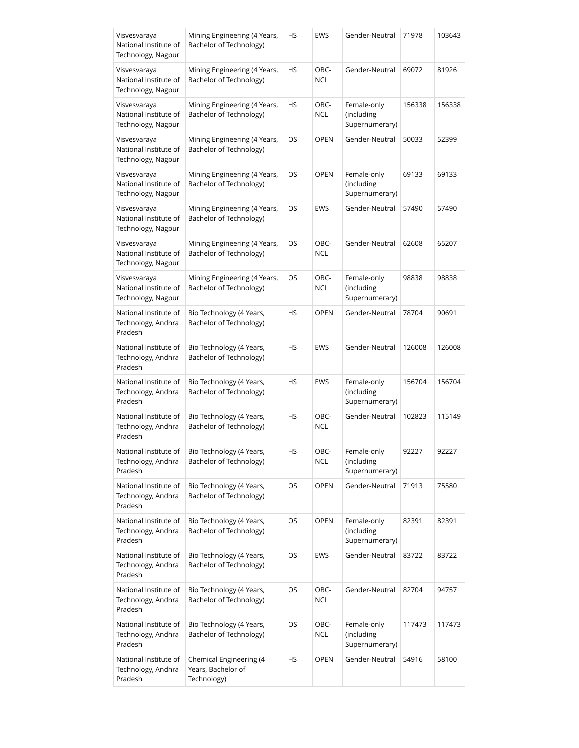| Visvesvaraya<br>National Institute of<br>Technology, Nagpur | Mining Engineering (4 Years,<br>Bachelor of Technology)      | HS | EWS                | Gender-Neutral                              | 71978  | 103643 |
|-------------------------------------------------------------|--------------------------------------------------------------|----|--------------------|---------------------------------------------|--------|--------|
| Visvesvaraya<br>National Institute of<br>Technology, Nagpur | Mining Engineering (4 Years,<br>Bachelor of Technology)      | HS | OBC-<br>NCL        | Gender-Neutral                              | 69072  | 81926  |
| Visvesvaraya<br>National Institute of<br>Technology, Nagpur | Mining Engineering (4 Years,<br>Bachelor of Technology)      | HS | OBC-<br>NCL        | Female-only<br>(including<br>Supernumerary) | 156338 | 156338 |
| Visvesvaraya<br>National Institute of<br>Technology, Nagpur | Mining Engineering (4 Years,<br>Bachelor of Technology)      | OS | <b>OPEN</b>        | Gender-Neutral                              | 50033  | 52399  |
| Visvesvaraya<br>National Institute of<br>Technology, Nagpur | Mining Engineering (4 Years,<br>Bachelor of Technology)      | OS | <b>OPEN</b>        | Female-only<br>(including<br>Supernumerary) | 69133  | 69133  |
| Visvesvaraya<br>National Institute of<br>Technology, Nagpur | Mining Engineering (4 Years,<br>Bachelor of Technology)      | OS | EWS                | Gender-Neutral                              | 57490  | 57490  |
| Visvesvaraya<br>National Institute of<br>Technology, Nagpur | Mining Engineering (4 Years,<br>Bachelor of Technology)      | OS | OBC-<br>NCL        | Gender-Neutral                              | 62608  | 65207  |
| Visvesvaraya<br>National Institute of<br>Technology, Nagpur | Mining Engineering (4 Years,<br>Bachelor of Technology)      | OS | OBC-<br><b>NCL</b> | Female-only<br>(including<br>Supernumerary) | 98838  | 98838  |
| National Institute of<br>Technology, Andhra<br>Pradesh      | Bio Technology (4 Years,<br>Bachelor of Technology)          | HS | <b>OPEN</b>        | Gender-Neutral                              | 78704  | 90691  |
| National Institute of<br>Technology, Andhra<br>Pradesh      | Bio Technology (4 Years,<br>Bachelor of Technology)          | HS | <b>EWS</b>         | Gender-Neutral                              | 126008 | 126008 |
| National Institute of<br>Technology, Andhra<br>Pradesh      | Bio Technology (4 Years,<br>Bachelor of Technology)          | HS | EWS                | Female-only<br>(including<br>Supernumerary) | 156704 | 156704 |
| National Institute of<br>Technology, Andhra<br>Pradesh      | Bio Technology (4 Years,<br>Bachelor of Technology)          | HS | OBC-<br><b>NCL</b> | Gender-Neutral                              | 102823 | 115149 |
| National Institute of<br>Technology, Andhra<br>Pradesh      | Bio Technology (4 Years,<br>Bachelor of Technology)          | HS | OBC-<br>NCL        | Female-only<br>(including<br>Supernumerary) | 92227  | 92227  |
| National Institute of<br>Technology, Andhra<br>Pradesh      | Bio Technology (4 Years,<br>Bachelor of Technology)          | OS | <b>OPEN</b>        | Gender-Neutral                              | 71913  | 75580  |
| National Institute of<br>Technology, Andhra<br>Pradesh      | Bio Technology (4 Years,<br>Bachelor of Technology)          | OS | <b>OPEN</b>        | Female-only<br>(including<br>Supernumerary) | 82391  | 82391  |
| National Institute of<br>Technology, Andhra<br>Pradesh      | Bio Technology (4 Years,<br>Bachelor of Technology)          | OS | EWS                | Gender-Neutral                              | 83722  | 83722  |
| National Institute of<br>Technology, Andhra<br>Pradesh      | Bio Technology (4 Years,<br>Bachelor of Technology)          | OS | OBC-<br>NCL        | Gender-Neutral                              | 82704  | 94757  |
| National Institute of<br>Technology, Andhra<br>Pradesh      | Bio Technology (4 Years,<br>Bachelor of Technology)          | OS | OBC-<br><b>NCL</b> | Female-only<br>(including<br>Supernumerary) | 117473 | 117473 |
| National Institute of<br>Technology, Andhra<br>Pradesh      | Chemical Engineering (4<br>Years, Bachelor of<br>Technology) | HS | <b>OPEN</b>        | Gender-Neutral                              | 54916  | 58100  |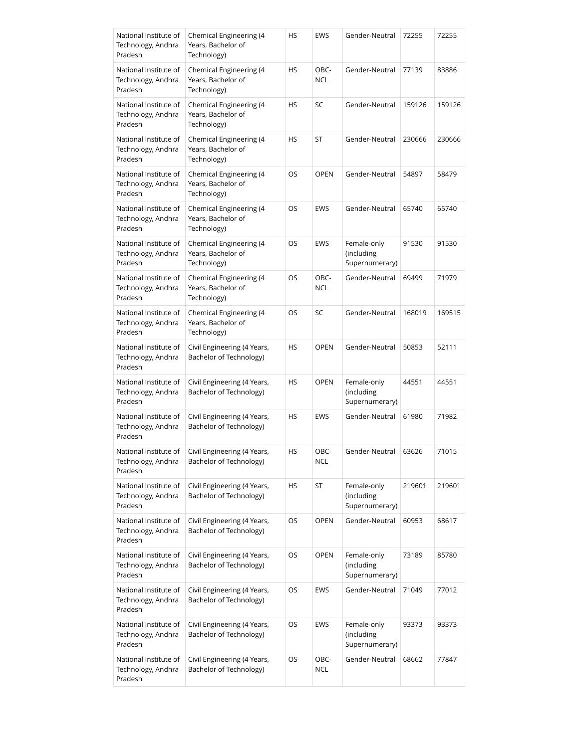| National Institute of<br>Technology, Andhra<br>Pradesh | Chemical Engineering (4<br>Years, Bachelor of<br>Technology) | HS | EWS                | Gender-Neutral                              | 72255  | 72255  |
|--------------------------------------------------------|--------------------------------------------------------------|----|--------------------|---------------------------------------------|--------|--------|
| National Institute of<br>Technology, Andhra<br>Pradesh | Chemical Engineering (4<br>Years, Bachelor of<br>Technology) | HS | OBC-<br>NCL        | Gender-Neutral                              | 77139  | 83886  |
| National Institute of<br>Technology, Andhra<br>Pradesh | Chemical Engineering (4<br>Years, Bachelor of<br>Technology) | HS | SC                 | Gender-Neutral                              | 159126 | 159126 |
| National Institute of<br>Technology, Andhra<br>Pradesh | Chemical Engineering (4<br>Years, Bachelor of<br>Technology) | HS | ST                 | Gender-Neutral                              | 230666 | 230666 |
| National Institute of<br>Technology, Andhra<br>Pradesh | Chemical Engineering (4<br>Years, Bachelor of<br>Technology) | OS | <b>OPEN</b>        | Gender-Neutral                              | 54897  | 58479  |
| National Institute of<br>Technology, Andhra<br>Pradesh | Chemical Engineering (4<br>Years, Bachelor of<br>Technology) | OS | EWS                | Gender-Neutral                              | 65740  | 65740  |
| National Institute of<br>Technology, Andhra<br>Pradesh | Chemical Engineering (4<br>Years, Bachelor of<br>Technology) | OS | EWS                | Female-only<br>(including<br>Supernumerary) | 91530  | 91530  |
| National Institute of<br>Technology, Andhra<br>Pradesh | Chemical Engineering (4<br>Years, Bachelor of<br>Technology) | OS | OBC-<br>NCL        | Gender-Neutral                              | 69499  | 71979  |
| National Institute of<br>Technology, Andhra<br>Pradesh | Chemical Engineering (4<br>Years, Bachelor of<br>Technology) | OS | SC                 | Gender-Neutral                              | 168019 | 169515 |
| National Institute of<br>Technology, Andhra<br>Pradesh | Civil Engineering (4 Years,<br>Bachelor of Technology)       | HS | <b>OPEN</b>        | Gender-Neutral                              | 50853  | 52111  |
| National Institute of<br>Technology, Andhra<br>Pradesh | Civil Engineering (4 Years,<br>Bachelor of Technology)       | HS | <b>OPEN</b>        | Female-only<br>(including<br>Supernumerary) | 44551  | 44551  |
| National Institute of<br>Technology, Andhra<br>Pradesh | Civil Engineering (4 Years,<br>Bachelor of Technology)       | HS | EWS                | Gender-Neutral                              | 61980  | 71982  |
| National Institute of<br>Technology, Andhra<br>Pradesh | Civil Engineering (4 Years,<br>Bachelor of Technology)       | HS | OBC-<br><b>NCL</b> | Gender-Neutral                              | 63626  | 71015  |
| National Institute of<br>Technology, Andhra<br>Pradesh | Civil Engineering (4 Years,<br>Bachelor of Technology)       | HS | ST                 | Female-only<br>(including<br>Supernumerary) | 219601 | 219601 |
| National Institute of<br>Technology, Andhra<br>Pradesh | Civil Engineering (4 Years,<br>Bachelor of Technology)       | OS | <b>OPEN</b>        | Gender-Neutral                              | 60953  | 68617  |
| National Institute of<br>Technology, Andhra<br>Pradesh | Civil Engineering (4 Years,<br>Bachelor of Technology)       | OS | <b>OPEN</b>        | Female-only<br>(including<br>Supernumerary) | 73189  | 85780  |
| National Institute of<br>Technology, Andhra<br>Pradesh | Civil Engineering (4 Years,<br>Bachelor of Technology)       | OS | EWS                | Gender-Neutral                              | 71049  | 77012  |
| National Institute of<br>Technology, Andhra<br>Pradesh | Civil Engineering (4 Years,<br>Bachelor of Technology)       | OS | EWS                | Female-only<br>(including<br>Supernumerary) | 93373  | 93373  |
| National Institute of<br>Technology, Andhra<br>Pradesh | Civil Engineering (4 Years,<br>Bachelor of Technology)       | OS | OBC-<br><b>NCL</b> | Gender-Neutral                              | 68662  | 77847  |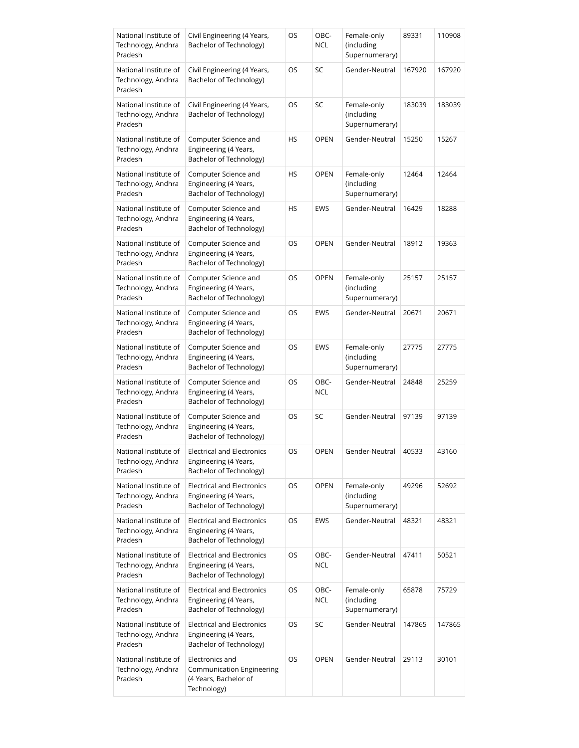| National Institute of<br>Technology, Andhra<br>Pradesh | Civil Engineering (4 Years,<br>Bachelor of Technology)                                | OS        | OBC-<br>NCL        | Female-only<br>(including<br>Supernumerary) | 89331  | 110908 |
|--------------------------------------------------------|---------------------------------------------------------------------------------------|-----------|--------------------|---------------------------------------------|--------|--------|
| National Institute of<br>Technology, Andhra<br>Pradesh | Civil Engineering (4 Years,<br>Bachelor of Technology)                                | OS        | SC                 | Gender-Neutral                              | 167920 | 167920 |
| National Institute of<br>Technology, Andhra<br>Pradesh | Civil Engineering (4 Years,<br>Bachelor of Technology)                                | OS        | SC                 | Female-only<br>(including<br>Supernumerary) | 183039 | 183039 |
| National Institute of<br>Technology, Andhra<br>Pradesh | Computer Science and<br>Engineering (4 Years,<br>Bachelor of Technology)              | <b>HS</b> | <b>OPEN</b>        | Gender-Neutral                              | 15250  | 15267  |
| National Institute of<br>Technology, Andhra<br>Pradesh | Computer Science and<br>Engineering (4 Years,<br>Bachelor of Technology)              | HS        | <b>OPEN</b>        | Female-only<br>(including<br>Supernumerary) | 12464  | 12464  |
| National Institute of<br>Technology, Andhra<br>Pradesh | Computer Science and<br>Engineering (4 Years,<br>Bachelor of Technology)              | HS        | <b>EWS</b>         | Gender-Neutral                              | 16429  | 18288  |
| National Institute of<br>Technology, Andhra<br>Pradesh | Computer Science and<br>Engineering (4 Years,<br>Bachelor of Technology)              | OS        | <b>OPEN</b>        | Gender-Neutral                              | 18912  | 19363  |
| National Institute of<br>Technology, Andhra<br>Pradesh | Computer Science and<br>Engineering (4 Years,<br>Bachelor of Technology)              | OS        | <b>OPEN</b>        | Female-only<br>(including<br>Supernumerary) | 25157  | 25157  |
| National Institute of<br>Technology, Andhra<br>Pradesh | Computer Science and<br>Engineering (4 Years,<br>Bachelor of Technology)              | OS        | EWS                | Gender-Neutral                              | 20671  | 20671  |
| National Institute of<br>Technology, Andhra<br>Pradesh | Computer Science and<br>Engineering (4 Years,<br>Bachelor of Technology)              | OS        | EWS                | Female-only<br>(including<br>Supernumerary) | 27775  | 27775  |
| National Institute of<br>Technology, Andhra<br>Pradesh | Computer Science and<br>Engineering (4 Years,<br>Bachelor of Technology)              | OS        | OBC-<br><b>NCL</b> | Gender-Neutral                              | 24848  | 25259  |
| National Institute of<br>Technology, Andhra<br>Pradesh | Computer Science and<br>Engineering (4 Years,<br>Bachelor of Technology)              | OS        | SC                 | Gender-Neutral                              | 97139  | 97139  |
| National Institute of<br>Technology, Andhra<br>Pradesh | <b>Electrical and Electronics</b><br>Engineering (4 Years,<br>Bachelor of Technology) | <b>OS</b> | <b>OPEN</b>        | Gender-Neutral                              | 40533  | 43160  |
| National Institute of<br>Technology, Andhra<br>Pradesh | <b>Electrical and Electronics</b><br>Engineering (4 Years,<br>Bachelor of Technology) | OS        | <b>OPEN</b>        | Female-only<br>(including<br>Supernumerary) | 49296  | 52692  |
| National Institute of<br>Technology, Andhra<br>Pradesh | <b>Electrical and Electronics</b><br>Engineering (4 Years,<br>Bachelor of Technology) | OS        | EWS                | Gender-Neutral                              | 48321  | 48321  |
| National Institute of<br>Technology, Andhra<br>Pradesh | <b>Electrical and Electronics</b><br>Engineering (4 Years,<br>Bachelor of Technology) | OS        | OBC-<br><b>NCL</b> | Gender-Neutral                              | 47411  | 50521  |
| National Institute of<br>Technology, Andhra<br>Pradesh | <b>Electrical and Electronics</b><br>Engineering (4 Years,<br>Bachelor of Technology) | OS        | OBC-<br><b>NCL</b> | Female-only<br>(including<br>Supernumerary) | 65878  | 75729  |
| National Institute of<br>Technology, Andhra<br>Pradesh | <b>Electrical and Electronics</b><br>Engineering (4 Years,<br>Bachelor of Technology) | OS        | SC                 | Gender-Neutral                              | 147865 | 147865 |
| National Institute of<br>Technology, Andhra<br>Pradesh | Electronics and<br>Communication Engineering<br>(4 Years, Bachelor of<br>Technology)  | OS        | <b>OPEN</b>        | Gender-Neutral                              | 29113  | 30101  |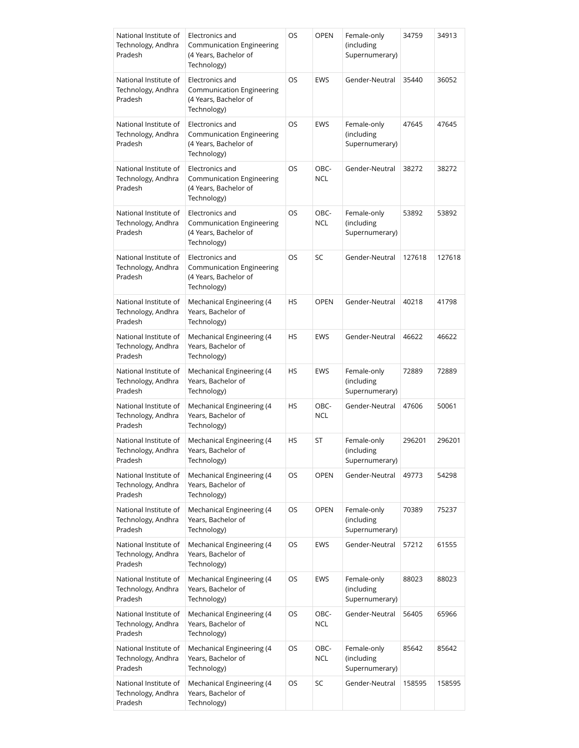| National Institute of<br>Technology, Andhra<br>Pradesh | Electronics and<br><b>Communication Engineering</b><br>(4 Years, Bachelor of<br>Technology) | OS        | <b>OPEN</b>        | Female-only<br>(including<br>Supernumerary) | 34759  | 34913  |
|--------------------------------------------------------|---------------------------------------------------------------------------------------------|-----------|--------------------|---------------------------------------------|--------|--------|
| National Institute of<br>Technology, Andhra<br>Pradesh | Electronics and<br>Communication Engineering<br>(4 Years, Bachelor of<br>Technology)        | OS        | EWS                | Gender-Neutral                              | 35440  | 36052  |
| National Institute of<br>Technology, Andhra<br>Pradesh | Electronics and<br>Communication Engineering<br>(4 Years, Bachelor of<br>Technology)        | OS        | EWS                | Female-only<br>(including<br>Supernumerary) | 47645  | 47645  |
| National Institute of<br>Technology, Andhra<br>Pradesh | Electronics and<br>Communication Engineering<br>(4 Years, Bachelor of<br>Technology)        | OS        | OBC-<br>NCL        | Gender-Neutral                              | 38272  | 38272  |
| National Institute of<br>Technology, Andhra<br>Pradesh | Electronics and<br>Communication Engineering<br>(4 Years, Bachelor of<br>Technology)        | OS        | OBC-<br><b>NCL</b> | Female-only<br>(including<br>Supernumerary) | 53892  | 53892  |
| National Institute of<br>Technology, Andhra<br>Pradesh | Electronics and<br>Communication Engineering<br>(4 Years, Bachelor of<br>Technology)        | <b>OS</b> | SC                 | Gender-Neutral                              | 127618 | 127618 |
| National Institute of<br>Technology, Andhra<br>Pradesh | Mechanical Engineering (4<br>Years, Bachelor of<br>Technology)                              | HS        | <b>OPEN</b>        | Gender-Neutral                              | 40218  | 41798  |
| National Institute of<br>Technology, Andhra<br>Pradesh | Mechanical Engineering (4<br>Years, Bachelor of<br>Technology)                              | <b>HS</b> | <b>EWS</b>         | Gender-Neutral                              | 46622  | 46622  |
| National Institute of<br>Technology, Andhra<br>Pradesh | Mechanical Engineering (4<br>Years, Bachelor of<br>Technology)                              | HS        | EWS                | Female-only<br>(including<br>Supernumerary) | 72889  | 72889  |
| National Institute of<br>Technology, Andhra<br>Pradesh | Mechanical Engineering (4<br>Years, Bachelor of<br>Technology)                              | HS        | OBC-<br><b>NCL</b> | Gender-Neutral                              | 47606  | 50061  |
| National Institute of<br>Technology, Andhra<br>Pradesh | Mechanical Engineering (4<br>Years, Bachelor of<br>Technology)                              | HS        | ST                 | Female-only<br>(including<br>Supernumerary) | 296201 | 296201 |
| National Institute of<br>Technology, Andhra<br>Pradesh | Mechanical Engineering (4<br>Years, Bachelor of<br>Technology)                              | OS        | <b>OPEN</b>        | Gender-Neutral                              | 49773  | 54298  |
| National Institute of<br>Technology, Andhra<br>Pradesh | Mechanical Engineering (4<br>Years, Bachelor of<br>Technology)                              | OS        | <b>OPEN</b>        | Female-only<br>(including<br>Supernumerary) | 70389  | 75237  |
| National Institute of<br>Technology, Andhra<br>Pradesh | Mechanical Engineering (4<br>Years, Bachelor of<br>Technology)                              | OS        | EWS                | Gender-Neutral                              | 57212  | 61555  |
| National Institute of<br>Technology, Andhra<br>Pradesh | Mechanical Engineering (4<br>Years, Bachelor of<br>Technology)                              | OS        | EWS                | Female-only<br>(including<br>Supernumerary) | 88023  | 88023  |
| National Institute of<br>Technology, Andhra<br>Pradesh | Mechanical Engineering (4<br>Years, Bachelor of<br>Technology)                              | OS        | OBC-<br><b>NCL</b> | Gender-Neutral                              | 56405  | 65966  |
| National Institute of<br>Technology, Andhra<br>Pradesh | Mechanical Engineering (4<br>Years, Bachelor of<br>Technology)                              | OS        | OBC-<br><b>NCL</b> | Female-only<br>(including<br>Supernumerary) | 85642  | 85642  |
| National Institute of<br>Technology, Andhra<br>Pradesh | Mechanical Engineering (4<br>Years, Bachelor of<br>Technology)                              | OS        | SC                 | Gender-Neutral                              | 158595 | 158595 |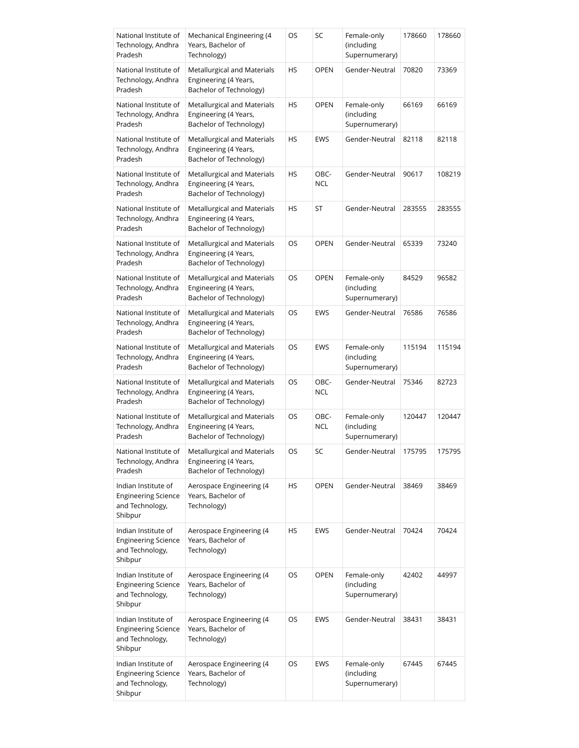| National Institute of<br>Technology, Andhra<br>Pradesh                          | Mechanical Engineering (4<br>Years, Bachelor of<br>Technology)                  | OS | SC                 | Female-only<br>(including<br>Supernumerary) | 178660 | 178660 |
|---------------------------------------------------------------------------------|---------------------------------------------------------------------------------|----|--------------------|---------------------------------------------|--------|--------|
| National Institute of<br>Technology, Andhra<br>Pradesh                          | Metallurgical and Materials<br>Engineering (4 Years,<br>Bachelor of Technology) | HS | <b>OPEN</b>        | Gender-Neutral                              | 70820  | 73369  |
| National Institute of<br>Technology, Andhra<br>Pradesh                          | Metallurgical and Materials<br>Engineering (4 Years,<br>Bachelor of Technology) | HS | <b>OPEN</b>        | Female-only<br>(including<br>Supernumerary) | 66169  | 66169  |
| National Institute of<br>Technology, Andhra<br>Pradesh                          | Metallurgical and Materials<br>Engineering (4 Years,<br>Bachelor of Technology) | HS | EWS                | Gender-Neutral                              | 82118  | 82118  |
| National Institute of<br>Technology, Andhra<br>Pradesh                          | Metallurgical and Materials<br>Engineering (4 Years,<br>Bachelor of Technology) | HS | OBC-<br>NCL        | Gender-Neutral                              | 90617  | 108219 |
| National Institute of<br>Technology, Andhra<br>Pradesh                          | Metallurgical and Materials<br>Engineering (4 Years,<br>Bachelor of Technology) | HS | ST                 | Gender-Neutral                              | 283555 | 283555 |
| National Institute of<br>Technology, Andhra<br>Pradesh                          | Metallurgical and Materials<br>Engineering (4 Years,<br>Bachelor of Technology) | OS | <b>OPEN</b>        | Gender-Neutral                              | 65339  | 73240  |
| National Institute of<br>Technology, Andhra<br>Pradesh                          | Metallurgical and Materials<br>Engineering (4 Years,<br>Bachelor of Technology) | OS | <b>OPEN</b>        | Female-only<br>(including<br>Supernumerary) | 84529  | 96582  |
| National Institute of<br>Technology, Andhra<br>Pradesh                          | Metallurgical and Materials<br>Engineering (4 Years,<br>Bachelor of Technology) | OS | EWS                | Gender-Neutral                              | 76586  | 76586  |
| National Institute of<br>Technology, Andhra<br>Pradesh                          | Metallurgical and Materials<br>Engineering (4 Years,<br>Bachelor of Technology) | OS | EWS                | Female-only<br>(including<br>Supernumerary) | 115194 | 115194 |
| National Institute of<br>Technology, Andhra<br>Pradesh                          | Metallurgical and Materials<br>Engineering (4 Years,<br>Bachelor of Technology) | OS | OBC-<br><b>NCL</b> | Gender-Neutral                              | 75346  | 82723  |
| National Institute of<br>Technology, Andhra<br>Pradesh                          | Metallurgical and Materials<br>Engineering (4 Years,<br>Bachelor of Technology) | OS | OBC-<br><b>NCL</b> | Female-only<br>(including<br>Supernumerary) | 120447 | 120447 |
| National Institute of<br>Technology, Andhra<br>Pradesh                          | Metallurgical and Materials<br>Engineering (4 Years,<br>Bachelor of Technology) | OS | SC                 | Gender-Neutral                              | 175795 | 175795 |
| Indian Institute of<br><b>Engineering Science</b><br>and Technology,<br>Shibpur | Aerospace Engineering (4<br>Years, Bachelor of<br>Technology)                   | HS | <b>OPEN</b>        | Gender-Neutral                              | 38469  | 38469  |
| Indian Institute of<br><b>Engineering Science</b><br>and Technology,<br>Shibpur | Aerospace Engineering (4<br>Years, Bachelor of<br>Technology)                   | HS | EWS                | Gender-Neutral                              | 70424  | 70424  |
| Indian Institute of<br><b>Engineering Science</b><br>and Technology,<br>Shibpur | Aerospace Engineering (4<br>Years, Bachelor of<br>Technology)                   | OS | <b>OPEN</b>        | Female-only<br>(including<br>Supernumerary) | 42402  | 44997  |
| Indian Institute of<br><b>Engineering Science</b><br>and Technology,<br>Shibpur | Aerospace Engineering (4<br>Years, Bachelor of<br>Technology)                   | OS | EWS                | Gender-Neutral                              | 38431  | 38431  |
| Indian Institute of<br><b>Engineering Science</b><br>and Technology,<br>Shibpur | Aerospace Engineering (4<br>Years, Bachelor of<br>Technology)                   | OS | EWS                | Female-only<br>(including<br>Supernumerary) | 67445  | 67445  |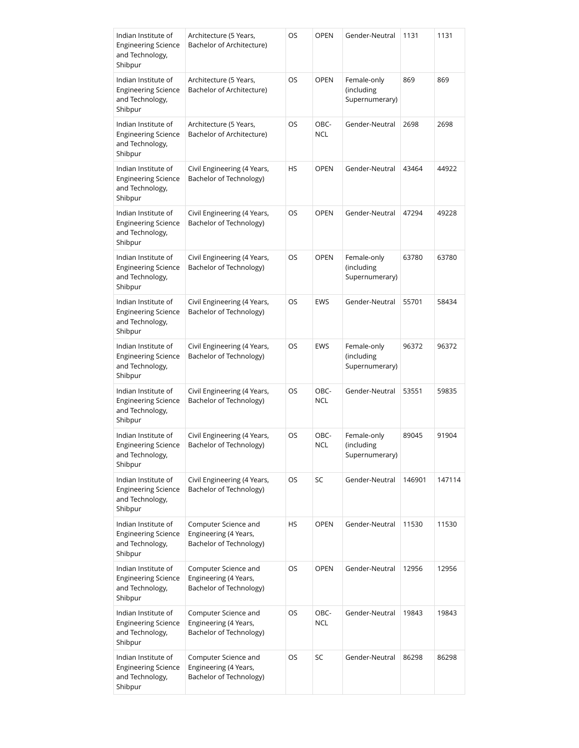| Indian Institute of<br><b>Engineering Science</b><br>and Technology,<br>Shibpur | Architecture (5 Years,<br>Bachelor of Architecture)                      | OS        | <b>OPEN</b>        | Gender-Neutral                              | 1131   | 1131   |
|---------------------------------------------------------------------------------|--------------------------------------------------------------------------|-----------|--------------------|---------------------------------------------|--------|--------|
| Indian Institute of<br><b>Engineering Science</b><br>and Technology,<br>Shibpur | Architecture (5 Years,<br>Bachelor of Architecture)                      | OS        | <b>OPEN</b>        | Female-only<br>(including<br>Supernumerary) | 869    | 869    |
| Indian Institute of<br><b>Engineering Science</b><br>and Technology,<br>Shibpur | Architecture (5 Years,<br>Bachelor of Architecture)                      | OS        | OBC-<br><b>NCL</b> | Gender-Neutral                              | 2698   | 2698   |
| Indian Institute of<br><b>Engineering Science</b><br>and Technology,<br>Shibpur | Civil Engineering (4 Years,<br>Bachelor of Technology)                   | <b>HS</b> | <b>OPEN</b>        | Gender-Neutral                              | 43464  | 44922  |
| Indian Institute of<br><b>Engineering Science</b><br>and Technology,<br>Shibpur | Civil Engineering (4 Years,<br>Bachelor of Technology)                   | OS        | <b>OPEN</b>        | Gender-Neutral                              | 47294  | 49228  |
| Indian Institute of<br><b>Engineering Science</b><br>and Technology,<br>Shibpur | Civil Engineering (4 Years,<br>Bachelor of Technology)                   | OS        | <b>OPEN</b>        | Female-only<br>(including<br>Supernumerary) | 63780  | 63780  |
| Indian Institute of<br><b>Engineering Science</b><br>and Technology,<br>Shibpur | Civil Engineering (4 Years,<br>Bachelor of Technology)                   | OS        | <b>EWS</b>         | Gender-Neutral                              | 55701  | 58434  |
| Indian Institute of<br><b>Engineering Science</b><br>and Technology,<br>Shibpur | Civil Engineering (4 Years,<br>Bachelor of Technology)                   | OS        | EWS                | Female-only<br>(including<br>Supernumerary) | 96372  | 96372  |
| Indian Institute of<br><b>Engineering Science</b><br>and Technology,<br>Shibpur | Civil Engineering (4 Years,<br>Bachelor of Technology)                   | OS        | OBC-<br><b>NCL</b> | Gender-Neutral                              | 53551  | 59835  |
| Indian Institute of<br><b>Engineering Science</b><br>and Technology,<br>Shibpur | Civil Engineering (4 Years,<br>Bachelor of Technology)                   | OS        | OBC-<br><b>NCL</b> | Female-only<br>(including<br>Supernumerary) | 89045  | 91904  |
| Indian Institute of<br><b>Engineering Science</b><br>and Technology,<br>Shibpur | Civil Engineering (4 Years,<br>Bachelor of Technology)                   | OS        | SC                 | Gender-Neutral                              | 146901 | 147114 |
| Indian Institute of<br><b>Engineering Science</b><br>and Technology,<br>Shibpur | Computer Science and<br>Engineering (4 Years,<br>Bachelor of Technology) | HS        | <b>OPEN</b>        | Gender-Neutral                              | 11530  | 11530  |
| Indian Institute of<br><b>Engineering Science</b><br>and Technology,<br>Shibpur | Computer Science and<br>Engineering (4 Years,<br>Bachelor of Technology) | OS        | <b>OPEN</b>        | Gender-Neutral                              | 12956  | 12956  |
| Indian Institute of<br><b>Engineering Science</b><br>and Technology,<br>Shibpur | Computer Science and<br>Engineering (4 Years,<br>Bachelor of Technology) | OS        | OBC-<br><b>NCL</b> | Gender-Neutral                              | 19843  | 19843  |
| Indian Institute of<br><b>Engineering Science</b><br>and Technology,<br>Shibpur | Computer Science and<br>Engineering (4 Years,<br>Bachelor of Technology) | OS        | SC                 | Gender-Neutral                              | 86298  | 86298  |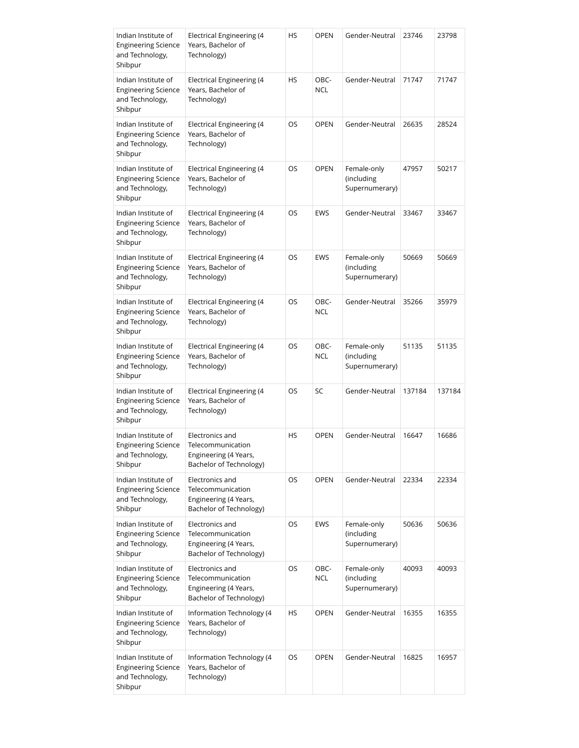| Indian Institute of<br><b>Engineering Science</b><br>and Technology,<br>Shibpur | <b>Electrical Engineering (4</b><br>Years, Bachelor of<br>Technology)                    | HS        | <b>OPEN</b>        | Gender-Neutral                              | 23746  | 23798  |
|---------------------------------------------------------------------------------|------------------------------------------------------------------------------------------|-----------|--------------------|---------------------------------------------|--------|--------|
| Indian Institute of<br><b>Engineering Science</b><br>and Technology,<br>Shibpur | Electrical Engineering (4<br>Years, Bachelor of<br>Technology)                           | <b>HS</b> | OBC-<br><b>NCL</b> | Gender-Neutral                              | 71747  | 71747  |
| Indian Institute of<br><b>Engineering Science</b><br>and Technology,<br>Shibpur | Electrical Engineering (4<br>Years, Bachelor of<br>Technology)                           | OS        | <b>OPEN</b>        | Gender-Neutral                              | 26635  | 28524  |
| Indian Institute of<br><b>Engineering Science</b><br>and Technology,<br>Shibpur | <b>Electrical Engineering (4</b><br>Years, Bachelor of<br>Technology)                    | OS        | <b>OPEN</b>        | Female-only<br>(including<br>Supernumerary) | 47957  | 50217  |
| Indian Institute of<br><b>Engineering Science</b><br>and Technology,<br>Shibpur | Electrical Engineering (4<br>Years, Bachelor of<br>Technology)                           | OS        | <b>EWS</b>         | Gender-Neutral                              | 33467  | 33467  |
| Indian Institute of<br><b>Engineering Science</b><br>and Technology,<br>Shibpur | <b>Electrical Engineering (4</b><br>Years, Bachelor of<br>Technology)                    | OS        | EWS                | Female-only<br>(including<br>Supernumerary) | 50669  | 50669  |
| Indian Institute of<br><b>Engineering Science</b><br>and Technology,<br>Shibpur | Electrical Engineering (4<br>Years, Bachelor of<br>Technology)                           | OS        | OBC-<br><b>NCL</b> | Gender-Neutral                              | 35266  | 35979  |
| Indian Institute of<br><b>Engineering Science</b><br>and Technology,<br>Shibpur | Electrical Engineering (4<br>Years, Bachelor of<br>Technology)                           | OS        | OBC-<br><b>NCL</b> | Female-only<br>(including<br>Supernumerary) | 51135  | 51135  |
| Indian Institute of<br><b>Engineering Science</b><br>and Technology,<br>Shibpur | <b>Electrical Engineering (4</b><br>Years, Bachelor of<br>Technology)                    | OS        | SC                 | Gender-Neutral                              | 137184 | 137184 |
| Indian Institute of<br><b>Engineering Science</b><br>and Technology,<br>Shibpur | Electronics and<br>Telecommunication<br>Engineering (4 Years,<br>Bachelor of Technology) | <b>HS</b> | <b>OPEN</b>        | Gender-Neutral                              | 16647  | 16686  |
| Indian Institute of<br><b>Engineering Science</b><br>and Technology,<br>Shibpur | Electronics and<br>Telecommunication<br>Engineering (4 Years,<br>Bachelor of Technology) | OS        | <b>OPEN</b>        | Gender-Neutral                              | 22334  | 22334  |
| Indian Institute of<br><b>Engineering Science</b><br>and Technology,<br>Shibpur | Electronics and<br>Telecommunication<br>Engineering (4 Years,<br>Bachelor of Technology) | OS        | EWS                | Female-only<br>(including<br>Supernumerary) | 50636  | 50636  |
| Indian Institute of<br><b>Engineering Science</b><br>and Technology,<br>Shibpur | Electronics and<br>Telecommunication<br>Engineering (4 Years,<br>Bachelor of Technology) | OS        | OBC-<br><b>NCL</b> | Female-only<br>(including<br>Supernumerary) | 40093  | 40093  |
| Indian Institute of<br><b>Engineering Science</b><br>and Technology,<br>Shibpur | Information Technology (4<br>Years, Bachelor of<br>Technology)                           | <b>HS</b> | <b>OPEN</b>        | Gender-Neutral                              | 16355  | 16355  |
| Indian Institute of<br><b>Engineering Science</b><br>and Technology,<br>Shibpur | Information Technology (4<br>Years, Bachelor of<br>Technology)                           | OS.       | <b>OPEN</b>        | Gender-Neutral                              | 16825  | 16957  |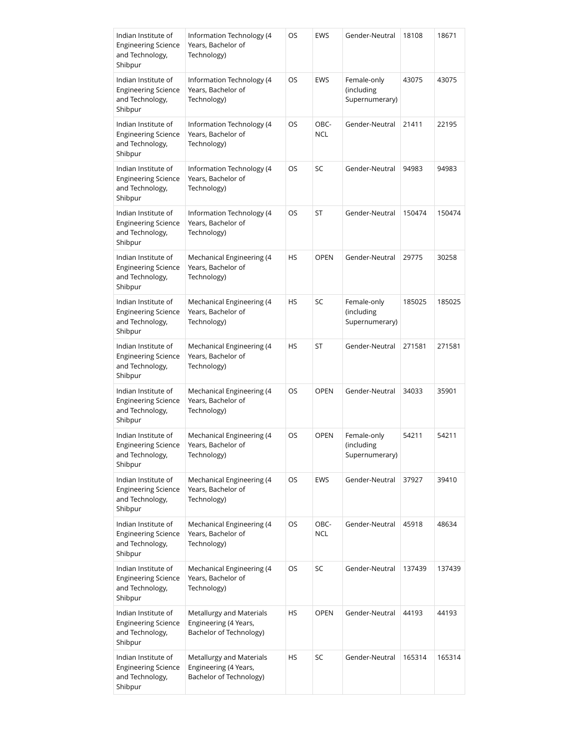| Indian Institute of<br><b>Engineering Science</b><br>and Technology,<br>Shibpur | Information Technology (4<br>Years, Bachelor of<br>Technology)               | OS        | <b>EWS</b>         | Gender-Neutral                              | 18108  | 18671  |
|---------------------------------------------------------------------------------|------------------------------------------------------------------------------|-----------|--------------------|---------------------------------------------|--------|--------|
| Indian Institute of<br><b>Engineering Science</b><br>and Technology,<br>Shibpur | Information Technology (4<br>Years, Bachelor of<br>Technology)               | OS        | EWS                | Female-only<br>(including<br>Supernumerary) | 43075  | 43075  |
| Indian Institute of<br><b>Engineering Science</b><br>and Technology,<br>Shibpur | Information Technology (4<br>Years, Bachelor of<br>Technology)               | OS        | OBC-<br><b>NCL</b> | Gender-Neutral                              | 21411  | 22195  |
| Indian Institute of<br><b>Engineering Science</b><br>and Technology,<br>Shibpur | Information Technology (4<br>Years, Bachelor of<br>Technology)               | OS        | SC                 | Gender-Neutral                              | 94983  | 94983  |
| Indian Institute of<br><b>Engineering Science</b><br>and Technology,<br>Shibpur | Information Technology (4<br>Years, Bachelor of<br>Technology)               | OS        | ST                 | Gender-Neutral                              | 150474 | 150474 |
| Indian Institute of<br><b>Engineering Science</b><br>and Technology,<br>Shibpur | Mechanical Engineering (4<br>Years, Bachelor of<br>Technology)               | <b>HS</b> | <b>OPEN</b>        | Gender-Neutral                              | 29775  | 30258  |
| Indian Institute of<br><b>Engineering Science</b><br>and Technology,<br>Shibpur | Mechanical Engineering (4<br>Years, Bachelor of<br>Technology)               | HS        | SC                 | Female-only<br>(including<br>Supernumerary) | 185025 | 185025 |
| Indian Institute of<br><b>Engineering Science</b><br>and Technology,<br>Shibpur | Mechanical Engineering (4<br>Years, Bachelor of<br>Technology)               | <b>HS</b> | ST                 | Gender-Neutral                              | 271581 | 271581 |
| Indian Institute of<br><b>Engineering Science</b><br>and Technology,<br>Shibpur | Mechanical Engineering (4<br>Years, Bachelor of<br>Technology)               | OS        | <b>OPEN</b>        | Gender-Neutral                              | 34033  | 35901  |
| Indian Institute of<br><b>Engineering Science</b><br>and Technology,<br>Shibpur | Mechanical Engineering (4<br>Years, Bachelor of<br>Technology)               | OS        | <b>OPEN</b>        | Female-only<br>(including<br>Supernumerary) | 54211  | 54211  |
| Indian Institute of<br><b>Engineering Science</b><br>and Technology,<br>Shibpur | Mechanical Engineering (4<br>Years, Bachelor of<br>Technology)               | OS        | EWS                | Gender-Neutral                              | 37927  | 39410  |
| Indian Institute of<br><b>Engineering Science</b><br>and Technology,<br>Shibpur | Mechanical Engineering (4<br>Years, Bachelor of<br>Technology)               | OS        | OBC-<br><b>NCL</b> | Gender-Neutral                              | 45918  | 48634  |
| Indian Institute of<br><b>Engineering Science</b><br>and Technology,<br>Shibpur | Mechanical Engineering (4<br>Years, Bachelor of<br>Technology)               | OS        | SC                 | Gender-Neutral                              | 137439 | 137439 |
| Indian Institute of<br><b>Engineering Science</b><br>and Technology,<br>Shibpur | Metallurgy and Materials<br>Engineering (4 Years,<br>Bachelor of Technology) | HS        | <b>OPEN</b>        | Gender-Neutral                              | 44193  | 44193  |
| Indian Institute of<br><b>Engineering Science</b><br>and Technology,<br>Shibpur | Metallurgy and Materials<br>Engineering (4 Years,<br>Bachelor of Technology) | HS        | SC                 | Gender-Neutral                              | 165314 | 165314 |